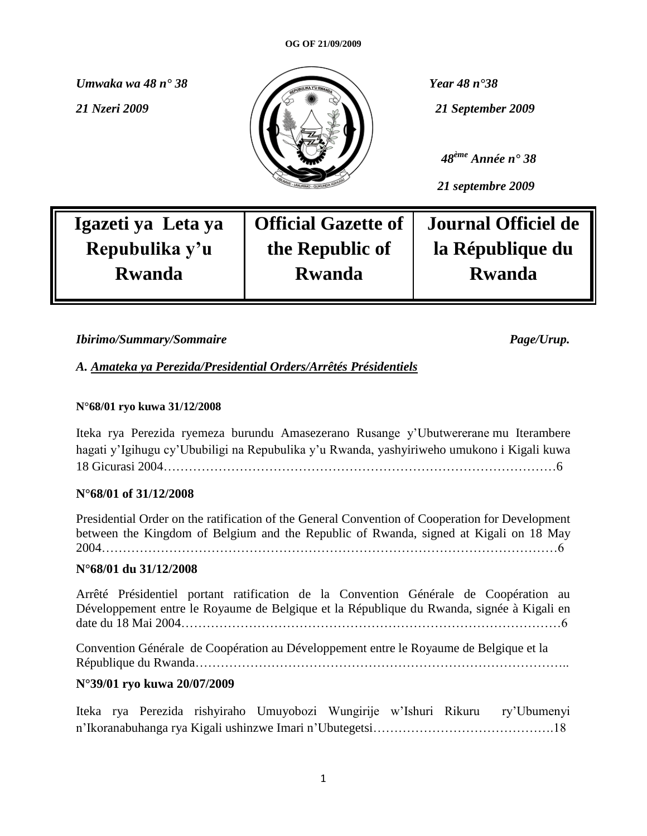

 *48ème Année n° 38*

 *21 septembre 2009*

**Igazeti ya Leta ya Repubulika y'u Rwanda**

**Official Gazette of the Republic of Rwanda**

**Journal Officiel de la République du Rwanda**

*Ibirimo/Summary/Sommaire Page/Urup.*

*A. Amateka ya Perezida/Presidential Orders/Arrêtés Présidentiels*

### **N°68/01 ryo kuwa 31/12/2008**

Iteka rya Perezida ryemeza burundu Amasezerano Rusange y"Ubutwererane mu Iterambere hagati y"Igihugu cy"Ububiligi na Repubulika y"u Rwanda, yashyiriweho umukono i Kigali kuwa 18 Gicurasi 2004…………………………………………………………………………………6

### **N°68/01 of 31/12/2008**

Presidential Order on the ratification of the General Convention of Cooperation for Development between the Kingdom of Belgium and the Republic of Rwanda, signed at Kigali on 18 May 2004………………………………………………………………………………………………6

### **N°68/01 du 31/12/2008**

Arrêté Présidentiel portant ratification de la Convention Générale de Coopération au Développement entre le Royaume de Belgique et la République du Rwanda, signée à Kigali en date du 18 Mai 2004………………………………………………………………………………6

Convention Générale de Coopération au Développement entre le Royaume de Belgique et la République du Rwanda……………………………………………………………………………..

### **N°39/01 ryo kuwa 20/07/2009**

Iteka rya Perezida rishyiraho Umuyobozi Wungirije w"Ishuri Rikuru ry"Ubumenyi n"Ikoranabuhanga rya Kigali ushinzwe Imari n"Ubutegetsi…………………………………….18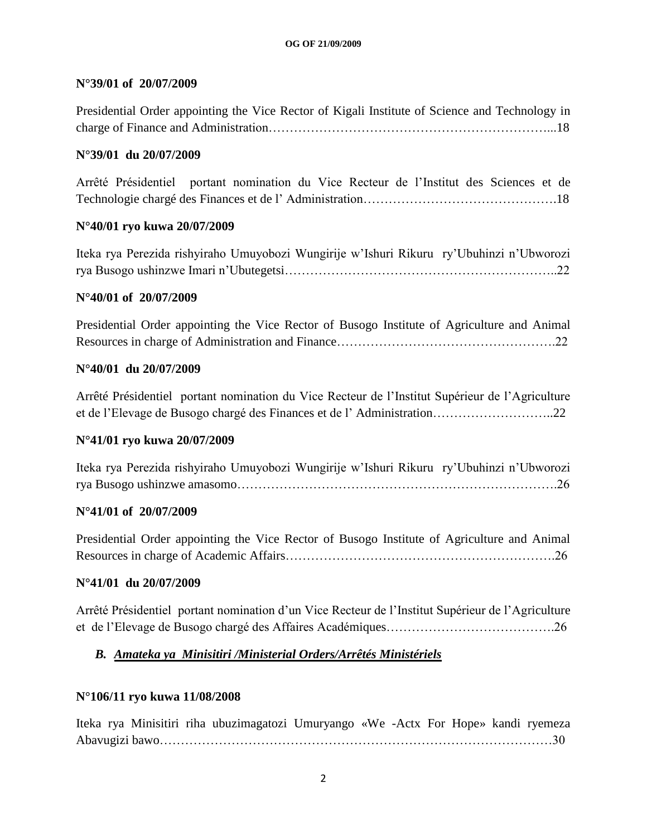### **N°39/01 of 20/07/2009**

| Presidential Order appointing the Vice Rector of Kigali Institute of Science and Technology in |  |
|------------------------------------------------------------------------------------------------|--|
|                                                                                                |  |

#### **N°39/01 du 20/07/2009**

Arrêté Présidentiel portant nomination du Vice Recteur de l"Institut des Sciences et de Technologie chargé des Finances et de l" Administration……………………………………….18

#### **N°40/01 ryo kuwa 20/07/2009**

Iteka rya Perezida rishyiraho Umuyobozi Wungirije w"Ishuri Rikuru ry"Ubuhinzi n"Ubworozi rya Busogo ushinzwe Imari n"Ubutegetsi………………………………………………………..22

#### **N°40/01 of 20/07/2009**

Presidential Order appointing the Vice Rector of Busogo Institute of Agriculture and Animal Resources in charge of Administration and Finance…………………………………………….22

### **N°40/01 du 20/07/2009**

Arrêté Présidentiel portant nomination du Vice Recteur de l"Institut Supérieur de l"Agriculture et de l"Elevage de Busogo chargé des Finances et de l" Administration………………………..22

### **N°41/01 ryo kuwa 20/07/2009**

Iteka rya Perezida rishyiraho Umuyobozi Wungirije w"Ishuri Rikuru ry"Ubuhinzi n"Ubworozi rya Busogo ushinzwe amasomo………………………………………………………………….26

#### **N°41/01 of 20/07/2009**

Presidential Order appointing the Vice Rector of Busogo Institute of Agriculture and Animal Resources in charge of Academic Affairs……………………………………………………….26

#### **N°41/01 du 20/07/2009**

Arrêté Présidentiel portant nomination d"un Vice Recteur de l"Institut Supérieur de l"Agriculture et de l"Elevage de Busogo chargé des Affaires Académiques………………………………….26

### *B. Amateka ya Minisitiri /Ministerial Orders/Arrêtés Ministériels*

### **N°106/11 ryo kuwa 11/08/2008**

Iteka rya Minisitiri riha ubuzimagatozi Umuryango «We -Actx For Hope» kandi ryemeza Abavugizi bawo…………………………………………………………………………………30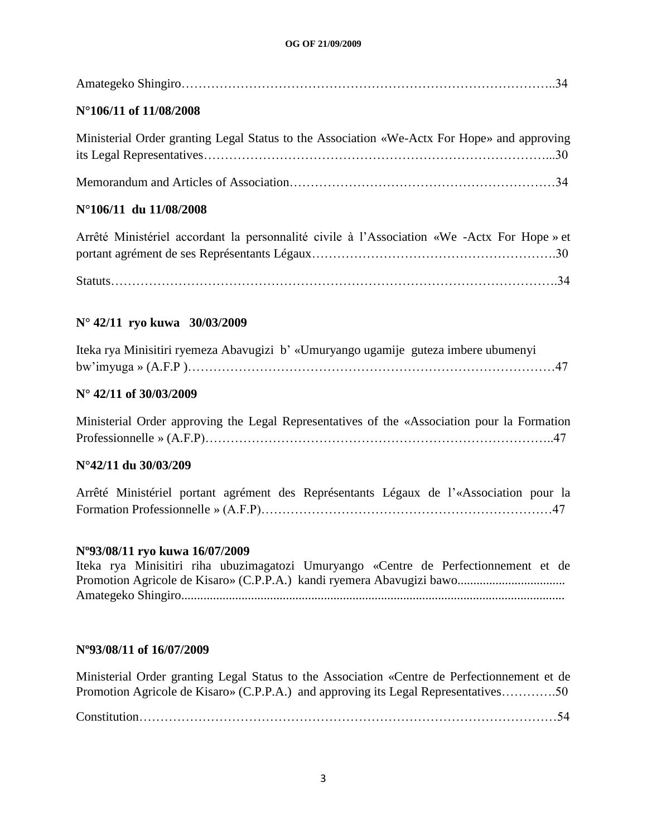| $N^{\circ}106/11$ of $11/08/2008$ |  |
|-----------------------------------|--|

| Ministerial Order granting Legal Status to the Association «We-Actx For Hope» and approving |  |
|---------------------------------------------------------------------------------------------|--|
|                                                                                             |  |
|                                                                                             |  |

### **N°106/11 du 11/08/2008**

Arrêté Ministériel accordant la personnalité civile à l"Association «We -Actx For Hope » et portant agrément de ses Représentants Légaux………………………………………………….30

Statuts…………………………………………………………………………………………….34

### **N° 42/11 ryo kuwa 30/03/2009**

| Iteka rya Minisitiri ryemeza Abavugizi b' «Umuryango ugamije guteza imbere ubumenyi |  |
|-------------------------------------------------------------------------------------|--|
|                                                                                     |  |

### **N° 42/11 of 30/03/2009**

Ministerial Order approving the Legal Representatives of the «Association pour la Formation Professionnelle » (A.F.P)………………………………………………………………………..47

### **N°42/11 du 30/03/209**

Arrêté Ministériel portant agrément des Représentants Légaux de l"«Association pour la Formation Professionnelle » (A.F.P)……………………………………………………………47

### **Nº93/08/11 ryo kuwa 16/07/2009**

Iteka rya Minisitiri riha ubuzimagatozi Umuryango «Centre de Perfectionnement et de Promotion Agricole de Kisaro» (C.P.P.A.) kandi ryemera Abavugizi bawo.................................. Amategeko Shingiro.........................................................................................................................

### **Nº93/08/11 of 16/07/2009**

Ministerial Order granting Legal Status to the Association «Centre de Perfectionnement et de Promotion Agricole de Kisaro» (C.P.P.A.) and approving its Legal Representatives………….50

Constitution………………………………………………………………………………………54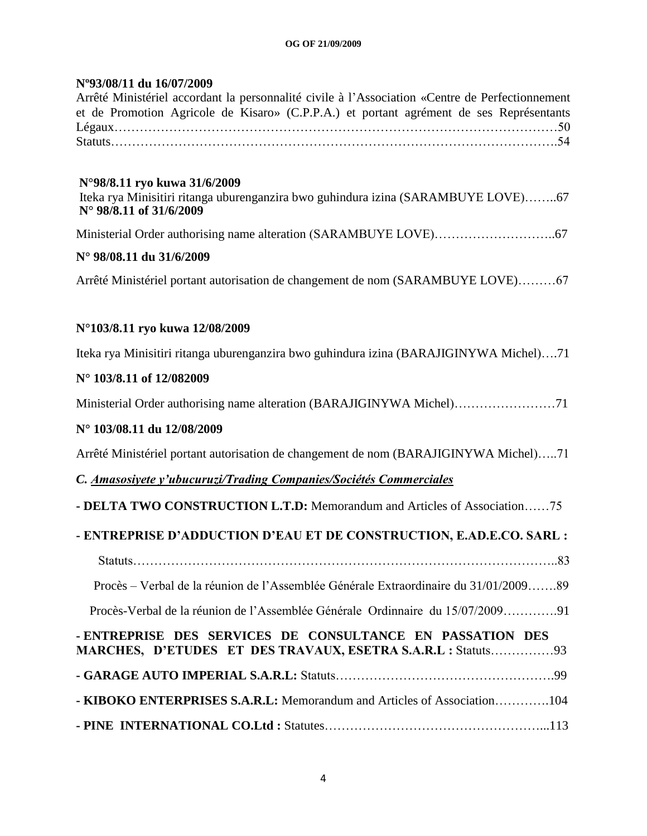### **Nº93/08/11 du 16/07/2009**

| Arrêté Ministériel accordant la personnalité civile à l'Association «Centre de Perfectionnement |  |  |  |  |
|-------------------------------------------------------------------------------------------------|--|--|--|--|
| et de Promotion Agricole de Kisaro» (C.P.P.A.) et portant agrément de ses Représentants         |  |  |  |  |
|                                                                                                 |  |  |  |  |
|                                                                                                 |  |  |  |  |

### **N°98/8.11 ryo kuwa 31/6/2009**

Iteka rya Minisitiri ritanga uburenganzira bwo guhindura izina (SARAMBUYE LOVE)……..67 **N° 98/8.11 of 31/6/2009**

Ministerial Order authorising name alteration (SARAMBUYE LOVE)………………………..67

### **N° 98/08.11 du 31/6/2009**

Arrêté Ministériel portant autorisation de changement de nom (SARAMBUYE LOVE)………67

### **N°103/8.11 ryo kuwa 12/08/2009**

Iteka rya Minisitiri ritanga uburenganzira bwo guhindura izina (BARAJIGINYWA Michel)….71

### **N° 103/8.11 of 12/082009**

Ministerial Order authorising name alteration (BARAJIGINYWA Michel)……………………71

### **N° 103/08.11 du 12/08/2009**

Arrêté Ministériel portant autorisation de changement de nom (BARAJIGINYWA Michel)…..71

### *C. Amasosiyete y'ubucuruzi/Trading Companies/Sociétés Commerciales*

### **- DELTA TWO CONSTRUCTION L.T.D:** Memorandum and Articles of Association……75

### **- ENTREPRISE D'ADDUCTION D'EAU ET DE CONSTRUCTION, E.AD.E.CO. SARL :**

Procès – Verbal de la réunion de l"Assemblée Générale Extraordinaire du 31/01/2009…….89

Statuts………………………………………………………………………………………..83

Procès-Verbal de la réunion de l"Assemblée Générale Ordinnaire du 15/07/2009………….91

| - ENTREPRISE DES SERVICES DE CONSULTANCE EN PASSATION DES               |  |
|-------------------------------------------------------------------------|--|
| MARCHES, D'ETUDES ET DES TRAVAUX, ESETRA S.A.R.L : Statuts93            |  |
|                                                                         |  |
| - KIBOKO ENTERPRISES S.A.R.L: Memorandum and Articles of Association104 |  |
|                                                                         |  |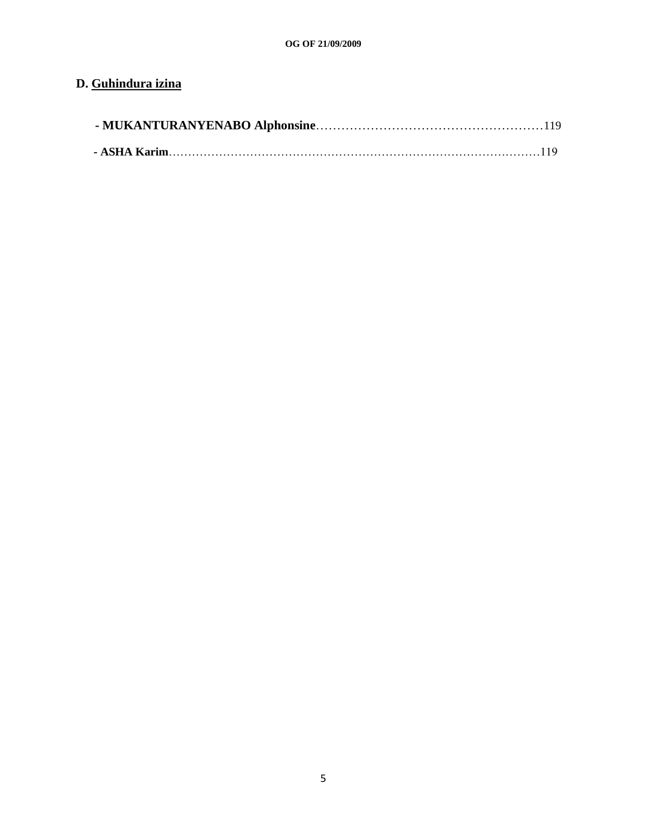### **D. Guhindura izina**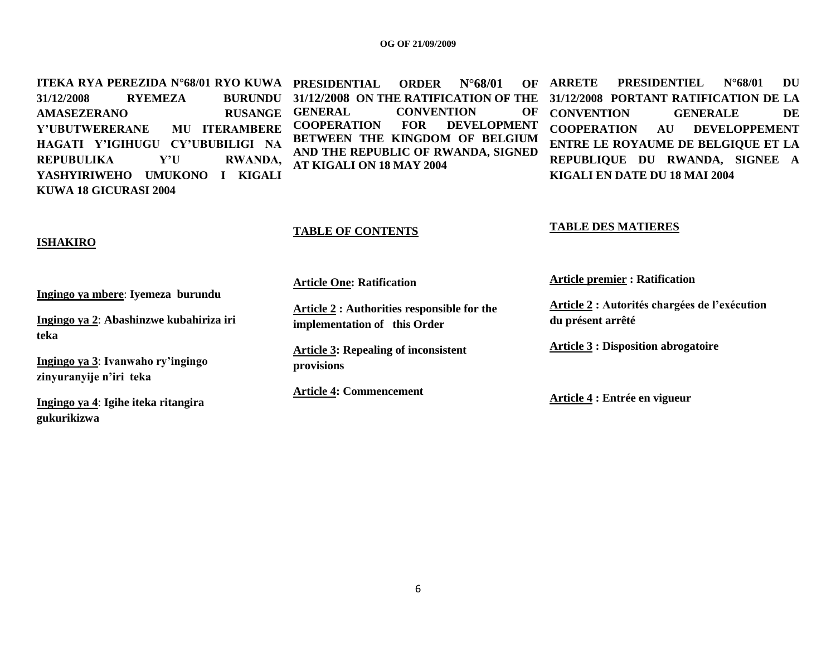**ITEKA RYA PEREZIDA N°68/01 RYO KUWA PRESIDENTIAL ORDER N°68/01 OF 31/12/2008 RYEMEZA AMASEZERANO RUSANGE Y'UBUTWERERANE MU ITERAMBERE HAGATI Y'IGIHUGU CY'UBUBILIGI NA REPUBULIKA Y'U RWANDA, YASHYIRIWEHO UMUKONO I KIGALI KUWA 18 GICURASI 2004** 

**31/12/2008 ON THE RATIFICATION OF THE**  CONVENTION OF **COOPERATION FOR DEVELOPMENT BETWEEN THE KINGDOM OF BELGIUM AND THE REPUBLIC OF RWANDA, SIGNED AT KIGALI ON 18 MAY 2004** 

**ARRETE PRESIDENTIEL N°68/01 DU 31/12/2008 PORTANT RATIFICATION DE LA CONVENTION GENERALE DE COOPERATION AU DEVELOPPEMENT ENTRE LE ROYAUME DE BELGIQUE ET LA REPUBLIQUE DU RWANDA, SIGNEE A KIGALI EN DATE DU 18 MAI 2004** 

### **ISHAKIRO**

**Ingingo ya mbere**: **Iyemeza burundu**

**Ingingo ya 2**: **Abashinzwe kubahiriza iri teka**

**Ingingo ya 3**: **Ivanwaho ry'ingingo zinyuranyije n'iri teka**

**Ingingo ya 4**: **Igihe iteka ritangira gukurikizwa**

#### **TABLE OF CONTENTS**

**Article One: Ratification**

**Article 2 : Authorities responsible for the implementation of this Order** 

**Article 3: Repealing of inconsistent provisions**

**Article 4: Commencement** 

**Article premier : Ratification** 

**TABLE DES MATIERES**

**Article 2 : Autorités chargées de l'exécution du présent arrêté**

**Article 3 : Disposition abrogatoire**

**Article 4 : Entrée en vigueur**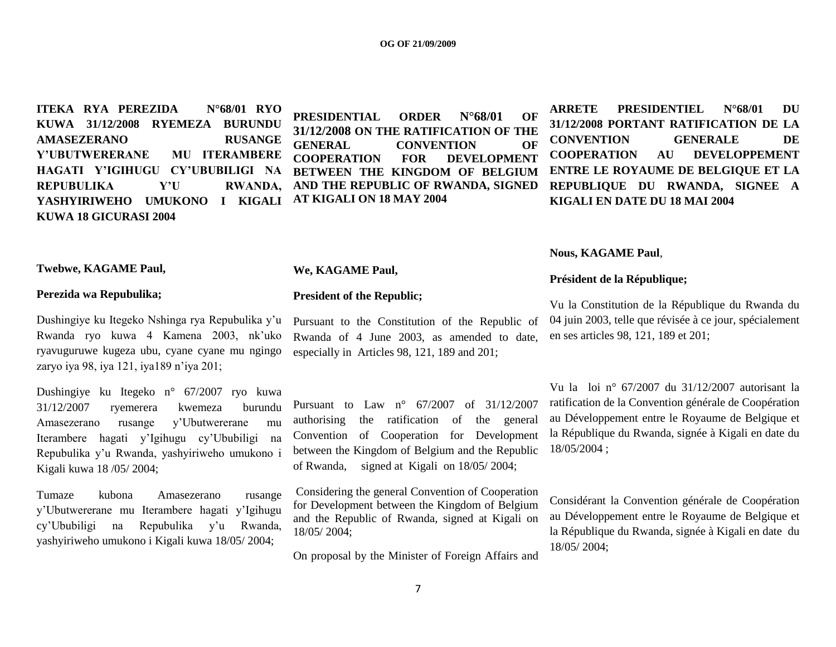**ITEKA RYA PEREZIDA N°68/01 RYO KUWA 31/12/2008 RYEMEZA BURUNDU AMASEZERANO RUSANGE Y'UBUTWERERANE MU ITERAMBERE HAGATI Y'IGIHUGU CY'UBUBILIGI NA REPUBULIKA Y'U RWANDA, YASHYIRIWEHO UMUKONO I KIGALI KUWA 18 GICURASI 2004** 

**PRESIDENTIAL ORDER N°68/01 OF 31/12/2008 ON THE RATIFICATION OF THE GENERAL CONVENTION OF COOPERATION FOR DEVELOPMENT BETWEEN THE KINGDOM OF BELGIUM AND THE REPUBLIC OF RWANDA, SIGNED AT KIGALI ON 18 MAY 2004** 

**ARRETE PRESIDENTIEL N°68/01 DU 31/12/2008 PORTANT RATIFICATION DE LA CONVENTION GENERALE DE COOPERATION AU DEVELOPPEMENT ENTRE LE ROYAUME DE BELGIQUE ET LA REPUBLIQUE DU RWANDA, SIGNEE A KIGALI EN DATE DU 18 MAI 2004** 

#### **Nous, KAGAME Paul**,

#### **Président de la République;**

Vu la Constitution de la République du Rwanda du 04 juin 2003, telle que révisée à ce jour, spécialement en ses articles 98, 121, 189 et 201;

Vu la loi n° 67/2007 du 31/12/2007 autorisant la ratification de la Convention générale de Coopération au Développement entre le Royaume de Belgique et la République du Rwanda, signée à Kigali en date du 18/05/2004 ;

Considérant la Convention générale de Coopération au Développement entre le Royaume de Belgique et la République du Rwanda, signée à Kigali en date du 18/05/ 2004;

#### **Twebwe, KAGAME Paul,**

#### **Perezida wa Repubulika;**

Dushingiye ku Itegeko Nshinga rya Repubulika y"u Rwanda ryo kuwa 4 Kamena 2003, nk"uko ryavuguruwe kugeza ubu, cyane cyane mu ngingo zaryo iya 98, iya 121, iya189 n"iya 201;

Dushingiye ku Itegeko n° 67/2007 ryo kuwa 31/12/2007 ryemerera kwemeza burundu Amasezerano rusange y"Ubutwererane mu Iterambere hagati y"Igihugu cy"Ububiligi na Repubulika y"u Rwanda, yashyiriweho umukono i Kigali kuwa 18 /05/ 2004;

Tumaze kubona Amasezerano rusange y"Ubutwererane mu Iterambere hagati y"Igihugu cy"Ububiligi na Repubulika y"u Rwanda, yashyiriweho umukono i Kigali kuwa 18/05/ 2004;

#### **We, KAGAME Paul,**

#### **President of the Republic;**

Pursuant to the Constitution of the Republic of Rwanda of 4 June 2003, as amended to date, especially in Articles 98, 121, 189 and 201;

Pursuant to Law n° 67/2007 of 31/12/2007 authorising the ratification of the general Convention of Cooperation for Development between the Kingdom of Belgium and the Republic of Rwanda, signed at Kigali on 18/05/ 2004;

Considering the general Convention of Cooperation for Development between the Kingdom of Belgium and the Republic of Rwanda, signed at Kigali on 18/05/ 2004;

On proposal by the Minister of Foreign Affairs and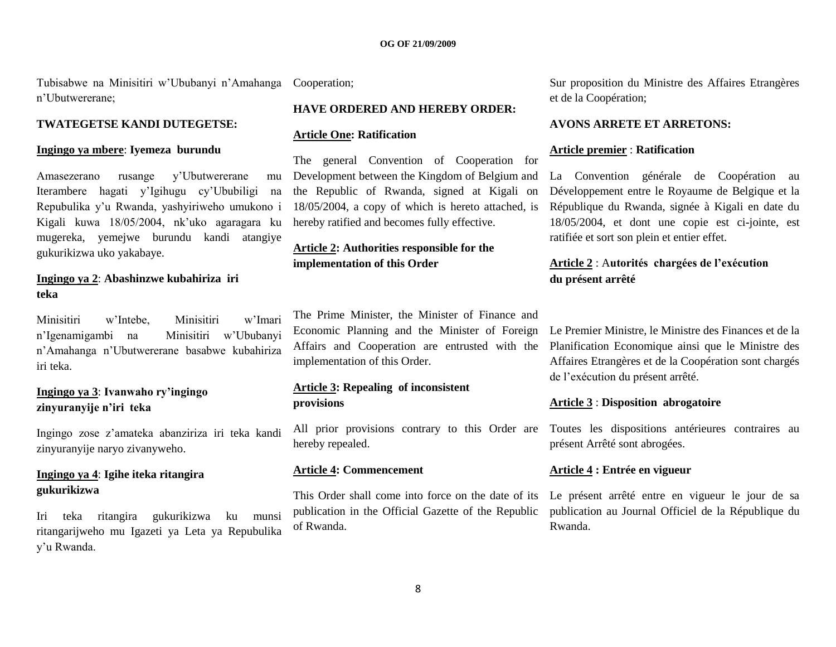Tubisabwe na Minisitiri w"Ububanyi n"Amahanga Cooperation; n"Ubutwererane;

#### **TWATEGETSE KANDI DUTEGETSE:**

#### **Ingingo ya mbere**: **Iyemeza burundu**

Amasezerano rusange y'Ubutwererane Iterambere hagati y"Igihugu cy"Ububiligi na Repubulika y"u Rwanda, yashyiriweho umukono i Kigali kuwa 18/05/2004, nk"uko agaragara ku mugereka, yemejwe burundu kandi atangiye gukurikizwa uko yakabaye.

#### **Ingingo ya 2**: **Abashinzwe kubahiriza iri teka**

Minisitiri w"Intebe, Minisitiri w"Imari n"Igenamigambi na Minisitiri w"Ububanyi n"Amahanga n"Ubutwererane basabwe kubahiriza iri teka.

### **Ingingo ya 3**: **Ivanwaho ry'ingingo zinyuranyije n'iri teka**

Ingingo zose z"amateka abanziriza iri teka kandi zinyuranyije naryo zivanyweho.

### **Ingingo ya 4**: **Igihe iteka ritangira gukurikizwa**

Iri teka ritangira gukurikizwa ku munsi ritangarijweho mu Igazeti ya Leta ya Repubulika y"u Rwanda.

#### **HAVE ORDERED AND HEREBY ORDER:**

#### **Article One: Ratification**

The general Convention of Cooperation for Development between the Kingdom of Belgium and the Republic of Rwanda, signed at Kigali on 18/05/2004, a copy of which is hereto attached, is hereby ratified and becomes fully effective.

### **Article 2: Authorities responsible for the implementation of this Order**

The Prime Minister, the Minister of Finance and Economic Planning and the Minister of Foreign implementation of this Order.

#### **Article 3: Repealing of inconsistent provisions**

All prior provisions contrary to this Order are Toutes les dispositions antérieures contraires au hereby repealed.

#### **Article 4: Commencement**

This Order shall come into force on the date of its publication in the Official Gazette of the Republic of Rwanda.

Sur proposition du Ministre des Affaires Etrangères et de la Coopération;

#### **AVONS ARRETE ET ARRETONS:**

#### **Article premier** : **Ratification**

La Convention générale de Coopération au Développement entre le Royaume de Belgique et la République du Rwanda, signée à Kigali en date du 18/05/2004, et dont une copie est ci-jointe, est ratifiée et sort son plein et entier effet.

### **Article 2** : A**utorités chargées de l'exécution du présent arrêté**

Affairs and Cooperation are entrusted with the Planification Economique ainsi que le Ministre des Le Premier Ministre, le Ministre des Finances et de la Affaires Etrangères et de la Coopération sont chargés de l"exécution du présent arrêté.

#### **Article 3** : **Disposition abrogatoire**

présent Arrêté sont abrogées.

#### **Article 4 : Entrée en vigueur**

Le présent arrêté entre en vigueur le jour de sa publication au Journal Officiel de la République du Rwanda.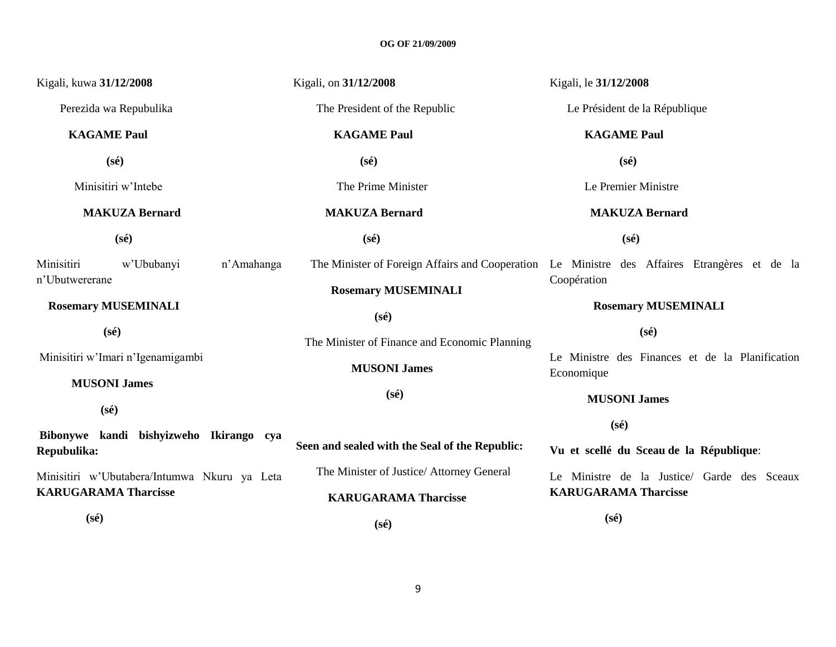| Kigali, kuwa 31/12/2008                                | Kigali, on 31/12/2008                          | Kigali, le 31/12/2008                                                                        |
|--------------------------------------------------------|------------------------------------------------|----------------------------------------------------------------------------------------------|
| Perezida wa Repubulika                                 | The President of the Republic                  | Le Président de la République                                                                |
| <b>KAGAME Paul</b>                                     | <b>KAGAME Paul</b>                             | <b>KAGAME Paul</b>                                                                           |
| $(s\acute{e})$                                         | $(s\acute{e})$                                 | $(s\acute{e})$                                                                               |
| Minisitiri w'Intebe                                    | The Prime Minister                             | Le Premier Ministre                                                                          |
| <b>MAKUZA Bernard</b>                                  | <b>MAKUZA Bernard</b>                          | <b>MAKUZA Bernard</b>                                                                        |
| $(s\acute{e})$                                         | $(s\acute{e})$                                 | $(s\acute{e})$                                                                               |
| Minisitiri<br>w'Ububanyi                               | n'Amahanga                                     | The Minister of Foreign Affairs and Cooperation Le Ministre des Affaires Etrangères et de la |
| n'Ubutwererane                                         | <b>Rosemary MUSEMINALI</b>                     | Coopération                                                                                  |
| <b>Rosemary MUSEMINALI</b>                             | $(s\acute{e})$                                 | <b>Rosemary MUSEMINALI</b>                                                                   |
| $(s\acute{e})$                                         | The Minister of Finance and Economic Planning  | $(s\acute{e})$                                                                               |
| Minisitiri w'Imari n'Igenamigambi                      | <b>MUSONI James</b>                            | Le Ministre des Finances et de la Planification<br>Economique                                |
| <b>MUSONI James</b>                                    | $(s\acute{e})$                                 | <b>MUSONI James</b>                                                                          |
| $(s\acute{e})$                                         |                                                | $(s\acute{e})$                                                                               |
| Bibonywe kandi bishyizweho Ikirango cya<br>Repubulika: | Seen and sealed with the Seal of the Republic: | Vu et scellé du Sceau de la République:                                                      |
| Minisitiri w'Ubutabera/Intumwa Nkuru ya Leta           | The Minister of Justice/ Attorney General      | Le Ministre de la Justice/ Garde des Sceaux                                                  |
| <b>KARUGARAMA Tharcisse</b>                            | <b>KARUGARAMA Tharcisse</b>                    | <b>KARUGARAMA Tharcisse</b>                                                                  |
| $(s\acute{e})$                                         | $(s\acute{e})$                                 | $(s\acute{e})$                                                                               |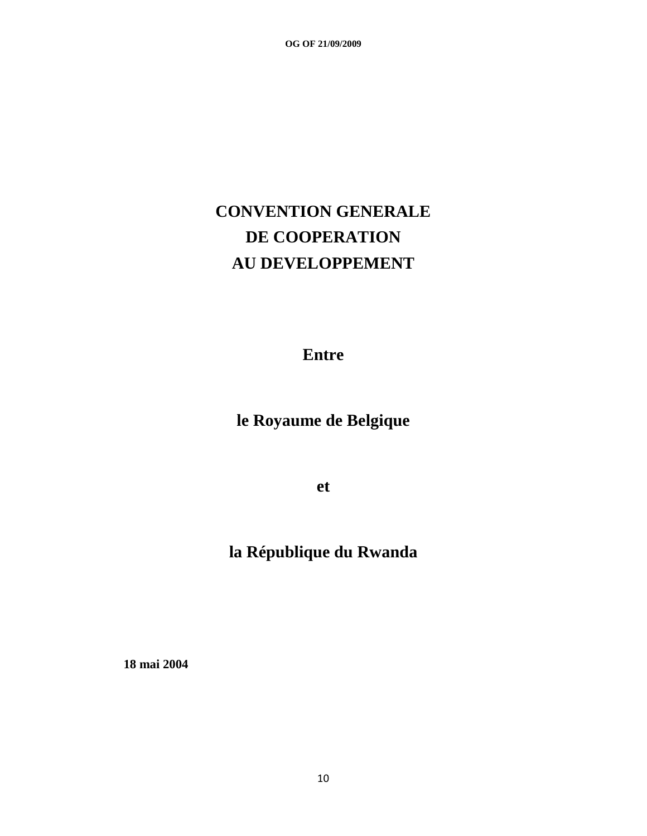# **CONVENTION GENERALE DE COOPERATION AU DEVELOPPEMENT**

**Entre**

**le Royaume de Belgique**

**et**

## **la République du Rwanda**

 **18 mai 2004**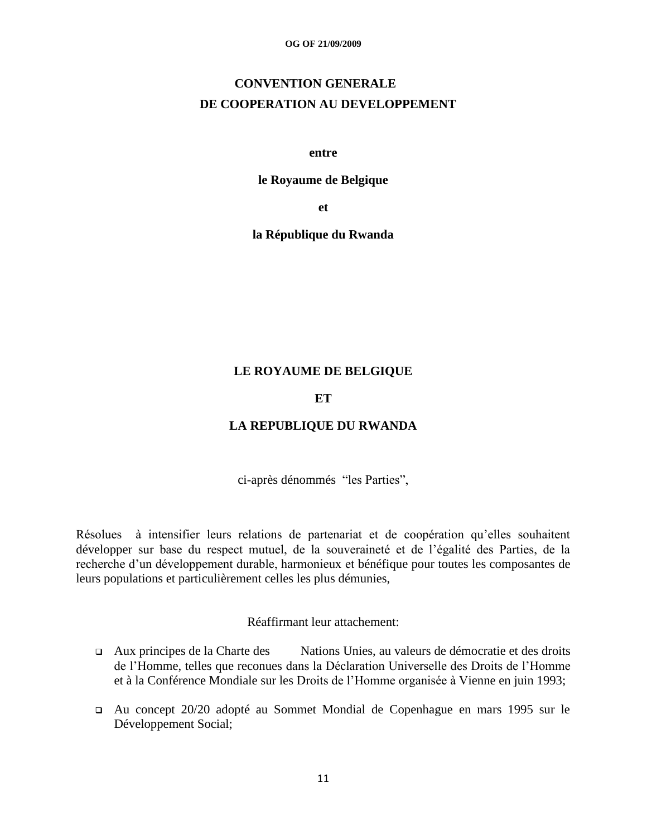## **CONVENTION GENERALE DE COOPERATION AU DEVELOPPEMENT**

#### **entre**

#### **le Royaume de Belgique**

**et**

**la République du Rwanda**

### **LE ROYAUME DE BELGIQUE**

### **ET**

### **LA REPUBLIQUE DU RWANDA**

ci-après dénommés "les Parties",

Résolues à intensifier leurs relations de partenariat et de coopération qu"elles souhaitent développer sur base du respect mutuel, de la souveraineté et de l"égalité des Parties, de la recherche d"un développement durable, harmonieux et bénéfique pour toutes les composantes de leurs populations et particulièrement celles les plus démunies,

### Réaffirmant leur attachement:

- Aux principes de la Charte des Nations Unies, au valeurs de démocratie et des droits de l"Homme, telles que reconues dans la Déclaration Universelle des Droits de l"Homme et à la Conférence Mondiale sur les Droits de l"Homme organisée à Vienne en juin 1993;
- Au concept 20/20 adopté au Sommet Mondial de Copenhague en mars 1995 sur le Développement Social;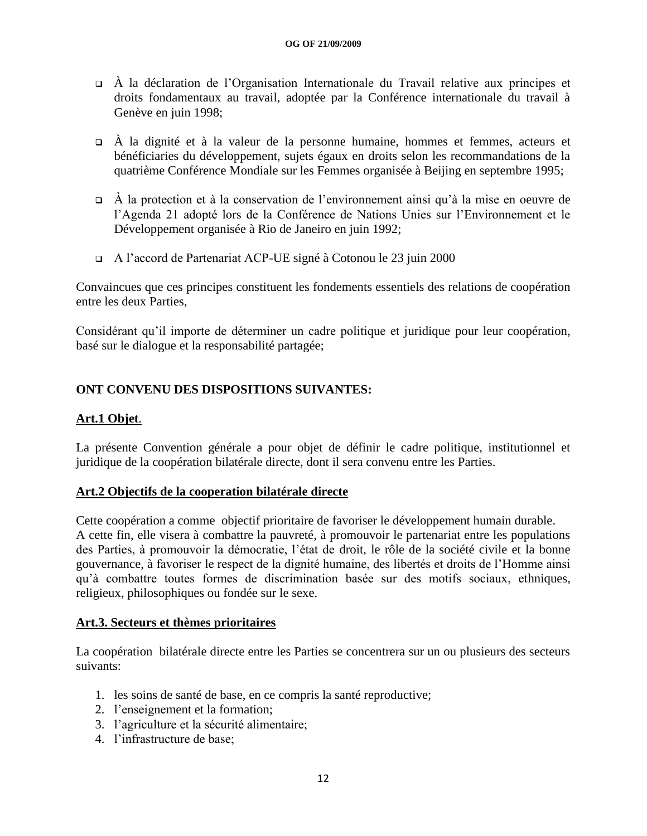- $\overrightarrow{A}$  la déclaration de l'Organisation Internationale du Travail relative aux principes et droits fondamentaux au travail, adoptée par la Conférence internationale du travail à Genève en juin 1998;
- $\overrightarrow{A}$  la dignité et à la valeur de la personne humaine, hommes et femmes, acteurs et bénéficiaries du développement, sujets égaux en droits selon les recommandations de la quatrième Conférence Mondiale sur les Femmes organisée à Beijing en septembre 1995;
- $\overrightarrow{A}$  la protection et à la conservation de l'environnement ainsi qu'à la mise en oeuvre de l"Agenda 21 adopté lors de la Conférence de Nations Unies sur l"Environnement et le Développement organisée à Rio de Janeiro en juin 1992;
- A l"accord de Partenariat ACP-UE signé à Cotonou le 23 juin 2000

Convaincues que ces principes constituent les fondements essentiels des relations de coopération entre les deux Parties,

Considérant qu"il importe de déterminer un cadre politique et juridique pour leur coopération, basé sur le dialogue et la responsabilité partagée;

### **ONT CONVENU DES DISPOSITIONS SUIVANTES:**

### **Art.1 Objet**.

La présente Convention générale a pour objet de définir le cadre politique, institutionnel et juridique de la coopération bilatérale directe, dont il sera convenu entre les Parties.

### **Art.2 Objectifs de la cooperation bilatérale directe**

Cette coopération a comme objectif prioritaire de favoriser le développement humain durable. A cette fin, elle visera à combattre la pauvreté, à promouvoir le partenariat entre les populations des Parties, à promouvoir la démocratie, l"état de droit, le rôle de la société civile et la bonne gouvernance, à favoriser le respect de la dignité humaine, des libertés et droits de l"Homme ainsi qu"à combattre toutes formes de discrimination basée sur des motifs sociaux, ethniques, religieux, philosophiques ou fondée sur le sexe.

### **Art.3. Secteurs et thèmes prioritaires**

La coopération bilatérale directe entre les Parties se concentrera sur un ou plusieurs des secteurs suivants:

- 1. les soins de santé de base, en ce compris la santé reproductive;
- 2. l"enseignement et la formation;
- 3. l"agriculture et la sécurité alimentaire;
- 4. l"infrastructure de base;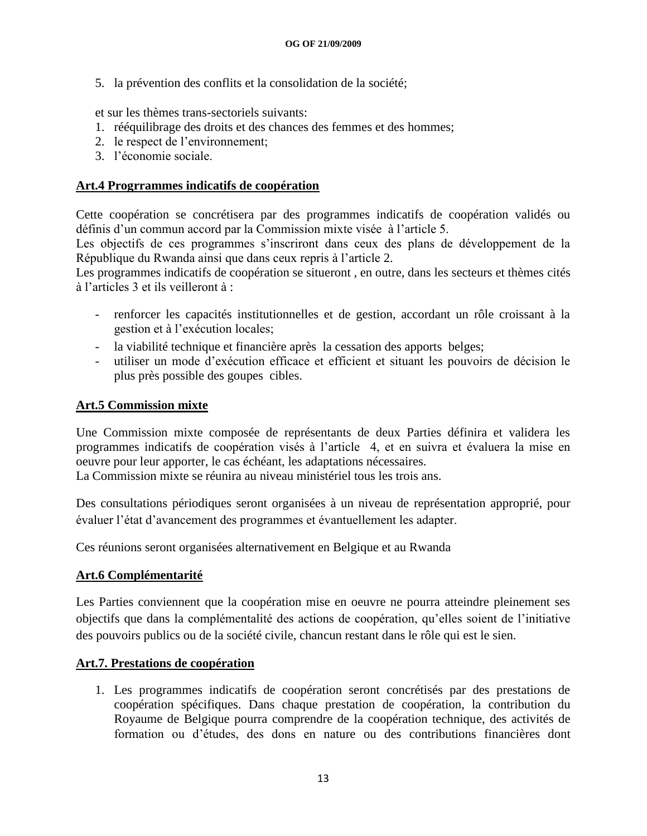5. la prévention des conflits et la consolidation de la société;

et sur les thèmes trans-sectoriels suivants:

- 1. rééquilibrage des droits et des chances des femmes et des hommes;
- 2. le respect de l"environnement;
- 3. l"économie sociale.

### **Art.4 Progrrammes indicatifs de coopération**

Cette coopération se concrétisera par des programmes indicatifs de coopération validés ou définis d'un commun accord par la Commission mixte visée à l'article 5.

Les objectifs de ces programmes s'inscriront dans ceux des plans de développement de la République du Rwanda ainsi que dans ceux repris à l"article 2.

Les programmes indicatifs de coopération se situeront , en outre, dans les secteurs et thèmes cités à l"articles 3 et ils veilleront à :

- renforcer les capacités institutionnelles et de gestion, accordant un rôle croissant à la gestion et à l"exécution locales;
- la viabilité technique et financière après la cessation des apports belges;
- utiliser un mode d"exécution efficace et efficient et situant les pouvoirs de décision le plus près possible des goupes cibles.

### **Art.5 Commission mixte**

Une Commission mixte composée de représentants de deux Parties définira et validera les programmes indicatifs de coopération visés à l"article 4, et en suivra et évaluera la mise en oeuvre pour leur apporter, le cas échéant, les adaptations nécessaires.

La Commission mixte se réunira au niveau ministériel tous les trois ans.

Des consultations périodiques seront organisées à un niveau de représentation approprié, pour évaluer l"état d"avancement des programmes et évantuellement les adapter.

Ces réunions seront organisées alternativement en Belgique et au Rwanda

### **Art.6 Complémentarité**

Les Parties conviennent que la coopération mise en oeuvre ne pourra atteindre pleinement ses objectifs que dans la complémentalité des actions de coopération, qu"elles soient de l"initiative des pouvoirs publics ou de la société civile, chancun restant dans le rôle qui est le sien.

### **Art.7. Prestations de coopération**

1. Les programmes indicatifs de coopération seront concrétisés par des prestations de coopération spécifiques. Dans chaque prestation de coopération, la contribution du Royaume de Belgique pourra comprendre de la coopération technique, des activités de formation ou d"études, des dons en nature ou des contributions financières dont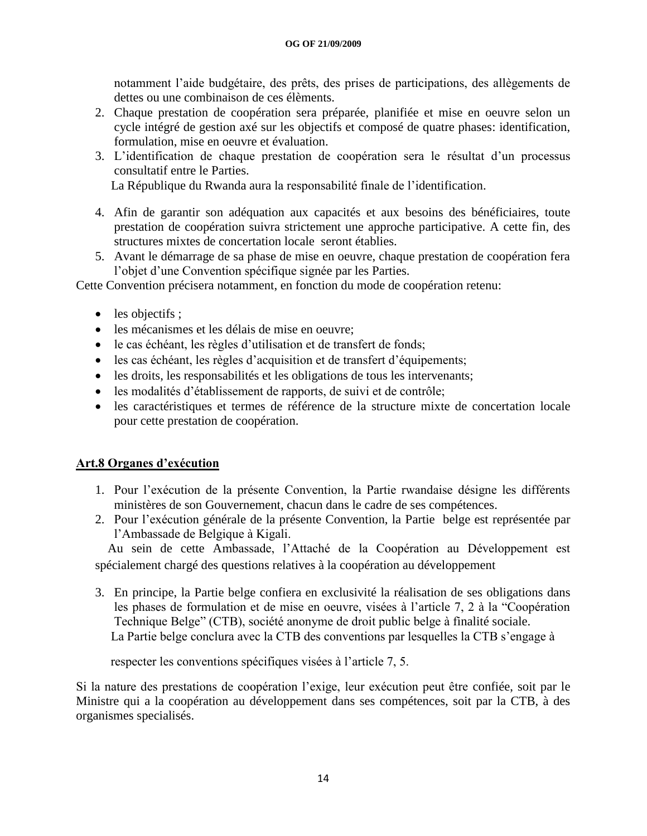notamment l"aide budgétaire, des prêts, des prises de participations, des allègements de dettes ou une combinaison de ces élèments.

- 2. Chaque prestation de coopération sera préparée, planifiée et mise en oeuvre selon un cycle intégré de gestion axé sur les objectifs et composé de quatre phases: identification, formulation, mise en oeuvre et évaluation.
- 3. L"identification de chaque prestation de coopération sera le résultat d"un processus consultatif entre le Parties.

La République du Rwanda aura la responsabilité finale de l"identification.

- 4. Afin de garantir son adéquation aux capacités et aux besoins des bénéficiaires, toute prestation de coopération suivra strictement une approche participative. A cette fin, des structures mixtes de concertation locale seront établies.
- 5. Avant le démarrage de sa phase de mise en oeuvre, chaque prestation de coopération fera l"objet d"une Convention spécifique signée par les Parties.

Cette Convention précisera notamment, en fonction du mode de coopération retenu:

- $\bullet$  les objectifs ;
- les mécanismes et les délais de mise en oeuvre;
- le cas échéant, les règles d"utilisation et de transfert de fonds;
- les cas échéant, les règles d"acquisition et de transfert d"équipements;
- les droits, les responsabilités et les obligations de tous les intervenants;
- les modalités d"établissement de rapports, de suivi et de contrôle;
- les caractéristiques et termes de référence de la structure mixte de concertation locale pour cette prestation de coopération.

### **Art.8 Organes d'exécution**

- 1. Pour l"exécution de la présente Convention, la Partie rwandaise désigne les différents ministères de son Gouvernement, chacun dans le cadre de ses compétences.
- 2. Pour l"exécution générale de la présente Convention, la Partie belge est représentée par l"Ambassade de Belgique à Kigali.

 Au sein de cette Ambassade, l"Attaché de la Coopération au Développement est spécialement chargé des questions relatives à la coopération au développement

3. En principe, la Partie belge confiera en exclusivité la réalisation de ses obligations dans les phases de formulation et de mise en oeuvre, visées à l"article 7, 2 à la "Coopération Technique Belge" (CTB), société anonyme de droit public belge à finalité sociale. La Partie belge conclura avec la CTB des conventions par lesquelles la CTB s'engage à

respecter les conventions spécifiques visées à l"article 7, 5.

Si la nature des prestations de coopération l"exige, leur exécution peut être confiée, soit par le Ministre qui a la coopération au développement dans ses compétences, soit par la CTB, à des organismes specialisés.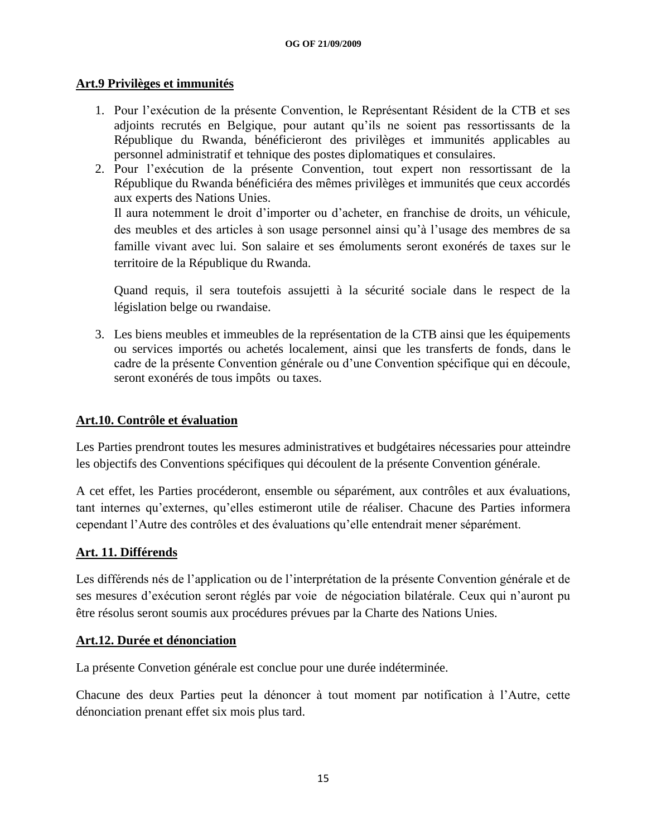### **Art.9 Privilèges et immunités**

- 1. Pour l"exécution de la présente Convention, le Représentant Résident de la CTB et ses adjoints recrutés en Belgique, pour autant qu"ils ne soient pas ressortissants de la République du Rwanda, bénéficieront des privilèges et immunités applicables au personnel administratif et tehnique des postes diplomatiques et consulaires.
- 2. Pour l"exécution de la présente Convention, tout expert non ressortissant de la République du Rwanda bénéficiéra des mêmes privilèges et immunités que ceux accordés aux experts des Nations Unies. Il aura notemment le droit d"importer ou d"acheter, en franchise de droits, un véhicule,

des meubles et des articles à son usage personnel ainsi qu"à l"usage des membres de sa famille vivant avec lui. Son salaire et ses émoluments seront exonérés de taxes sur le territoire de la République du Rwanda.

Quand requis, il sera toutefois assujetti à la sécurité sociale dans le respect de la législation belge ou rwandaise.

3. Les biens meubles et immeubles de la représentation de la CTB ainsi que les équipements ou services importés ou achetés localement, ainsi que les transferts de fonds, dans le cadre de la présente Convention générale ou d"une Convention spécifique qui en découle, seront exonérés de tous impôts ou taxes.

### **Art.10. Contrôle et évaluation**

Les Parties prendront toutes les mesures administratives et budgétaires nécessaries pour atteindre les objectifs des Conventions spécifiques qui découlent de la présente Convention générale.

A cet effet, les Parties procéderont, ensemble ou séparément, aux contrôles et aux évaluations, tant internes qu"externes, qu"elles estimeront utile de réaliser. Chacune des Parties informera cependant l"Autre des contrôles et des évaluations qu"elle entendrait mener séparément.

### **Art. 11. Différends**

Les différends nés de l"application ou de l"interprétation de la présente Convention générale et de ses mesures d"exécution seront réglés par voie de négociation bilatérale. Ceux qui n"auront pu être résolus seront soumis aux procédures prévues par la Charte des Nations Unies.

### **Art.12. Durée et dénonciation**

La présente Convetion générale est conclue pour une durée indéterminée.

Chacune des deux Parties peut la dénoncer à tout moment par notification à l"Autre, cette dénonciation prenant effet six mois plus tard.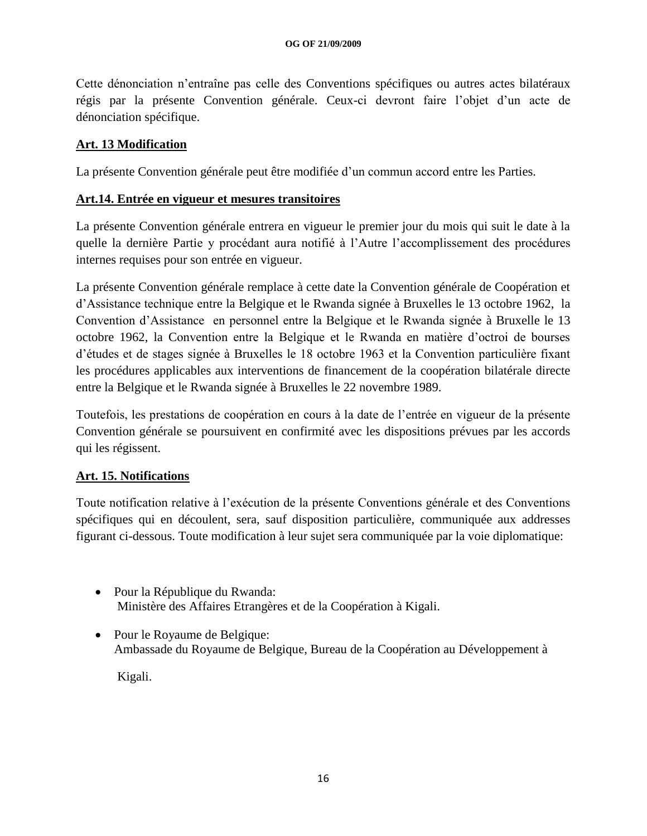Cette dénonciation n"entraîne pas celle des Conventions spécifiques ou autres actes bilatéraux régis par la présente Convention générale. Ceux-ci devront faire l"objet d"un acte de dénonciation spécifique.

### **Art. 13 Modification**

La présente Convention générale peut être modifiée d'un commun accord entre les Parties.

### **Art.14. Entrée en vigueur et mesures transitoires**

La présente Convention générale entrera en vigueur le premier jour du mois qui suit le date à la quelle la dernière Partie y procédant aura notifié à l"Autre l"accomplissement des procédures internes requises pour son entrée en vigueur.

La présente Convention générale remplace à cette date la Convention générale de Coopération et d"Assistance technique entre la Belgique et le Rwanda signée à Bruxelles le 13 octobre 1962, la Convention d"Assistance en personnel entre la Belgique et le Rwanda signée à Bruxelle le 13 octobre 1962, la Convention entre la Belgique et le Rwanda en matière d"octroi de bourses d"études et de stages signée à Bruxelles le 18 octobre 1963 et la Convention particulière fixant les procédures applicables aux interventions de financement de la coopération bilatérale directe entre la Belgique et le Rwanda signée à Bruxelles le 22 novembre 1989.

Toutefois, les prestations de coopération en cours à la date de l"entrée en vigueur de la présente Convention générale se poursuivent en confirmité avec les dispositions prévues par les accords qui les régissent.

### **Art. 15. Notifications**

Toute notification relative à l"exécution de la présente Conventions générale et des Conventions spécifiques qui en découlent, sera, sauf disposition particulière, communiquée aux addresses figurant ci-dessous. Toute modification à leur sujet sera communiquée par la voie diplomatique:

- Pour la République du Rwanda: Ministère des Affaires Etrangères et de la Coopération à Kigali.
- Pour le Royaume de Belgique: Ambassade du Royaume de Belgique, Bureau de la Coopération au Développement à

Kigali.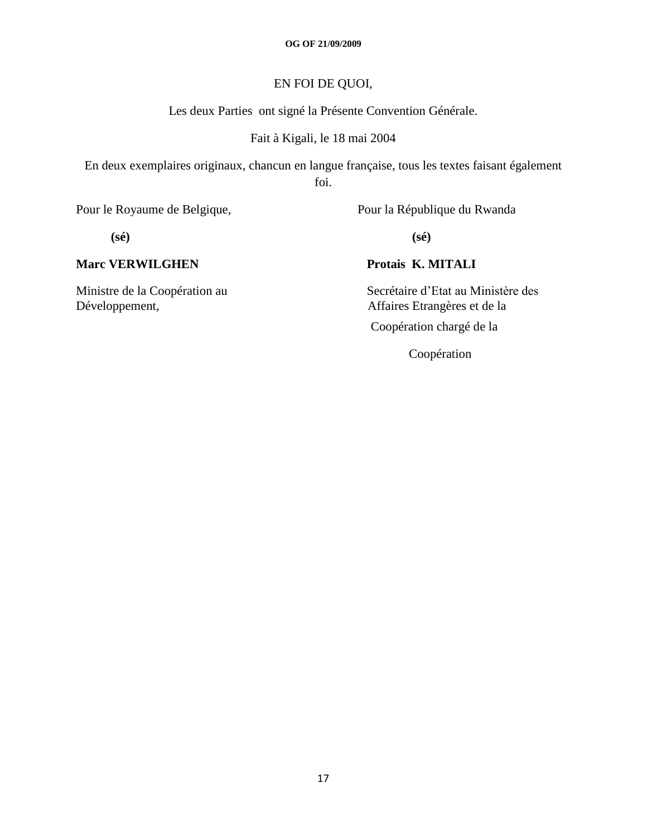### EN FOI DE QUOI,

Les deux Parties ont signé la Présente Convention Générale.

#### Fait à Kigali, le 18 mai 2004

En deux exemplaires originaux, chancun en langue française, tous les textes faisant également foi.

Pour le Royaume de Belgique, Pour la République du Rwanda

**(sé) (sé)**

### **Marc VERWILGHEN Protais K. MITALI**

Ministre de la Coopération au Secrétaire d'Etat au Ministère des Développement,<br>
Affaires Etrangères et de la Affaires Etrangères et de la

Coopération chargé de la

Coopération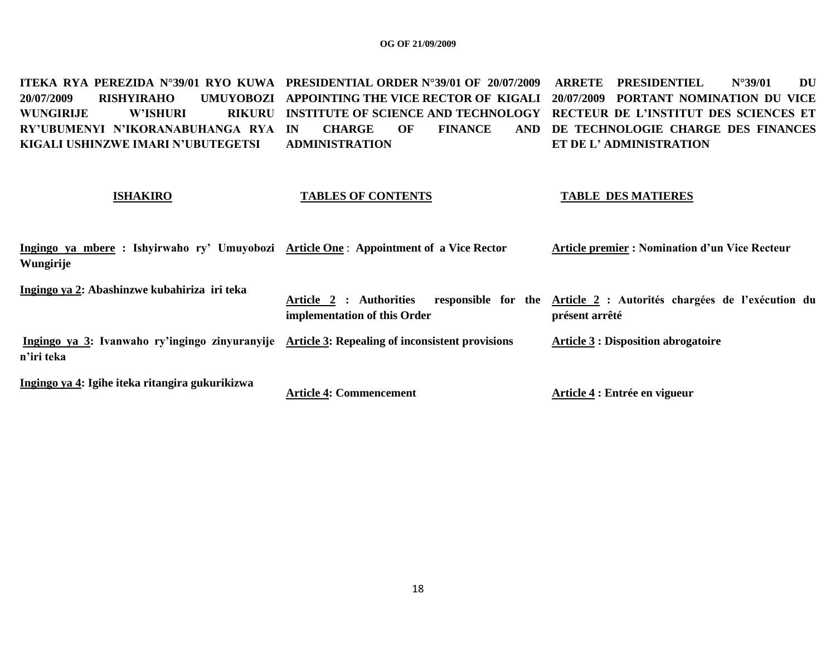<code>ITEKA RYA PEREZIDA N°39/01 RYO KUWA PRESIDENTIAL ORDER N°39/01 OF 20/07/2009 ARRETE PRESIDENTIEL N°39/01 DU</code> **20/07/2009 RISHYIRAHO WUNGIRLIE W'ISHURI RY'UBUMENYI N'IKORANABUHANGA RYA IN CHARGE OF FINANCE AND KIGALI USHINZWE IMARI N'UBUTEGETSI APPOINTING THE VICE RECTOR OF KIGALI 20/07/2009 PORTANT NOMINATION DU VICE INSTITUTE OF SCIENCE AND TECHNOLOGY RECTEUR DE L'INSTITUT DES SCIENCES ET ADMINISTRATION DE TECHNOLOGIE CHARGE DES FINANCES ET DE L' ADMINISTRATION**

#### **ISHAKIRO**

#### **TABLES OF CONTENTS**

#### **TABLE DES MATIERES**

| Ingingo ya mbere : Ishyirwaho ry' Umuyobozi Article One : Appointment of a Vice Rector<br>Wungirije          |                                                         | <b>Article premier: Nomination d'un Vice Recteur</b>                                   |
|--------------------------------------------------------------------------------------------------------------|---------------------------------------------------------|----------------------------------------------------------------------------------------|
| Ingingo ya 2: Abashinzwe kubahiriza iri teka                                                                 | Article 2 : Authorities<br>implementation of this Order | responsible for the Article 2 : Autorités chargées de l'exécution du<br>présent arrêté |
| Ingingo ya 3: Ivanwaho ry'ingingo zinyuranyije Article 3: Repealing of inconsistent provisions<br>n'iri teka |                                                         | <b>Article 3 : Disposition abrogatoire</b>                                             |
| Ingingo ya 4: Igihe iteka ritangira gukurikizwa                                                              | <b>Article 4: Commencement</b>                          | Article 4 : Entrée en vigueur                                                          |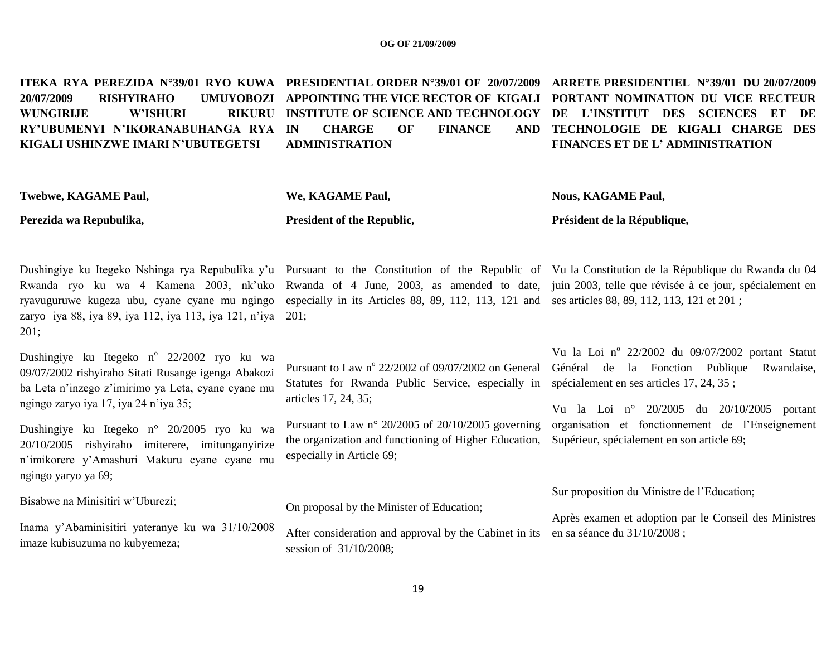**ITEKA RYA PEREZIDA N°39/01 RYO KUWA PRESIDENTIAL ORDER N°39/01 OF 20/07/2009 ARRETE PRESIDENTIEL N°39/01 DU 20/07/2009 20/07/2009 RISHYIRAHO WUNGIRLIE W'ISHURI RY'UBUMENYI N'IKORANABUHANGA RYA IN CHARGE OF FINANCE AND KIGALI USHINZWE IMARI N'UBUTEGETSI APPOINTING THE VICE RECTOR OF KIGALI PORTANT NOMINATION DU VICE RECTEUR INSTITUTE OF SCIENCE AND TECHNOLOGY DE L'INSTITUT DES SCIENCES ET DE ADMINISTRATION TECHNOLOGIE DE KIGALI CHARGE DES FINANCES ET DE L' ADMINISTRATION** 

| Twebwe, KAGAME Paul,                                                                                                                                                                             | We, KAGAME Paul,                                                                                                                                  | <b>Nous, KAGAME Paul,</b>                                                                                                                                                                                                                                                                          |  |
|--------------------------------------------------------------------------------------------------------------------------------------------------------------------------------------------------|---------------------------------------------------------------------------------------------------------------------------------------------------|----------------------------------------------------------------------------------------------------------------------------------------------------------------------------------------------------------------------------------------------------------------------------------------------------|--|
| Perezida wa Repubulika,                                                                                                                                                                          | President of the Republic,                                                                                                                        | Président de la République,                                                                                                                                                                                                                                                                        |  |
|                                                                                                                                                                                                  | ryavuguruwe kugeza ubu, cyane cyane mu ngingo especially in its Articles 88, 89, 112, 113, 121 and ses articles 88, 89, 112, 113, 121 et 201;     | Dushingiye ku Itegeko Nshinga rya Repubulika y'u Pursuant to the Constitution of the Republic of Vu la Constitution de la République du Rwanda du 04<br>Rwanda ryo ku wa 4 Kamena 2003, nk'uko Rwanda of 4 June, 2003, as amended to date, juin 2003, telle que révisée à ce jour, spécialement en |  |
| zaryo iya 88, iya 89, iya 112, iya 113, iya 121, n'iya 201;<br>201;                                                                                                                              |                                                                                                                                                   |                                                                                                                                                                                                                                                                                                    |  |
| Dushingiye ku Itegeko n° 22/2002 ryo ku wa<br>09/07/2002 rishyiraho Sitati Rusange igenga Abakozi<br>ba Leta n'inzego z'imirimo ya Leta, cyane cyane mu<br>ngingo zaryo iya 17, iya 24 n'iya 35; | Pursuant to Law nº 22/2002 of 09/07/2002 on General<br>Statutes for Rwanda Public Service, especially in<br>articles 17, 24, 35;                  | Vu la Loi nº 22/2002 du 09/07/2002 portant Statut<br>Général de la Fonction Publique Rwandaise,<br>spécialement en ses articles 17, 24, 35;<br>Vu la Loi nº 20/2005 du 20/10/2005 portant                                                                                                          |  |
| Dushingiye ku Itegeko n° 20/2005 ryo ku wa<br>20/10/2005 rishyiraho imiterere, imitunganyirize<br>n'imikorere y'Amashuri Makuru cyane cyane mu<br>ngingo yaryo ya 69;                            | Pursuant to Law $n^{\circ}$ 20/2005 of 20/10/2005 governing<br>the organization and functioning of Higher Education,<br>especially in Article 69; | organisation et fonctionnement de l'Enseignement<br>Supérieur, spécialement en son article 69;                                                                                                                                                                                                     |  |
| Bisabwe na Minisitiri w'Uburezi;                                                                                                                                                                 | On proposal by the Minister of Education;                                                                                                         | Sur proposition du Ministre de l'Education;<br>Après examen et adoption par le Conseil des Ministres                                                                                                                                                                                               |  |
| Inama y'Abaminisitiri yateranye ku wa 31/10/2008<br>After consideration and approval by the Cabinet in its<br>imaze kubisuzuma no kubyemeza;<br>session of 31/10/2008;                           |                                                                                                                                                   | en sa séance du 31/10/2008 ;                                                                                                                                                                                                                                                                       |  |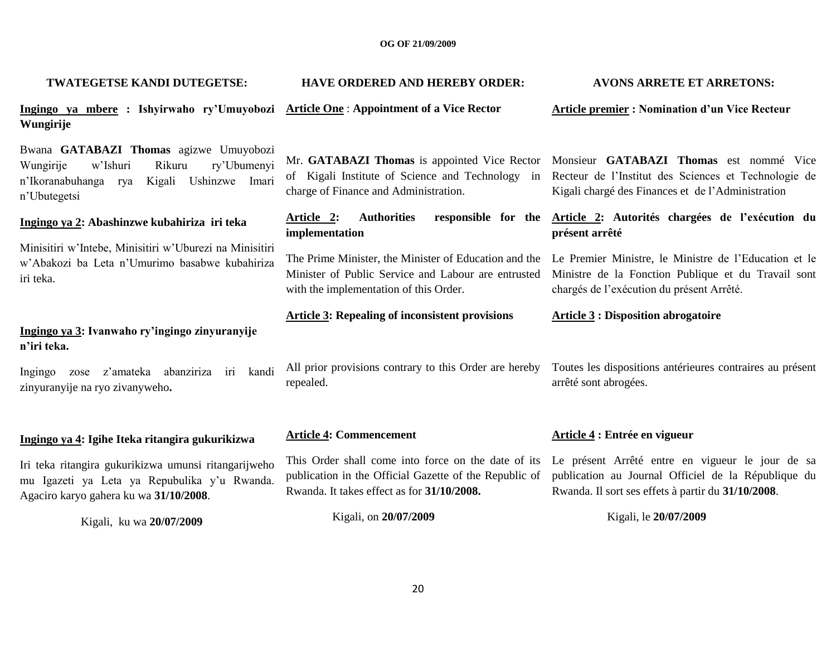| TWATEGETSE KANDI DUTEGETSE:                                                                                                                                     | <b>HAVE ORDERED AND HEREBY ORDER:</b>                                                                                                                       | <b>AVONS ARRETE ET ARRETONS:</b>                                                                                                                                                                  |
|-----------------------------------------------------------------------------------------------------------------------------------------------------------------|-------------------------------------------------------------------------------------------------------------------------------------------------------------|---------------------------------------------------------------------------------------------------------------------------------------------------------------------------------------------------|
| Ingingo ya mbere : Ishyirwaho ry'Umuyobozi Article One : Appointment of a Vice Rector<br>Wungirije                                                              |                                                                                                                                                             | <b>Article premier: Nomination d'un Vice Recteur</b>                                                                                                                                              |
| Bwana GATABAZI Thomas agizwe Umuyobozi<br>Rikuru<br>ry'Ubumenyi<br>w'Ishuri<br>Wungirije<br>n'Ikoranabuhanga<br>Kigali<br>Ushinzwe Imari<br>rya<br>n'Ubutegetsi | of Kigali Institute of Science and Technology in<br>charge of Finance and Administration.                                                                   | Mr. GATABAZI Thomas is appointed Vice Rector Monsieur GATABAZI Thomas est nommé Vice<br>Recteur de l'Institut des Sciences et Technologie de<br>Kigali chargé des Finances et de l'Administration |
| Ingingo ya 2: Abashinzwe kubahiriza iri teka                                                                                                                    | <b>Authorities</b><br>Article 2:<br>implementation                                                                                                          | responsible for the Article 2: Autorités chargées de l'exécution du<br>présent arrêté                                                                                                             |
| Minisitiri w'Intebe, Minisitiri w'Uburezi na Minisitiri<br>w'Abakozi ba Leta n'Umurimo basabwe kubahiriza<br>iri teka.                                          | The Prime Minister, the Minister of Education and the<br>Minister of Public Service and Labour are entrusted<br>with the implementation of this Order.      | Le Premier Ministre, le Ministre de l'Education et le<br>Ministre de la Fonction Publique et du Travail sont<br>chargés de l'exécution du présent Arrêté.                                         |
| Ingingo ya 3: Ivanwaho ry'ingingo zinyuranyije<br>n'iri teka.                                                                                                   | <b>Article 3: Repealing of inconsistent provisions</b>                                                                                                      | <b>Article 3 : Disposition abrogatoire</b>                                                                                                                                                        |
| z'amateka<br>abanziriza<br>kandi<br>Ingingo<br>iri<br>zose<br>zinyuranyije na ryo zivanyweho.                                                                   | All prior provisions contrary to this Order are hereby<br>repealed.                                                                                         | Toutes les dispositions antérieures contraires au présent<br>arrêté sont abrogées.                                                                                                                |
|                                                                                                                                                                 | <b>Article 4: Commencement</b>                                                                                                                              | Article 4 : Entrée en vigueur                                                                                                                                                                     |
| Ingingo ya 4: Igihe Iteka ritangira gukurikizwa                                                                                                                 |                                                                                                                                                             |                                                                                                                                                                                                   |
| Iri teka ritangira gukurikizwa umunsi ritangarijweho<br>mu Igazeti ya Leta ya Repubulika y'u Rwanda.<br>Agaciro karyo gahera ku wa 31/10/2008.                  | This Order shall come into force on the date of its<br>publication in the Official Gazette of the Republic of<br>Rwanda. It takes effect as for 31/10/2008. | Le présent Arrêté entre en vigueur le jour de sa<br>publication au Journal Officiel de la République du<br>Rwanda. Il sort ses effets à partir du 31/10/2008.                                     |
| $V_{\text{total}}$ $V_{\text{B}}$ $V_{\text{B}}$ $\eta$ $\eta$ $\eta$ $\eta$ $\eta$                                                                             | Kigali, on 20/07/2009                                                                                                                                       | Kigali, le 20/07/2009                                                                                                                                                                             |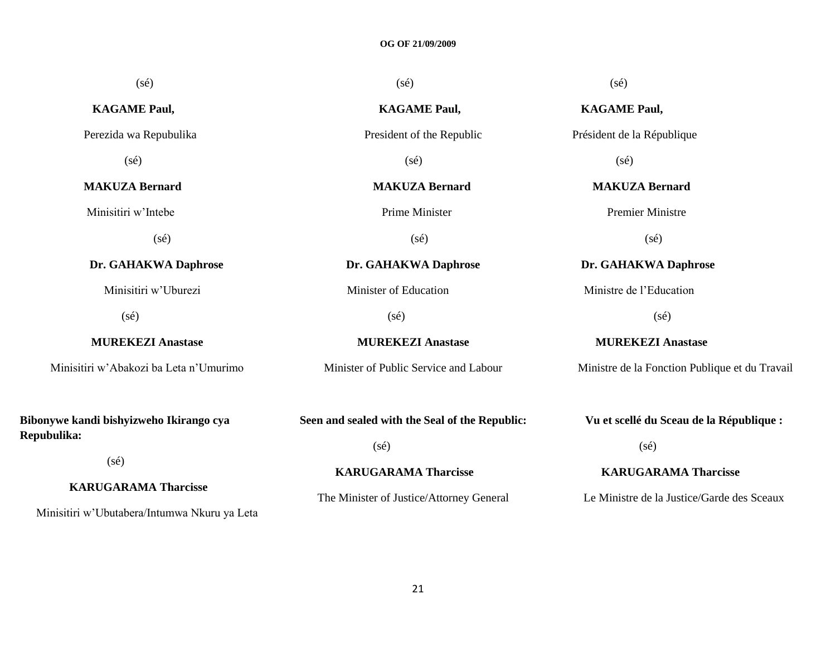| $(s\acute{e})$                                         | $(s\acute{e})$                                 | $(s\acute{e})$                                 |
|--------------------------------------------------------|------------------------------------------------|------------------------------------------------|
| <b>KAGAME Paul,</b>                                    | <b>KAGAME Paul,</b>                            | <b>KAGAME Paul,</b>                            |
| Perezida wa Repubulika                                 | President of the Republic                      | Président de la République                     |
| $(s\acute{e})$                                         | $(s\acute{e})$                                 | $(s\acute{e})$                                 |
| <b>MAKUZA Bernard</b>                                  | <b>MAKUZA Bernard</b>                          | <b>MAKUZA Bernard</b>                          |
| Minisitiri w'Intebe                                    | <b>Prime Minister</b>                          | <b>Premier Ministre</b>                        |
| $(s\acute{e})$                                         | $(s\acute{e})$                                 | $(s\acute{e})$                                 |
| Dr. GAHAKWA Daphrose                                   | Dr. GAHAKWA Daphrose                           | Dr. GAHAKWA Daphrose                           |
| Minisitiri w'Uburezi                                   | Minister of Education                          | Ministre de l'Education                        |
| $(s\acute{e})$                                         | $(s\acute{e})$                                 | (sé)                                           |
| <b>MUREKEZI Anastase</b>                               | <b>MUREKEZI Anastase</b>                       | <b>MUREKEZI Anastase</b>                       |
| Minisitiri w'Abakozi ba Leta n'Umurimo                 | Minister of Public Service and Labour          | Ministre de la Fonction Publique et du Travail |
| Bibonywe kandi bishyizweho Ikirango cya<br>Repubulika: | Seen and sealed with the Seal of the Republic: | Vu et scellé du Sceau de la République :       |
|                                                        | $(s\acute{e})$                                 | $(s\acute{e})$                                 |
| (sé)                                                   | <b>KARUGARAMA Tharcisse</b>                    | <b>KARUGARAMA Tharcisse</b>                    |
| <b>KARUGARAMA Tharcisse</b>                            | The Minister of Justice/Attorney General       | Le Ministre de la Justice/Garde des Sceaux     |

Minisitiri w"Ubutabera/Intumwa Nkuru ya Leta

21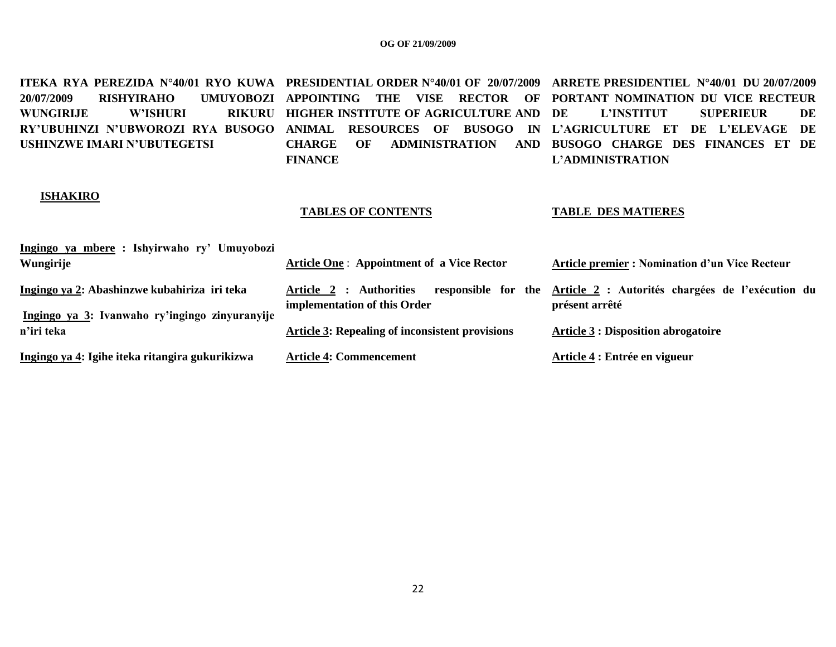**ITEKA RYA PEREZIDA N°40/01 RYO KUWA PRESIDENTIAL ORDER N°40/01 OF 20/07/2009 ARRETE PRESIDENTIEL N°40/01 DU 20/07/2009 20/07/2009 RISHYIRAHO** WUNGIRLJE W'ISHURI **RY'UBUHINZI N'UBWOROZI RYA BUSOGO ANIMAL RESOURCES OF BUSOGO IN L'AGRICULTURE ET DE L'ELEVAGE DE USHINZWE IMARI N'UBUTEGETSI APPOINTING THE VISE RECTOR OF PORTANT NOMINATION DU VICE RECTEUR RIKURU HIGHER INSTITUTE OF AGRICULTURE AND DE CHARGE OF ADMINISTRATION AND BUSOGO CHARGE DES FINANCES ET DE FINANCE DE L'INSTITUT SUPERIEUR DE L'ADMINISTRATION**

#### **ISHAKIRO**

#### **TABLES OF CONTENTS**

#### **TABLE DES MATIERES**

| Ingingo ya mbere : Ishyirwaho ry' Umuyobozi<br>Wungirije                                       | <b>Article One: Appointment of a Vice Rector</b>        | <b>Article premier : Nomination d'un Vice Recteur</b>                                  |
|------------------------------------------------------------------------------------------------|---------------------------------------------------------|----------------------------------------------------------------------------------------|
| Ingingo ya 2: Abashinzwe kubahiriza iri teka<br>Ingingo ya 3: Ivanwaho ry'ingingo zinyuranyije | Article 2 : Authorities<br>implementation of this Order | responsible for the Article 2 : Autorités chargées de l'exécution du<br>présent arrêté |
| n'iri teka                                                                                     | <b>Article 3: Repealing of inconsistent provisions</b>  | <b>Article 3 : Disposition abrogatoire</b>                                             |
| Ingingo ya 4: Igihe iteka ritangira gukurikizwa                                                | <b>Article 4: Commencement</b>                          | Article 4 : Entrée en vigueur                                                          |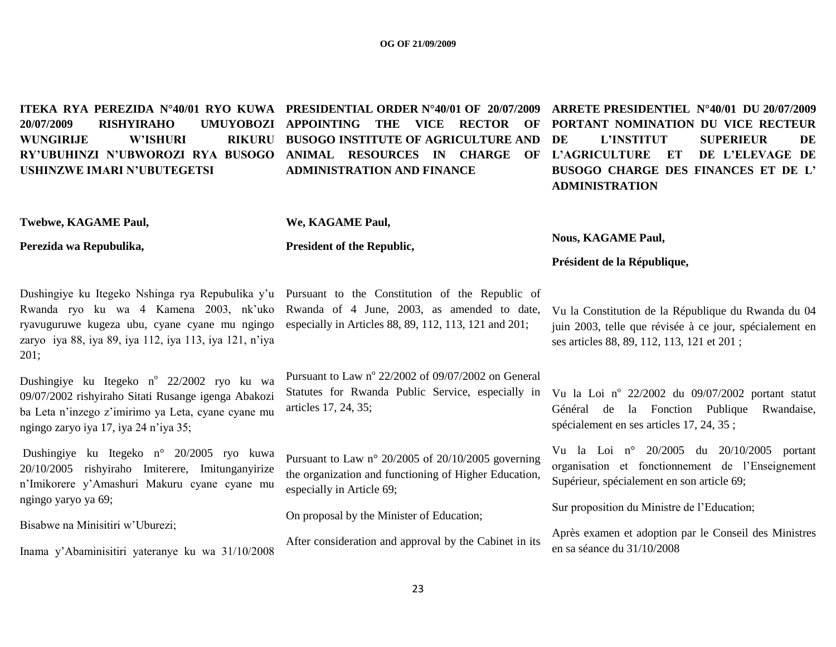**ITEKA RYA PEREZIDA N°40/01 RYO KUWA PRESIDENTIAL ORDER N°40/01 OF 20/07/2009 20/07/2009 RISHYIRAHO UMUYOBOZI WUNGIRIJE W'ISHURI RY'UBUHINZI N'UBWOROZI RYA BUSOGO ANIMAL RESOURCES IN CHARGE OF L'AGRICULTURE ET DE L'ELEVAGE DE USHINZWE IMARI N'UBUTEGETSI**

RIKURU BUSOGO INSTITUTE OF AGRICULTURE AND DE **ADMINISTRATION AND FINANCE**

## **APPOINTING THE VICE RECTOR OF PORTANT NOMINATION DU VICE RECTEUR ARRETE PRESIDENTIEL N°40/01 DU 20/07/2009 DE L'INSTITUT SUPERIEUR DE BUSOGO CHARGE DES FINANCES ET DE L' ADMINISTRATION**

**Twebwe, KAGAME Paul,**

**We, KAGAME Paul,**

**President of the Republic,**

**Perezida wa Repubulika,**

Dushingiye ku Itegeko Nshinga rya Repubulika y'u Pursuant to the Constitution of the Republic of Rwanda ryo ku wa 4 Kamena 2003, nk"uko Rwanda of 4 June, 2003, as amended to date, ryavuguruwe kugeza ubu, cyane cyane mu ngingo especially in Articles 88, 89, 112, 113, 121 and 201; zaryo iya 88, iya 89, iya 112, iya 113, iya 121, n"iya 201;

Dushingiye ku Itegeko n<sup>o</sup> 22/2002 ryo ku wa 09/07/2002 rishyiraho Sitati Rusange igenga Abakozi ba Leta n"inzego z"imirimo ya Leta, cyane cyane mu ngingo zaryo iya 17, iya 24 n"iya 35;

Dushingiye ku Itegeko n° 20/2005 ryo kuwa 20/10/2005 rishyiraho Imiterere, Imitunganyirize n"Imikorere y"Amashuri Makuru cyane cyane mu ngingo yaryo ya 69;

Bisabwe na Minisitiri w"Uburezi;

Inama y"Abaminisitiri yateranye ku wa 31/10/2008

Pursuant to Law  $n^{\circ}$  22/2002 of 09/07/2002 on General Statutes for Rwanda Public Service, especially in articles 17, 24, 35;

Pursuant to Law n° 20/2005 of 20/10/2005 governing the organization and functioning of Higher Education, especially in Article 69;

On proposal by the Minister of Education;

After consideration and approval by the Cabinet in its

**Nous, KAGAME Paul,**

**Président de la République,**

Vu la Constitution de la République du Rwanda du 04 juin 2003, telle que révisée à ce jour, spécialement en ses articles 88, 89, 112, 113, 121 et 201 ;

Vu la Loi nº 22/2002 du 09/07/2002 portant statut Général de la Fonction Publique Rwandaise, spécialement en ses articles 17, 24, 35 ;

Vu la Loi n° 20/2005 du 20/10/2005 portant organisation et fonctionnement de l"Enseignement Supérieur, spécialement en son article 69;

Sur proposition du Ministre de l"Education;

Après examen et adoption par le Conseil des Ministres en sa séance du 31/10/2008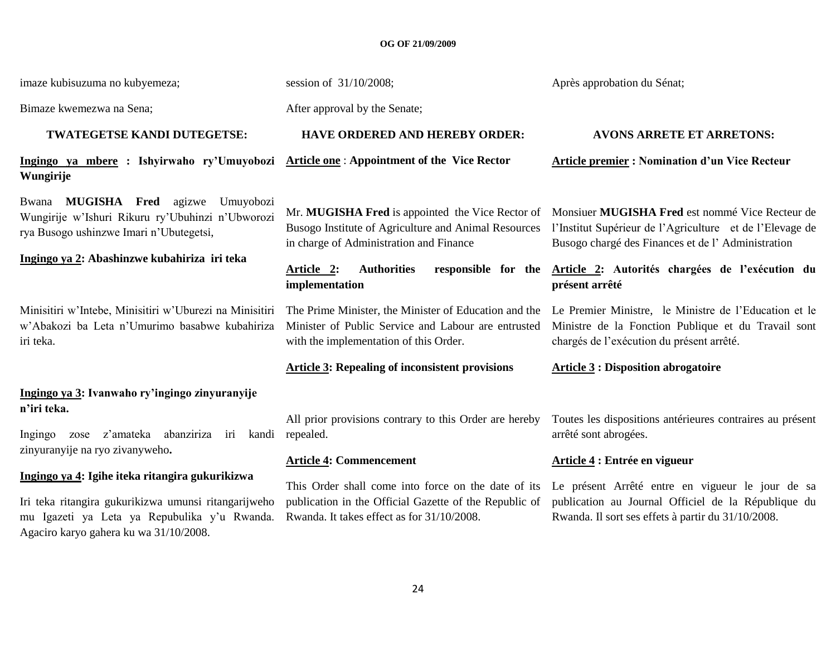imaze kubisuzuma no kubyemeza;

Bimaze kwemezwa na Sena;

#### **TWATEGETSE KANDI DUTEGETSE:**

**Ingingo ya mbere : Ishyirwaho ry'Umuyobozi Wungirije**

Bwana **MUGISHA Fred** agizwe Umuyobozi Wungirije w"Ishuri Rikuru ry"Ubuhinzi n"Ubworozi rya Busogo ushinzwe Imari n"Ubutegetsi,

#### **Ingingo ya 2: Abashinzwe kubahiriza iri teka**

Minisitiri w"Intebe, Minisitiri w"Uburezi na Minisitiri w"Abakozi ba Leta n"Umurimo basabwe kubahiriza iri teka.

### **Ingingo ya 3: Ivanwaho ry'ingingo zinyuranyije n'iri teka.**

Ingingo zose z"amateka abanziriza iri kandi zinyuranyije na ryo zivanyweho**.**

#### **Ingingo ya 4: Igihe iteka ritangira gukurikizwa**

Iri teka ritangira gukurikizwa umunsi ritangarijweho mu Igazeti ya Leta ya Repubulika y"u Rwanda. Agaciro karyo gahera ku wa 31/10/2008.

session of 31/10/2008;

After approval by the Senate;

#### **HAVE ORDERED AND HEREBY ORDER:**

**Article one** : **Appointment of the Vice Rector**

Mr. **MUGISHA Fred** is appointed the Vice Rector of Busogo Institute of Agriculture and Animal Resources in charge of Administration and Finance

**implementation**

Minister of Public Service and Labour are entrusted with the implementation of this Order.

#### **Article 3: Repealing of inconsistent provisions**

All prior provisions contrary to this Order are hereby repealed.

#### **Article 4: Commencement**

This Order shall come into force on the date of its publication in the Official Gazette of the Republic of Rwanda. It takes effect as for 31/10/2008.

Après approbation du Sénat;

#### **AVONS ARRETE ET ARRETONS:**

**Article premier : Nomination d'un Vice Recteur** 

Monsiuer **MUGISHA Fred** est nommé Vice Recteur de l"Institut Supérieur de l"Agriculture et de l"Elevage de Busogo chargé des Finances et de l" Administration

**Article 2: Authorities responsible for the Article 2: Autorités chargées de l'exécution du présent arrêté**

The Prime Minister, the Minister of Education and the Le Premier Ministre, le Ministre de l'Education et le Ministre de la Fonction Publique et du Travail sont chargés de l"exécution du présent arrêté.

#### **Article 3 : Disposition abrogatoire**

Toutes les dispositions antérieures contraires au présent arrêté sont abrogées.

#### **Article 4 : Entrée en vigueur**

Le présent Arrêté entre en vigueur le jour de sa publication au Journal Officiel de la République du Rwanda. Il sort ses effets à partir du 31/10/2008.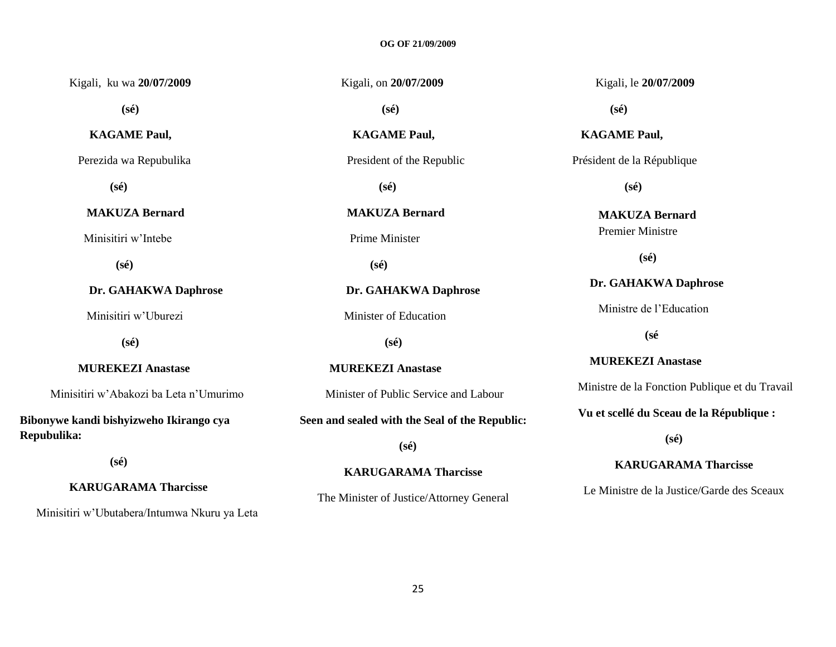| Kigali, ku wa 20/07/2009                               | Kigali, on 20/07/2009                          | Kigali, le 20/07/2009                          |
|--------------------------------------------------------|------------------------------------------------|------------------------------------------------|
| $(s\acute{e})$                                         | $(s\acute{e})$                                 | $(s\acute{e})$                                 |
| <b>KAGAME Paul,</b>                                    | <b>KAGAME Paul,</b>                            | <b>KAGAME Paul,</b>                            |
| Perezida wa Repubulika                                 | President of the Republic                      | Président de la République                     |
| $(s\acute{e})$                                         | $(s\acute{e})$                                 | $(s\acute{e})$                                 |
| <b>MAKUZA Bernard</b>                                  | <b>MAKUZA Bernard</b>                          | <b>MAKUZA Bernard</b>                          |
| Minisitiri w'Intebe                                    | Prime Minister                                 | <b>Premier Ministre</b>                        |
| $(s\acute{e})$                                         | $(s\acute{e})$                                 | $(s\acute{e})$                                 |
| Dr. GAHAKWA Daphrose                                   | Dr. GAHAKWA Daphrose                           | Dr. GAHAKWA Daphrose                           |
| Minisitiri w'Uburezi                                   | Minister of Education                          | Ministre de l'Education                        |
| $(s\acute{e})$                                         | $(s\acute{e})$                                 | (sé                                            |
| <b>MUREKEZI Anastase</b>                               | <b>MUREKEZI Anastase</b>                       | <b>MUREKEZI Anastase</b>                       |
| Minisitiri w'Abakozi ba Leta n'Umurimo                 | Minister of Public Service and Labour          | Ministre de la Fonction Publique et du Travail |
| Bibonywe kandi bishyizweho Ikirango cya<br>Repubulika: | Seen and sealed with the Seal of the Republic: | Vu et scellé du Sceau de la République :       |
|                                                        | $(s\acute{e})$                                 | $(s\acute{e})$                                 |

 **(sé)**

### **KARUGARAMA Tharcisse**

Minisitiri w"Ubutabera/Intumwa Nkuru ya Leta

25

**KARUGARAMA Tharcisse**

The Minister of Justice/Attorney General

**KARUGARAMA Tharcisse**

Le Ministre de la Justice/Garde des Sceaux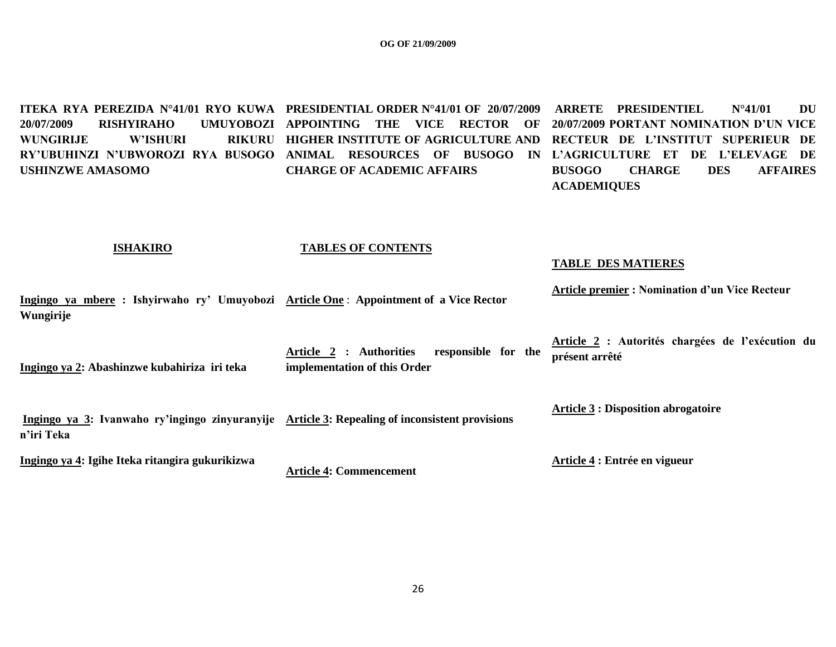**ITEKA RYA PEREZIDA N°41/01 RYO KUWA PRESIDENTIAL ORDER N°41/01 OF 20/07/2009 20/07/2009 RISHYIRAHO UMUYOBOZI APPOINTING THE VICE RECTOR OF 20/07/2009 PORTANT NOMINATION D'UN VICE WUNGIRIJE W'ISHURI RY'UBUHINZI N'UBWOROZI RYA BUSOGO ANIMAL RESOURCES OF BUSOGO IN L'AGRICULTURE ET DE L'ELEVAGE DE USHINZWE AMASOMO HIGHER INSTITUTE OF AGRICULTURE AND RECTEUR DE L'INSTITUT SUPERIEUR DE CHARGE OF ACADEMIC AFFAIRS ARRETE PRESIDENTIEL N°41/01 DU BUSOGO CHARGE DES AFFAIRES ACADEMIQUES**

#### **ISHAKIRO**

#### **TABLES OF CONTENTS**

#### **TABLE DES MATIERES**

**Ingingo ya mbere : Ishyirwaho ry' Umuyobozi Article One** : **Appointment of a Vice Rector Wungirije Article premier : Nomination d'un Vice Recteur**

**Ingingo ya 2: Abashinzwe kubahiriza iri teka Article 2 : Authorities responsible for the implementation of this Order Article 2 : Autorités chargées de l'exécution du présent arrêté**

**Ingingo ya 3: Ivanwaho ry'ingingo zinyuranyije Article 3: Repealing of inconsistent provisions n'iri Teka**

**Ingingo ya 4: Igihe Iteka ritangira gukurikizwa**

**Article 4: Commencement**

**Article 3 : Disposition abrogatoire**

**Article 4 : Entrée en vigueur**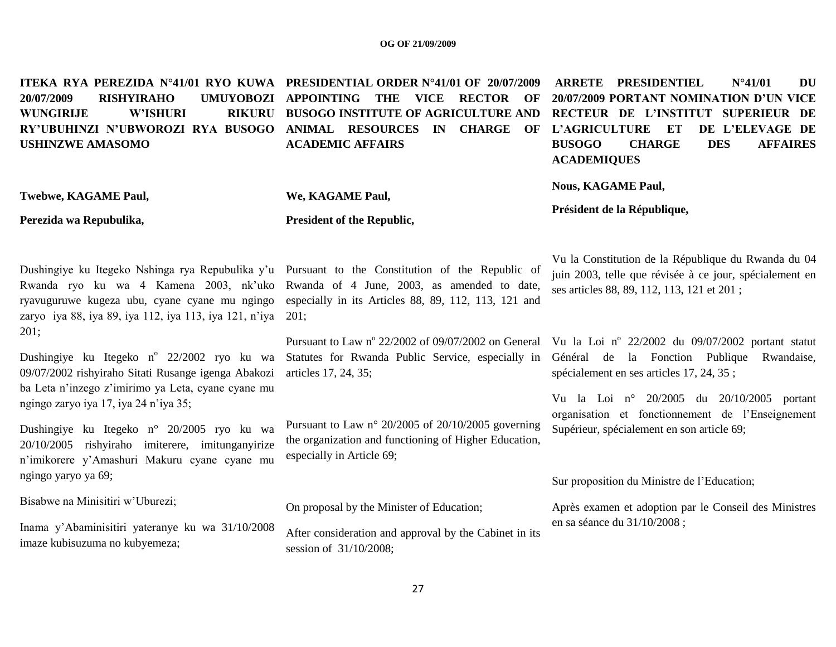| 20/07/2009<br><b>RISHYIRAHO</b><br><b>UMUYOBOZI</b><br><b>W'ISHURI</b><br><b>WUNGIRIJE</b><br><b>RIKURU</b><br>RY'UBUHINZI N'UBWOROZI RYA BUSOGO<br><b>USHINZWE AMASOMO</b>             | ITEKA RYA PEREZIDA N°41/01 RYO KUWA PRESIDENTIAL ORDER N°41/01 OF 20/07/2009<br><b>APPOINTING</b><br>THE<br><b>VICE</b><br><b>RECTOR</b><br>OF<br><b>BUSOGO INSTITUTE OF AGRICULTURE AND</b><br><b>ANIMAL RESOURCES</b><br>$\mathbf{IN}$<br><b>CHARGE</b><br>OF<br><b>ACADEMIC AFFAIRS</b> | <b>ARRETE PRESIDENTIEL</b><br>$N^{\circ}41/01$<br><b>DU</b><br>20/07/2009 PORTANT NOMINATION D'UN VICE<br>RECTEUR DE L'INSTITUT SUPERIEUR DE<br><b>L'AGRICULTURE</b><br>ET<br>DE L'ELEVAGE DE<br><b>DES</b><br><b>BUSOGO</b><br><b>CHARGE</b><br><b>AFFAIRES</b><br><b>ACADEMIQUES</b> |
|-----------------------------------------------------------------------------------------------------------------------------------------------------------------------------------------|--------------------------------------------------------------------------------------------------------------------------------------------------------------------------------------------------------------------------------------------------------------------------------------------|----------------------------------------------------------------------------------------------------------------------------------------------------------------------------------------------------------------------------------------------------------------------------------------|
| Twebwe, KAGAME Paul,<br>Perezida wa Repubulika,                                                                                                                                         | We, KAGAME Paul,<br><b>President of the Republic,</b>                                                                                                                                                                                                                                      | <b>Nous, KAGAME Paul,</b><br>Président de la République,                                                                                                                                                                                                                               |
| ryavuguruwe kugeza ubu, cyane cyane mu ngingo<br>zaryo iya 88, iya 89, iya 112, iya 113, iya 121, n'iya                                                                                 | Dushingiye ku Itegeko Nshinga rya Repubulika y'u Pursuant to the Constitution of the Republic of<br>Rwanda ryo ku wa 4 Kamena 2003, nk'uko Rwanda of 4 June, 2003, as amended to date,<br>especially in its Articles 88, 89, 112, 113, 121 and<br>201;                                     | Vu la Constitution de la République du Rwanda du 04<br>juin 2003, telle que révisée à ce jour, spécialement en<br>ses articles 88, 89, 112, 113, 121 et 201;                                                                                                                           |
| 201;<br>Dushingiye ku Itegeko n° 22/2002 ryo ku wa<br>09/07/2002 rishyiraho Sitati Rusange igenga Abakozi<br>ba Leta n'inzego z'imirimo ya Leta, cyane cyane mu                         | Statutes for Rwanda Public Service, especially in<br>articles 17, 24, 35;                                                                                                                                                                                                                  | Pursuant to Law nº 22/2002 of 09/07/2002 on General Vu la Loi nº 22/2002 du 09/07/2002 portant statut<br>Général de la Fonction Publique<br>Rwandaise,<br>spécialement en ses articles 17, 24, 35;                                                                                     |
| ngingo zaryo iya 17, iya 24 n'iya 35;<br>Dushingiye ku Itegeko n° 20/2005 ryo ku wa<br>20/10/2005 rishyiraho imiterere, imitunganyirize<br>n'imikorere y'Amashuri Makuru cyane cyane mu | Pursuant to Law $n^{\circ}$ 20/2005 of 20/10/2005 governing<br>the organization and functioning of Higher Education,<br>especially in Article 69;                                                                                                                                          | Vu la Loi nº 20/2005 du 20/10/2005<br>portant<br>organisation et fonctionnement de l'Enseignement<br>Supérieur, spécialement en son article 69;                                                                                                                                        |
| ngingo yaryo ya 69;                                                                                                                                                                     |                                                                                                                                                                                                                                                                                            | Sur proposition du Ministre de l'Education;                                                                                                                                                                                                                                            |
| Bisabwe na Minisitiri w'Uburezi;                                                                                                                                                        | On proposal by the Minister of Education;                                                                                                                                                                                                                                                  | Après examen et adoption par le Conseil des Ministres                                                                                                                                                                                                                                  |
| Inama y'Abaminisitiri yateranye ku wa 31/10/2008<br>imaze kubisuzuma no kubyemeza;                                                                                                      | After consideration and approval by the Cabinet in its<br>session of 31/10/2008;                                                                                                                                                                                                           | en sa séance du 31/10/2008 ;                                                                                                                                                                                                                                                           |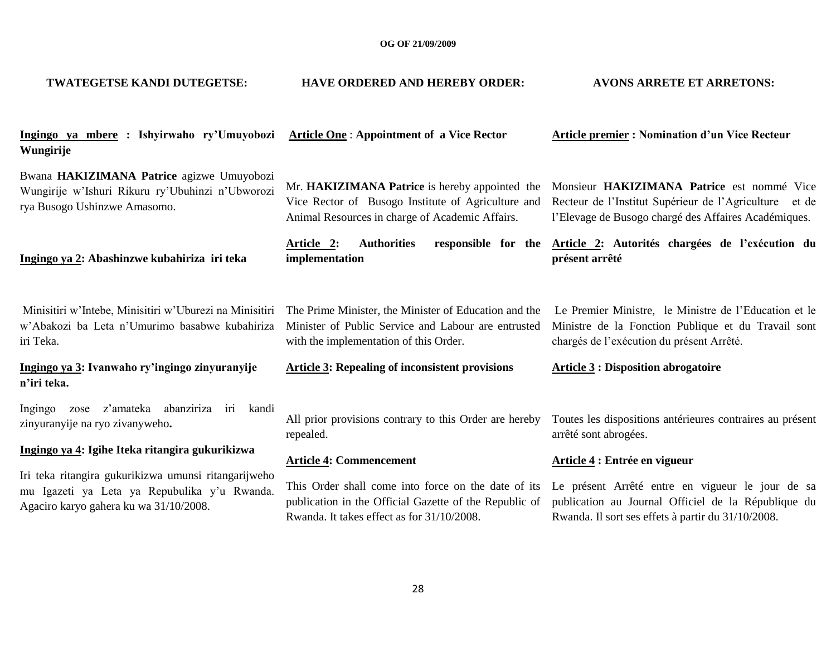| TWATEGETSE KANDI DUTEGETSE:                                                                                                                    | <b>HAVE ORDERED AND HEREBY ORDER:</b>                                                                                                                       | <b>AVONS ARRETE ET ARRETONS:</b>                                                                                                                              |
|------------------------------------------------------------------------------------------------------------------------------------------------|-------------------------------------------------------------------------------------------------------------------------------------------------------------|---------------------------------------------------------------------------------------------------------------------------------------------------------------|
| Ingingo ya mbere : Ishyirwaho ry'Umuyobozi<br>Wungirije                                                                                        | <b>Article One: Appointment of a Vice Rector</b>                                                                                                            | <b>Article premier: Nomination d'un Vice Recteur</b>                                                                                                          |
| Bwana HAKIZIMANA Patrice agizwe Umuyobozi<br>Wungirije w'Ishuri Rikuru ry'Ubuhinzi n'Ubworozi<br>rya Busogo Ushinzwe Amasomo.                  | Mr. HAKIZIMANA Patrice is hereby appointed the<br>Vice Rector of Busogo Institute of Agriculture and<br>Animal Resources in charge of Academic Affairs.     | Monsieur HAKIZIMANA Patrice est nommé Vice<br>Recteur de l'Institut Supérieur de l'Agriculture et de<br>l'Elevage de Busogo chargé des Affaires Académiques.  |
| Ingingo ya 2: Abashinzwe kubahiriza iri teka                                                                                                   | <b>Authorities</b><br>Article 2:<br>implementation                                                                                                          | responsible for the Article 2: Autorités chargées de l'exécution du<br>présent arrêté                                                                         |
| Minisitiri w'Intebe, Minisitiri w'Uburezi na Minisitiri<br>w'Abakozi ba Leta n'Umurimo basabwe kubahiriza<br>iri Teka.                         | The Prime Minister, the Minister of Education and the<br>Minister of Public Service and Labour are entrusted<br>with the implementation of this Order.      | Le Premier Ministre, le Ministre de l'Education et le<br>Ministre de la Fonction Publique et du Travail sont<br>chargés de l'exécution du présent Arrêté.     |
| Ingingo ya 3: Ivanwaho ry'ingingo zinyuranyije<br>n'iri teka.                                                                                  | <b>Article 3: Repealing of inconsistent provisions</b>                                                                                                      | <b>Article 3: Disposition abrogatoire</b>                                                                                                                     |
| abanziriza<br>zose z'amateka<br>iri kandi<br>Ingingo<br>zinyuranyije na ryo zivanyweho.                                                        | All prior provisions contrary to this Order are hereby<br>repealed.                                                                                         | Toutes les dispositions antérieures contraires au présent<br>arrêté sont abrogées.                                                                            |
| Ingingo ya 4: Igihe Iteka ritangira gukurikizwa                                                                                                | <b>Article 4: Commencement</b>                                                                                                                              | Article 4 : Entrée en vigueur                                                                                                                                 |
| Iri teka ritangira gukurikizwa umunsi ritangarijweho<br>mu Igazeti ya Leta ya Repubulika y'u Rwanda.<br>Agaciro karyo gahera ku wa 31/10/2008. | This Order shall come into force on the date of its<br>publication in the Official Gazette of the Republic of<br>Rwanda. It takes effect as for 31/10/2008. | Le présent Arrêté entre en vigueur le jour de sa<br>publication au Journal Officiel de la République du<br>Rwanda. Il sort ses effets à partir du 31/10/2008. |
|                                                                                                                                                |                                                                                                                                                             |                                                                                                                                                               |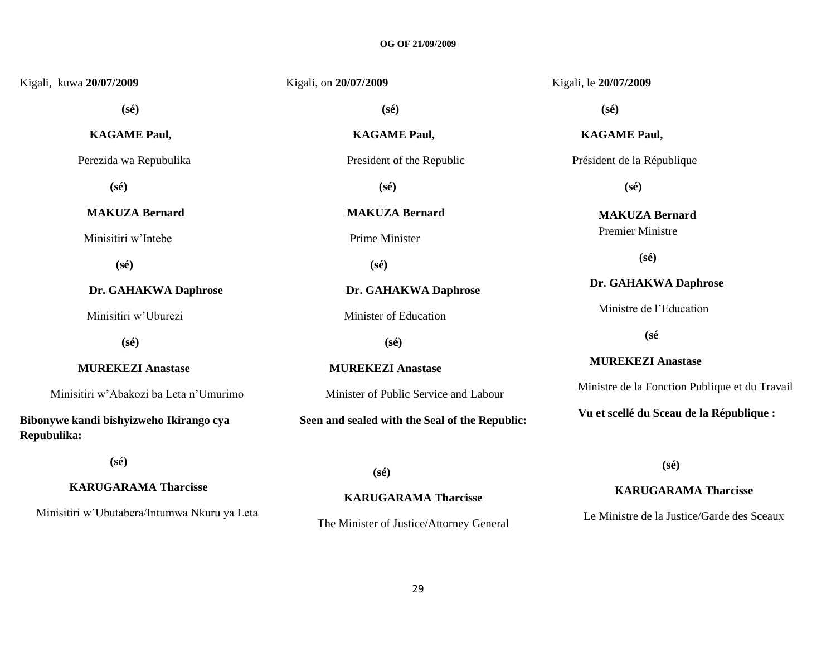| Kigali, kuwa 20/07/2009                                | Kigali, on 20/07/2009                          | Kigali, le 20/07/2009                          |
|--------------------------------------------------------|------------------------------------------------|------------------------------------------------|
| $(s\acute{e})$                                         | $(s\acute{e})$                                 | $(s\acute{e})$                                 |
| <b>KAGAME Paul,</b>                                    | <b>KAGAME Paul,</b>                            | <b>KAGAME Paul,</b>                            |
| Perezida wa Repubulika                                 | President of the Republic                      | Président de la République                     |
| $(s\acute{e})$                                         | $(s\acute{e})$                                 | $(s\acute{e})$                                 |
| <b>MAKUZA Bernard</b>                                  | <b>MAKUZA Bernard</b>                          | <b>MAKUZA Bernard</b>                          |
| Minisitiri w'Intebe                                    | Prime Minister                                 | <b>Premier Ministre</b>                        |
| $(s\acute{e})$                                         | $(s\acute{e})$                                 | $(s\acute{e})$                                 |
| Dr. GAHAKWA Daphrose                                   | Dr. GAHAKWA Daphrose                           | Dr. GAHAKWA Daphrose                           |
| Minisitiri w'Uburezi                                   | Minister of Education                          | Ministre de l'Education                        |
| $(s\acute{e})$                                         | $(s\acute{e})$                                 | $(s\acute{e}$                                  |
| <b>MUREKEZI Anastase</b>                               | <b>MUREKEZI Anastase</b>                       | <b>MUREKEZI Anastase</b>                       |
| Minisitiri w'Abakozi ba Leta n'Umurimo                 | Minister of Public Service and Labour          | Ministre de la Fonction Publique et du Travail |
| Bibonywe kandi bishyizweho Ikirango cya<br>Repubulika: | Seen and sealed with the Seal of the Republic: | Vu et scellé du Sceau de la République :       |

 **(sé)**

 **KARUGARAMA Tharcisse**

Minisitiri w"Ubutabera/Intumwa Nkuru ya Leta

 **(sé)**

**KARUGARAMA Tharcisse** The Minister of Justice/Attorney General  **(sé)**

### **KARUGARAMA Tharcisse**

Le Ministre de la Justice/Garde des Sceaux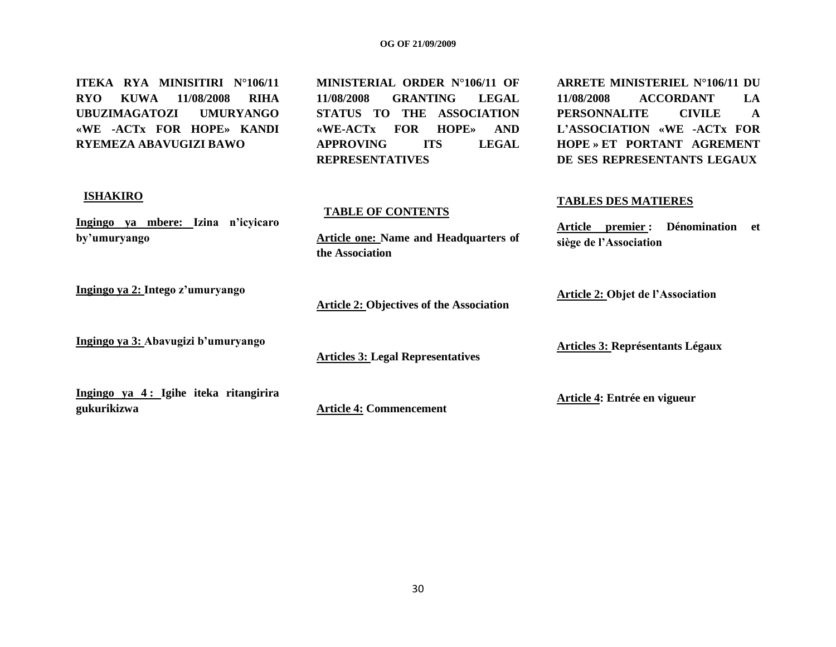**ITEKA RYA MINISITIRI N°106/11 RYO KUWA 11/08/2008 RIHA UBUZIMAGATOZI UMURYANGO «WE -ACTx FOR HOPE» KANDI RYEMEZA ABAVUGIZI BAWO**

**MINISTERIAL ORDER N°106/11 OF 11/08/2008 GRANTING LEGAL STATUS TO THE ASSOCIATION «WE-ACTx FOR HOPE» AND APPROVING ITS LEGAL REPRESENTATIVES**

**Article one: Name and Headquarters of** 

### **ARRETE MINISTERIEL N°106/11 DU 11/08/2008 ACCORDANT LA PERSONNALITE CIVILE A L'ASSOCIATION «WE -ACTx FOR HOPE » ET PORTANT AGREMENT DE SES REPRESENTANTS LEGAUX**

#### **ISHAKIRO**

**Ingingo ya mbere: Izina n'icyicaro by'umuryango** 

**Ingingo ya 2: Intego z'umuryango**

**Ingingo ya 3: Abavugizi b'umuryango**

**Article 2: Objectives of the Association**

**Articles 3: Legal Representatives**

**TABLE OF CONTENTS**

**the Association**

**Ingingo ya 4 : Igihe iteka ritangirira gukurikizwa**

**Article 4: Commencement**

**TABLES DES MATIERES**

**Article premier : Dénomination et siège de l'Association**

**Article 2: Objet de l'Association**

**Articles 3: Représentants Légaux**

**Article 4: Entrée en vigueur**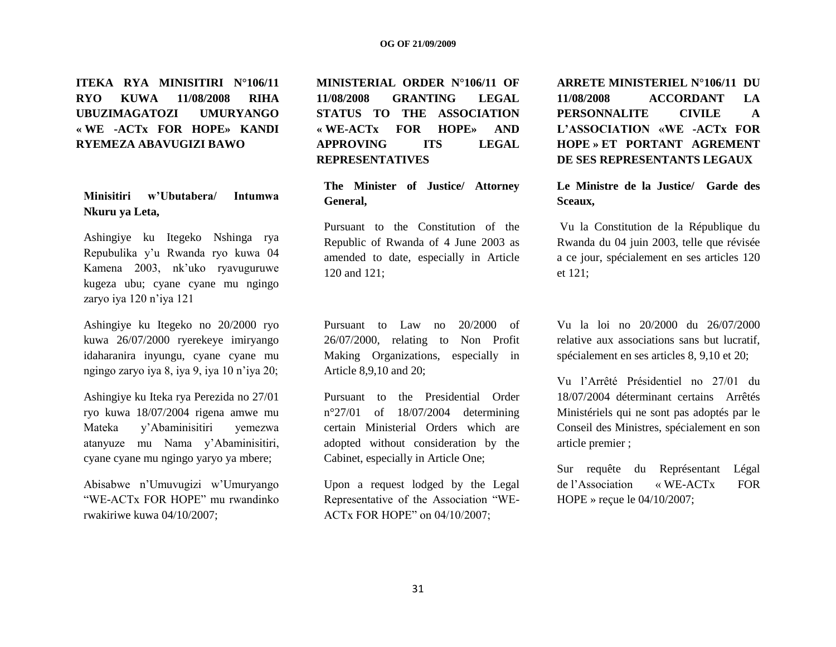**ITEKA RYA MINISITIRI N°106/11 RYO KUWA 11/08/2008 RIHA UBUZIMAGATOZI UMURYANGO « WE -ACTx FOR HOPE» KANDI RYEMEZA ABAVUGIZI BAWO**

**Minisitiri w'Ubutabera/ Intumwa Nkuru ya Leta,**

Ashingiye ku Itegeko Nshinga rya Repubulika y"u Rwanda ryo kuwa 04 Kamena 2003, nk"uko ryavuguruwe kugeza ubu; cyane cyane mu ngingo zaryo iya 120 n"iya 121

Ashingiye ku Itegeko no 20/2000 ryo kuwa 26/07/2000 ryerekeye imiryango idaharanira inyungu, cyane cyane mu ngingo zaryo iya 8, iya 9, iya 10 n"iya 20;

Ashingiye ku Iteka rya Perezida no 27/01 ryo kuwa 18/07/2004 rigena amwe mu Mateka y"Abaminisitiri yemezwa atanyuze mu Nama y"Abaminisitiri, cyane cyane mu ngingo yaryo ya mbere;

Abisabwe n"Umuvugizi w"Umuryango "WE-ACTx FOR HOPE" mu rwandinko rwakiriwe kuwa 04/10/2007;

**MINISTERIAL ORDER N°106/11 OF 11/08/2008 GRANTING LEGAL STATUS TO THE ASSOCIATION « WE-ACTx FOR HOPE» AND APPROVING ITS LEGAL REPRESENTATIVES**

**The Minister of Justice/ Attorney General,**

Pursuant to the Constitution of the Republic of Rwanda of 4 June 2003 as amended to date, especially in Article 120 and 121;

Pursuant to Law no 20/2000 of 26/07/2000, relating to Non Profit Making Organizations, especially in Article 8,9,10 and 20;

Pursuant to the Presidential Order n°27/01 of 18/07/2004 determining certain Ministerial Orders which are adopted without consideration by the Cabinet, especially in Article One;

Upon a request lodged by the Legal Representative of the Association "WE-ACTx FOR HOPE" on 04/10/2007;

**ARRETE MINISTERIEL N°106/11 DU 11/08/2008 ACCORDANT LA PERSONNALITE CIVILE A L'ASSOCIATION «WE -ACTx FOR HOPE » ET PORTANT AGREMENT DE SES REPRESENTANTS LEGAUX**

**Le Ministre de la Justice/ Garde des Sceaux,**

Vu la Constitution de la République du Rwanda du 04 juin 2003, telle que révisée a ce jour, spécialement en ses articles 120 et 121;

Vu la loi no 20/2000 du 26/07/2000 relative aux associations sans but lucratif, spécialement en ses articles 8, 9,10 et 20;

Vu l"Arrêté Présidentiel no 27/01 du 18/07/2004 déterminant certains Arrêtés Ministériels qui ne sont pas adoptés par le Conseil des Ministres, spécialement en son article premier ;

Sur requête du Représentant Légal de l"Association « WE-ACTx FOR HOPE » reçue le 04/10/2007;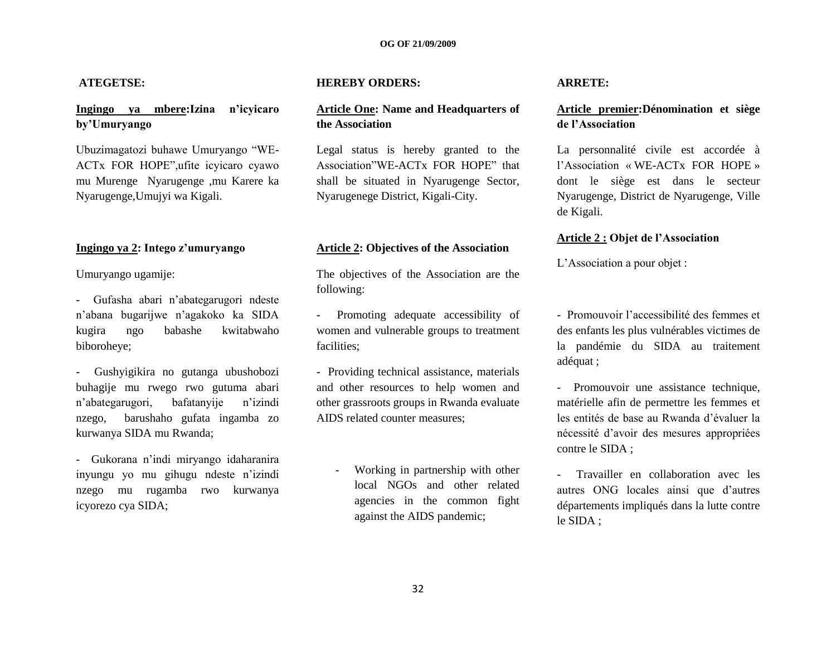#### **ATEGETSE:**

### **Ingingo ya mbere:Izina n'icyicaro by'Umuryango**

Ubuzimagatozi buhawe Umuryango "WE-ACTx FOR HOPE",ufite icyicaro cyawo mu Murenge Nyarugenge ,mu Karere ka Nyarugenge,Umujyi wa Kigali.

#### **Ingingo ya 2: Intego z'umuryango**

Umuryango ugamije:

- Gufasha abari n"abategarugori ndeste n"abana bugarijwe n"agakoko ka SIDA kugira ngo babashe kwitabwaho biboroheye;

- Gushyigikira no gutanga ubushobozi buhagije mu rwego rwo gutuma abari n"abategarugori, bafatanyije n"izindi nzego, barushaho gufata ingamba zo kurwanya SIDA mu Rwanda;

- Gukorana n"indi miryango idaharanira inyungu yo mu gihugu ndeste n"izindi nzego mu rugamba rwo kurwanya icyorezo cya SIDA;

#### **HEREBY ORDERS:**

#### **Article One: Name and Headquarters of the Association**

Legal status is hereby granted to the Association"WE-ACTx FOR HOPE" that shall be situated in Nyarugenge Sector, Nyarugenege District, Kigali-City.

#### **Article 2: Objectives of the Association**

The objectives of the Association are the following:

- Promoting adequate accessibility of women and vulnerable groups to treatment facilities;

- Providing technical assistance, materials and other resources to help women and other grassroots groups in Rwanda evaluate AIDS related counter measures;

> Working in partnership with other local NGOs and other related agencies in the common fight against the AIDS pandemic;

#### **ARRETE:**

#### **Article premier:Dénomination et siège de l'Association**

La personnalité civile est accordée à l"Association « WE-ACTx FOR HOPE » dont le siège est dans le secteur Nyarugenge, District de Nyarugenge, Ville de Kigali.

#### **Article 2 : Objet de l'Association**

L"Association a pour objet :

- Promouvoir l"accessibilité des femmes et des enfants les plus vulnérables victimes de la pandémie du SIDA au traitement adéquat ;

- Promouvoir une assistance technique, matérielle afin de permettre les femmes et les entités de base au Rwanda d"évaluer la nécessité d"avoir des mesures appropriées contre le SIDA ;

- Travailler en collaboration avec les autres ONG locales ainsi que d"autres départements impliqués dans la lutte contre le SIDA ;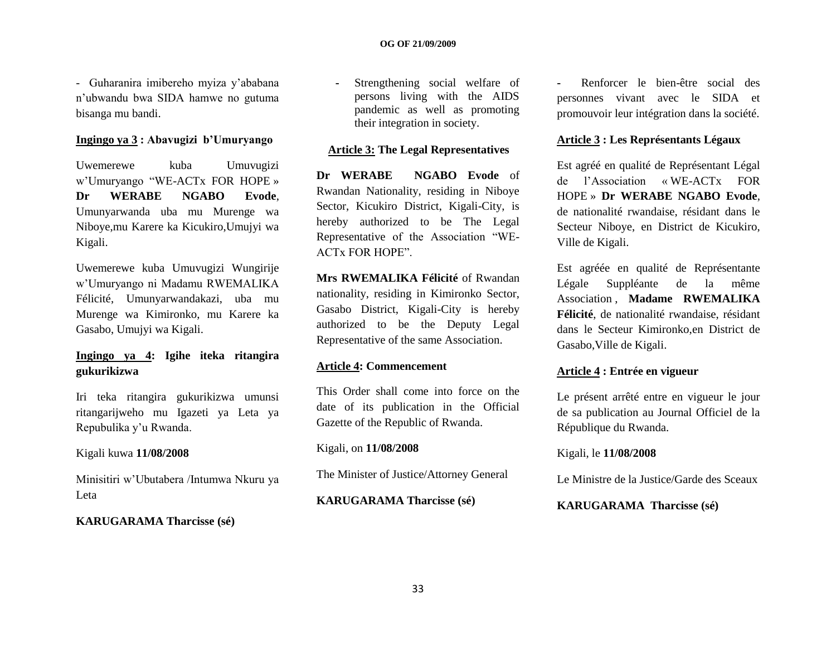- Guharanira imibereho myiza y"ababana n"ubwandu bwa SIDA hamwe no gutuma bisanga mu bandi.

#### **Ingingo ya 3 : Abavugizi b'Umuryango**

Uwemerewe kuba Umuvugizi w"Umuryango "WE-ACTx FOR HOPE » **Dr WERABE NGABO Evode**, Umunyarwanda uba mu Murenge wa Niboye,mu Karere ka Kicukiro,Umujyi wa Kigali.

Uwemerewe kuba Umuvugizi Wungirije w"Umuryango ni Madamu RWEMALIKA Félicité, Umunyarwandakazi, uba mu Murenge wa Kimironko, mu Karere ka Gasabo, Umujyi wa Kigali.

### **Ingingo ya 4: Igihe iteka ritangira gukurikizwa**

Iri teka ritangira gukurikizwa umunsi ritangarijweho mu Igazeti ya Leta ya Repubulika y"u Rwanda.

#### Kigali kuwa **11/08/2008**

Minisitiri w"Ubutabera /Intumwa Nkuru ya Leta

#### **KARUGARAMA Tharcisse (sé)**

**-** Strengthening social welfare of persons living with the AIDS pandemic as well as promoting their integration in society.

#### **Article 3: The Legal Representatives**

**Dr WERABE NGABO Evode** of Rwandan Nationality, residing in Niboye Sector, Kicukiro District, Kigali-City, is hereby authorized to be The Legal Representative of the Association "WE-ACTx FOR HOPE".

**Mrs RWEMALIKA Félicité** of Rwandan nationality, residing in Kimironko Sector, Gasabo District, Kigali-City is hereby authorized to be the Deputy Legal Representative of the same Association.

#### **Article 4: Commencement**

This Order shall come into force on the date of its publication in the Official Gazette of the Republic of Rwanda.

#### Kigali, on **11/08/2008**

The Minister of Justice/Attorney General

#### **KARUGARAMA Tharcisse (sé)**

**-** Renforcer le bien-être social des personnes vivant avec le SIDA et promouvoir leur intégration dans la société.

#### **Article 3 : Les Représentants Légaux**

Est agréé en qualité de Représentant Légal de l"Association « WE-ACTx FOR HOPE » **Dr WERABE NGABO Evode**, de nationalité rwandaise, résidant dans le Secteur Niboye, en District de Kicukiro, Ville de Kigali.

Est agréée en qualité de Représentante Légale Suppléante de la même Association , **Madame RWEMALIKA Félicité**, de nationalité rwandaise, résidant dans le Secteur Kimironko,en District de Gasabo,Ville de Kigali.

#### **Article 4 : Entrée en vigueur**

Le présent arrêté entre en vigueur le jour de sa publication au Journal Officiel de la République du Rwanda.

#### Kigali, le **11/08/2008**

Le Ministre de la Justice/Garde des Sceaux

#### **KARUGARAMA Tharcisse (sé)**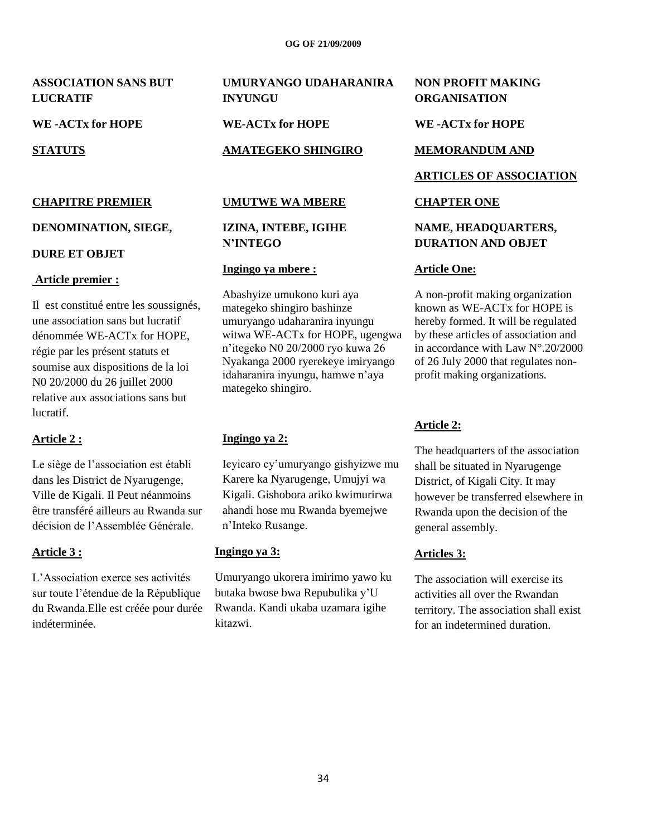**ASSOCIATION SANS BUT LUCRATIF** 

**WE -ACTx for HOPE**

**STATUTS**

#### **CHAPITRE PREMIER**

#### **DENOMINATION, SIEGE,**

#### **DURE ET OBJET**

#### **Article premier :**

Il est constitué entre les soussignés, une association sans but lucratif dénommée WE-ACTx for HOPE, régie par les présent statuts et soumise aux dispositions de la loi N0 20/2000 du 26 juillet 2000 relative aux associations sans but lucratif.

### **Article 2 :**

Le siège de l"association est établi dans les District de Nyarugenge, Ville de Kigali. Il Peut néanmoins être transféré ailleurs au Rwanda sur décision de l"Assemblée Générale.

#### **Article 3 :**

L"Association exerce ses activités sur toute l"étendue de la République du Rwanda.Elle est créée pour durée indéterminée.

## **UMURYANGO UDAHARANIRA INYUNGU**

**WE-ACTx for HOPE**

#### **AMATEGEKO SHINGIRO**

#### **UMUTWE WA MBERE**

### **IZINA, INTEBE, IGIHE N'INTEGO**

#### **Ingingo ya mbere :**

Abashyize umukono kuri aya mategeko shingiro bashinze umuryango udaharanira inyungu witwa WE-ACTx for HOPE, ugengwa n"itegeko N0 20/2000 ryo kuwa 26 Nyakanga 2000 ryerekeye imiryango idaharanira inyungu, hamwe n"aya mategeko shingiro.

### **Ingingo ya 2:**

Icyicaro cy"umuryango gishyizwe mu Karere ka Nyarugenge, Umujyi wa Kigali. Gishobora ariko kwimurirwa ahandi hose mu Rwanda byemejwe n"Inteko Rusange.

#### **Ingingo ya 3:**

Umuryango ukorera imirimo yawo ku butaka bwose bwa Repubulika y"U Rwanda. Kandi ukaba uzamara igihe kitazwi.

#### **NON PROFIT MAKING ORGANISATION**

**WE -ACTx for HOPE**

#### **MEMORANDUM AND**

#### **ARTICLES OF ASSOCIATION**

#### **CHAPTER ONE**

#### **NAME, HEADQUARTERS, DURATION AND OBJET**

#### **Article One:**

A non-profit making organization known as WE-ACTx for HOPE is hereby formed. It will be regulated by these articles of association and in accordance with Law N°.20/2000 of 26 July 2000 that regulates nonprofit making organizations.

#### **Article 2:**

The headquarters of the association shall be situated in Nyarugenge District, of Kigali City. It may however be transferred elsewhere in Rwanda upon the decision of the general assembly.

#### **Articles 3:**

The association will exercise its activities all over the Rwandan territory. The association shall exist for an indetermined duration.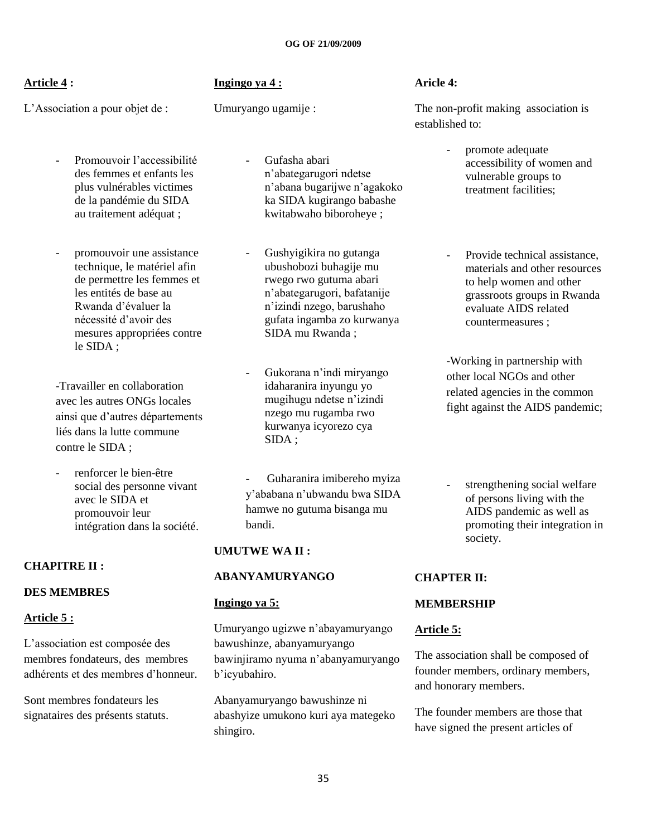### **Article 4 :**

L"Association a pour objet de :

### **Ingingo ya 4 :**

Umuryango ugamije :

Promouvoir l'accessibilité des femmes et enfants les plus vulnérables victimes de la pandémie du SIDA au traitement adéquat ;

- promouvoir une assistance technique, le matériel afin de permettre les femmes et les entités de base au Rwanda d"évaluer la nécessité d"avoir des mesures appropriées contre le SIDA ;

-Travailler en collaboration avec les autres ONGs locales ainsi que d"autres départements liés dans la lutte commune contre le SIDA ;

renforcer le bien-être social des personne vivant avec le SIDA et promouvoir leur intégration dans la société.

### **CHAPITRE II :**

### **DES MEMBRES**

### **Article 5 :**

L"association est composée des membres fondateurs, des membres adhérents et des membres d"honneur.

Sont membres fondateurs les signataires des présents statuts. - Gufasha abari n"abategarugori ndetse n"abana bugarijwe n"agakoko ka SIDA kugirango babashe kwitabwaho biboroheye ;

- Gushyigikira no gutanga ubushobozi buhagije mu rwego rwo gutuma abari n"abategarugori, bafatanije n"izindi nzego, barushaho gufata ingamba zo kurwanya SIDA mu Rwanda ;

- Gukorana n"indi miryango idaharanira inyungu yo mugihugu ndetse n"izindi nzego mu rugamba rwo kurwanya icyorezo cya SIDA ;

- Guharanira imibereho myiza y"ababana n"ubwandu bwa SIDA hamwe no gutuma bisanga mu bandi.

### **UMUTWE WA II :**

#### **ABANYAMURYANGO**

#### **Ingingo ya 5:**

Umuryango ugizwe n"abayamuryango bawushinze, abanyamuryango bawinjiramo nyuma n"abanyamuryango b"icyubahiro.

Abanyamuryango bawushinze ni abashyize umukono kuri aya mategeko shingiro.

#### **Aricle 4:**

The non-profit making association is established to:

> - promote adequate accessibility of women and vulnerable groups to treatment facilities;

Provide technical assistance. materials and other resources to help women and other grassroots groups in Rwanda evaluate AIDS related countermeasures ;

-Working in partnership with other local NGOs and other related agencies in the common fight against the AIDS pandemic;

- strengthening social welfare of persons living with the AIDS pandemic as well as promoting their integration in society.

### **CHAPTER II:**

### **MEMBERSHIP**

### **Article 5:**

The association shall be composed of founder members, ordinary members, and honorary members.

The founder members are those that have signed the present articles of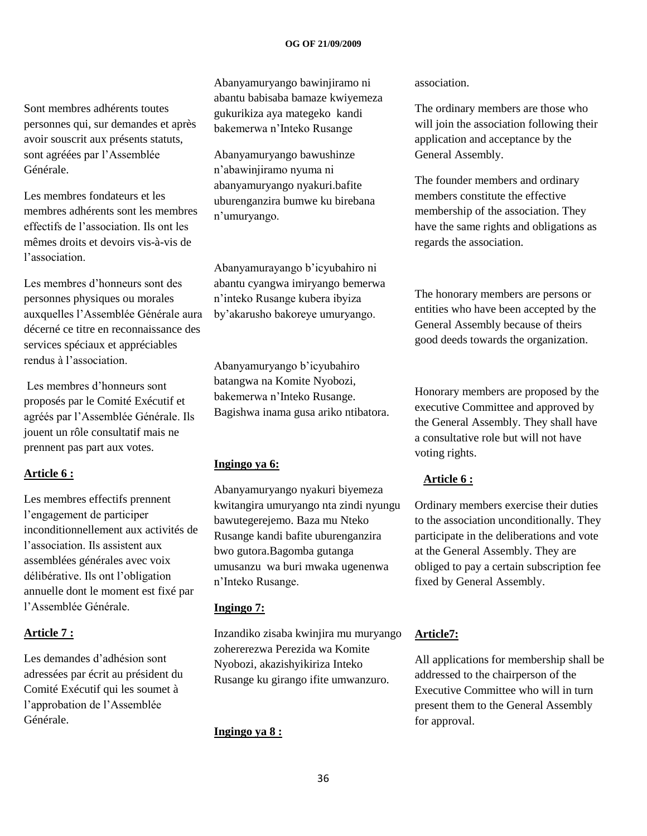Sont membres adhérents toutes personnes qui, sur demandes et après avoir souscrit aux présents statuts, sont agréées par l"Assemblée Générale.

Les membres fondateurs et les membres adhérents sont les membres effectifs de l"association. Ils ont les mêmes droits et devoirs vis-à-vis de l"association.

Les membres d"honneurs sont des personnes physiques ou morales auxquelles l"Assemblée Générale aura décerné ce titre en reconnaissance des services spéciaux et appréciables rendus à l"association.

Les membres d"honneurs sont proposés par le Comité Exécutif et agréés par l"Assemblée Générale. Ils jouent un rôle consultatif mais ne prennent pas part aux votes.

#### **Article 6 :**

Les membres effectifs prennent l"engagement de participer inconditionnellement aux activités de l"association. Ils assistent aux assemblées générales avec voix délibérative. Ils ont l"obligation annuelle dont le moment est fixé par l"Assemblée Générale.

#### **Article 7 :**

Les demandes d"adhésion sont adressées par écrit au président du Comité Exécutif qui les soumet à l"approbation de l"Assemblée Générale.

Abanyamuryango bawinjiramo ni abantu babisaba bamaze kwiyemeza gukurikiza aya mategeko kandi bakemerwa n"Inteko Rusange

Abanyamuryango bawushinze n"abawinjiramo nyuma ni abanyamuryango nyakuri.bafite uburenganzira bumwe ku birebana n"umuryango.

Abanyamurayango b"icyubahiro ni abantu cyangwa imiryango bemerwa n"inteko Rusange kubera ibyiza by"akarusho bakoreye umuryango.

Abanyamuryango b"icyubahiro batangwa na Komite Nyobozi, bakemerwa n"Inteko Rusange. Bagishwa inama gusa ariko ntibatora.

#### **Ingingo ya 6:**

Abanyamuryango nyakuri biyemeza kwitangira umuryango nta zindi nyungu bawutegerejemo. Baza mu Nteko Rusange kandi bafite uburenganzira bwo gutora.Bagomba gutanga umusanzu wa buri mwaka ugenenwa n"Inteko Rusange.

#### **Ingingo 7:**

Inzandiko zisaba kwinjira mu muryango zohererezwa Perezida wa Komite Nyobozi, akazishyikiriza Inteko Rusange ku girango ifite umwanzuro.

#### **Ingingo ya 8 :**

association.

The ordinary members are those who will join the association following their application and acceptance by the General Assembly.

The founder members and ordinary members constitute the effective membership of the association. They have the same rights and obligations as regards the association.

The honorary members are persons or entities who have been accepted by the General Assembly because of theirs good deeds towards the organization.

Honorary members are proposed by the executive Committee and approved by the General Assembly. They shall have a consultative role but will not have voting rights.

#### **Article 6 :**

Ordinary members exercise their duties to the association unconditionally. They participate in the deliberations and vote at the General Assembly. They are obliged to pay a certain subscription fee fixed by General Assembly.

#### **Article7:**

All applications for membership shall be addressed to the chairperson of the Executive Committee who will in turn present them to the General Assembly for approval.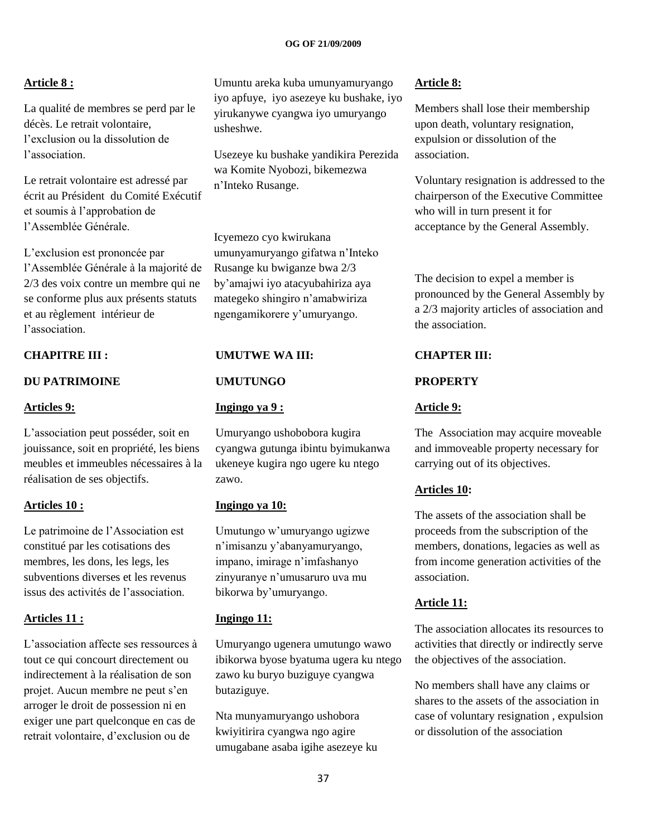## **Article 8 :**

La qualité de membres se perd par le décès. Le retrait volontaire, l"exclusion ou la dissolution de l"association.

Le retrait volontaire est adressé par écrit au Président du Comité Exécutif et soumis à l"approbation de l"Assemblée Générale.

L"exclusion est prononcée par l"Assemblée Générale à la majorité de 2/3 des voix contre un membre qui ne se conforme plus aux présents statuts et au règlement intérieur de l"association.

## **CHAPITRE III :**

## **DU PATRIMOINE**

## **Articles 9:**

L"association peut posséder, soit en jouissance, soit en propriété, les biens meubles et immeubles nécessaires à la réalisation de ses objectifs.

## **Articles 10 :**

Le patrimoine de l"Association est constitué par les cotisations des membres, les dons, les legs, les subventions diverses et les revenus issus des activités de l"association.

## **Articles 11 :**

L"association affecte ses ressources à tout ce qui concourt directement ou indirectement à la réalisation de son projet. Aucun membre ne peut s"en arroger le droit de possession ni en exiger une part quelconque en cas de retrait volontaire, d"exclusion ou de

Umuntu areka kuba umunyamuryango iyo apfuye, iyo asezeye ku bushake, iyo yirukanywe cyangwa iyo umuryango usheshwe.

Usezeye ku bushake yandikira Perezida wa Komite Nyobozi, bikemezwa n"Inteko Rusange.

Icyemezo cyo kwirukana umunyamuryango gifatwa n"Inteko Rusange ku bwiganze bwa 2/3 by"amajwi iyo atacyubahiriza aya mategeko shingiro n"amabwiriza ngengamikorere y"umuryango.

## **UMUTWE WA III:**

## **UMUTUNGO**

## **Ingingo ya 9 :**

Umuryango ushobobora kugira cyangwa gutunga ibintu byimukanwa ukeneye kugira ngo ugere ku ntego zawo.

## **Ingingo ya 10:**

Umutungo w"umuryango ugizwe n"imisanzu y"abanyamuryango, impano, imirage n"imfashanyo zinyuranye n"umusaruro uva mu bikorwa by"umuryango.

## **Ingingo 11:**

Umuryango ugenera umutungo wawo ibikorwa byose byatuma ugera ku ntego zawo ku buryo buziguye cyangwa butaziguye.

Nta munyamuryango ushobora kwiyitirira cyangwa ngo agire umugabane asaba igihe asezeye ku

## **Article 8:**

Members shall lose their membership upon death, voluntary resignation, expulsion or dissolution of the association.

Voluntary resignation is addressed to the chairperson of the Executive Committee who will in turn present it for acceptance by the General Assembly.

The decision to expel a member is pronounced by the General Assembly by a 2/3 majority articles of association and the association.

## **CHAPTER III:**

# **PROPERTY**

## **Article 9:**

The Association may acquire moveable and immoveable property necessary for carrying out of its objectives.

## **Articles 10:**

The assets of the association shall be proceeds from the subscription of the members, donations, legacies as well as from income generation activities of the association.

## **Article 11:**

The association allocates its resources to activities that directly or indirectly serve the objectives of the association.

No members shall have any claims or shares to the assets of the association in case of voluntary resignation , expulsion or dissolution of the association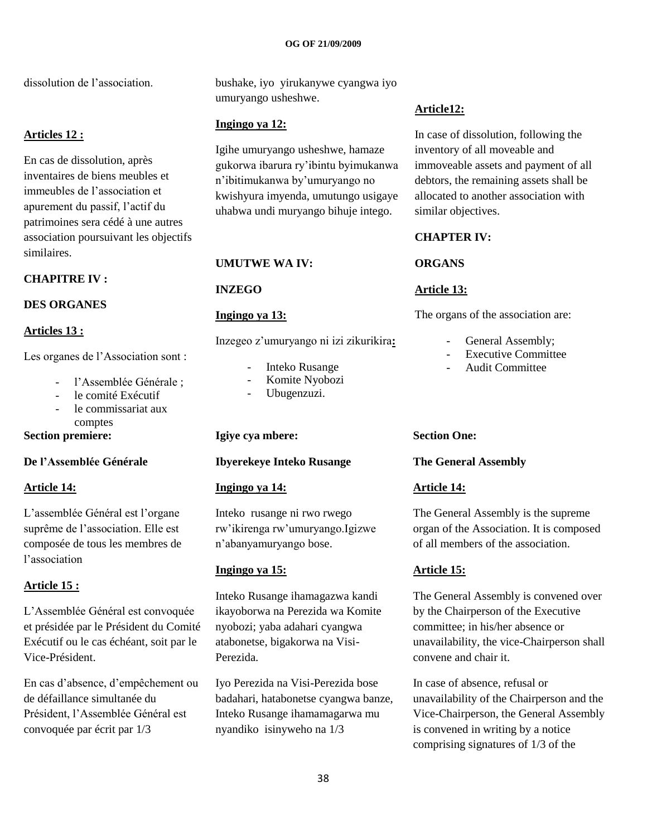dissolution de l'association.

## **Articles 12 :**

En cas de dissolution, après inventaires de biens meubles et immeubles de l"association et apurement du passif, l"actif du patrimoines sera cédé à une autres association poursuivant les objectifs similaires.

## **CHAPITRE IV :**

## **DES ORGANES**

## **Articles 13 :**

Les organes de l'Association sont :

- l'Assemblée Générale ;
- le comité Exécutif
- le commissariat aux comptes

## **Section premiere:**

## **De l'Assemblée Générale**

## **Article 14:**

L"assemblée Général est l"organe suprême de l"association. Elle est composée de tous les membres de l"association

## **Article 15 :**

L"Assemblée Général est convoquée et présidée par le Président du Comité Exécutif ou le cas échéant, soit par le Vice-Président.

En cas d"absence, d"empêchement ou de défaillance simultanée du Président, l"Assemblée Général est convoquée par écrit par 1/3

bushake, iyo yirukanywe cyangwa iyo umuryango usheshwe.

## **Ingingo ya 12:**

Igihe umuryango usheshwe, hamaze gukorwa ibarura ry"ibintu byimukanwa n"ibitimukanwa by"umuryango no kwishyura imyenda, umutungo usigaye uhabwa undi muryango bihuje intego.

## **UMUTWE WA IV:**

**INZEGO**

## **Ingingo ya 13:**

Inzegeo z"umuryango ni izi zikurikira**:**

- Inteko Rusange
- Komite Nyobozi
- Ubugenzuzi.

## **Igiye cya mbere:**

## **Ibyerekeye Inteko Rusange**

## **Ingingo ya 14:**

Inteko rusange ni rwo rwego rw"ikirenga rw"umuryango.Igizwe n"abanyamuryango bose.

## **Ingingo ya 15:**

Inteko Rusange ihamagazwa kandi ikayoborwa na Perezida wa Komite nyobozi; yaba adahari cyangwa atabonetse, bigakorwa na Visi-Perezida.

Iyo Perezida na Visi-Perezida bose badahari, hatabonetse cyangwa banze, Inteko Rusange ihamamagarwa mu nyandiko isinyweho na 1/3

## **Article12:**

In case of dissolution, following the inventory of all moveable and immoveable assets and payment of all debtors, the remaining assets shall be allocated to another association with similar objectives.

## **CHAPTER IV:**

## **ORGANS**

## **Article 13:**

The organs of the association are:

- General Assembly;
- Executive Committee
- Audit Committee

## **Section One:**

## **The General Assembly**

## **Article 14:**

The General Assembly is the supreme organ of the Association. It is composed of all members of the association.

## **Article 15:**

The General Assembly is convened over by the Chairperson of the Executive committee; in his/her absence or unavailability, the vice-Chairperson shall convene and chair it.

In case of absence, refusal or unavailability of the Chairperson and the Vice-Chairperson, the General Assembly is convened in writing by a notice comprising signatures of 1/3 of the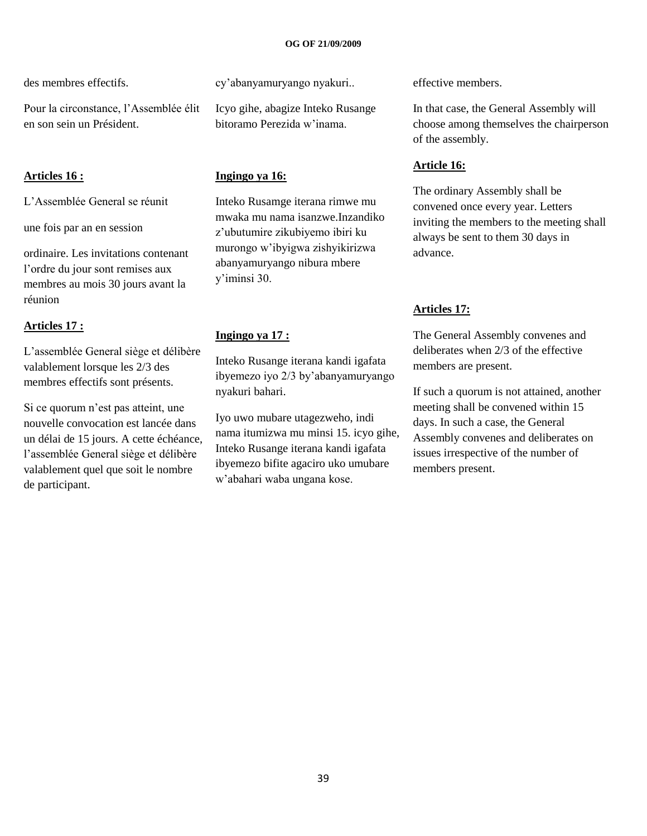des membres effectifs.

Pour la circonstance, l"Assemblée élit en son sein un Président.

## **Articles 16 :**

L"Assemblée General se réunit

une fois par an en session

ordinaire. Les invitations contenant l"ordre du jour sont remises aux membres au mois 30 jours avant la réunion

## **Articles 17 :**

L"assemblée General siège et délibère valablement lorsque les 2/3 des membres effectifs sont présents.

Si ce quorum n"est pas atteint, une nouvelle convocation est lancée dans un délai de 15 jours. A cette échéance, l"assemblée General siège et délibère valablement quel que soit le nombre de participant.

cy"abanyamuryango nyakuri..

Icyo gihe, abagize Inteko Rusange bitoramo Perezida w"inama.

## **Ingingo ya 16:**

Inteko Rusamge iterana rimwe mu mwaka mu nama isanzwe.Inzandiko z"ubutumire zikubiyemo ibiri ku murongo w"ibyigwa zishyikirizwa abanyamuryango nibura mbere y"iminsi 30.

## **Ingingo ya 17 :**

Inteko Rusange iterana kandi igafata ibyemezo iyo 2/3 by"abanyamuryango nyakuri bahari.

Iyo uwo mubare utagezweho, indi nama itumizwa mu minsi 15. icyo gihe, Inteko Rusange iterana kandi igafata ibyemezo bifite agaciro uko umubare w"abahari waba ungana kose.

effective members.

In that case, the General Assembly will choose among themselves the chairperson of the assembly.

# **Article 16:**

The ordinary Assembly shall be convened once every year. Letters inviting the members to the meeting shall always be sent to them 30 days in advance.

## **Articles 17:**

The General Assembly convenes and deliberates when 2/3 of the effective members are present.

If such a quorum is not attained, another meeting shall be convened within 15 days. In such a case, the General Assembly convenes and deliberates on issues irrespective of the number of members present.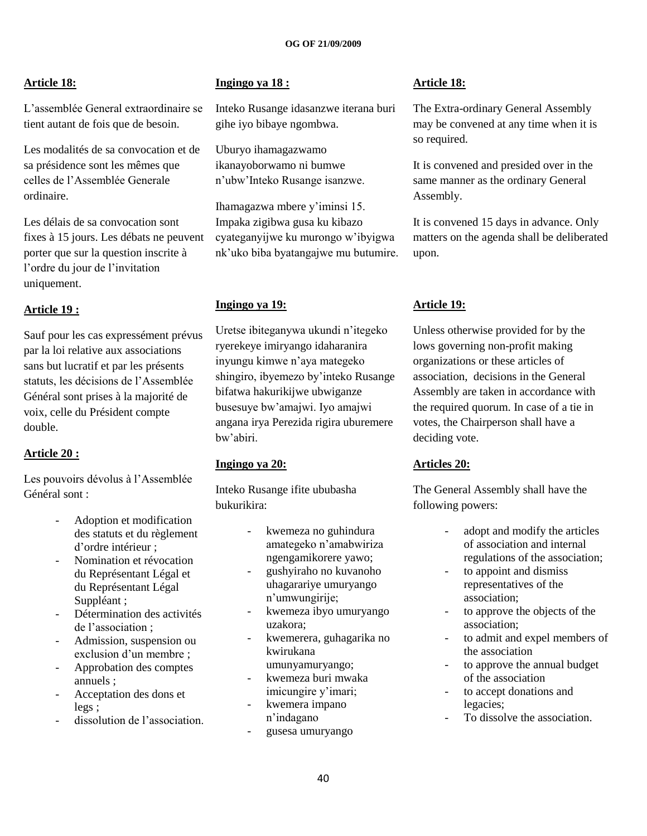## **Article 18:**

L"assemblée General extraordinaire se tient autant de fois que de besoin.

Les modalités de sa convocation et de sa présidence sont les mêmes que celles de l"Assemblée Generale ordinaire.

Les délais de sa convocation sont fixes à 15 jours. Les débats ne peuvent porter que sur la question inscrite à l"ordre du jour de l"invitation uniquement.

## **Article 19 :**

Sauf pour les cas expressément prévus par la loi relative aux associations sans but lucratif et par les présents statuts, les décisions de l"Assemblée Général sont prises à la majorité de voix, celle du Président compte double.

## **Article 20 :**

Les pouvoirs dévolus à l'Assemblée Général sont :

- Adoption et modification des statuts et du règlement d"ordre intérieur ;
- Nomination et révocation du Représentant Légal et du Représentant Légal Suppléant ;
- Détermination des activités de l"association ;
- Admission, suspension ou exclusion d'un membre ;
- Approbation des comptes annuels ;
- Acceptation des dons et legs ;
- dissolution de l'association.

## **Ingingo ya 18 :**

Inteko Rusange idasanzwe iterana buri gihe iyo bibaye ngombwa.

Uburyo ihamagazwamo ikanayoborwamo ni bumwe n"ubw"Inteko Rusange isanzwe.

Ihamagazwa mbere y"iminsi 15. Impaka zigibwa gusa ku kibazo cyateganyijwe ku murongo w"ibyigwa nk"uko biba byatangajwe mu butumire.

## **Ingingo ya 19:**

Uretse ibiteganywa ukundi n"itegeko ryerekeye imiryango idaharanira inyungu kimwe n"aya mategeko shingiro, ibyemezo by"inteko Rusange bifatwa hakurikijwe ubwiganze busesuye bw"amajwi. Iyo amajwi angana irya Perezida rigira uburemere bw"abiri.

## **Ingingo ya 20:**

Inteko Rusange ifite ububasha bukurikira:

- kwemeza no guhindura amategeko n"amabwiriza ngengamikorere yawo;
- gushyiraho no kuvanoho uhagarariye umuryango n"umwungirije;
- kwemeza ibyo umuryango uzakora;
- kwemerera, guhagarika no kwirukana umunyamuryango;
- kwemeza buri mwaka imicungire y'imari;
- kwemera impano n"indagano
- gusesa umuryango

## **Article 18:**

The Extra-ordinary General Assembly may be convened at any time when it is so required.

It is convened and presided over in the same manner as the ordinary General Assembly.

It is convened 15 days in advance. Only matters on the agenda shall be deliberated upon.

## **Article 19:**

Unless otherwise provided for by the lows governing non-profit making organizations or these articles of association, decisions in the General Assembly are taken in accordance with the required quorum. In case of a tie in votes, the Chairperson shall have a deciding vote.

## **Articles 20:**

The General Assembly shall have the following powers:

- adopt and modify the articles of association and internal regulations of the association;
- to appoint and dismiss representatives of the association;
- to approve the objects of the association;
- to admit and expel members of the association
- to approve the annual budget of the association
- to accept donations and legacies;
- To dissolve the association.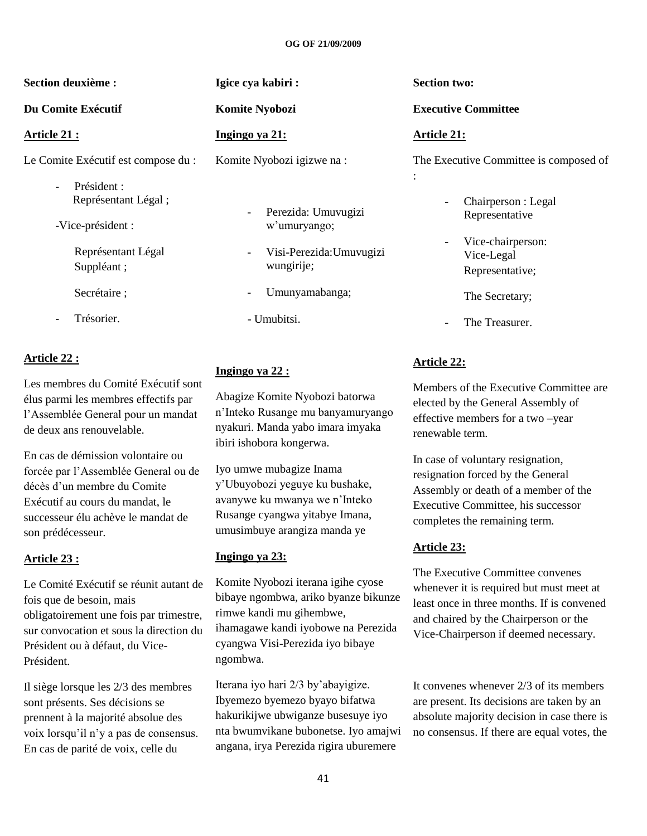| <b>Section deuxième :</b>                                            | Igice cya kabiri:                                | <b>Section two:</b>                                                  |  |  |  |  |
|----------------------------------------------------------------------|--------------------------------------------------|----------------------------------------------------------------------|--|--|--|--|
| Du Comite Exécutif                                                   | <b>Komite Nyobozi</b>                            | <b>Executive Committee</b>                                           |  |  |  |  |
| Article 21 :                                                         | Ingingo ya 21:                                   | <b>Article 21:</b>                                                   |  |  |  |  |
| Le Comite Exécutif est compose du :<br>Président :                   | Komite Nyobozi igizwe na:                        | The Executive Committee is composed of<br>$\ddot{\cdot}$             |  |  |  |  |
| $\overline{\phantom{a}}$<br>Représentant Légal;<br>-Vice-président : | Perezida: Umuvugizi<br>w'umuryango;              | Chairperson : Legal<br>$\overline{\phantom{a}}$<br>Representative    |  |  |  |  |
| Représentant Légal<br>Suppléant;                                     | Visi-Perezida: Umuvugizi<br>$\sim$<br>wungirije; | Vice-chairperson:<br>$\overline{a}$<br>Vice-Legal<br>Representative; |  |  |  |  |
| Secrétaire ;                                                         | Umunyamabanga;<br>Ξ.                             | The Secretary;                                                       |  |  |  |  |
| Trésorier.                                                           | - Umubitsi.                                      | The Treasurer.<br>$\overline{\phantom{a}}$                           |  |  |  |  |

## **Article 22 :**

Les membres du Comité Exécutif sont élus parmi les membres effectifs par l"Assemblée General pour un mandat de deux ans renouvelable.

En cas de démission volontaire ou forcée par l"Assemblée General ou de décès d"un membre du Comite Exécutif au cours du mandat, le successeur élu achève le mandat de son prédécesseur.

## **Article 23 :**

Le Comité Exécutif se réunit autant de fois que de besoin, mais obligatoirement une fois par trimestre, sur convocation et sous la direction du Président ou à défaut, du Vice-Président.

Il siège lorsque les 2/3 des membres sont présents. Ses décisions se prennent à la majorité absolue des voix lorsqu"il n"y a pas de consensus. En cas de parité de voix, celle du

## **Ingingo ya 22 :**

Abagize Komite Nyobozi batorwa n"Inteko Rusange mu banyamuryango nyakuri. Manda yabo imara imyaka ibiri ishobora kongerwa.

Iyo umwe mubagize Inama y"Ubuyobozi yeguye ku bushake, avanywe ku mwanya we n"Inteko Rusange cyangwa yitabye Imana, umusimbuye arangiza manda ye

## **Ingingo ya 23:**

Komite Nyobozi iterana igihe cyose bibaye ngombwa, ariko byanze bikunze rimwe kandi mu gihembwe, ihamagawe kandi iyobowe na Perezida cyangwa Visi-Perezida iyo bibaye ngombwa.

Iterana iyo hari 2/3 by"abayigize. Ibyemezo byemezo byayo bifatwa hakurikijwe ubwiganze busesuye iyo nta bwumvikane bubonetse. Iyo amajwi angana, irya Perezida rigira uburemere

## **Article 22:**

Members of the Executive Committee are elected by the General Assembly of effective members for a two –year renewable term.

In case of voluntary resignation, resignation forced by the General Assembly or death of a member of the Executive Committee, his successor completes the remaining term.

## **Article 23:**

The Executive Committee convenes whenever it is required but must meet at least once in three months. If is convened and chaired by the Chairperson or the Vice-Chairperson if deemed necessary.

It convenes whenever 2/3 of its members are present. Its decisions are taken by an absolute majority decision in case there is no consensus. If there are equal votes, the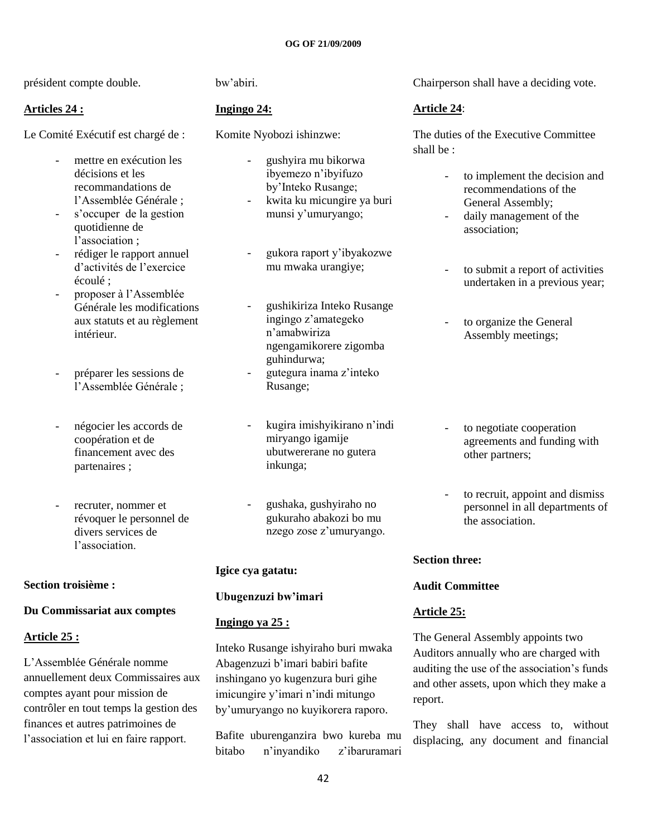président compte double.

## **Articles 24 :**

Le Comité Exécutif est chargé de :

- mettre en exécution les décisions et les recommandations de l"Assemblée Générale ;
- s"occuper de la gestion quotidienne de l'association ;
- rédiger le rapport annuel d"activités de l"exercice écoulé ;
- proposer à l'Assemblée Générale les modifications aux statuts et au règlement intérieur.
- préparer les sessions de l"Assemblée Générale ;
- négocier les accords de coopération et de financement avec des partenaires ;
- recruter, nommer et révoquer le personnel de divers services de l'association.

## **Section troisième :**

## **Du Commissariat aux comptes**

## **Article 25 :**

L"Assemblée Générale nomme annuellement deux Commissaires aux comptes ayant pour mission de contrôler en tout temps la gestion des finances et autres patrimoines de l"association et lui en faire rapport.

bw"abiri.

## **Ingingo 24:**

Komite Nyobozi ishinzwe:

- gushyira mu bikorwa ibyemezo n"ibyifuzo by"Inteko Rusange;
- kwita ku micungire ya buri munsi y"umuryango;
- gukora raport y"ibyakozwe mu mwaka urangiye;
- gushikiriza Inteko Rusange ingingo z"amategeko n"amabwiriza ngengamikorere zigomba guhindurwa;
- gutegura inama z"inteko Rusange;
- kugira imishyikirano n"indi miryango igamije ubutwererane no gutera inkunga;
- gushaka, gushyiraho no gukuraho abakozi bo mu nzego zose z"umuryango.

## **Igice cya gatatu:**

## **Ubugenzuzi bw'imari**

## **Ingingo ya 25 :**

Inteko Rusange ishyiraho buri mwaka Abagenzuzi b"imari babiri bafite inshingano yo kugenzura buri gihe imicungire y'imari n'indi mitungo by"umuryango no kuyikorera raporo.

Bafite uburenganzira bwo kureba mu bitabo n"inyandiko z"ibaruramari

Chairperson shall have a deciding vote.

## **Article 24**:

The duties of the Executive Committee shall be :

- to implement the decision and recommendations of the General Assembly;
- daily management of the association;
- to submit a report of activities undertaken in a previous year;
- to organize the General Assembly meetings;
- to negotiate cooperation agreements and funding with other partners;
- to recruit, appoint and dismiss personnel in all departments of the association.

## **Section three:**

## **Audit Committee**

## **Article 25:**

The General Assembly appoints two Auditors annually who are charged with auditing the use of the association"s funds and other assets, upon which they make a report.

They shall have access to, without displacing, any document and financial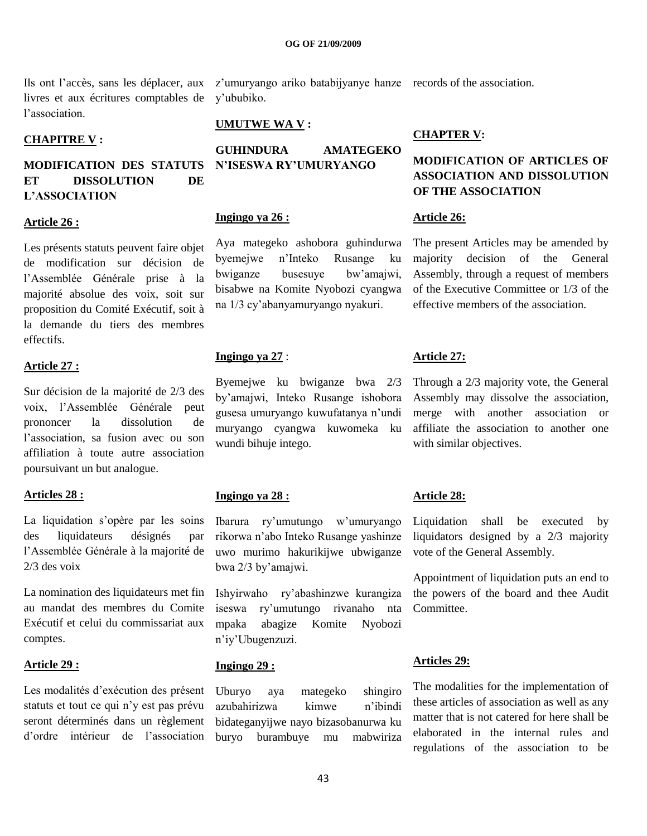livres et aux écritures comptables de l"association.

## **CHAPITRE V :**

## **MODIFICATION DES STATUTS ET DISSOLUTION DE L'ASSOCIATION**

## **Article 26 :**

Les présents statuts peuvent faire objet de modification sur décision de l"Assemblée Générale prise à la majorité absolue des voix, soit sur proposition du Comité Exécutif, soit à la demande du tiers des membres effectifs.

## **Article 27 :**

Sur décision de la majorité de 2/3 des voix, l"Assemblée Générale peut prononcer la dissolution de l"association, sa fusion avec ou son affiliation à toute autre association poursuivant un but analogue.

## **Articles 28 :**

La liquidation s'opère par les soins des liquidateurs désignés par l"Assemblée Générale à la majorité de 2/3 des voix

La nomination des liquidateurs met fin au mandat des membres du Comite Exécutif et celui du commissariat aux comptes.

## **Article 29 :**

Les modalités d"exécution des présent statuts et tout ce qui n"y est pas prévu seront déterminés dans un règlement d"ordre intérieur de l"association

Ils ont l'accès, sans les déplacer, aux z'umuryango ariko batabijyanye hanze records of the association. y"ububiko.

## **UMUTWE WA V :**

**GUHINDURA AMATEGEKO N'ISESWA RY'UMURYANGO**

#### **Ingingo ya 26 :**

Aya mategeko ashobora guhindurwa byemejwe n"Inteko Rusange ku bwiganze busesuye bw"amajwi, bisabwe na Komite Nyobozi cyangwa na 1/3 cy"abanyamuryango nyakuri.

## **Ingingo ya 27** :

Byemejwe ku bwiganze bwa 2/3 by"amajwi, Inteko Rusange ishobora gusesa umuryango kuwufatanya n"undi muryango cyangwa kuwomeka ku wundi bihuje intego.

#### **Ingingo ya 28 :**

Ibarura ry"umutungo w"umuryango rikorwa n"abo Inteko Rusange yashinze uwo murimo hakurikijwe ubwiganze bwa 2/3 by"amajwi.

Ishyirwaho ry"abashinzwe kurangiza iseswa ry"umutungo rivanaho nta mpaka abagize Komite Nyobozi n"iy"Ubugenzuzi.

## **Ingingo 29 :**

Uburyo aya mategeko shingiro azubahirizwa kimwe n"ibindi bidateganyijwe nayo bizasobanurwa ku buryo burambuye mu mabwiriza

## **CHAPTER V:**

## **MODIFICATION OF ARTICLES OF ASSOCIATION AND DISSOLUTION OF THE ASSOCIATION**

## **Article 26:**

The present Articles may be amended by majority decision of the General Assembly, through a request of members of the Executive Committee or 1/3 of the effective members of the association.

## **Article 27:**

Through a 2/3 majority vote, the General Assembly may dissolve the association, merge with another association or affiliate the association to another one with similar objectives.

## **Article 28:**

Liquidation shall be executed by liquidators designed by a 2/3 majority vote of the General Assembly.

Appointment of liquidation puts an end to the powers of the board and thee Audit **Committee** 

## **Articles 29:**

The modalities for the implementation of these articles of association as well as any matter that is not catered for here shall be elaborated in the internal rules and regulations of the association to be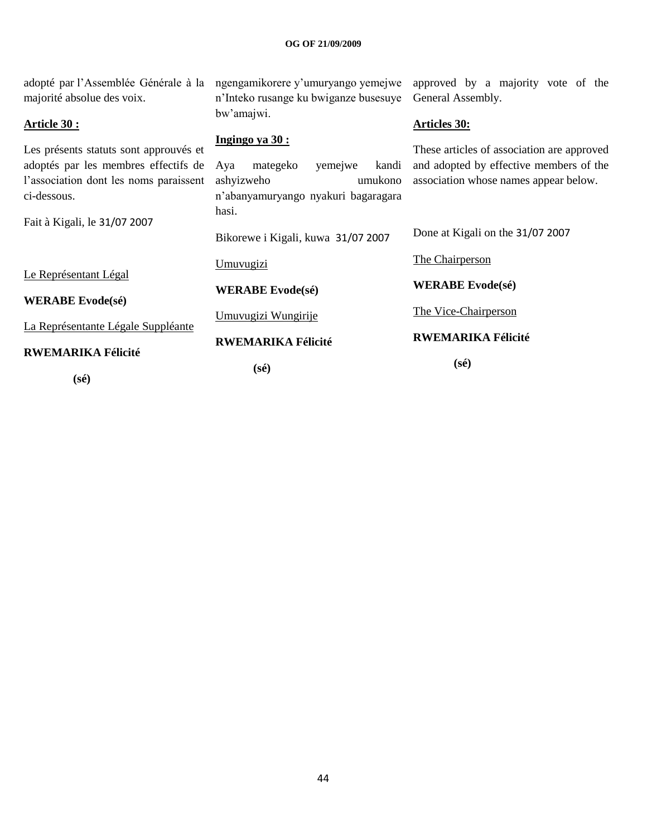| adopté par l'Assemblée Générale à la                                           | ngengamikorere y'umuryango yemejwe                           | approved by a majority vote of the                                                    |  |  |  |
|--------------------------------------------------------------------------------|--------------------------------------------------------------|---------------------------------------------------------------------------------------|--|--|--|
| majorité absolue des voix.                                                     | n'Inteko rusange ku bwiganze busesuye                        | General Assembly.                                                                     |  |  |  |
| <b>Article 30:</b>                                                             | bw'amajwi.                                                   | <b>Articles 30:</b>                                                                   |  |  |  |
| Les présents statuts sont approuvés et<br>adoptés par les membres effectifs de | <u>Ingingo ya 30:</u><br>mategeko<br>yemejwe<br>kandi<br>Aya | These articles of association are approved<br>and adopted by effective members of the |  |  |  |
| l'association dont les noms paraissent                                         | ashyizweho<br>umukono                                        | association whose names appear below.                                                 |  |  |  |
| ci-dessous.                                                                    | n'abanyamuryango nyakuri bagaragara<br>hasi.                 |                                                                                       |  |  |  |
| Fait à Kigali, le 31/07 2007                                                   | Bikorewe i Kigali, kuwa 31/07 2007                           | Done at Kigali on the 31/07 2007                                                      |  |  |  |
| Le Représentant Légal                                                          | <u>Umuvugizi</u>                                             | The Chairperson                                                                       |  |  |  |
|                                                                                | <b>WERABE</b> Evode(sé)                                      | <b>WERABE Evode(sé)</b>                                                               |  |  |  |
| <b>WERABE</b> Evode(sé)                                                        | Umuvugizi Wungirije                                          | The Vice-Chairperson                                                                  |  |  |  |
| La Représentante Légale Suppléante                                             | <b>RWEMARIKA Félicité</b>                                    | <b>RWEMARIKA Félicité</b>                                                             |  |  |  |
| <b>RWEMARIKA Félicité</b>                                                      | (sé)                                                         | $(s\acute{e})$                                                                        |  |  |  |

 **(sé)**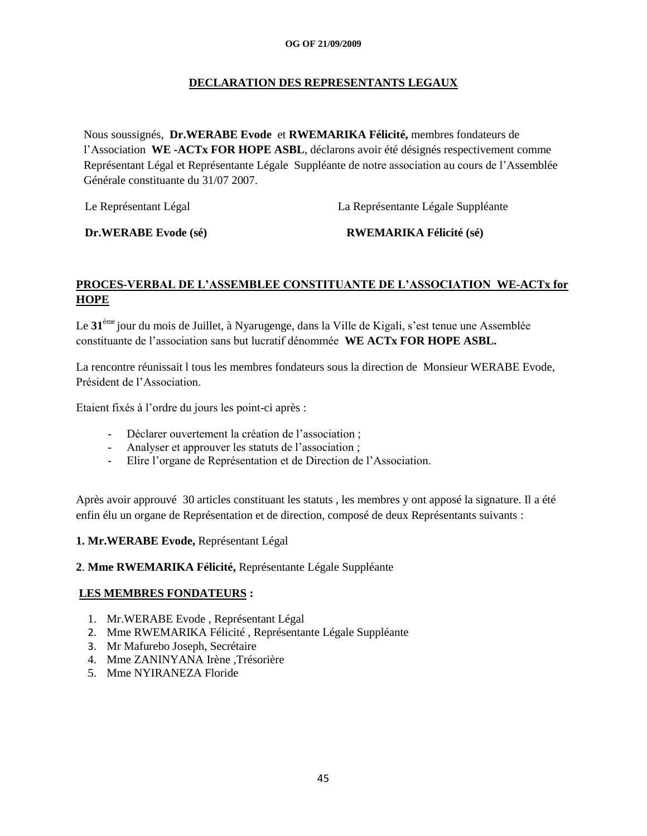## **DECLARATION DES REPRESENTANTS LEGAUX**

Nous soussignés, **Dr.WERABE Evode** et **RWEMARIKA Félicité,** membres fondateurs de l"Association **WE -ACTx FOR HOPE ASBL**, déclarons avoir été désignés respectivement comme Représentant Légal et Représentante Légale Suppléante de notre association au cours de l"Assemblée Générale constituante du 31/07 2007.

Le Représentant Légal La Représentante Légale Suppléante

 **Dr.WERABE Evode (sé) RWEMARIKA Félicité (sé)**

## **PROCES-VERBAL DE L'ASSEMBLEE CONSTITUANTE DE L'ASSOCIATION WE-ACTx for HOPE**

Le 31<sup>ème</sup> jour du mois de Juillet, à Nyarugenge, dans la Ville de Kigali, s'est tenue une Assemblée constituante de l"association sans but lucratif dénommée **WE ACTx FOR HOPE ASBL.**

La rencontre réunissait l tous les membres fondateurs sous la direction de Monsieur WERABE Evode, Président de l"Association.

Etaient fixés à l"ordre du jours les point-ci après :

- Déclarer ouvertement la création de l"association ;
- Analyser et approuver les statuts de l"association ;
- Elire l"organe de Représentation et de Direction de l"Association.

Après avoir approuvé 30 articles constituant les statuts , les membres y ont apposé la signature. Il a été enfin élu un organe de Représentation et de direction, composé de deux Représentants suivants :

## **1. Mr.WERABE Evode,** Représentant Légal

## **2**. **Mme RWEMARIKA Félicité,** Représentante Légale Suppléante

## **LES MEMBRES FONDATEURS :**

- 1. Mr.WERABE Evode , Représentant Légal
- 2. Mme RWEMARIKA Félicité , Représentante Légale Suppléante
- 3. Mr Mafurebo Joseph, Secrétaire
- 4. Mme ZANINYANA Irène ,Trésorière
- 5. Mme NYIRANEZA Floride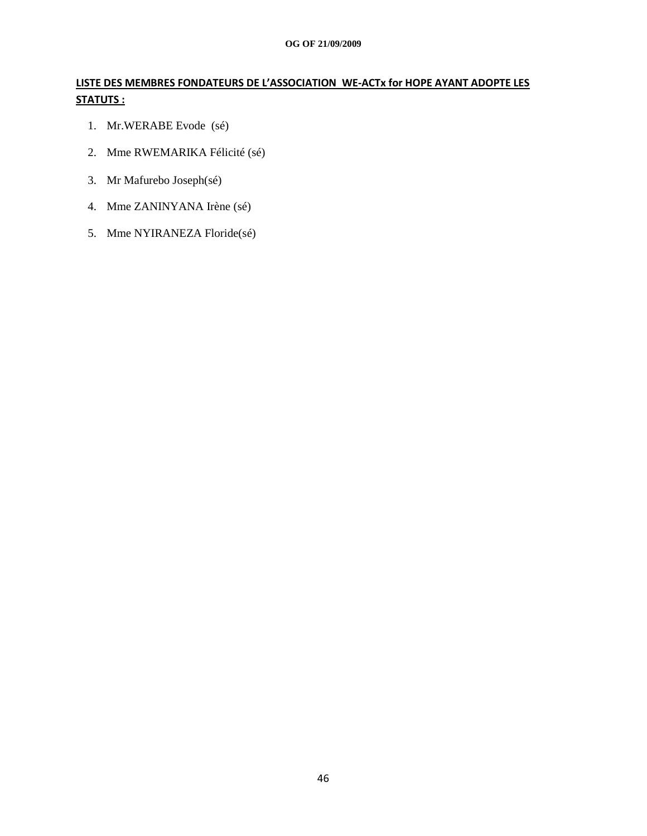# **LISTE DES MEMBRES FONDATEURS DE L'ASSOCIATION WE-ACTx for HOPE AYANT ADOPTE LES STATUTS :**

- 1. Mr.WERABE Evode (sé)
- 2. Mme RWEMARIKA Félicité (sé)
- 3. Mr Mafurebo Joseph(sé)
- 4. Mme ZANINYANA Irène (sé)
- 5. Mme NYIRANEZA Floride(sé)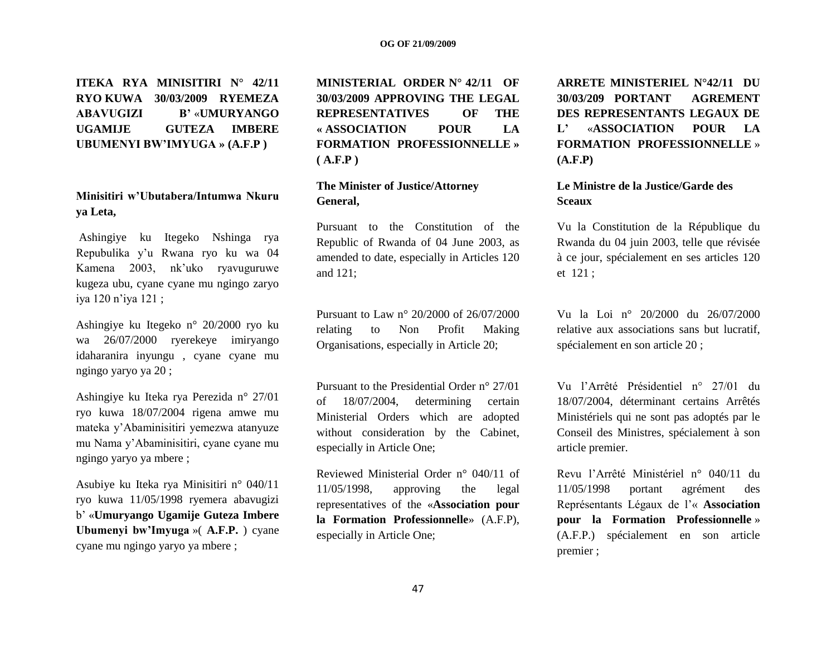**ITEKA RYA MINISITIRI N° 42/11 RYO KUWA 30/03/2009 RYEMEZA ABAVUGIZI B'** «**UMURYANGO UGAMIJE GUTEZA IMBERE UBUMENYI BW'IMYUGA » (A.F.P )**

## **Minisitiri w'Ubutabera/Intumwa Nkuru ya Leta,**

Ashingiye ku Itegeko Nshinga rya Repubulika y"u Rwana ryo ku wa 04 Kamena 2003, nk"uko ryavuguruwe kugeza ubu, cyane cyane mu ngingo zaryo iya 120 n"iya 121 ;

Ashingiye ku Itegeko n° 20/2000 ryo ku wa 26/07/2000 ryerekeye imiryango idaharanira inyungu , cyane cyane mu ngingo yaryo ya 20 ;

Ashingiye ku Iteka rya Perezida n° 27/01 ryo kuwa 18/07/2004 rigena amwe mu mateka y"Abaminisitiri yemezwa atanyuze mu Nama y"Abaminisitiri, cyane cyane mu ngingo yaryo ya mbere ;

Asubiye ku Iteka rya Minisitiri n° 040/11 ryo kuwa 11/05/1998 ryemera abavugizi b" «**Umuryango Ugamije Guteza Imbere Ubumenyi bw'Imyuga** »( **A.F.P.** ) cyane cyane mu ngingo yaryo ya mbere ;

**MINISTERIAL ORDER N° 42/11 OF 30/03/2009 APPROVING THE LEGAL REPRESENTATIVES OF THE « ASSOCIATION POUR LA FORMATION PROFESSIONNELLE » ( A.F.P )**

## **The Minister of Justice/Attorney General,**

Pursuant to the Constitution of the Republic of Rwanda of 04 June 2003, as amended to date, especially in Articles 120 and 121;

Pursuant to Law n° 20/2000 of 26/07/2000 relating to Non Profit Making Organisations, especially in Article 20;

Pursuant to the Presidential Order n° 27/01 of 18/07/2004, determining certain Ministerial Orders which are adopted without consideration by the Cabinet, especially in Article One;

Reviewed Ministerial Order n° 040/11 of 11/05/1998, approving the legal representatives of the «**Association pour la Formation Professionnelle**» (A.F.P), especially in Article One;

**ARRETE MINISTERIEL N°42/11 DU 30/03/209 PORTANT AGREMENT DES REPRESENTANTS LEGAUX DE L'** «**ASSOCIATION POUR LA FORMATION PROFESSIONNELLE** » **(A.F.P)**

## **Le Ministre de la Justice/Garde des Sceaux**

Vu la Constitution de la République du Rwanda du 04 juin 2003, telle que révisée à ce jour, spécialement en ses articles 120 et 121 ;

Vu la Loi n° 20/2000 du 26/07/2000 relative aux associations sans but lucratif, spécialement en son article 20 ;

Vu l"Arrêté Présidentiel n° 27/01 du 18/07/2004, déterminant certains Arrêtés Ministériels qui ne sont pas adoptés par le Conseil des Ministres, spécialement à son article premier.

Revu l"Arrêté Ministériel n° 040/11 du 11/05/1998 portant agrément des Représentants Légaux de l"« **Association pour la Formation Professionnelle** » (A.F.P.) spécialement en son article premier ;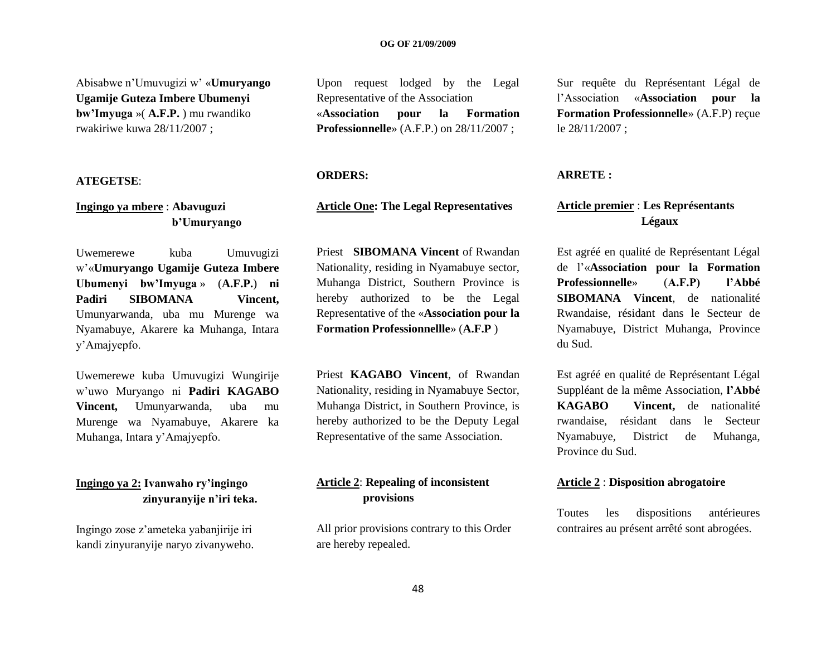#### **OG OF 21/09/2009**

Abisabwe n"Umuvugizi w" «**Umuryango Ugamije Guteza Imbere Ubumenyi bw'Imyuga** »( **A.F.P.** ) mu rwandiko rwakiriwe kuwa 28/11/2007 ;

#### **ATEGETSE**:

## **Ingingo ya mbere** : **Abavuguzi b'Umuryango**

Uwemerewe kuba Umuvugizi w"«**Umuryango Ugamije Guteza Imbere Ubumenyi bw'Imyuga** » (**A.F.P.**) **ni Padiri SIBOMANA Vincent,** Umunyarwanda, uba mu Murenge wa Nyamabuye, Akarere ka Muhanga, Intara y"Amajyepfo.

Uwemerewe kuba Umuvugizi Wungirije w"uwo Muryango ni **Padiri KAGABO Vincent,** Umunyarwanda, uba mu Murenge wa Nyamabuye, Akarere ka Muhanga, Intara y"Amajyepfo.

## **Ingingo ya 2: Ivanwaho ry'ingingo zinyuranyije n'iri teka.**

Ingingo zose z"ameteka yabanjirije iri kandi zinyuranyije naryo zivanyweho.

Upon request lodged by the Legal Representative of the Association «**Association pour la Formation Professionnelle**» (A.F.P.) on 28/11/2007 ;

#### **ORDERS:**

## **Article One: The Legal Representatives**

Priest **SIBOMANA Vincent** of Rwandan Nationality, residing in Nyamabuye sector, Muhanga District, Southern Province is hereby authorized to be the Legal Representative of the «**Association pour la Formation Professionnellle**» (**A.F.P** )

Priest **KAGABO Vincent**, of Rwandan Nationality, residing in Nyamabuye Sector, Muhanga District, in Southern Province, is hereby authorized to be the Deputy Legal Representative of the same Association.

## **Article 2**: **Repealing of inconsistent provisions**

All prior provisions contrary to this Order are hereby repealed.

Sur requête du Représentant Légal de l"Association «**Association pour la Formation Professionnelle**» (A.F.P) reçue le 28/11/2007 ;

## **ARRETE :**

## **Article premier** : **Les Représentants Légaux**

Est agréé en qualité de Représentant Légal de l"«**Association pour la Formation Professionnelle**» (**A.F.P) l'Abbé SIBOMANA Vincent**, de nationalité Rwandaise, résidant dans le Secteur de Nyamabuye, District Muhanga, Province du Sud.

Est agréé en qualité de Représentant Légal Suppléant de la même Association, **l'Abbé KAGABO Vincent,** de nationalité rwandaise, résidant dans le Secteur Nyamabuye, District de Muhanga, Province du Sud.

#### **Article 2** : **Disposition abrogatoire**

Toutes les dispositions antérieures contraires au présent arrêté sont abrogées.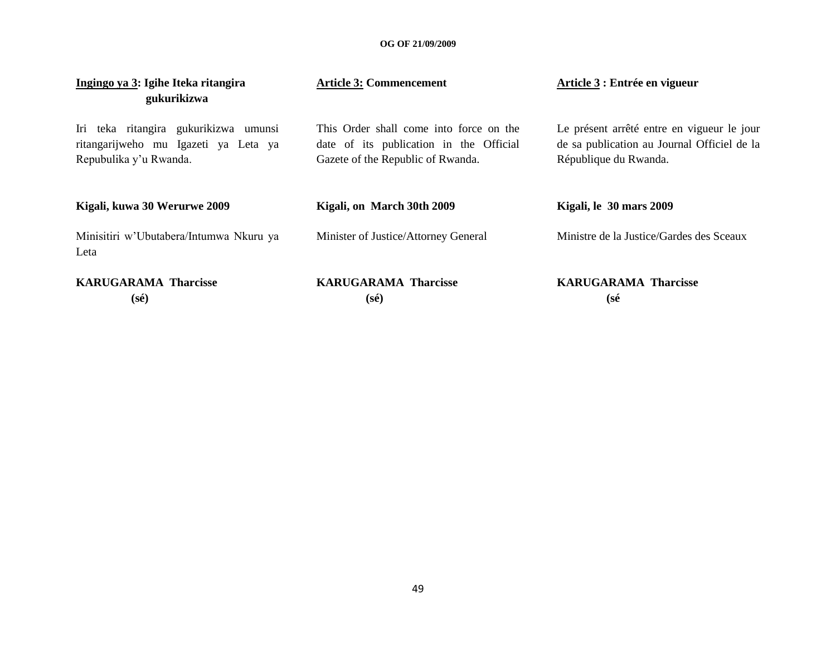| Ingingo ya 3: Igihe Iteka ritangira<br>gukurikizwa                                                      | <b>Article 3: Commencement</b>                                                                                          | Article 3 : Entrée en vigueur                                                                                      |  |  |  |  |
|---------------------------------------------------------------------------------------------------------|-------------------------------------------------------------------------------------------------------------------------|--------------------------------------------------------------------------------------------------------------------|--|--|--|--|
| Iri teka ritangira gukurikizwa umunsi<br>ritangarijweho mu Igazeti ya Leta ya<br>Repubulika y'u Rwanda. | This Order shall come into force on the<br>date of its publication in the Official<br>Gazete of the Republic of Rwanda. | Le présent arrêté entre en vigueur le jour<br>de sa publication au Journal Officiel de la<br>République du Rwanda. |  |  |  |  |
| Kigali, kuwa 30 Werurwe 2009                                                                            | Kigali, on March 30th 2009                                                                                              | Kigali, le 30 mars 2009                                                                                            |  |  |  |  |
| Minisitiri w'Ubutabera/Intumwa Nkuru ya<br>Leta                                                         | Minister of Justice/Attorney General                                                                                    | Ministre de la Justice/Gardes des Sceaux                                                                           |  |  |  |  |
| <b>KARUGARAMA Tharcisse</b><br>$(s\acute{e})$                                                           | <b>KARUGARAMA Tharcisse</b><br>(sé)                                                                                     | <b>KARUGARAMA Tharcisse</b><br>(sé                                                                                 |  |  |  |  |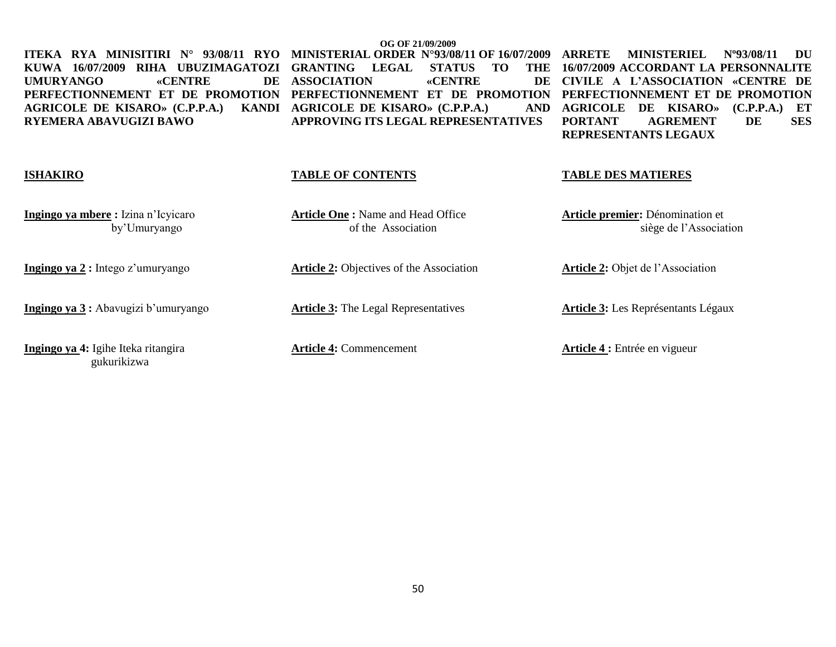**KUWA 16/07/2009 RIHA UBUZIMAGATOZI GRANTING LEGAL STATUS TO THE**  UMURYANGO «CENTRE **PERFECTIONNEMENT ET DE PROMOTION PERFECTIONNEMENT ET DE PROMOTION PERFECTIONNEMENT ET DE PROMOTION AGRICOLE DE KISARO» (C.P.P.A.) RYEMERA ABAVUGIZI BAWO**

**OG OF 21/09/2009 ITEKA RYA MINISITIRI N° 93/08/11 RYO MINISTERIAL ORDER N°93/08/11 OF 16/07/2009 DE ASSOCIATION «CENTRE** KANDI AGRICOLE DE KISARO» (C.P.P.A.) **APPROVING ITS LEGAL REPRESENTATIVES**

**MINISTERIEL Nº93/08/11 DU 16/07/2009 ACCORDANT LA PERSONNALITE CIVILE A L'ASSOCIATION «CENTRE DE AGRICOLE DE KISARO» (C.P.P.A.) ET PORTANT AGREMENT DE SES REPRESENTANTS LEGAUX** 

#### **ISHAKIRO**

**Ingingo ya mbere :** Izina n"Icyicaro by"Umuryango

**Ingingo ya 2 :** Intego z'umuryango

**Ingingo ya 3 :** Abavugizi b'umuryango

**Ingingo ya 4:** Igihe Iteka ritangira gukurikizwa

#### **TABLE OF CONTENTS**

**Article One :** Name and Head Office of the Association

**Article 2:** Objectives of the Association

**Article 3:** The Legal Representatives

**Article 4:** Commencement

## **TABLE DES MATIERES**

**Article premier:** Dénomination et siège de l"Association

**Article 2:** Objet de l"Association

**Article 3:** Les Représentants Légaux

**Article 4 :** Entrée en vigueur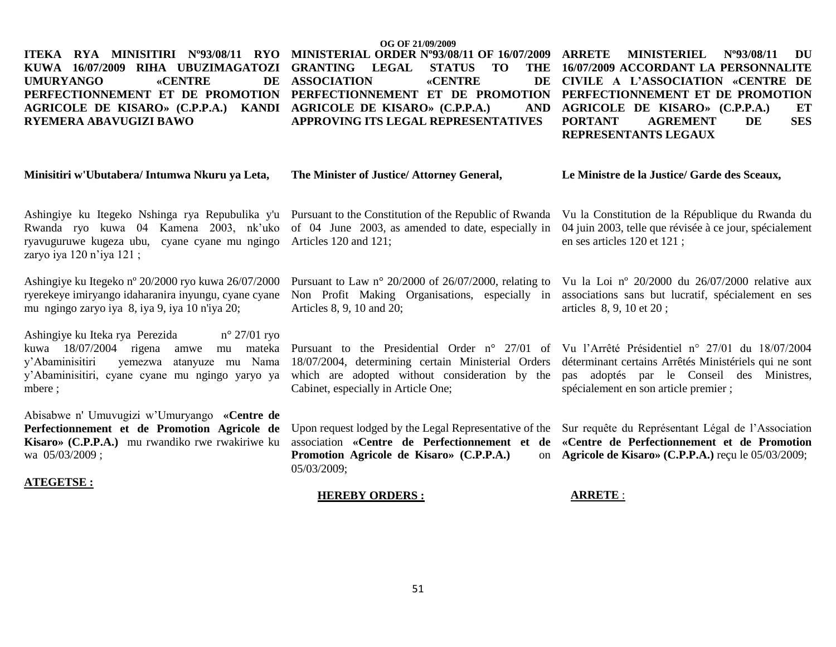#### **OG OF 21/09/2009 ITEKA RYA MINISITIRI Nº93/08/11 RYO KUWA 16/07/2009 RIHA UBUZIMAGATOZI**  UMURYANGO «CENTRE **PERFECTIONNEMENT ET DE PROMOTION PERFECTIONNEMENT ET DE PROMOTION PERFECTIONNEMENT ET DE PROMOTION AGRICOLE DE KISARO» (C.P.P.A.) KANDI AGRICOLE DE KISARO» (C.P.P.A.) AND RYEMERA ABAVUGIZI BAWO MINISTERIAL ORDER Nº93/08/11 OF 16/07/2009 GRANTING LEGAL STATUS TO DE ASSOCIATION «CENTRE APPROVING ITS LEGAL REPRESENTATIVES ARRETE MINISTERIEL Nº93/08/11 DU 16/07/2009 ACCORDANT LA PERSONNALITE CIVILE A L'ASSOCIATION «CENTRE DE AGRICOLE DE KISARO» (C.P.P.A.) ET PORTANT AGREMENT DE SES REPRESENTANTS LEGAUX**

#### **Minisitiri w'Ubutabera/ Intumwa Nkuru ya Leta,**

**The Minister of Justice/ Attorney General,**

#### **Le Ministre de la Justice/ Garde des Sceaux,**

ryavuguruwe kugeza ubu, cyane cyane mu ngingo Articles 120 and 121; zaryo iya 120 n"iya 121 ;

Ashingiye ku Itegeko nº 20/2000 ryo kuwa 26/07/2000 ryerekeye imiryango idaharanira inyungu, cyane cyane mu ngingo zaryo iya 8, iya 9, iya 10 n'iya 20;

Ashingiye ku Iteka rya Perezida n° 27/01 ryo kuwa 18/07/2004 rigena amwe mu mateka y"Abaminisitiri yemezwa atanyuze mu Nama y"Abaminisitiri, cyane cyane mu ngingo yaryo ya mbere ;

Abisabwe n' Umuvugizi w"Umuryango **«Centre de Perfectionnement et de Promotion Agricole de Kisaro» (C.P.P.A.)** mu rwandiko rwe rwakiriwe ku wa 05/03/2009 ;

#### **ATEGETSE :**

Rwanda ryo kuwa 04 Kamena 2003, nk"uko of 04 June 2003, as amended to date, especially in

Pursuant to Law n° 20/2000 of 26/07/2000, relating to Non Profit Making Organisations, especially in Articles 8, 9, 10 and 20;

Pursuant to the Presidential Order n° 27/01 of Vu l"Arrêté Présidentiel n° 27/01 du 18/07/2004 18/07/2004, determining certain Ministerial Orders which are adopted without consideration by the Cabinet, especially in Article One;

Upon request lodged by the Legal Representative of the Sur requête du Représentant Légal de l'Association **Promotion Agricole de Kisaro» (C.P.P.A.)** 05/03/2009;

#### **HEREBY ORDERS :**

Ashingiye ku Itegeko Nshinga rya Repubulika y'u Pursuant to the Constitution of the Republic of Rwanda Vu la Constitution de la République du Rwanda du 04 juin 2003, telle que révisée à ce jour, spécialement en ses articles 120 et 121 ;

> Vu la Loi nº 20/2000 du 26/07/2000 relative aux associations sans but lucratif, spécialement en ses articles 8, 9, 10 et 20 ;

> déterminant certains Arrêtés Ministériels qui ne sont pas adoptés par le Conseil des Ministres, spécialement en son article premier ;

association **«Centre de Perfectionnement et de «Centre de Perfectionnement et de Promotion Agricole de Kisaro» (C.P.P.A.)** reçu le 05/03/2009;

#### **ARRETE** :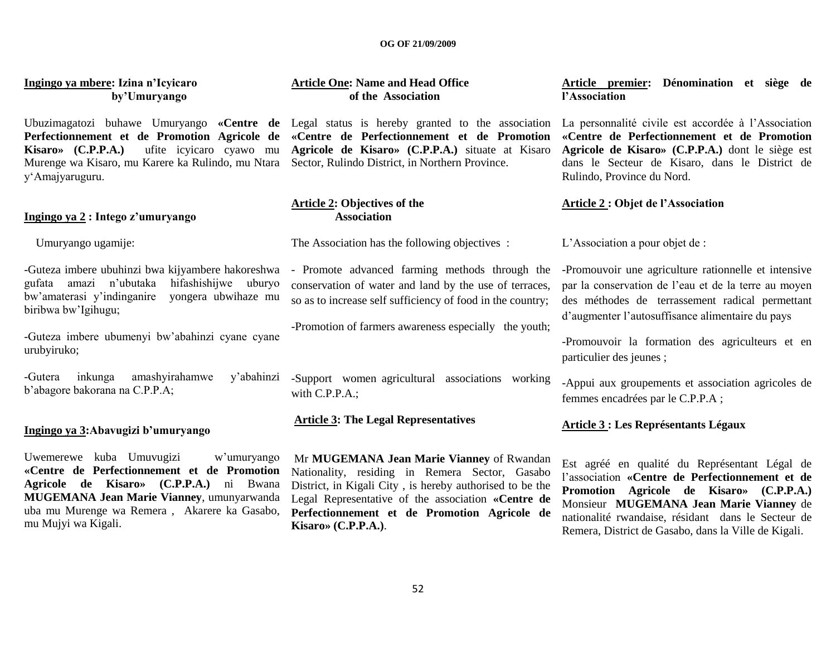#### **OG OF 21/09/2009**

**Ingingo ya mbere: Izina n'Icyicaro by'Umuryango**

Ubuzimagatozi buhawe Umuryango **«Centre de**  Legal status is hereby granted to the association **Perfectionnement et de Promotion Agricole de Kisaro» (C.P.P.A.)** ufite icyicaro cyawo mu Murenge wa Kisaro, mu Karere ka Rulindo, mu Ntara y"Amajyaruguru.

#### **Ingingo ya 2 : Intego z'umuryango**

Umuryango ugamije:

-Guteza imbere ubuhinzi bwa kijyambere hakoreshwa gufata amazi n"ubutaka hifashishijwe uburyo bw"amaterasi y"indinganire yongera ubwihaze mu biribwa bw"Igihugu;

-Guteza imbere ubumenyi bw"abahinzi cyane cyane urubyiruko;

-Gutera inkunga amashyirahamwe y"abahinzi b"abagore bakorana na C.P.P.A;

#### **Ingingo ya 3:Abavugizi b'umuryango**

Uwemerewe kuba Umuvugizi w"umuryango **«Centre de Perfectionnement et de Promotion Agricole de Kisaro» (C.P.P.A.)** ni Bwana **MUGEMANA Jean Marie Vianney**, umunyarwanda uba mu Murenge wa Remera , Akarere ka Gasabo, mu Mujyi wa Kigali.

## **Article One: Name and Head Office of the Association**

**«Centre de Perfectionnement et de Promotion Agricole de Kisaro» (C.P.P.A.)** situate at Kisaro Sector, Rulindo District, in Northern Province.

#### **Article 2: Objectives of the Association**

The Association has the following objectives :

- Promote advanced farming methods through the conservation of water and land by the use of terraces, so as to increase self sufficiency of food in the country;

-Promotion of farmers awareness especially the youth;

-Support women agricultural associations working with C.P.P.A.;

## **Article 3: The Legal Representatives**

Mr **MUGEMANA Jean Marie Vianney** of Rwandan Nationality, residing in Remera Sector, Gasabo District, in Kigali City , is hereby authorised to be the Legal Representative of the association **«Centre de Perfectionnement et de Promotion Agricole de Kisaro» (C.P.P.A.)**.

**Article premier: Dénomination et siège de l'Association** 

La personnalité civile est accordée à l"Association **«Centre de Perfectionnement et de Promotion Agricole de Kisaro» (C.P.P.A.)** dont le siège est dans le Secteur de Kisaro, dans le District de Rulindo, Province du Nord.

## **Article 2 : Objet de l'Association**

L"Association a pour objet de :

-Promouvoir une agriculture rationnelle et intensive par la conservation de l"eau et de la terre au moyen des méthodes de terrassement radical permettant d"augmenter l"autosuffisance alimentaire du pays

-Promouvoir la formation des agriculteurs et en particulier des jeunes ;

-Appui aux groupements et association agricoles de femmes encadrées par le C.P.P.A ;

#### **Article 3 : Les Représentants Légaux**

Est agréé en qualité du Représentant Légal de l"association **«Centre de Perfectionnement et de Promotion Agricole de Kisaro» (C.P.P.A.)**  Monsieur **MUGEMANA Jean Marie Vianney** de nationalité rwandaise, résidant dans le Secteur de Remera, District de Gasabo, dans la Ville de Kigali.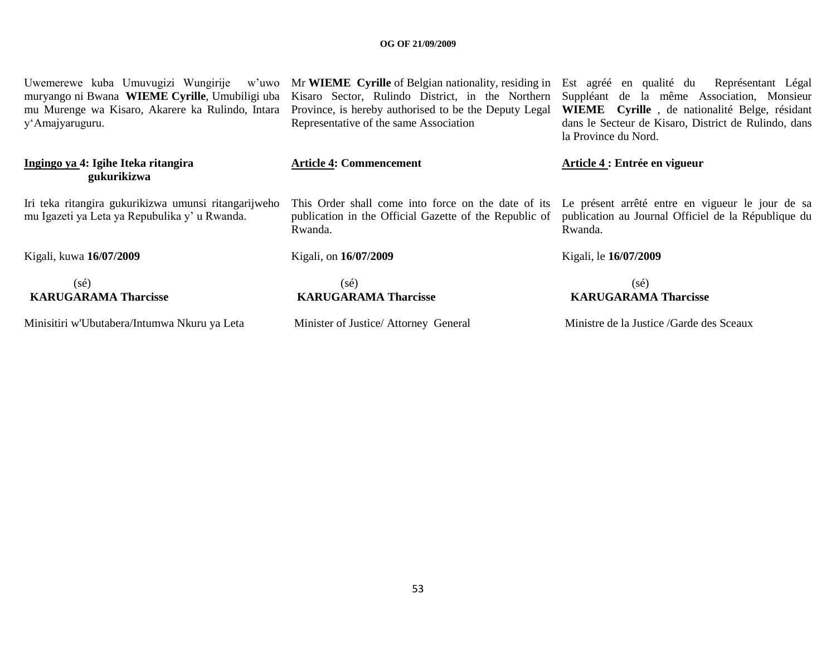#### **OG OF 21/09/2009**

muryango ni Bwana **WIEME Cyrille**, Umubiligi uba mu Murenge wa Kisaro, Akarere ka Rulindo, Intara y"Amajyaruguru.

## **Ingingo ya 4: Igihe Iteka ritangira gukurikizwa**

Iri teka ritangira gukurikizwa umunsi ritangarijweho mu Igazeti ya Leta ya Repubulika y" u Rwanda.

Kigali, kuwa **16/07/2009**

## (sé)  **KARUGARAMA Tharcisse**

Minisitiri w'Ubutabera/Intumwa Nkuru ya Leta

Uwemerewe kuba Umuvugizi Wungirije w"uwo Mr **WIEME Cyrille** of Belgian nationality, residing in Est agréé en qualité du Représentant Légal Kisaro Sector, Rulindo District, in the Northern Province, is hereby authorised to be the Deputy Legal **WIEME Cyrille** , de nationalité Belge, résidant Representative of the same Association

#### **Article 4: Commencement**

publication in the Official Gazette of the Republic of Rwanda.

Kigali, on **16/07/2009** 

 (sé)  **KARUGARAMA Tharcisse**

Minister of Justice/ Attorney General

Suppléant de la même Association, Monsieur dans le Secteur de Kisaro, District de Rulindo, dans la Province du Nord.

## **Article 4 : Entrée en vigueur**

This Order shall come into force on the date of its Le présent arrêté entre en vigueur le jour de sa publication au Journal Officiel de la République du Rwanda.

## Kigali, le **16/07/2009**

 (sé)  **KARUGARAMA Tharcisse**

Ministre de la Justice /Garde des Sceaux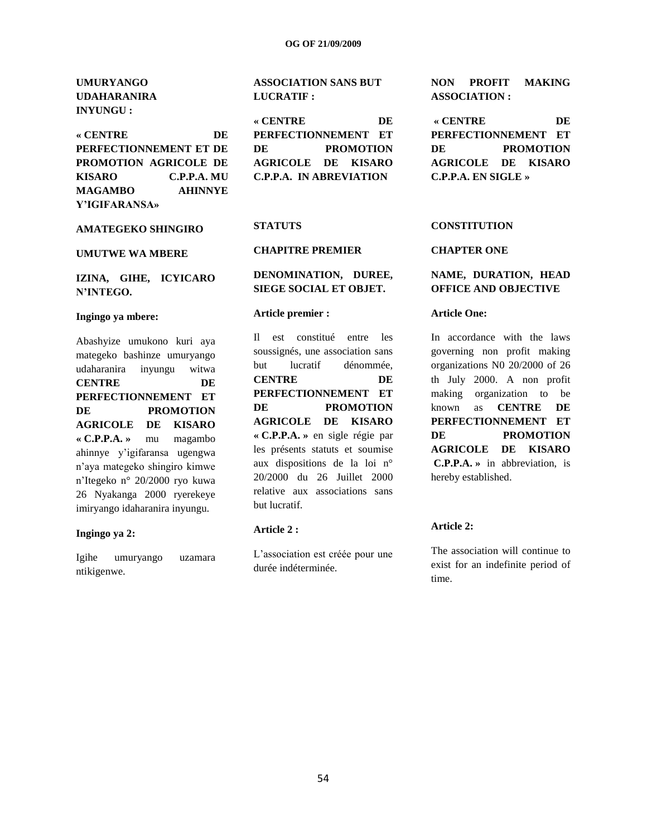**UMURYANGO UDAHARANIRA INYUNGU :**

**« CENTRE DE PERFECTIONNEMENT ET DE PROMOTION AGRICOLE DE KISARO C.P.P.A. MU MAGAMBO AHINNYE Y'IGIFARANSA»**

# **AMATEGEKO SHINGIRO**

**UMUTWE WA MBERE**

## **IZINA, GIHE, ICYICARO N'INTEGO.**

#### **Ingingo ya mbere:**

Abashyize umukono kuri aya mategeko bashinze umuryango udaharanira inyungu witwa **CENTRE DE PERFECTIONNEMENT ET DE PROMOTION AGRICOLE DE KISARO « C.P.P.A. »** mu magambo ahinnye y"igifaransa ugengwa n"aya mategeko shingiro kimwe n"Itegeko n° 20/2000 ryo kuwa 26 Nyakanga 2000 ryerekeye imiryango idaharanira inyungu.

#### **Ingingo ya 2:**

Igihe umuryango uzamara ntikigenwe.

## **ASSOCIATION SANS BUT LUCRATIF :**

## **« CENTRE DE**

**PERFECTIONNEMENT ET DE PROMOTION AGRICOLE DE KISARO C.P.P.A. IN ABREVIATION**

#### **STATUTS**

#### **CHAPITRE PREMIER**

## **DENOMINATION, DUREE, SIEGE SOCIAL ET OBJET.**

#### **Article premier :**

Il est constitué entre les soussignés, une association sans but lucratif dénommée, **CENTRE DE PERFECTIONNEMENT ET DE PROMOTION AGRICOLE DE KISARO « C.P.P.A. »** en sigle régie par les présents statuts et soumise aux dispositions de la loi n° 20/2000 du 26 Juillet 2000 relative aux associations sans but lucratif.

#### **Article 2 :**

L'association est créée pour une durée indéterminée.

**NON PROFIT MAKING ASSOCIATION :**

**« CENTRE DE PERFECTIONNEMENT ET DE PROMOTION AGRICOLE DE KISARO C.P.P.A. EN SIGLE »**

## **CONSTITUTION**

#### **CHAPTER ONE**

## **NAME, DURATION, HEAD OFFICE AND OBJECTIVE**

#### **Article One:**

In accordance with the laws governing non profit making organizations N0 20/2000 of 26 th July 2000. A non profit making organization to be known as **CENTRE DE PERFECTIONNEMENT ET DE PROMOTION AGRICOLE DE KISARO C.P.P.A. »** in abbreviation, is hereby established.

#### **Article 2:**

The association will continue to exist for an indefinite period of time.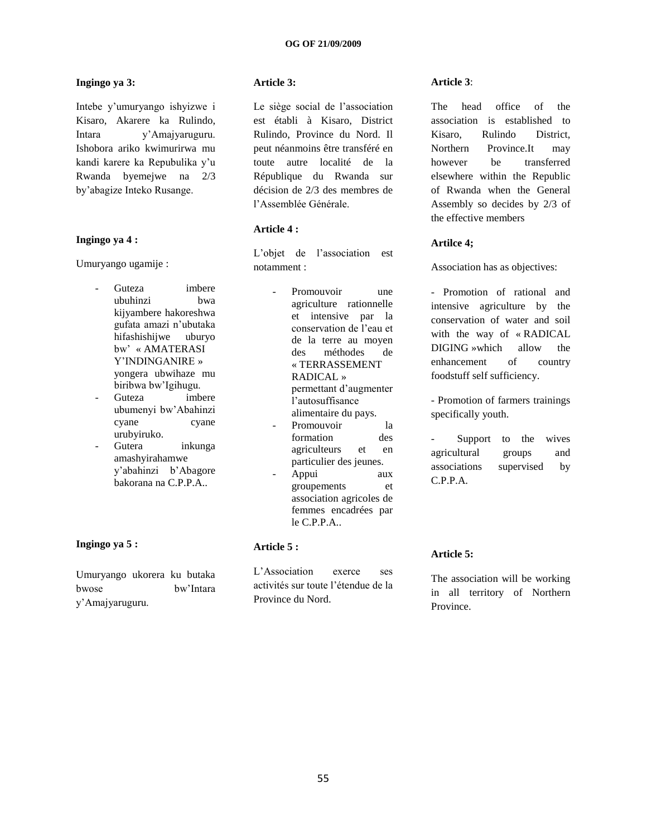## **Ingingo ya 3:**

Intebe y"umuryango ishyizwe i Kisaro, Akarere ka Rulindo, Intara y"Amajyaruguru. Ishobora ariko kwimurirwa mu kandi karere ka Repubulika y"u Rwanda byemejwe na 2/3 by"abagize Inteko Rusange.

#### **Ingingo ya 4 :**

Umuryango ugamije :

- Guteza imbere ubuhinzi bwa kijyambere hakoreshwa gufata amazi n"ubutaka hifashishijwe uburyo bw" « AMATERASI Y"INDINGANIRE » yongera ubwihaze mu biribwa bw"Igihugu.
- Guteza imbere ubumenyi bw"Abahinzi cyane cyane urubyiruko.
- Gutera inkunga amashyirahamwe y"abahinzi b"Abagore bakorana na C.P.P.A..

## **Ingingo ya 5 :**

Umuryango ukorera ku butaka bwose bw"Intara y"Amajyaruguru.

## **Article 3:**

Le siège social de l'association est établi à Kisaro, District Rulindo, Province du Nord. Il peut néanmoins être transféré en toute autre localité de la République du Rwanda sur décision de 2/3 des membres de l"Assemblée Générale.

## **Article 4 :**

L"objet de l"association est notamment :

- Promouvoir une agriculture rationnelle et intensive par la conservation de l"eau et de la terre au moyen des méthodes de « TERRASSEMENT RADICAL » permettant d"augmenter l"autosuffisance alimentaire du pays. Promouvoir la formation des agriculteurs et en particulier des jeunes. Appui aux
	- groupements et association agricoles de femmes encadrées par le C.P.P.A..

## **Article 5 :**

L"Association exerce ses activités sur toute l"étendue de la Province du Nord.

#### **Article 3**:

The head office of the association is established to Kisaro, Rulindo District, Northern Province.It may however be transferred elsewhere within the Republic of Rwanda when the General Assembly so decides by 2/3 of the effective members

## **Artilce 4;**

Association has as objectives:

- Promotion of rational and intensive agriculture by the conservation of water and soil with the way of « RADICAL DIGING »which allow the enhancement of country foodstuff self sufficiency.

- Promotion of farmers trainings specifically youth.

Support to the wives agricultural groups and associations supervised by C.P.P.A.

## **Article 5:**

The association will be working in all territory of Northern Province.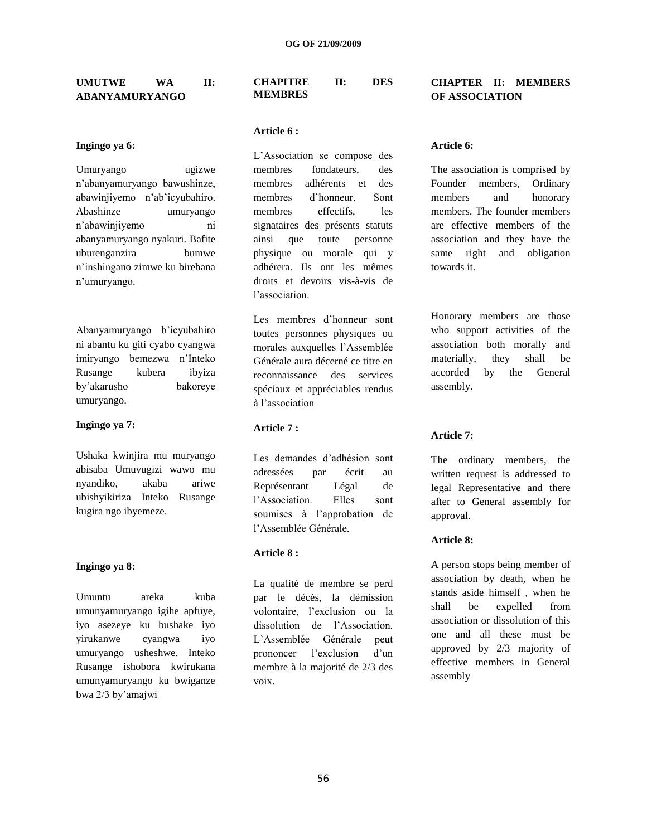## **UMUTWE WA II: ABANYAMURYANGO**

#### **Ingingo ya 6:**

Umuryango ugizwe n"abanyamuryango bawushinze, abawinjiyemo n"ab"icyubahiro. Abashinze umuryango n"abawinjiyemo ni abanyamuryango nyakuri. Bafite uburenganzira bumwe n"inshingano zimwe ku birebana n"umuryango.

Abanyamuryango b"icyubahiro ni abantu ku giti cyabo cyangwa imiryango bemezwa n"Inteko Rusange kubera ibyiza by"akarusho bakoreye umuryango.

#### **Ingingo ya 7:**

Ushaka kwinjira mu muryango abisaba Umuvugizi wawo mu nyandiko, akaba ariwe ubishyikiriza Inteko Rusange kugira ngo ibyemeze.

#### **Ingingo ya 8:**

Umuntu areka kuba umunyamuryango igihe apfuye, iyo asezeye ku bushake iyo yirukanwe cyangwa iyo umuryango usheshwe. Inteko Rusange ishobora kwirukana umunyamuryango ku bwiganze bwa 2/3 by"amajwi

#### **CHAPITRE II: DES MEMBRES**

#### **Article 6 :**

L"Association se compose des membres fondateurs, des membres adhérents et des membres d"honneur. Sont membres effectifs, les signataires des présents statuts ainsi que toute personne physique ou morale qui y adhérera. Ils ont les mêmes droits et devoirs vis-à-vis de l"association.

Les membres d"honneur sont toutes personnes physiques ou morales auxquelles l"Assemblée Générale aura décerné ce titre en reconnaissance des services spéciaux et appréciables rendus à l"association

## **Article 7 :**

Les demandes d"adhésion sont adressées par écrit au Représentant Légal de l'Association. Elles sont soumises à l"approbation de l"Assemblée Générale.

## **Article 8 :**

La qualité de membre se perd par le décès, la démission volontaire, l"exclusion ou la dissolution de l'Association L"Assemblée Générale peut prononcer l"exclusion d"un membre à la majorité de 2/3 des voix.

## **CHAPTER II: MEMBERS OF ASSOCIATION**

#### **Article 6:**

The association is comprised by Founder members, Ordinary members and honorary members. The founder members are effective members of the association and they have the same right and obligation towards it.

Honorary members are those who support activities of the association both morally and materially, they shall be accorded by the General assembly.

## **Article 7:**

The ordinary members, the written request is addressed to legal Representative and there after to General assembly for approval.

#### **Article 8:**

A person stops being member of association by death, when he stands aside himself , when he shall be expelled from association or dissolution of this one and all these must be approved by 2/3 majority of effective members in General assembly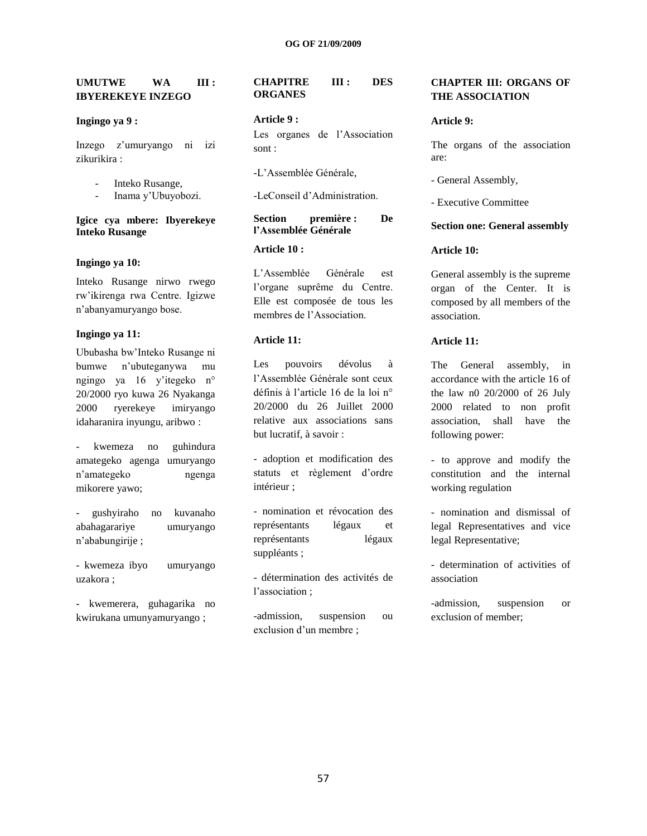## **UMUTWE WA III : IBYEREKEYE INZEGO**

#### **Ingingo ya 9 :**

Inzego z"umuryango ni izi zikurikira :

- Inteko Rusange,
- Inama y"Ubuyobozi.

#### **Igice cya mbere: Ibyerekeye Inteko Rusange**

#### **Ingingo ya 10:**

Inteko Rusange nirwo rwego rw"ikirenga rwa Centre. Igizwe n"abanyamuryango bose.

#### **Ingingo ya 11:**

Ububasha bw"Inteko Rusange ni bumwe n"ubuteganywa mu ngingo ya 16 y"itegeko n° 20/2000 ryo kuwa 26 Nyakanga 2000 ryerekeye imiryango idaharanira inyungu, aribwo :

- kwemeza no guhindura amategeko agenga umuryango n"amategeko ngenga mikorere yawo;

- gushyiraho no kuvanaho abahagarariye umuryango n"ababungirije ;

- kwemeza ibyo umuryango uzakora ;

- kwemerera, guhagarika no kwirukana umunyamuryango ;

## **CHAPITRE III : DES ORGANES**

#### **Article 9 :**

Les organes de l"Association sont :

-L"Assemblée Générale,

-LeConseil d"Administration.

## **Section première : De l'Assemblée Générale**

## **Article 10 :**

L"Assemblée Générale est l"organe suprême du Centre. Elle est composée de tous les membres de l"Association.

#### **Article 11:**

Les pouvoirs dévolus à l"Assemblée Générale sont ceux définis à l"article 16 de la loi n° 20/2000 du 26 Juillet 2000 relative aux associations sans but lucratif, à savoir :

- adoption et modification des statuts et règlement d"ordre intérieur ;

- nomination et révocation des représentants légaux et représentants légaux suppléants ;

- détermination des activités de l"association ;

-admission, suspension ou exclusion d'un membre :

## **CHAPTER III: ORGANS OF THE ASSOCIATION**

#### **Article 9:**

The organs of the association are:

- General Assembly,

- Executive Committee

#### **Section one: General assembly**

## **Article 10:**

General assembly is the supreme organ of the Center. It is composed by all members of the association.

#### **Article 11:**

The General assembly, in accordance with the article 16 of the law n0 20/2000 of 26 July 2000 related to non profit association, shall have the following power:

- to approve and modify the constitution and the internal working regulation

- nomination and dismissal of legal Representatives and vice legal Representative;

- determination of activities of association

-admission, suspension or exclusion of member;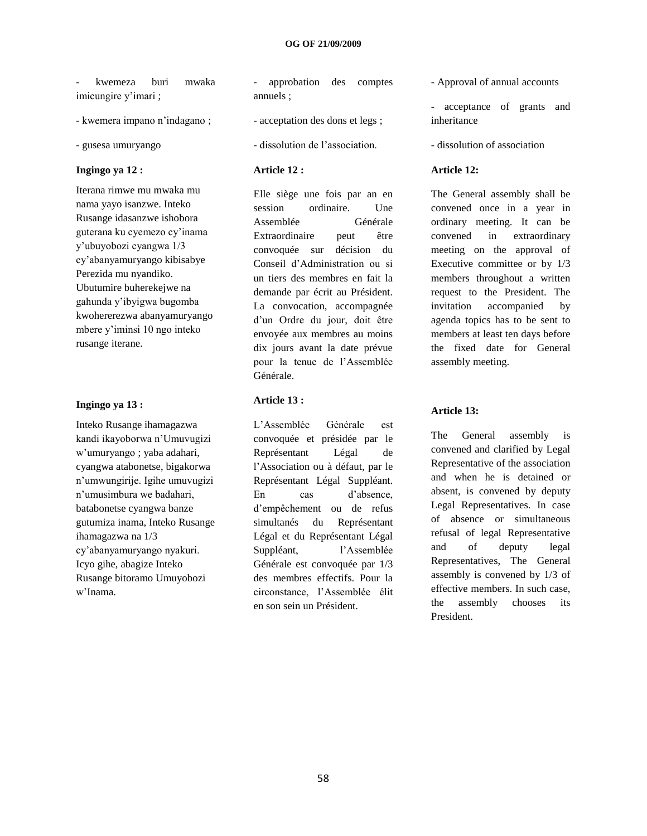- kwemeza buri mwaka imicungire y'imari ;

- kwemera impano n"indagano ;

- gusesa umuryango

#### **Ingingo ya 12 :**

Iterana rimwe mu mwaka mu nama yayo isanzwe. Inteko Rusange idasanzwe ishobora guterana ku cyemezo cy"inama y"ubuyobozi cyangwa 1/3 cy"abanyamuryango kibisabye Perezida mu nyandiko. Ubutumire buherekejwe na gahunda y"ibyigwa bugomba kwohererezwa abanyamuryango mbere y"iminsi 10 ngo inteko rusange iterane.

#### **Ingingo ya 13 :**

Inteko Rusange ihamagazwa kandi ikayoborwa n"Umuvugizi w"umuryango ; yaba adahari, cyangwa atabonetse, bigakorwa n"umwungirije. Igihe umuvugizi n"umusimbura we badahari, batabonetse cyangwa banze gutumiza inama, Inteko Rusange ihamagazwa na 1/3 cy"abanyamuryango nyakuri. Icyo gihe, abagize Inteko Rusange bitoramo Umuyobozi w"Inama.

- approbation des comptes annuels ;
- acceptation des dons et legs ;
- dissolution de l"association.

## **Article 12 :**

Elle siège une fois par an en session ordinaire. Une Assemblée Générale Extraordinaire peut être convoquée sur décision du Conseil d"Administration ou si un tiers des membres en fait la demande par écrit au Président. La convocation, accompagnée d"un Ordre du jour, doit être envoyée aux membres au moins dix jours avant la date prévue pour la tenue de l"Assemblée Générale.

## **Article 13 :**

L"Assemblée Générale est convoquée et présidée par le Représentant Légal de l"Association ou à défaut, par le Représentant Légal Suppléant. En cas d"absence, d"empêchement ou de refus simultanés du Représentant Légal et du Représentant Légal Suppléant, l"Assemblée Générale est convoquée par 1/3 des membres effectifs. Pour la circonstance, l"Assemblée élit en son sein un Président.

- Approval of annual accounts

- acceptance of grants and inheritance

- dissolution of association

#### **Article 12:**

The General assembly shall be convened once in a year in ordinary meeting. It can be convened in extraordinary meeting on the approval of Executive committee or by 1/3 members throughout a written request to the President. The invitation accompanied by agenda topics has to be sent to members at least ten days before the fixed date for General assembly meeting.

#### **Article 13:**

The General assembly is convened and clarified by Legal Representative of the association and when he is detained or absent, is convened by deputy Legal Representatives. In case of absence or simultaneous refusal of legal Representative and of deputy legal Representatives, The General assembly is convened by 1/3 of effective members. In such case, the assembly chooses its President.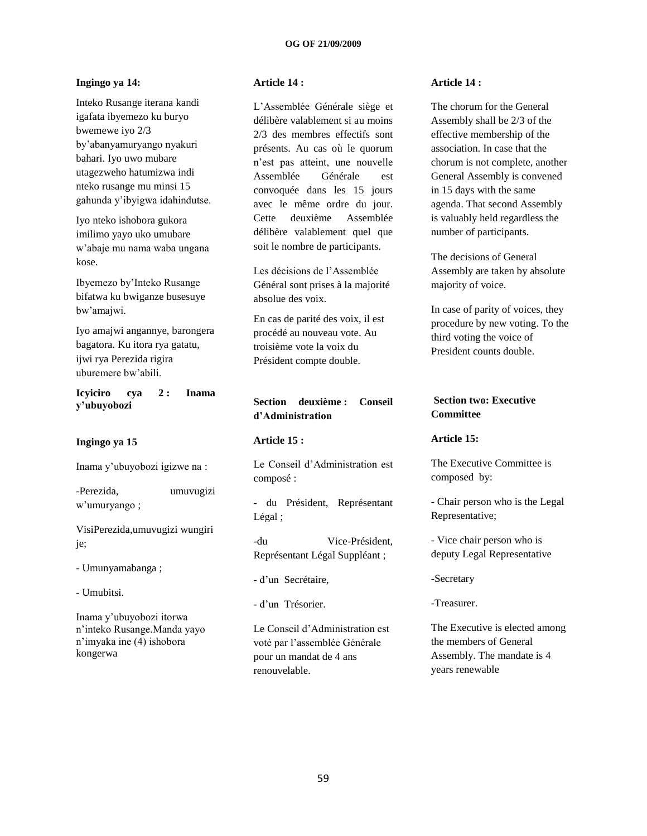## **Ingingo ya 14:**

Inteko Rusange iterana kandi igafata ibyemezo ku buryo bwemewe iyo 2/3 by"abanyamuryango nyakuri bahari. Iyo uwo mubare utagezweho hatumizwa indi nteko rusange mu minsi 15 gahunda y"ibyigwa idahindutse.

Iyo nteko ishobora gukora imilimo yayo uko umubare w"abaje mu nama waba ungana kose.

Ibyemezo by"Inteko Rusange bifatwa ku bwiganze busesuye bw"amajwi.

Iyo amajwi angannye, barongera bagatora. Ku itora rya gatatu, ijwi rya Perezida rigira uburemere bw"abili.

**Icyiciro cya 2 : Inama y'ubuyobozi**

#### **Ingingo ya 15**

Inama y"ubuyobozi igizwe na :

-Perezida, umuvugizi w"umuryango ;

VisiPerezida,umuvugizi wungiri je;

- Umunyamabanga ;
- Umubitsi.

Inama y"ubuyobozi itorwa n"inteko Rusange.Manda yayo n"imyaka ine (4) ishobora kongerwa

## **Article 14 :**

L"Assemblée Générale siège et délibère valablement si au moins 2/3 des membres effectifs sont présents. Au cas où le quorum n"est pas atteint, une nouvelle Assemblée Générale est convoquée dans les 15 jours avec le même ordre du jour. Cette deuxième Assemblée délibère valablement quel que soit le nombre de participants.

Les décisions de l"Assemblée Général sont prises à la majorité absolue des voix.

En cas de parité des voix, il est procédé au nouveau vote. Au troisième vote la voix du Président compte double.

## **Section deuxième : Conseil d'Administration**

#### **Article 15 :**

Le Conseil d"Administration est composé :

- du Président, Représentant Légal ;

-du Vice-Président, Représentant Légal Suppléant ;

- d"un Secrétaire,
- d"un Trésorier.

Le Conseil d"Administration est voté par l"assemblée Générale pour un mandat de 4 ans renouvelable.

## **Article 14 :**

The chorum for the General Assembly shall be 2/3 of the effective membership of the association. In case that the chorum is not complete, another General Assembly is convened in 15 days with the same agenda. That second Assembly is valuably held regardless the number of participants.

The decisions of General Assembly are taken by absolute majority of voice.

In case of parity of voices, they procedure by new voting. To the third voting the voice of President counts double.

## **Section two: Executive Committee**

#### **Article 15:**

The Executive Committee is composed by:

- Chair person who is the Legal Representative;

- Vice chair person who is deputy Legal Representative

-Secretary

-Treasurer.

The Executive is elected among the members of General Assembly. The mandate is 4 years renewable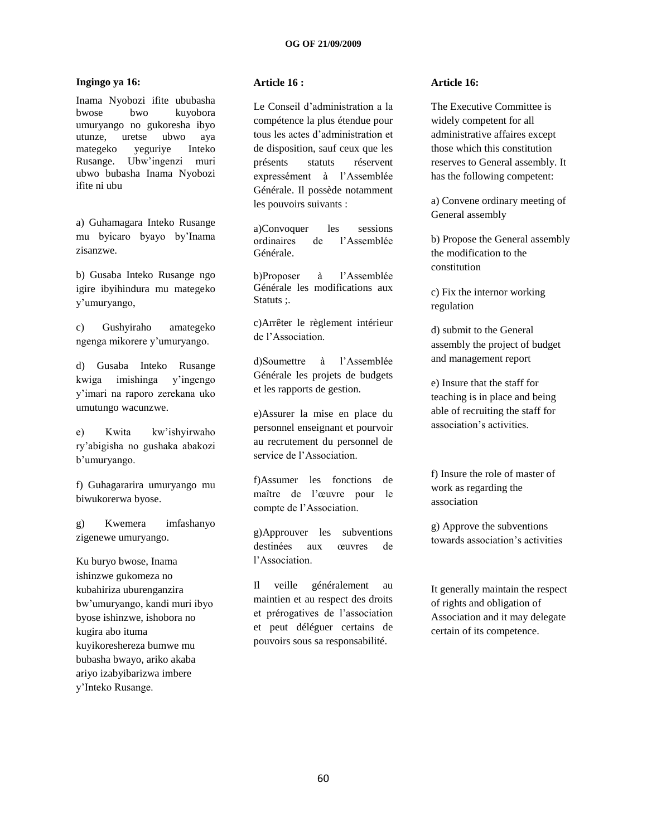## **Ingingo ya 16:**

Inama Nyobozi ifite ububasha bwose bwo kuyobora umuryango no gukoresha ibyo utunze, uretse ubwo aya mategeko yeguriye Inteko Rusange. Ubw"ingenzi muri ubwo bubasha Inama Nyobozi ifite ni ubu

a) Guhamagara Inteko Rusange mu byicaro byayo by"Inama zisanzwe.

b) Gusaba Inteko Rusange ngo igire ibyihindura mu mategeko y"umuryango,

c) Gushyiraho amategeko ngenga mikorere y"umuryango.

d) Gusaba Inteko Rusange kwiga imishinga y"ingengo y"imari na raporo zerekana uko umutungo wacunzwe.

e) Kwita kw"ishyirwaho ry"abigisha no gushaka abakozi b'umuryango.

f) Guhagararira umuryango mu biwukorerwa byose.

g) Kwemera imfashanyo zigenewe umuryango.

Ku buryo bwose, Inama ishinzwe gukomeza no kubahiriza uburenganzira bw"umuryango, kandi muri ibyo byose ishinzwe, ishobora no kugira abo ituma kuyikoreshereza bumwe mu bubasha bwayo, ariko akaba ariyo izabyibarizwa imbere y"Inteko Rusange.

#### **Article 16 :**

Le Conseil d"administration a la compétence la plus étendue pour tous les actes d"administration et de disposition, sauf ceux que les présents statuts réservent expressément à l"Assemblée Générale. Il possède notamment les pouvoirs suivants :

a)Convoquer les sessions ordinaires de l"Assemblée Générale.

b)Proposer à l"Assemblée Générale les modifications aux Statuts ;.

c)Arrêter le règlement intérieur de l"Association.

d)Soumettre à l"Assemblée Générale les projets de budgets et les rapports de gestion.

e)Assurer la mise en place du personnel enseignant et pourvoir au recrutement du personnel de service de l'Association.

f)Assumer les fonctions de maître de l"œuvre pour le compte de l"Association.

g)Approuver les subventions destinées aux œuvres de l"Association.

Il veille généralement au maintien et au respect des droits et prérogatives de l"association et peut déléguer certains de pouvoirs sous sa responsabilité.

#### **Article 16:**

The Executive Committee is widely competent for all administrative affaires except those which this constitution reserves to General assembly. It has the following competent:

a) Convene ordinary meeting of General assembly

b) Propose the General assembly the modification to the constitution

c) Fix the internor working regulation

d) submit to the General assembly the project of budget and management report

e) Insure that the staff for teaching is in place and being able of recruiting the staff for association"s activities.

f) Insure the role of master of work as regarding the association

g) Approve the subventions towards association"s activities

It generally maintain the respect of rights and obligation of Association and it may delegate certain of its competence.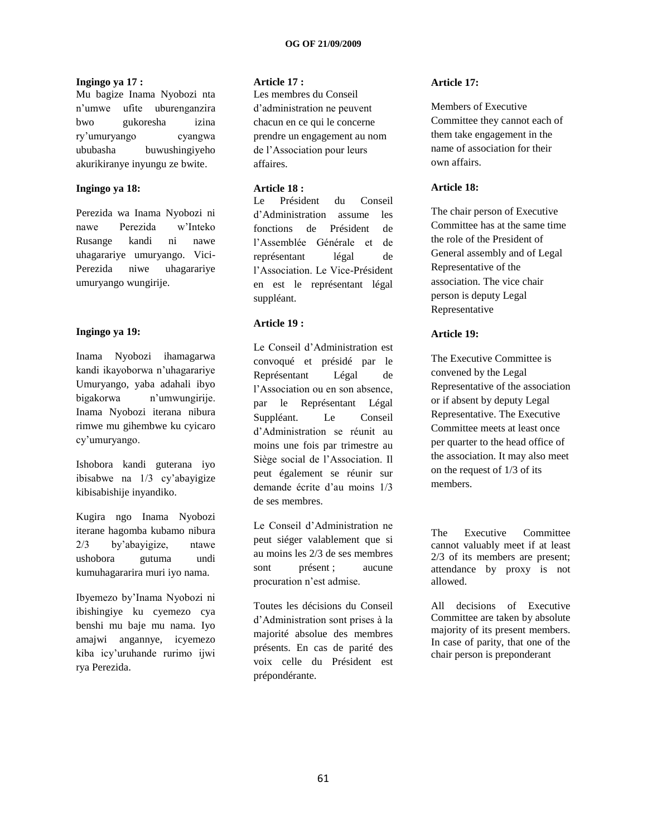#### **Ingingo ya 17 :**

Mu bagize Inama Nyobozi nta n"umwe ufite uburenganzira bwo gukoresha izina ry"umuryango cyangwa ububasha buwushingiyeho akurikiranye inyungu ze bwite.

## **Ingingo ya 18:**

Perezida wa Inama Nyobozi ni nawe Perezida w"Inteko Rusange kandi ni nawe uhagarariye umuryango. Vici-Perezida niwe uhagarariye umuryango wungirije.

## **Ingingo ya 19:**

Inama Nyobozi ihamagarwa kandi ikayoborwa n"uhagarariye Umuryango, yaba adahali ibyo bigakorwa n"umwungirije. Inama Nyobozi iterana nibura rimwe mu gihembwe ku cyicaro cy"umuryango.

Ishobora kandi guterana iyo ibisabwe na 1/3 cy"abayigize kibisabishije inyandiko.

Kugira ngo Inama Nyobozi iterane hagomba kubamo nibura 2/3 by"abayigize, ntawe ushobora gutuma undi kumuhagararira muri iyo nama.

Ibyemezo by"Inama Nyobozi ni ibishingiye ku cyemezo cya benshi mu baje mu nama. Iyo amajwi angannye, icyemezo kiba icy"uruhande rurimo ijwi rya Perezida.

## **Article 17 :**

Les membres du Conseil d"administration ne peuvent chacun en ce qui le concerne prendre un engagement au nom de l"Association pour leurs affaires.

## **Article 18 :**

Le Président du Conseil d"Administration assume les fonctions de Président de l"Assemblée Générale et de représentant légal de l"Association. Le Vice-Président en est le représentant légal suppléant.

## **Article 19 :**

Le Conseil d"Administration est convoqué et présidé par le Représentant Légal de l"Association ou en son absence, par le Représentant Légal Suppléant. Le Conseil d"Administration se réunit au moins une fois par trimestre au Siège social de l"Association. Il peut également se réunir sur demande écrite d"au moins 1/3 de ses membres.

Le Conseil d"Administration ne peut siéger valablement que si au moins les 2/3 de ses membres sont présent ; aucune procuration n"est admise.

Toutes les décisions du Conseil d"Administration sont prises à la majorité absolue des membres présents. En cas de parité des voix celle du Président est prépondérante.

## **Article 17:**

Members of Executive Committee they cannot each of them take engagement in the name of association for their own affairs.

## **Article 18:**

The chair person of Executive Committee has at the same time the role of the President of General assembly and of Legal Representative of the association. The vice chair person is deputy Legal Representative

## **Article 19:**

The Executive Committee is convened by the Legal Representative of the association or if absent by deputy Legal Representative. The Executive Committee meets at least once per quarter to the head office of the association. It may also meet on the request of 1/3 of its members.

The Executive Committee cannot valuably meet if at least 2/3 of its members are present; attendance by proxy is not allowed.

All decisions of Executive Committee are taken by absolute majority of its present members. In case of parity, that one of the chair person is preponderant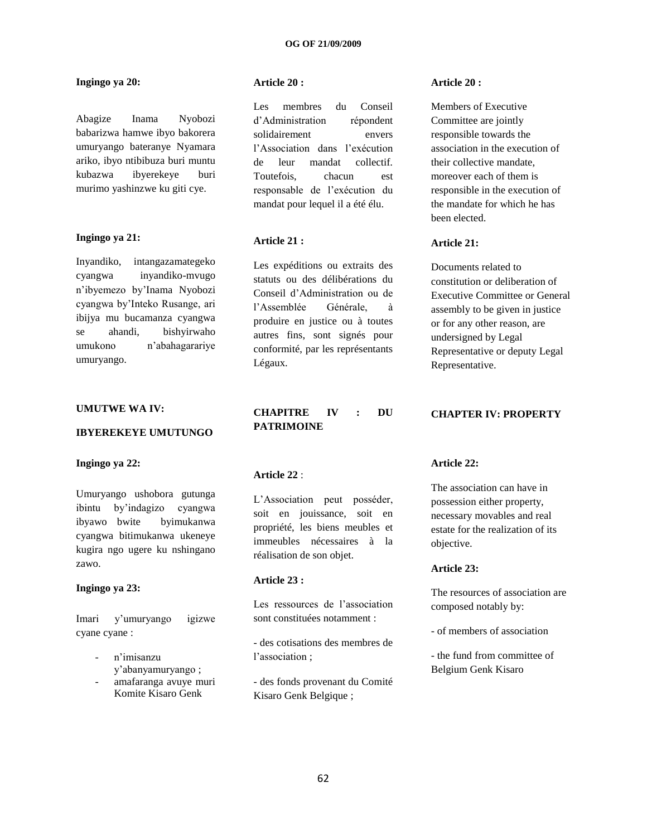## **Ingingo ya 20:**

Abagize Inama Nyobozi babarizwa hamwe ibyo bakorera umuryango bateranye Nyamara ariko, ibyo ntibibuza buri muntu kubazwa ibyerekeye buri murimo yashinzwe ku giti cye.

## **Ingingo ya 21:**

Inyandiko, intangazamategeko cyangwa inyandiko-mvugo n"ibyemezo by"Inama Nyobozi cyangwa by"Inteko Rusange, ari ibijya mu bucamanza cyangwa se ahandi, bishyirwaho umukono n"abahagarariye umuryango.

#### **UMUTWE WA IV:**

#### **IBYEREKEYE UMUTUNGO**

#### **Ingingo ya 22:**

Umuryango ushobora gutunga ibintu by"indagizo cyangwa ibyawo bwite byimukanwa cyangwa bitimukanwa ukeneye kugira ngo ugere ku nshingano zawo.

#### **Ingingo ya 23:**

Imari y"umuryango igizwe cyane cyane :

- n'imisanzu y"abanyamuryango ;
- amafaranga avuye muri Komite Kisaro Genk

## **Article 20 :**

Les membres du Conseil d"Administration répondent solidairement envers l"Association dans l"exécution de leur mandat collectif. Toutefois, chacun est responsable de l"exécution du mandat pour lequel il a été élu.

## **Article 21 :**

Les expéditions ou extraits des statuts ou des délibérations du Conseil d"Administration ou de l"Assemblée Générale, à produire en justice ou à toutes autres fins, sont signés pour conformité, par les représentants Légaux.

## **CHAPITRE IV : DU PATRIMOINE**

#### **Article 22** :

L"Association peut posséder, soit en jouissance, soit en propriété, les biens meubles et immeubles nécessaires à la réalisation de son objet.

#### **Article 23 :**

Les ressources de l'association sont constituées notamment :

- des cotisations des membres de l'association ;

- des fonds provenant du Comité Kisaro Genk Belgique ;

#### **Article 20 :**

Members of Executive Committee are jointly responsible towards the association in the execution of their collective mandate, moreover each of them is responsible in the execution of the mandate for which he has been elected.

#### **Article 21:**

Documents related to constitution or deliberation of Executive Committee or General assembly to be given in justice or for any other reason, are undersigned by Legal Representative or deputy Legal Representative.

#### **CHAPTER IV: PROPERTY**

#### **Article 22:**

The association can have in possession either property, necessary movables and real estate for the realization of its objective.

## **Article 23:**

The resources of association are composed notably by:

- of members of association

- the fund from committee of Belgium Genk Kisaro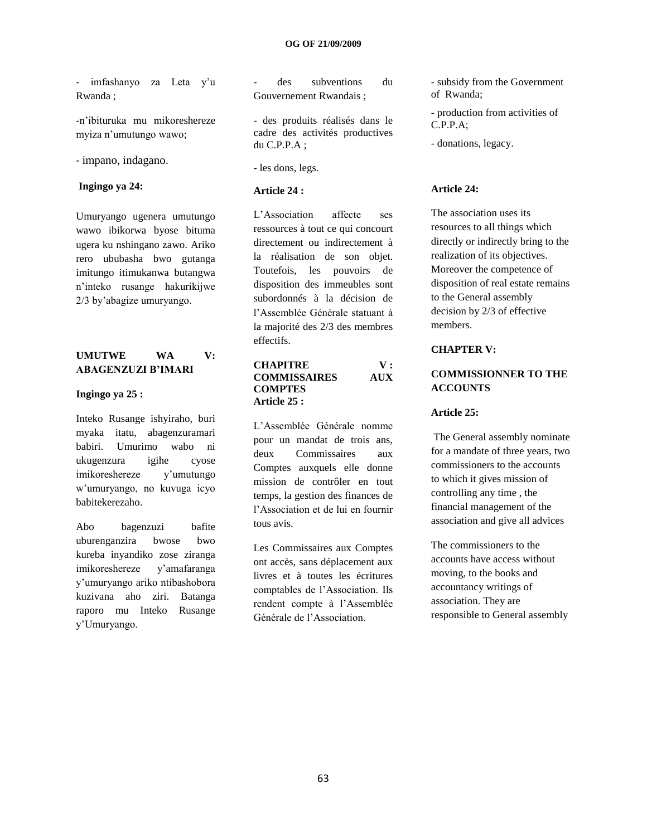- imfashanyo za Leta y"u Rwanda ;

-n"ibituruka mu mikoreshereze myiza n"umutungo wawo;

- impano, indagano.

#### **Ingingo ya 24:**

Umuryango ugenera umutungo wawo ibikorwa byose bituma ugera ku nshingano zawo. Ariko rero ububasha bwo gutanga imitungo itimukanwa butangwa n"inteko rusange hakurikijwe 2/3 by"abagize umuryango.

## **UMUTWE WA V: ABAGENZUZI B'IMARI**

#### **Ingingo ya 25 :**

Inteko Rusange ishyiraho, buri myaka itatu, abagenzuramari babiri. Umurimo wabo ni ukugenzura igihe cyose imikoreshereze y"umutungo w"umuryango, no kuvuga icyo babitekerezaho.

Abo bagenzuzi bafite uburenganzira bwose bwo kureba inyandiko zose ziranga imikoreshereze y"amafaranga y"umuryango ariko ntibashobora kuzivana aho ziri. Batanga raporo mu Inteko Rusange y"Umuryango.

des subventions du Gouvernement Rwandais ;

- des produits réalisés dans le cadre des activités productives du C.P.P.A ;

- les dons, legs.

#### **Article 24 :**

L"Association affecte ses ressources à tout ce qui concourt directement ou indirectement à la réalisation de son objet. Toutefois, les pouvoirs de disposition des immeubles sont subordonnés à la décision de l"Assemblée Générale statuant à la majorité des 2/3 des membres effectifs.

#### **CHAPITRE V : COMMISSAIRES AUX COMPTES Article 25 :**

L"Assemblée Générale nomme pour un mandat de trois ans, deux Commissaires aux Comptes auxquels elle donne mission de contrôler en tout temps, la gestion des finances de l"Association et de lui en fournir tous avis.

Les Commissaires aux Comptes ont accès, sans déplacement aux livres et à toutes les écritures comptables de l"Association. Ils rendent compte à l"Assemblée Générale de l"Association.

- subsidy from the Government of Rwanda;

- production from activities of  $C.P.P.A$ ;

- donations, legacy.

#### **Article 24:**

The association uses its resources to all things which directly or indirectly bring to the realization of its objectives. Moreover the competence of disposition of real estate remains to the General assembly decision by 2/3 of effective members.

## **CHAPTER V:**

## **COMMISSIONNER TO THE ACCOUNTS**

#### **Article 25:**

The General assembly nominate for a mandate of three years, two commissioners to the accounts to which it gives mission of controlling any time , the financial management of the association and give all advices

The commissioners to the accounts have access without moving, to the books and accountancy writings of association. They are responsible to General assembly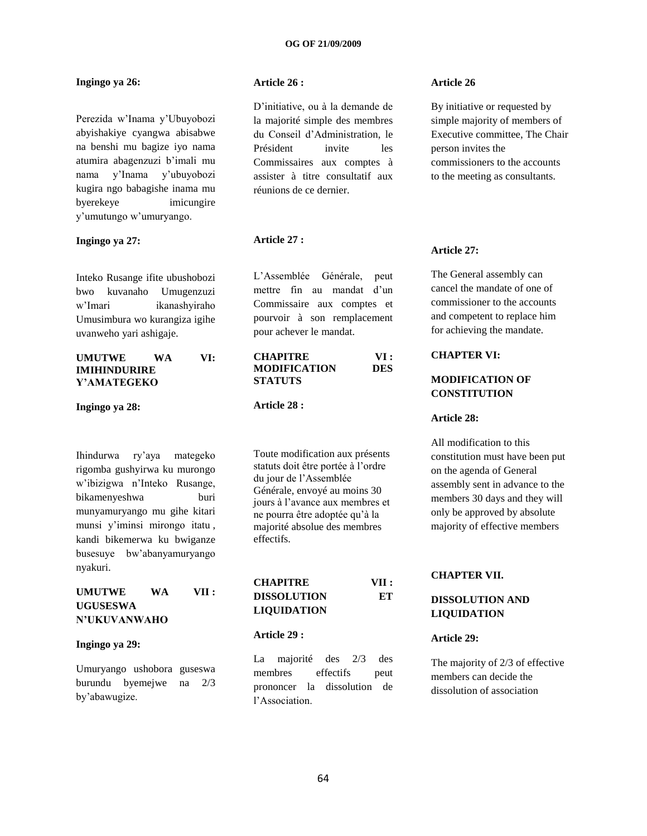## **Ingingo ya 26:**

Perezida w"Inama y"Ubuyobozi abyishakiye cyangwa abisabwe na benshi mu bagize iyo nama atumira abagenzuzi b"imali mu nama y"Inama y"ubuyobozi kugira ngo babagishe inama mu byerekeye imicungire y"umutungo w"umuryango.

#### **Ingingo ya 27:**

Inteko Rusange ifite ubushobozi bwo kuvanaho Umugenzuzi w"Imari ikanashyiraho Umusimbura wo kurangiza igihe uvanweho yari ashigaje.

## **UMUTWE WA VI: IMIHINDURIRE Y'AMATEGEKO**

**Ingingo ya 28:** 

Ihindurwa ry"aya mategeko rigomba gushyirwa ku murongo w"ibizigwa n"Inteko Rusange, bikamenyeshwa buri munyamuryango mu gihe kitari munsi y"iminsi mirongo itatu , kandi bikemerwa ku bwiganze busesuye bw"abanyamuryango nyakuri.

## **UMUTWE WA VII : UGUSESWA N'UKUVANWAHO**

#### **Ingingo ya 29:**

Umuryango ushobora guseswa burundu byemejwe na 2/3 by"abawugize.

## **Article 26 :**

D"initiative, ou à la demande de la majorité simple des membres du Conseil d"Administration, le Président invite les Commissaires aux comptes à assister à titre consultatif aux réunions de ce dernier.

## **Article 27 :**

L"Assemblée Générale, peut mettre fin au mandat d'un Commissaire aux comptes et pourvoir à son remplacement pour achever le mandat.

**CHAPITRE VI : MODIFICATION DES STATUTS**

#### **Article 28 :**

Toute modification aux présents statuts doit être portée à l"ordre du jour de l"Assemblée Générale, envoyé au moins 30 jours à l"avance aux membres et ne pourra être adoptée qu"à la majorité absolue des membres effectifs.

| <b>CHAPITRE</b>    | VII: |
|--------------------|------|
| <b>DISSOLUTION</b> | ET   |
| <b>LIQUIDATION</b> |      |

#### **Article 29 :**

La majorité des 2/3 des membres effectifs peut prononcer la dissolution de l"Association.

#### **Article 26**

By initiative or requested by simple majority of members of Executive committee, The Chair person invites the commissioners to the accounts to the meeting as consultants.

#### **Article 27:**

The General assembly can cancel the mandate of one of commissioner to the accounts and competent to replace him for achieving the mandate.

## **CHAPTER VI:**

## **MODIFICATION OF CONSTITUTION**

#### **Article 28:**

All modification to this constitution must have been put on the agenda of General assembly sent in advance to the members 30 days and they will only be approved by absolute majority of effective members

## **CHAPTER VII.**

## **DISSOLUTION AND LIQUIDATION**

#### **Article 29:**

The majority of 2/3 of effective members can decide the dissolution of association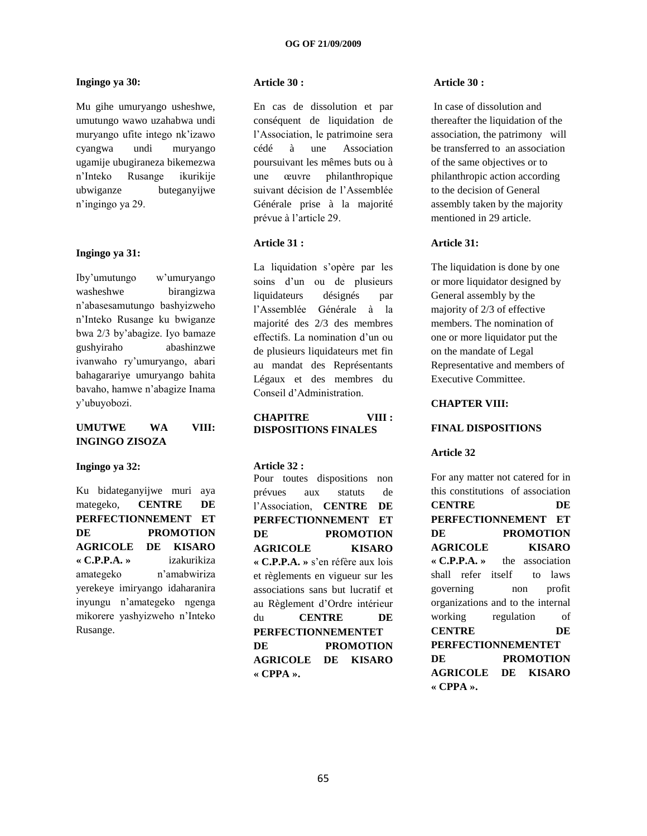## **Ingingo ya 30:**

Mu gihe umuryango usheshwe, umutungo wawo uzahabwa undi muryango ufite intego nk"izawo cyangwa undi muryango ugamije ubugiraneza bikemezwa n"Inteko Rusange ikurikije ubwiganze buteganyijwe n"ingingo ya 29.

#### **Ingingo ya 31:**

Iby"umutungo w"umuryango washeshwe birangizwa n"abasesamutungo bashyizweho n"Inteko Rusange ku bwiganze bwa 2/3 by"abagize. Iyo bamaze gushyiraho abashinzwe ivanwaho ry"umuryango, abari bahagarariye umuryango bahita bavaho, hamwe n"abagize Inama y"ubuyobozi.

## **UMUTWE WA VIII: INGINGO ZISOZA**

#### **Ingingo ya 32:**

Ku bidateganyijwe muri aya mategeko, **CENTRE DE PERFECTIONNEMENT ET DE PROMOTION AGRICOLE DE KISARO « C.P.P.A. »** izakurikiza amategeko n"amabwiriza yerekeye imiryango idaharanira inyungu n"amategeko ngenga mikorere yashyizweho n"Inteko Rusange.

## **Article 30 :**

En cas de dissolution et par conséquent de liquidation de l"Association, le patrimoine sera cédé à une Association poursuivant les mêmes buts ou à une œuvre philanthropique suivant décision de l"Assemblée Générale prise à la majorité prévue à l"article 29.

## **Article 31 :**

La liquidation s'opère par les soins d"un ou de plusieurs liquidateurs désignés par l"Assemblée Générale à la majorité des 2/3 des membres effectifs. La nomination d"un ou de plusieurs liquidateurs met fin au mandat des Représentants Légaux et des membres du Conseil d"Administration.

#### **CHAPITRE VIII : DISPOSITIONS FINALES**

#### **Article 32 :**

Pour toutes dispositions non prévues aux statuts de l"Association, **CENTRE DE PERFECTIONNEMENT ET DE PROMOTION AGRICOLE KISARO « C.P.P.A. »** s"en réfère aux lois et règlements en vigueur sur les associations sans but lucratif et au Règlement d"Ordre intérieur du **CENTRE DE PERFECTIONNEMENTET DE PROMOTION AGRICOLE DE KISARO « CPPA ».**

#### **Article 30 :**

In case of dissolution and thereafter the liquidation of the association, the patrimony will be transferred to an association of the same objectives or to philanthropic action according to the decision of General assembly taken by the majority mentioned in 29 article.

#### **Article 31:**

The liquidation is done by one or more liquidator designed by General assembly by the majority of 2/3 of effective members. The nomination of one or more liquidator put the on the mandate of Legal Representative and members of Executive Committee.

## **CHAPTER VIII:**

#### **FINAL DISPOSITIONS**

#### **Article 32**

For any matter not catered for in this constitutions of association **CENTRE DE PERFECTIONNEMENT ET DE PROMOTION AGRICOLE KISARO « C.P.P.A. »** the association shall refer itself to laws governing non profit organizations and to the internal working regulation of **CENTRE DE PERFECTIONNEMENTET DE PROMOTION AGRICOLE DE KISARO « CPPA ».**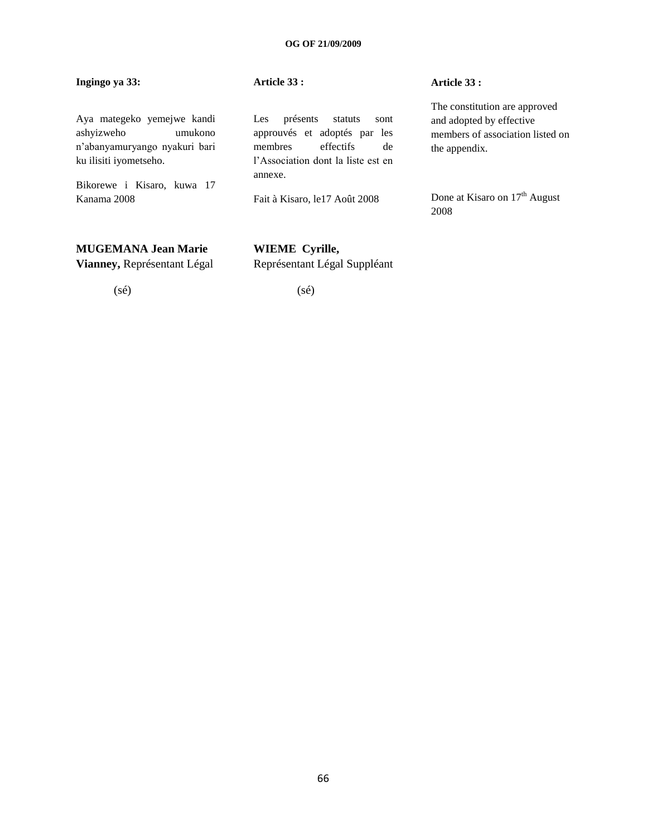## **Ingingo ya 33:**

## **Article 33 :**

Aya mategeko yemejwe kandi ashyizweho umukono n"abanyamuryango nyakuri bari ku ilisiti iyometseho.

Bikorewe i Kisaro, kuwa 17 Kanama 2008

## **MUGEMANA Jean Marie**

**Vianney,** Représentant Légal

(sé)

Les présents statuts sont approuvés et adoptés par les membres effectifs de l"Association dont la liste est en annexe.

Fait à Kisaro, le17 Août 2008

## **Article 33 :**

The constitution are approved and adopted by effective members of association listed on the appendix.

Done at Kisaro on 17<sup>th</sup> August 2008

## **WIEME Cyrille,** Représentant Légal Suppléant

(sé)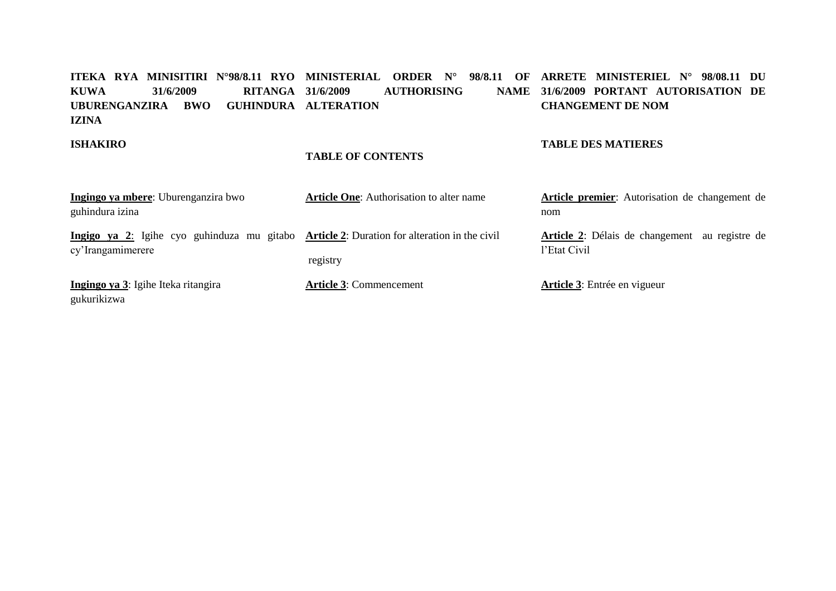#### **ITEKA RYA MINISITIRI N°98/8.11 RYO MINISTERIAL ORDER N° 98/8.11 OF ARRETE MINISTERIEL N° 98/08.11 DU KUWA 31/6/2009 RITANGA UBURENGANZIRA BWO GUHINDURA ALTERATION IZINA AUTHORISING 31/6/2009 PORTANT AUTORISATION DE CHANGEMENT DE NOM**

## **ISHAKIRO**

## **TABLE OF CONTENTS**

## **TABLE DES MATIERES**

| Ingingo ya mbere: Uburenganzira bwo                                                                             | <b>Article One:</b> Authorisation to alter name | Article premier: Autorisation de changement de                        |  |  |  |  |
|-----------------------------------------------------------------------------------------------------------------|-------------------------------------------------|-----------------------------------------------------------------------|--|--|--|--|
| guhindura izina                                                                                                 |                                                 | nom                                                                   |  |  |  |  |
| Ingigo ya 2: Igihe cyo guhinduza mu gitabo Article 2: Duration for alteration in the civil<br>cy'Irangamimerere |                                                 | <b>Article 2:</b> Délais de changement au registre de<br>l'Etat Civil |  |  |  |  |
|                                                                                                                 | registry                                        |                                                                       |  |  |  |  |
| Ingingo ya 3: Igihe Iteka ritangira<br>gukurikizwa                                                              | <b>Article 3: Commencement</b>                  | <b>Article 3:</b> Entrée en vigueur                                   |  |  |  |  |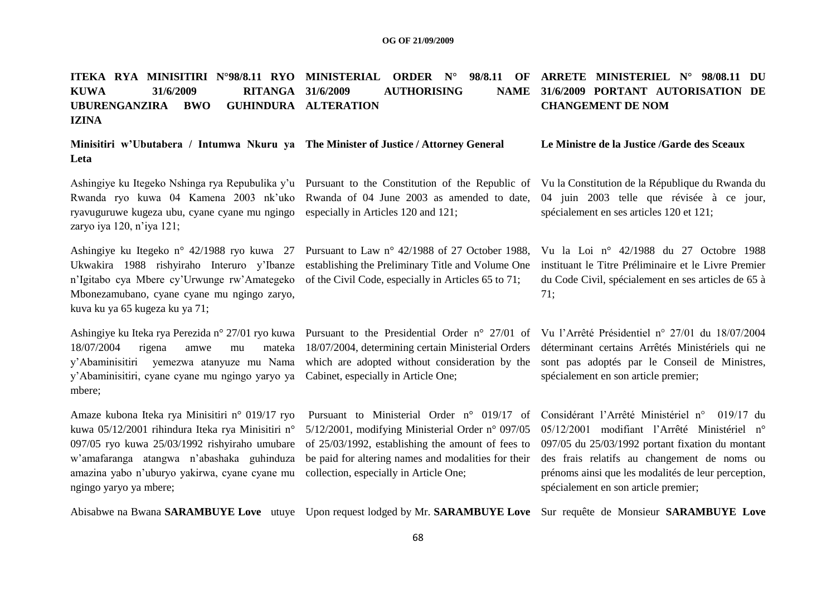#### **ITEKA RYA MINISITIRI N°98/8.11 RYO MINISTERIAL ORDER N° 98/8.11 OF ARRETE MINISTERIEL N° 98/08.11 DU KUWA 31/6/2009 RITANGA UBURENGANZIRA BWO IZINA AUTHORISING GUHINDURA ALTERATION 31/6/2009 PORTANT AUTORISATION DE CHANGEMENT DE NOM**

| Minisitiri w'Ubutabera / Intumwa Nkuru ya The Minister of Justice / Attorney General | Le Ministre de la Justice /Garde des Sceaux |
|--------------------------------------------------------------------------------------|---------------------------------------------|
| Leta                                                                                 |                                             |

ryavuguruwe kugeza ubu, cyane cyane mu ngingo especially in Articles 120 and 121; zaryo iya 120, n"iya 121;

Ukwakira 1988 rishyiraho Interuro y'Ibanze establishing the Preliminary Title and Volume One n"Igitabo cya Mbere cy"Urwunge rw"Amategeko of the Civil Code, especially in Articles 65 to 71; Mbonezamubano, cyane cyane mu ngingo zaryo, kuva ku ya 65 kugeza ku ya 71;

Ashingiye ku Iteka rya Perezida n° 27/01 ryo kuwa Pursuant to the Presidential Order n° 27/01 of Vu l"Arrêté Présidentiel n° 27/01 du 18/07/2004 18/07/2004 rigena amwe mu y"Abaminisitiri, cyane cyane mu ngingo yaryo ya Cabinet, especially in Article One; mbere;

Amaze kubona Iteka rya Minisitiri n° 019/17 ryo Pursuant to Ministerial Order n° 019/17 of Considérant l'Arrêté Ministériel n° 019/17 du 097/05 ryo kuwa 25/03/1992 rishyiraho umubare of 25/03/1992, establishing the amount of fees to w"amafaranga atangwa n"abashaka guhinduza be paid for altering names and modalities for their amazina yabo n"uburyo yakirwa, cyane cyane mu collection, especially in Article One; ngingo yaryo ya mbere;

Ashingiye ku Itegeko Nshinga rya Repubulika y'u Pursuant to the Constitution of the Republic of Vu la Constitution de la République du Rwanda du Rwanda ryo kuwa 04 Kamena 2003 nk'uko Rwanda of 04 June 2003 as amended to date, 04 juin 2003 telle que révisée à ce jour, spécialement en ses articles 120 et 121;

Ashingiye ku Itegeko n° 42/1988 ryo kuwa 27 Pursuant to Law n° 42/1988 of 27 October 1988, Vu la Loi n° 42/1988 du 27 Octobre 1988 instituant le Titre Préliminaire et le Livre Premier du Code Civil, spécialement en ses articles de 65 à 71;

y"Abaminisitiri yemezwa atanyuze mu Nama which are adopted without consideration by the sont pas adoptés par le Conseil de Ministres, 18/07/2004, determining certain Ministerial Orders déterminant certains Arrêtés Ministériels qui ne spécialement en son article premier;

kuwa 05/12/2001 rihindura Iteka rya Minisitiri n° 5/12/2001, modifying Ministerial Order n° 097/05 05/12/2001 modifiant l'Arrêté Ministériel n° 097/05 du 25/03/1992 portant fixation du montant des frais relatifs au changement de noms ou prénoms ainsi que les modalités de leur perception, spécialement en son article premier;

Abisabwe na Bwana **SARAMBUYE Love** utuye Upon request lodged by Mr. **SARAMBUYE Love** Sur requête de Monsieur **SARAMBUYE Love**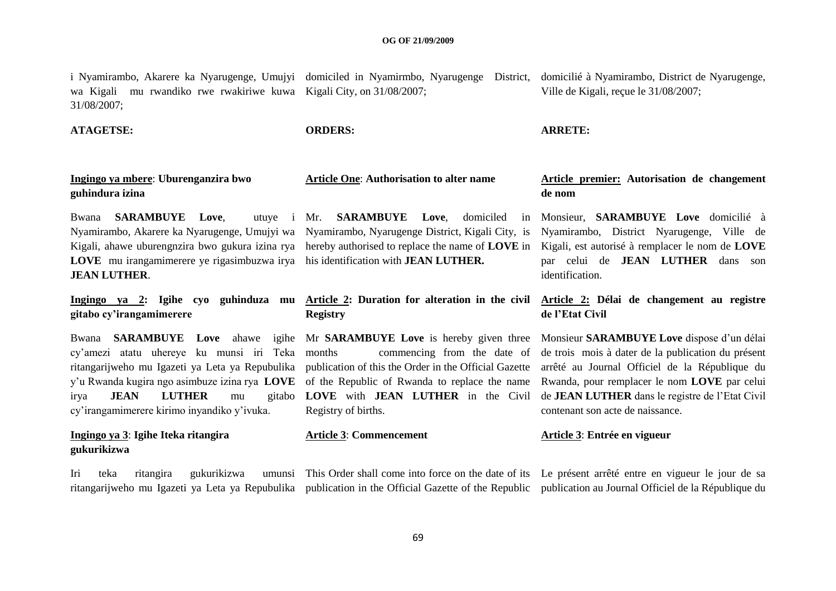i Nyamirambo, Akarere ka Nyarugenge, Umujyi domiciled in Nyamirmbo, Nyarugenge District, domicilié à Nyamirambo, District de Nyarugenge, wa Kigali mu rwandiko rwe rwakiriwe kuwa Kigali City, on 31/08/2007; 31/08/2007; Ville de Kigali, reçue le 31/08/2007;

**ATAGETSE: ORDERS: ARRETE:**

## **Ingingo ya mbere**: **Uburenganzira bwo guhindura izina**

Bwana **SARAMBUYE** Love. Nyamirambo, Akarere ka Nyarugenge, Umujyi wa Nyamirambo, Nyarugenge District, Kigali City, is Kigali, ahawe uburengnzira bwo gukura izina rya hereby authorised to replace the name of **LOVE** in **LOVE** mu irangamimerere ye rigasimbuzwa irya his identification with **JEAN LUTHER. JEAN LUTHER**.

**gitabo cy'irangamimerere**

cy"amezi atatu uhereye ku munsi iri Teka irya **JEAN LUTHER** mu cy"irangamimerere kirimo inyandiko y"ivuka.

## **Ingingo ya 3**: **Igihe Iteka ritangira gukurikizwa**

Iri teka ritangira gukurikizwa

utuye i Mr. **SARAMBUYE** Love, domiciled

## **Ingingo ya 2: Igihe cyo guhinduza mu Article 2: Duration for alteration in the civil Registry**

ritangarijweho mu Igazeti ya Leta ya Repubulika publication of this the Order in the Official Gazette y"u Rwanda kugira ngo asimbuze izina rya **LOVE**  of the Republic of Rwanda to replace the name commencing from the date of **LOVE** with **JEAN LUTHER** in the Civil Registry of births.

## **Article One**: **Authorisation to alter name Article premier: Autorisation de changement de nom**

Monsieur, **SARAMBUYE Love** domicilié à Nyamirambo, District Nyarugenge, Ville de Kigali, est autorisé à remplacer le nom de **LOVE** par celui de **JEAN LUTHER** dans son identification.

## **Article 2: Délai de changement au registre de l'Etat Civil**

Bwana **SARAMBUYE Love** ahawe igihe Mr **SARAMBUYE Love** is hereby given three Monsieur **SARAMBUYE Love** dispose d"un délai de trois mois à dater de la publication du présent arrêté au Journal Officiel de la République du Rwanda, pour remplacer le nom **LOVE** par celui de **JEAN LUTHER** dans le registre de l"Etat Civil contenant son acte de naissance.

## **Article 3**: **Commencement Article 3**: **Entrée en vigueur**

ritangarijweho mu Igazeti ya Leta ya Repubulika publication in the Official Gazette of the Republic publication au Journal Officiel de la République du This Order shall come into force on the date of its Le présent arrêté entre en vigueur le jour de sa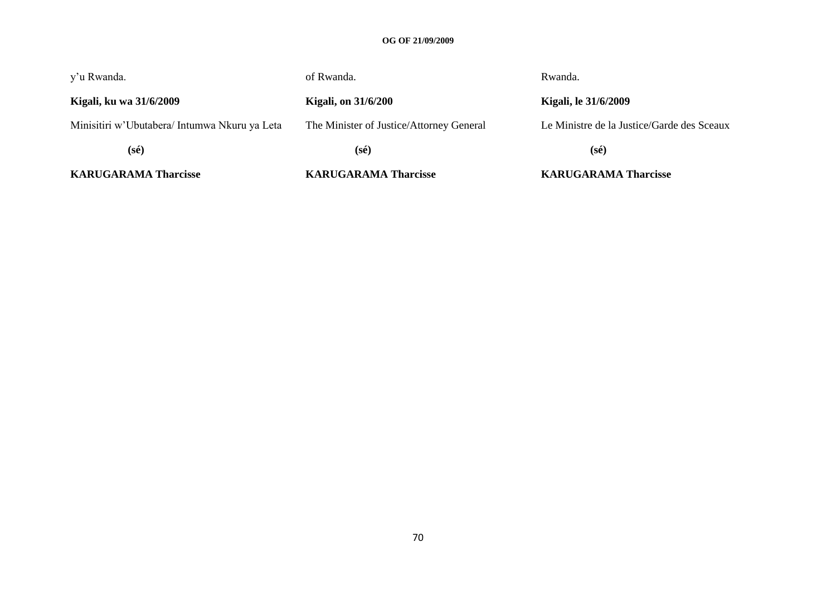## **OG OF 21/09/2009**

| <b>KARUGARAMA Tharcisse</b>                   | <b>KARUGARAMA Tharcisse</b>              | <b>KARUGARAMA Tharcisse</b>                |  |  |  |  |
|-----------------------------------------------|------------------------------------------|--------------------------------------------|--|--|--|--|
| $(s\acute{e})$                                | $(s\acute{e})$                           | $(s\acute{e})$                             |  |  |  |  |
| Minisitiri w'Ubutabera/ Intumwa Nkuru ya Leta | The Minister of Justice/Attorney General | Le Ministre de la Justice/Garde des Sceaux |  |  |  |  |
| Kigali, ku wa 31/6/2009                       | <b>Kigali, on 31/6/200</b>               | <b>Kigali, le 31/6/2009</b>                |  |  |  |  |
| y'u Rwanda.                                   | of Rwanda.                               | Rwanda.                                    |  |  |  |  |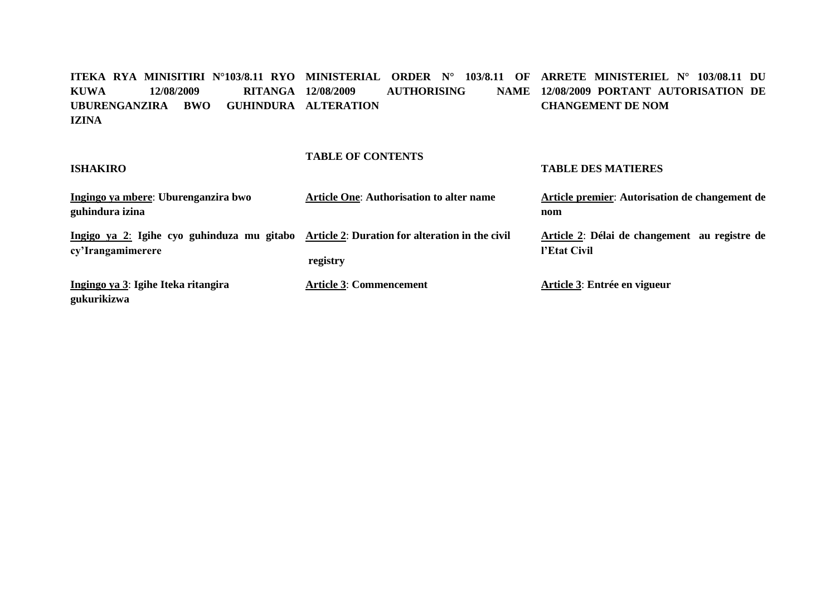**ITEKA RYA MINISITIRI N°103/8.11 RYO MINISTERIAL ORDER N° 103/8.11 OF ARRETE MINISTERIEL N° 103/08.11 DU KUWA 12/08/2009 RITANGA UBURENGANZIRA BWO GUHINDURA ALTERATION IZINA AUTHORISING 12/08/2009 PORTANT AUTORISATION DE CHANGEMENT DE NOM**

#### **ISHAKIRO TABLE OF CONTENTS TABLE DES MATIERES Ingingo ya mbere**: **Uburenganzira bwo guhindura izina Article One**: **Authorisation to alter name Article premier**: **Autorisation de changement de nom Ingigo ya 2**: **Igihe cyo guhinduza mu gitabo Article 2**: **Duration for alteration in the civil cy'Irangamimerere registry Article 2**: **Délai de changement au registre de l'Etat Civil Ingingo ya 3**: **Igihe Iteka ritangira gukurikizwa Article 3**: **Commencement Article 3**: **Entrée en vigueur**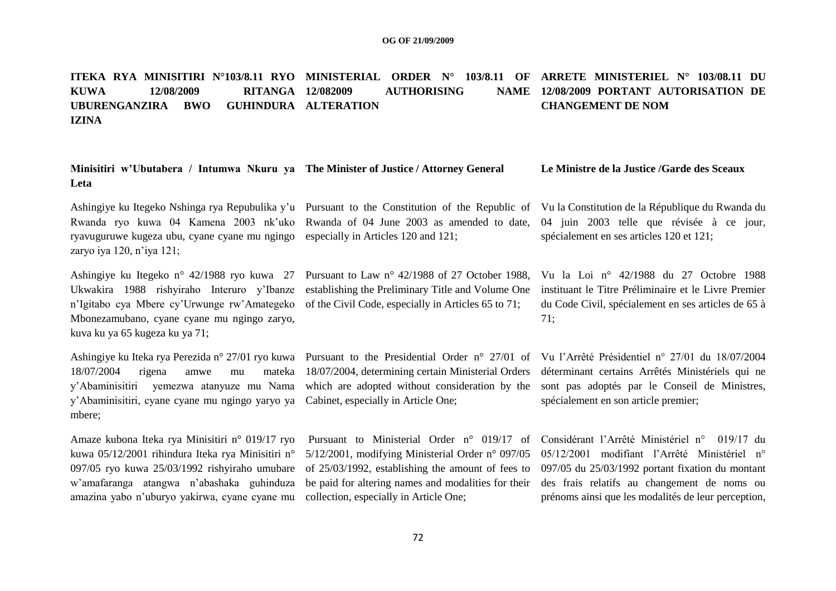#### **ITEKA RYA MINISITIRI N°103/8.11 RYO MINISTERIAL ORDER N° 103/8.11 OF ARRETE MINISTERIEL N° 103/08.11 DU KUWA 12/08/2009 RITANGA UBURENGANZIRA BWO IZINA AUTHORISING GUHINDURA ALTERATION 12/08/2009 PORTANT AUTORISATION DE CHANGEMENT DE NOM**

| Minisitiri w'Ubutabera / Intumwa Nkuru ya The Minister of Justice / Attorney General |  |  |                                                                                                                                                  |  |  | Le Ministre de la Justice /Garde des Sceaux |  |  |  |  |  |  |  |
|--------------------------------------------------------------------------------------|--|--|--------------------------------------------------------------------------------------------------------------------------------------------------|--|--|---------------------------------------------|--|--|--|--|--|--|--|
| Leta                                                                                 |  |  |                                                                                                                                                  |  |  |                                             |  |  |  |  |  |  |  |
|                                                                                      |  |  | Ashingiye ku Itegeko Nshinga rya Repubulika y'u Pursuant to the Constitution of the Republic of Vu la Constitution de la République du Rwanda du |  |  |                                             |  |  |  |  |  |  |  |

ryavuguruwe kugeza ubu, cyane cyane mu ngingo especially in Articles 120 and 121; zaryo iya 120, n"iya 121;

Ukwakira 1988 rishyiraho Interuro y"Ibanze establishing the Preliminary Title and Volume One n"Igitabo cya Mbere cy"Urwunge rw"Amategeko of the Civil Code, especially in Articles 65 to 71; Mbonezamubano, cyane cyane mu ngingo zaryo, kuva ku ya 65 kugeza ku ya 71;

18/07/2004 rigena amwe mu y"Abaminisitiri, cyane cyane mu ngingo yaryo ya Cabinet, especially in Article One; mbere;

Amaze kubona Iteka rya Minisitiri n° 019/17 ryo Pursuant to Ministerial Order n° 019/17 of kuwa 05/12/2001 rihindura Iteka rya Minisitiri n° 5/12/2001, modifying Ministerial Order n° 097/05 097/05 ryo kuwa 25/03/1992 rishyiraho umubare of 25/03/1992, establishing the amount of fees to w"amafaranga atangwa n"abashaka guhinduza be paid for altering names and modalities for their amazina yabo n"uburyo yakirwa, cyane cyane mu collection, especially in Article One;

Rwanda ryo kuwa 04 Kamena 2003 nk'uko Rwanda of 04 June 2003 as amended to date, 04 juin 2003 telle que révisée à ce jour,

Ashingiye ku Itegeko n° 42/1988 ryo kuwa 27 Pursuant to Law n° 42/1988 of 27 October 1988,

18/07/2004, determining certain Ministerial Orders

spécialement en ses articles 120 et 121;

Vu la Loi n° 42/1988 du 27 Octobre 1988 instituant le Titre Préliminaire et le Livre Premier du Code Civil, spécialement en ses articles de 65 à 71;

Ashingiye ku Iteka rya Perezida n° 27/01 ryo kuwa Pursuant to the Presidential Order n° 27/01 of Vu l"Arrêté Présidentiel n° 27/01 du 18/07/2004 y"Abaminisitiri yemezwa atanyuze mu Nama which are adopted without consideration by the sont pas adoptés par le Conseil de Ministres, déterminant certains Arrêtés Ministériels qui ne spécialement en son article premier;

> Considérant l"Arrêté Ministériel n° 019/17 du 05/12/2001 modifiant l"Arrêté Ministériel n° 097/05 du 25/03/1992 portant fixation du montant des frais relatifs au changement de noms ou prénoms ainsi que les modalités de leur perception,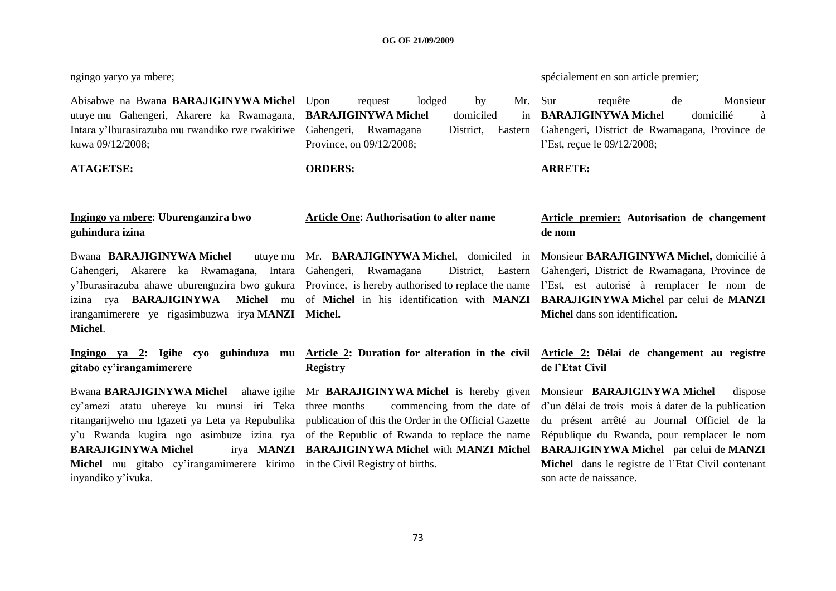Abisabwe na Bwana **BARAJIGINYWA Michel** utuye mu Gahengeri, Akarere ka Rwamagana, **BARAJIGINYWA Michel** domiciled in Intara y"Iburasirazuba mu rwandiko rwe rwakiriwe Gahengeri, Rwamagana District, Eastern kuwa 09/12/2008;

**ATAGETSE: ORDERS: ARRETE:**

# **Ingingo ya mbere**: **Uburenganzira bwo guhindura izina**

**Bwana BARAJIGINYWA** Michel Gahengeri, Akarere ka Rwamagana, Intara Gahengeri, Rwamagana District, Eastern y"Iburasirazuba ahawe uburengnzira bwo gukura Province, is hereby authorised to replace the name l"Est, est autorisé à remplacer le nom de irangamimerere ye rigasimbuzwa irya **MANZI Michel. Michel**.

|                          |  |  |  |  | Ingingo ya 2: Igihe cyo guhinduza mu |  |  |
|--------------------------|--|--|--|--|--------------------------------------|--|--|
| gitabo cy'irangamimerere |  |  |  |  |                                      |  |  |

cy"amezi atatu uhereye ku munsi iri Teka ritangarijweho mu Igazeti ya Leta ya Repubulika publication of this the Order in the Official Gazette y"u Rwanda kugira ngo asimbuze izina rya of the Republic of Rwanda to replace the name **BARAJIGINYWA** Michel **Michel** mu gitabo cy"irangamimerere kirimo in the Civil Registry of births. inyandiko y"ivuka.

request lodged by Mr. Sur Province, on 09/12/2008;

# **Registry**

commencing from the date of

ngingo yaryo ya mbere; spécialement en son article premier;

requête de Monsieur **BARAJIGINYWA Michel** domicilié à District. Eastern Gahengeri, District de Rwamagana, Province de l"Est, reçue le 09/12/2008;

# **Article One**: **Authorisation to alter name Article premier: Autorisation de changement de nom**

izina rya **BARAJIGINYWA Michel** mu of **Michel** in his identification with **MANZI BARAJIGINYWA Michel** par celui de **MANZI**  Mr. **BARAJIGINYWA Michel**, domiciled in Monsieur **BARAJIGINYWA Michel,** domicilié à District, Eastern Gahengeri, District de Rwamagana, Province de **Michel** dans son identification.

# **Article 2: Duration for alteration in the civil Article 2: Délai de changement au registre de l'Etat Civil**

Bwana **BARAJIGINYWA Michel** ahawe igihe Mr **BARAJIGINYWA Michel** is hereby given Monsieur **BARAJIGINYWA Michel** dispose **BARAJIGINYWA Michel** with **MANZI Michel BARAJIGINYWA Michel** par celui de **MANZI**  d"un délai de trois mois à dater de la publication du présent arrêté au Journal Officiel de la République du Rwanda, pour remplacer le nom **Michel** dans le registre de l"Etat Civil contenant son acte de naissance.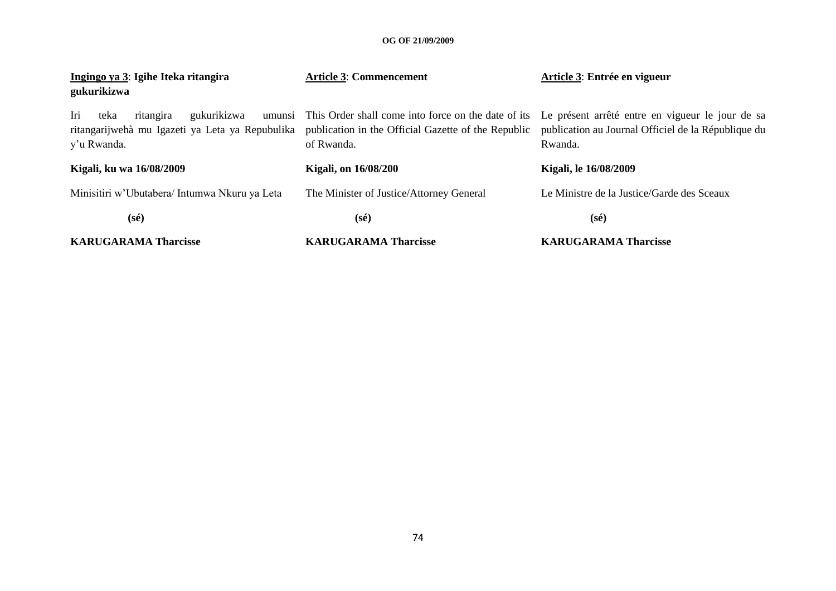| Ingingo ya 3: Igihe Iteka ritangira<br>gukurikizwa     | <b>Article 3: Commencement</b>                                                                                                                                                                                                   | Article 3: Entrée en vigueur                                   |
|--------------------------------------------------------|----------------------------------------------------------------------------------------------------------------------------------------------------------------------------------------------------------------------------------|----------------------------------------------------------------|
| Iri<br>gukurikizwa<br>ritangira<br>teka<br>y'u Rwanda. | umunsi This Order shall come into force on the date of its Le présent arrêté entre en vigueur le jour de sa<br>ritangarijwehà mu Igazeti ya Leta ya Repubulika publication in the Official Gazette of the Republic<br>of Rwanda. | publication au Journal Officiel de la République du<br>Rwanda. |
| Kigali, ku wa 16/08/2009                               | <b>Kigali, on 16/08/200</b>                                                                                                                                                                                                      | Kigali, le 16/08/2009                                          |
| Minisitiri w'Ubutabera/Intumwa Nkuru ya Leta           | The Minister of Justice/Attorney General                                                                                                                                                                                         | Le Ministre de la Justice/Garde des Sceaux                     |
| $(s\acute{e})$                                         | $(s\acute{e})$                                                                                                                                                                                                                   | $(s\acute{e})$                                                 |
| <b>KARUGARAMA Tharcisse</b>                            | <b>KARUGARAMA Tharcisse</b>                                                                                                                                                                                                      | <b>KARUGARAMA Tharcisse</b>                                    |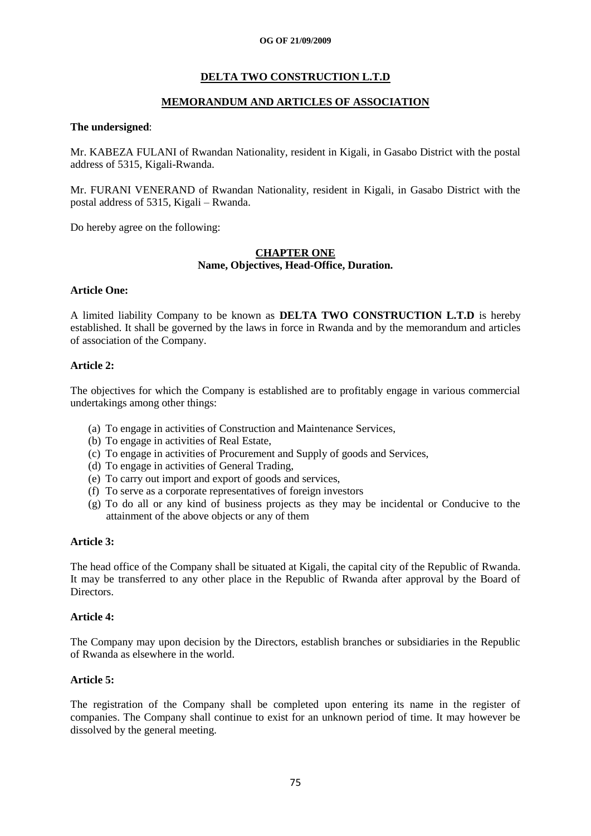# **DELTA TWO CONSTRUCTION L.T.D**

# **MEMORANDUM AND ARTICLES OF ASSOCIATION**

#### **The undersigned**:

Mr. KABEZA FULANI of Rwandan Nationality, resident in Kigali, in Gasabo District with the postal address of 5315, Kigali-Rwanda.

Mr. FURANI VENERAND of Rwandan Nationality, resident in Kigali, in Gasabo District with the postal address of 5315, Kigali – Rwanda.

Do hereby agree on the following:

#### **CHAPTER ONE Name, Objectives, Head-Office, Duration.**

# **Article One:**

A limited liability Company to be known as **DELTA TWO CONSTRUCTION L.T.D** is hereby established. It shall be governed by the laws in force in Rwanda and by the memorandum and articles of association of the Company.

# **Article 2:**

The objectives for which the Company is established are to profitably engage in various commercial undertakings among other things:

- (a) To engage in activities of Construction and Maintenance Services,
- (b) To engage in activities of Real Estate,
- (c) To engage in activities of Procurement and Supply of goods and Services,
- (d) To engage in activities of General Trading,
- (e) To carry out import and export of goods and services,
- (f) To serve as a corporate representatives of foreign investors
- (g) To do all or any kind of business projects as they may be incidental or Conducive to the attainment of the above objects or any of them

#### **Article 3:**

The head office of the Company shall be situated at Kigali, the capital city of the Republic of Rwanda. It may be transferred to any other place in the Republic of Rwanda after approval by the Board of **Directors** 

#### **Article 4:**

The Company may upon decision by the Directors, establish branches or subsidiaries in the Republic of Rwanda as elsewhere in the world.

# **Article 5:**

The registration of the Company shall be completed upon entering its name in the register of companies. The Company shall continue to exist for an unknown period of time. It may however be dissolved by the general meeting.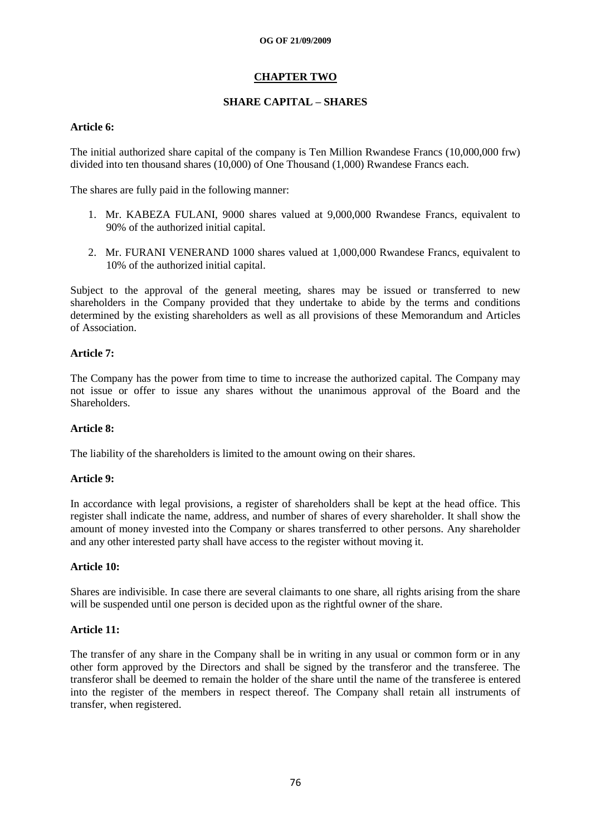# **CHAPTER TWO**

# **SHARE CAPITAL – SHARES**

# **Article 6:**

The initial authorized share capital of the company is Ten Million Rwandese Francs (10,000,000 frw) divided into ten thousand shares (10,000) of One Thousand (1,000) Rwandese Francs each.

The shares are fully paid in the following manner:

- 1. Mr. KABEZA FULANI, 9000 shares valued at 9,000,000 Rwandese Francs, equivalent to 90% of the authorized initial capital.
- 2. Mr. FURANI VENERAND 1000 shares valued at 1,000,000 Rwandese Francs, equivalent to 10% of the authorized initial capital.

Subject to the approval of the general meeting, shares may be issued or transferred to new shareholders in the Company provided that they undertake to abide by the terms and conditions determined by the existing shareholders as well as all provisions of these Memorandum and Articles of Association.

# **Article 7:**

The Company has the power from time to time to increase the authorized capital. The Company may not issue or offer to issue any shares without the unanimous approval of the Board and the Shareholders.

#### **Article 8:**

The liability of the shareholders is limited to the amount owing on their shares.

#### **Article 9:**

In accordance with legal provisions, a register of shareholders shall be kept at the head office. This register shall indicate the name, address, and number of shares of every shareholder. It shall show the amount of money invested into the Company or shares transferred to other persons. Any shareholder and any other interested party shall have access to the register without moving it.

#### **Article 10:**

Shares are indivisible. In case there are several claimants to one share, all rights arising from the share will be suspended until one person is decided upon as the rightful owner of the share.

#### **Article 11:**

The transfer of any share in the Company shall be in writing in any usual or common form or in any other form approved by the Directors and shall be signed by the transferor and the transferee. The transferor shall be deemed to remain the holder of the share until the name of the transferee is entered into the register of the members in respect thereof. The Company shall retain all instruments of transfer, when registered.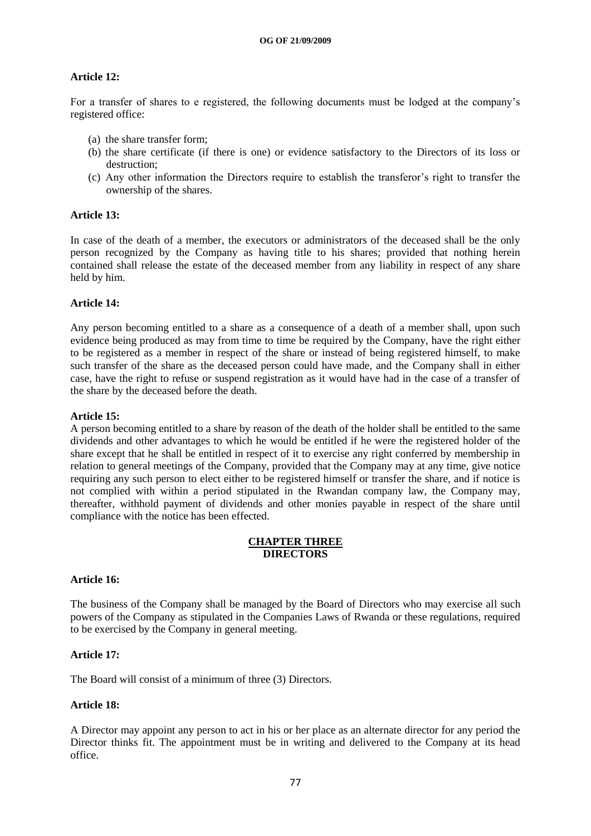# **Article 12:**

For a transfer of shares to e registered, the following documents must be lodged at the company"s registered office:

- (a) the share transfer form;
- (b) the share certificate (if there is one) or evidence satisfactory to the Directors of its loss or destruction;
- (c) Any other information the Directors require to establish the transferor"s right to transfer the ownership of the shares.

# **Article 13:**

In case of the death of a member, the executors or administrators of the deceased shall be the only person recognized by the Company as having title to his shares; provided that nothing herein contained shall release the estate of the deceased member from any liability in respect of any share held by him.

# **Article 14:**

Any person becoming entitled to a share as a consequence of a death of a member shall, upon such evidence being produced as may from time to time be required by the Company, have the right either to be registered as a member in respect of the share or instead of being registered himself, to make such transfer of the share as the deceased person could have made, and the Company shall in either case, have the right to refuse or suspend registration as it would have had in the case of a transfer of the share by the deceased before the death.

#### **Article 15:**

A person becoming entitled to a share by reason of the death of the holder shall be entitled to the same dividends and other advantages to which he would be entitled if he were the registered holder of the share except that he shall be entitled in respect of it to exercise any right conferred by membership in relation to general meetings of the Company, provided that the Company may at any time, give notice requiring any such person to elect either to be registered himself or transfer the share, and if notice is not complied with within a period stipulated in the Rwandan company law, the Company may, thereafter, withhold payment of dividends and other monies payable in respect of the share until compliance with the notice has been effected.

#### **CHAPTER THREE DIRECTORS**

#### **Article 16:**

The business of the Company shall be managed by the Board of Directors who may exercise all such powers of the Company as stipulated in the Companies Laws of Rwanda or these regulations, required to be exercised by the Company in general meeting.

#### **Article 17:**

The Board will consist of a minimum of three (3) Directors.

#### **Article 18:**

A Director may appoint any person to act in his or her place as an alternate director for any period the Director thinks fit. The appointment must be in writing and delivered to the Company at its head office.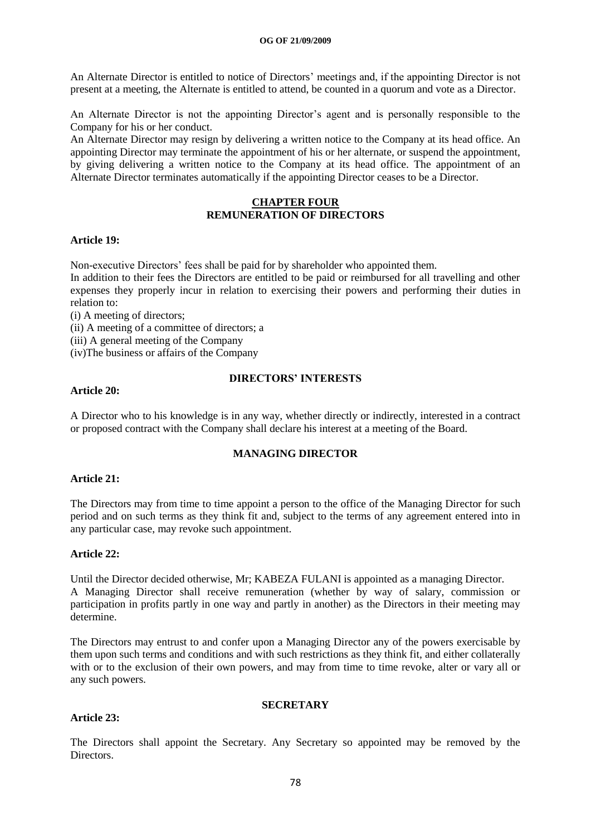An Alternate Director is entitled to notice of Directors' meetings and, if the appointing Director is not present at a meeting, the Alternate is entitled to attend, be counted in a quorum and vote as a Director.

An Alternate Director is not the appointing Director's agent and is personally responsible to the Company for his or her conduct.

An Alternate Director may resign by delivering a written notice to the Company at its head office. An appointing Director may terminate the appointment of his or her alternate, or suspend the appointment, by giving delivering a written notice to the Company at its head office. The appointment of an Alternate Director terminates automatically if the appointing Director ceases to be a Director.

# **CHAPTER FOUR REMUNERATION OF DIRECTORS**

#### **Article 19:**

Non-executive Directors" fees shall be paid for by shareholder who appointed them.

In addition to their fees the Directors are entitled to be paid or reimbursed for all travelling and other expenses they properly incur in relation to exercising their powers and performing their duties in relation to:

(i) A meeting of directors;

(ii) A meeting of a committee of directors; a

(iii) A general meeting of the Company

(iv)The business or affairs of the Company

# **Article 20:**

# **DIRECTORS' INTERESTS**

A Director who to his knowledge is in any way, whether directly or indirectly, interested in a contract or proposed contract with the Company shall declare his interest at a meeting of the Board.

# **MANAGING DIRECTOR**

#### **Article 21:**

The Directors may from time to time appoint a person to the office of the Managing Director for such period and on such terms as they think fit and, subject to the terms of any agreement entered into in any particular case, may revoke such appointment.

#### **Article 22:**

Until the Director decided otherwise, Mr; KABEZA FULANI is appointed as a managing Director. A Managing Director shall receive remuneration (whether by way of salary, commission or participation in profits partly in one way and partly in another) as the Directors in their meeting may determine.

The Directors may entrust to and confer upon a Managing Director any of the powers exercisable by them upon such terms and conditions and with such restrictions as they think fit, and either collaterally with or to the exclusion of their own powers, and may from time to time revoke, alter or vary all or any such powers.

# **Article 23:**

#### **SECRETARY**

The Directors shall appoint the Secretary. Any Secretary so appointed may be removed by the Directors.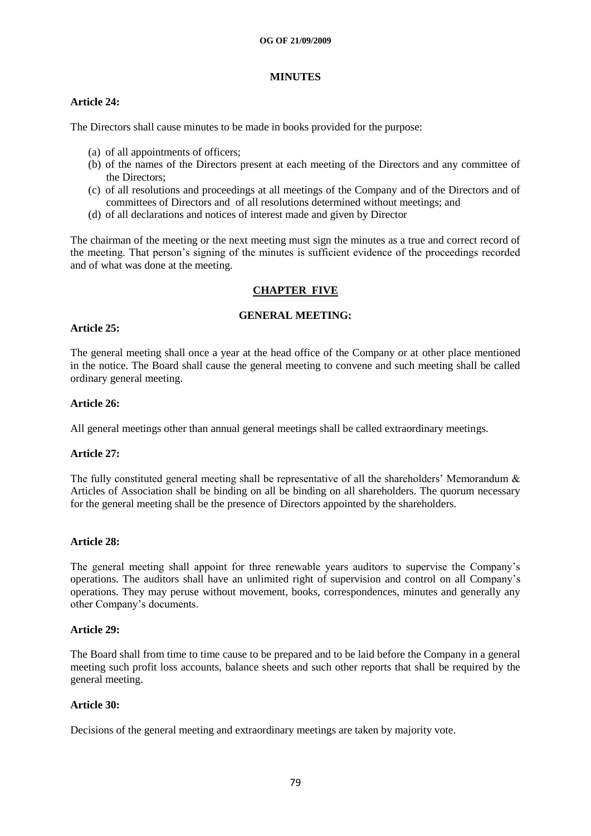# **MINUTES**

# **Article 24:**

The Directors shall cause minutes to be made in books provided for the purpose:

- (a) of all appointments of officers;
- (b) of the names of the Directors present at each meeting of the Directors and any committee of the Directors;
- (c) of all resolutions and proceedings at all meetings of the Company and of the Directors and of committees of Directors and of all resolutions determined without meetings; and
- (d) of all declarations and notices of interest made and given by Director

The chairman of the meeting or the next meeting must sign the minutes as a true and correct record of the meeting. That person"s signing of the minutes is sufficient evidence of the proceedings recorded and of what was done at the meeting.

# **CHAPTER FIVE**

# **GENERAL MEETING:**

# **Article 25:**

The general meeting shall once a year at the head office of the Company or at other place mentioned in the notice. The Board shall cause the general meeting to convene and such meeting shall be called ordinary general meeting.

# **Article 26:**

All general meetings other than annual general meetings shall be called extraordinary meetings.

#### **Article 27:**

The fully constituted general meeting shall be representative of all the shareholders' Memorandum  $\&$ Articles of Association shall be binding on all be binding on all shareholders. The quorum necessary for the general meeting shall be the presence of Directors appointed by the shareholders.

#### **Article 28:**

The general meeting shall appoint for three renewable years auditors to supervise the Company"s operations. The auditors shall have an unlimited right of supervision and control on all Company"s operations. They may peruse without movement, books, correspondences, minutes and generally any other Company"s documents.

#### **Article 29:**

The Board shall from time to time cause to be prepared and to be laid before the Company in a general meeting such profit loss accounts, balance sheets and such other reports that shall be required by the general meeting.

#### **Article 30:**

Decisions of the general meeting and extraordinary meetings are taken by majority vote.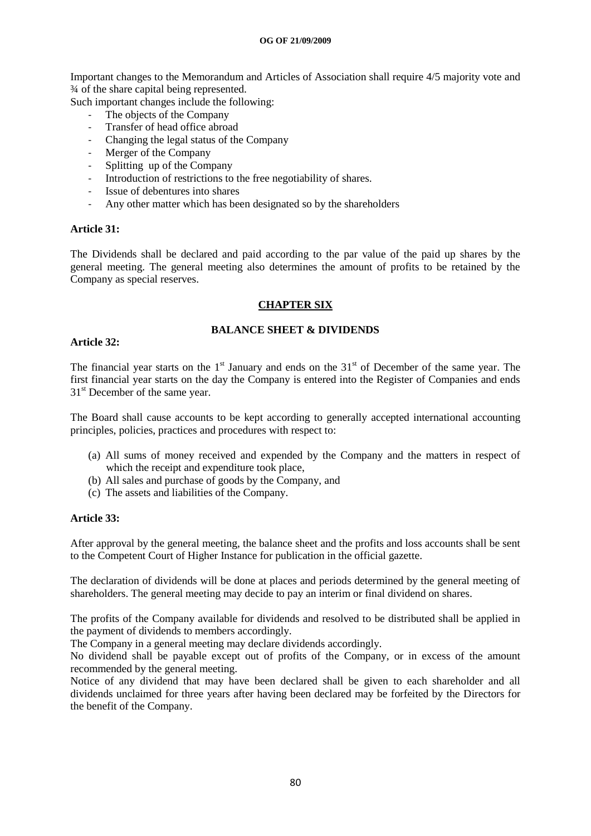Important changes to the Memorandum and Articles of Association shall require 4/5 majority vote and ¾ of the share capital being represented.

Such important changes include the following:

- The objects of the Company
- Transfer of head office abroad
- Changing the legal status of the Company
- Merger of the Company
- Splitting up of the Company
- Introduction of restrictions to the free negotiability of shares.
- Issue of debentures into shares
- Any other matter which has been designated so by the shareholders

#### **Article 31:**

The Dividends shall be declared and paid according to the par value of the paid up shares by the general meeting. The general meeting also determines the amount of profits to be retained by the Company as special reserves.

#### **CHAPTER SIX**

#### **BALANCE SHEET & DIVIDENDS**

#### **Article 32:**

The financial year starts on the  $1<sup>st</sup>$  January and ends on the  $31<sup>st</sup>$  of December of the same year. The first financial year starts on the day the Company is entered into the Register of Companies and ends 31<sup>st</sup> December of the same year.

The Board shall cause accounts to be kept according to generally accepted international accounting principles, policies, practices and procedures with respect to:

- (a) All sums of money received and expended by the Company and the matters in respect of which the receipt and expenditure took place,
- (b) All sales and purchase of goods by the Company, and
- (c) The assets and liabilities of the Company.

#### **Article 33:**

After approval by the general meeting, the balance sheet and the profits and loss accounts shall be sent to the Competent Court of Higher Instance for publication in the official gazette.

The declaration of dividends will be done at places and periods determined by the general meeting of shareholders. The general meeting may decide to pay an interim or final dividend on shares.

The profits of the Company available for dividends and resolved to be distributed shall be applied in the payment of dividends to members accordingly.

The Company in a general meeting may declare dividends accordingly.

No dividend shall be payable except out of profits of the Company, or in excess of the amount recommended by the general meeting.

Notice of any dividend that may have been declared shall be given to each shareholder and all dividends unclaimed for three years after having been declared may be forfeited by the Directors for the benefit of the Company.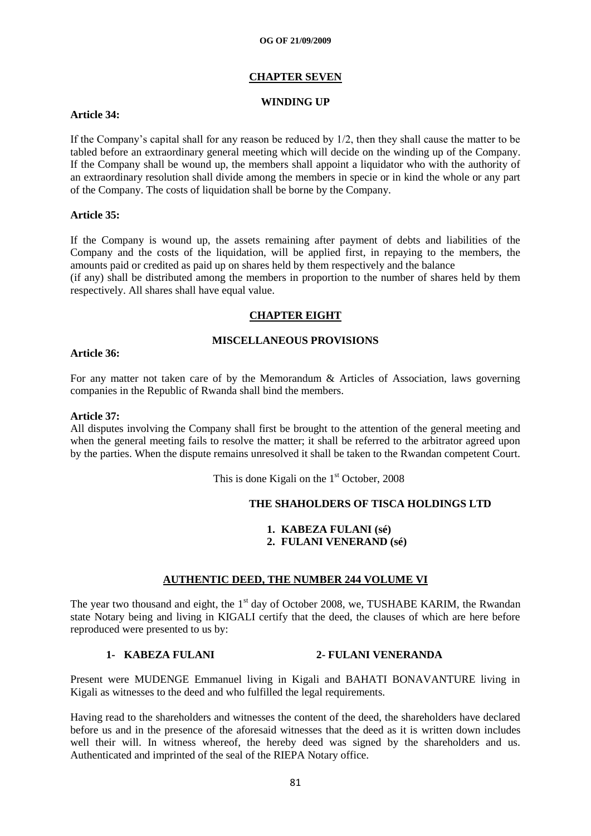#### **CHAPTER SEVEN**

#### **WINDING UP**

# **Article 34:**

If the Company"s capital shall for any reason be reduced by 1/2, then they shall cause the matter to be tabled before an extraordinary general meeting which will decide on the winding up of the Company. If the Company shall be wound up, the members shall appoint a liquidator who with the authority of an extraordinary resolution shall divide among the members in specie or in kind the whole or any part of the Company. The costs of liquidation shall be borne by the Company.

#### **Article 35:**

If the Company is wound up, the assets remaining after payment of debts and liabilities of the Company and the costs of the liquidation, will be applied first, in repaying to the members, the amounts paid or credited as paid up on shares held by them respectively and the balance

(if any) shall be distributed among the members in proportion to the number of shares held by them respectively. All shares shall have equal value.

# **CHAPTER EIGHT**

#### **MISCELLANEOUS PROVISIONS**

#### **Article 36:**

For any matter not taken care of by the Memorandum & Articles of Association, laws governing companies in the Republic of Rwanda shall bind the members.

#### **Article 37:**

All disputes involving the Company shall first be brought to the attention of the general meeting and when the general meeting fails to resolve the matter; it shall be referred to the arbitrator agreed upon by the parties. When the dispute remains unresolved it shall be taken to the Rwandan competent Court.

This is done Kigali on the  $1<sup>st</sup>$  October, 2008

#### **THE SHAHOLDERS OF TISCA HOLDINGS LTD**

**1. KABEZA FULANI (sé) 2. FULANI VENERAND (sé)**

# **AUTHENTIC DEED, THE NUMBER 244 VOLUME VI**

The year two thousand and eight, the  $1<sup>st</sup>$  day of October 2008, we, TUSHABE KARIM, the Rwandan state Notary being and living in KIGALI certify that the deed, the clauses of which are here before reproduced were presented to us by:

# **1- KABEZA FULANI 2- FULANI VENERANDA**

Present were MUDENGE Emmanuel living in Kigali and BAHATI BONAVANTURE living in Kigali as witnesses to the deed and who fulfilled the legal requirements.

Having read to the shareholders and witnesses the content of the deed, the shareholders have declared before us and in the presence of the aforesaid witnesses that the deed as it is written down includes well their will. In witness whereof, the hereby deed was signed by the shareholders and us. Authenticated and imprinted of the seal of the RIEPA Notary office.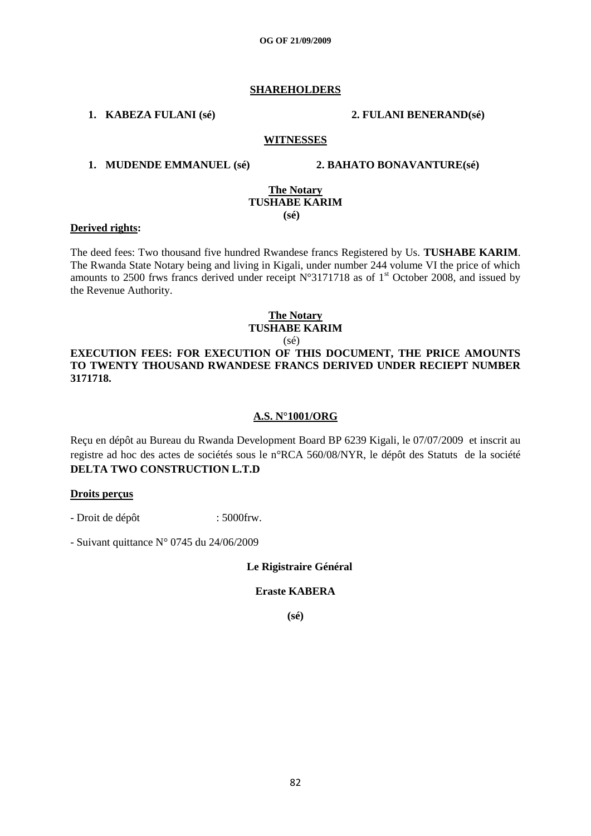#### **SHAREHOLDERS**

**1. KABEZA FULANI (sé) 2. FULANI BENERAND(sé)**

#### **WITNESSES**

#### **1. MUDENDE EMMANUEL (sé) 2. BAHATO BONAVANTURE(sé)**

#### **The Notary TUSHABE KARIM (sé)**

#### **Derived rights:**

The deed fees: Two thousand five hundred Rwandese francs Registered by Us. **TUSHABE KARIM**. The Rwanda State Notary being and living in Kigali, under number 244 volume VI the price of which amounts to 2500 frws francs derived under receipt  $N^{\circ}3171718$  as of 1<sup>st</sup> October 2008, and issued by the Revenue Authority.

#### **The Notary TUSHABE KARIM**

#### (sé) **EXECUTION FEES: FOR EXECUTION OF THIS DOCUMENT, THE PRICE AMOUNTS TO TWENTY THOUSAND RWANDESE FRANCS DERIVED UNDER RECIEPT NUMBER 3171718.**

#### **A.S. N°1001/ORG**

Reçu en dépôt au Bureau du Rwanda Development Board BP 6239 Kigali, le 07/07/2009 et inscrit au registre ad hoc des actes de sociétés sous le n°RCA 560/08/NYR, le dépôt des Statuts de la société **DELTA TWO CONSTRUCTION L.T.D** 

#### **Droits perçus**

- Droit de dépôt : 5000 frw.

- Suivant quittance N° 0745 du 24/06/2009

 **Le Rigistraire Général**

#### **Eraste KABERA**

**(sé)**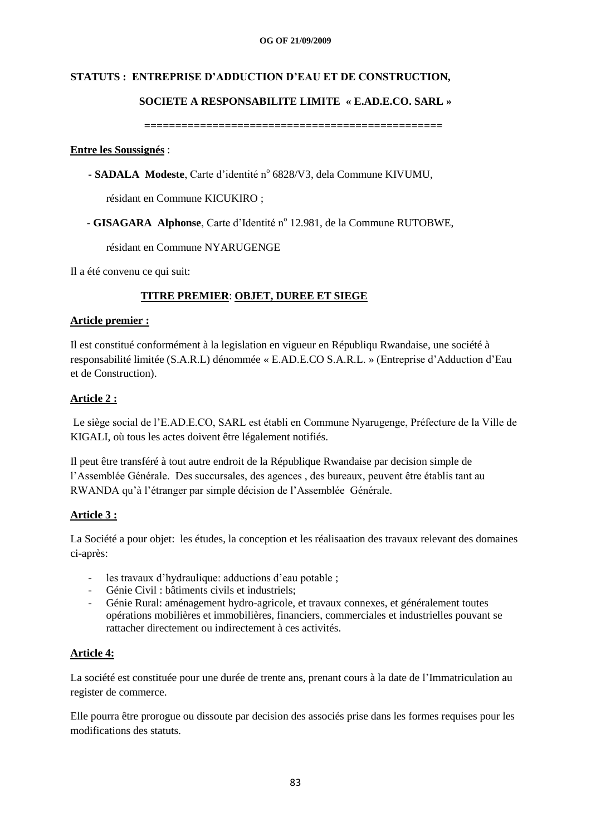# **STATUTS : ENTREPRISE D'ADDUCTION D'EAU ET DE CONSTRUCTION,**

# **SOCIETE A RESPONSABILITE LIMITE « E.AD.E.CO. SARL »**

 **================================================**

#### **Entre les Soussignés** :

- SADALA Modeste, Carte d'identité nº 6828/V3, dela Commune KIVUMU,

résidant en Commune KICUKIRO ;

- **GISAGARA** Alphonse, Carte d'Identité n<sup>°</sup> 12.981, de la Commune RUTOBWE,

résidant en Commune NYARUGENGE

Il a été convenu ce qui suit:

# **TITRE PREMIER**: **OBJET, DUREE ET SIEGE**

#### **Article premier :**

Il est constitué conformément à la legislation en vigueur en Républiqu Rwandaise, une société à responsabilité limitée (S.A.R.L) dénommée « E.AD.E.CO S.A.R.L. » (Entreprise d"Adduction d"Eau et de Construction).

# **Article 2 :**

Le siège social de l"E.AD.E.CO, SARL est établi en Commune Nyarugenge, Préfecture de la Ville de KIGALI, où tous les actes doivent être légalement notifiés.

Il peut être transféré à tout autre endroit de la République Rwandaise par decision simple de l"Assemblée Générale. Des succursales, des agences , des bureaux, peuvent être établis tant au RWANDA qu"à l"étranger par simple décision de l"Assemblée Générale.

#### **Article 3 :**

La Société a pour objet: les études, la conception et les réalisaation des travaux relevant des domaines ci-après:

- les travaux d'hydraulique: adductions d'eau potable ;
- Génie Civil : bâtiments civils et industriels;
- Génie Rural: aménagement hydro-agricole, et travaux connexes, et généralement toutes opérations mobilières et immobilières, financiers, commerciales et industrielles pouvant se rattacher directement ou indirectement à ces activités.

# **Article 4:**

La société est constituée pour une durée de trente ans, prenant cours à la date de l"Immatriculation au register de commerce.

Elle pourra être prorogue ou dissoute par decision des associés prise dans les formes requises pour les modifications des statuts.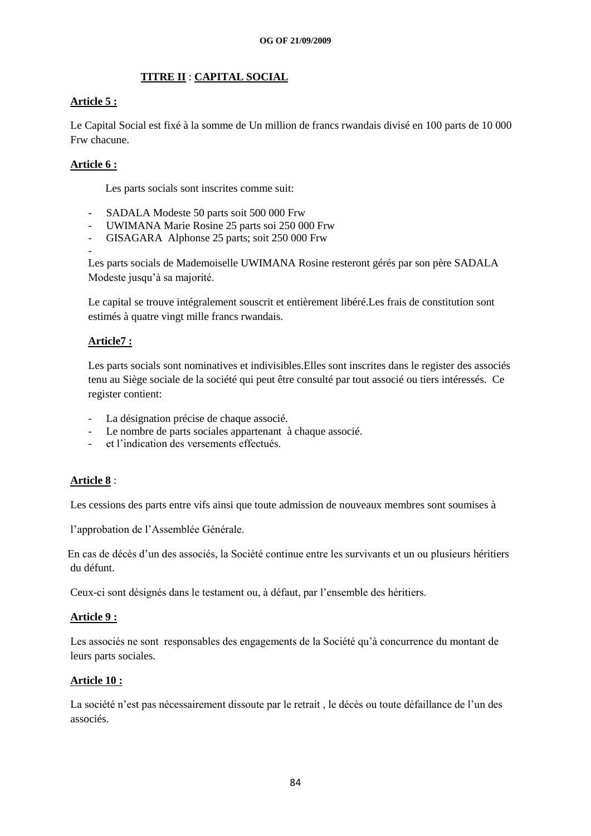# **TITRE II** : **CAPITAL SOCIAL**

# **Article 5 :**

Le Capital Social est fixé à la somme de Un million de francs rwandais divisé en 100 parts de 10 000 Frw chacune.

# **Article 6 :**

Les parts socials sont inscrites comme suit:

- SADALA Modeste 50 parts soit 500 000 Frw
- UWIMANA Marie Rosine 25 parts soi 250 000 Frw
- GISAGARA Alphonse 25 parts; soit 250 000 Frw

- Les parts socials de Mademoiselle UWIMANA Rosine resteront gérés par son père SADALA Modeste jusqu"à sa majorité.

Le capital se trouve intégralement souscrit et entièrement libéré.Les frais de constitution sont estimés à quatre vingt mille francs rwandais.

# **Article7 :**

Les parts socials sont nominatives et indivisibles.Elles sont inscrites dans le register des associés tenu au Siège sociale de la société qui peut être consulté par tout associé ou tiers intéressés. Ce register contient:

- La désignation précise de chaque associé.
- Le nombre de parts sociales appartenant à chaque associé.
- et l'indication des versements effectués.

# **Article 8** :

Les cessions des parts entre vifs ainsi que toute admission de nouveaux membres sont soumises à

l"approbation de l"Assemblée Générale.

En cas de décès d"un des associés, la Société continue entre les survivants et un ou plusieurs héritiers du défunt.

Ceux-ci sont désignés dans le testament ou, à défaut, par l"ensemble des héritiers.

#### **Article 9 :**

Les associés ne sont responsables des engagements de la Société qu"à concurrence du montant de leurs parts sociales.

#### **Article 10 :**

La société n'est pas nécessairement dissoute par le retrait, le décès ou toute défaillance de l'un des associés.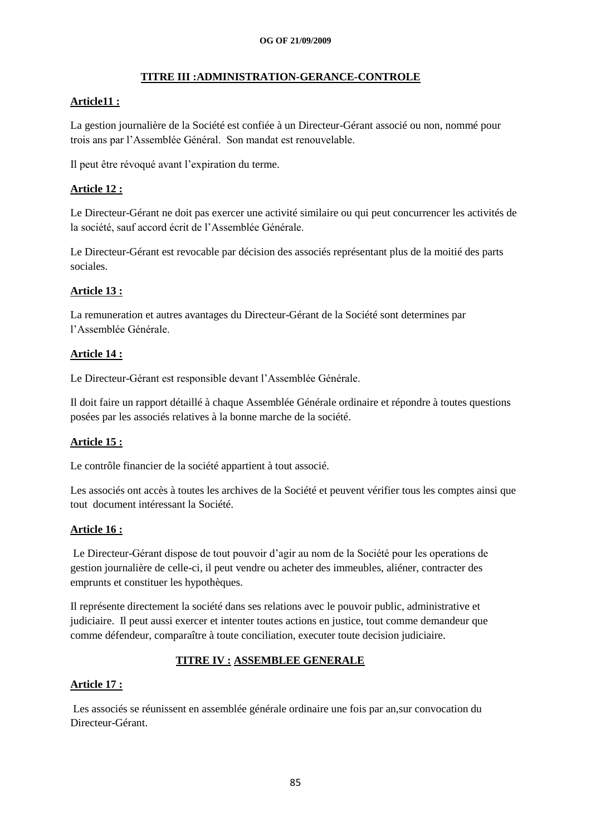# **TITRE III :ADMINISTRATION-GERANCE-CONTROLE**

# **Article11 :**

La gestion journalière de la Société est confiée à un Directeur-Gérant associé ou non, nommé pour trois ans par l"Assemblée Général. Son mandat est renouvelable.

Il peut être révoqué avant l"expiration du terme.

# **Article 12 :**

Le Directeur-Gérant ne doit pas exercer une activité similaire ou qui peut concurrencer les activités de la société, sauf accord écrit de l"Assemblée Générale.

Le Directeur-Gérant est revocable par décision des associés représentant plus de la moitié des parts sociales.

# **Article 13 :**

La remuneration et autres avantages du Directeur-Gérant de la Société sont determines par l"Assemblée Générale.

# **Article 14 :**

Le Directeur-Gérant est responsible devant l"Assemblée Générale.

Il doit faire un rapport détaillé à chaque Assemblée Générale ordinaire et répondre à toutes questions posées par les associés relatives à la bonne marche de la société.

# **Article 15 :**

Le contrôle financier de la société appartient à tout associé.

Les associés ont accès à toutes les archives de la Société et peuvent vérifier tous les comptes ainsi que tout document intéressant la Société.

#### **Article 16 :**

Le Directeur-Gérant dispose de tout pouvoir d"agir au nom de la Société pour les operations de gestion journalière de celle-ci, il peut vendre ou acheter des immeubles, aliéner, contracter des emprunts et constituer les hypothèques.

Il représente directement la société dans ses relations avec le pouvoir public, administrative et judiciaire. Il peut aussi exercer et intenter toutes actions en justice, tout comme demandeur que comme défendeur, comparaître à toute conciliation, executer toute decision judiciaire.

# **TITRE IV : ASSEMBLEE GENERALE**

#### **Article 17 :**

Les associés se réunissent en assemblée générale ordinaire une fois par an,sur convocation du Directeur-Gérant.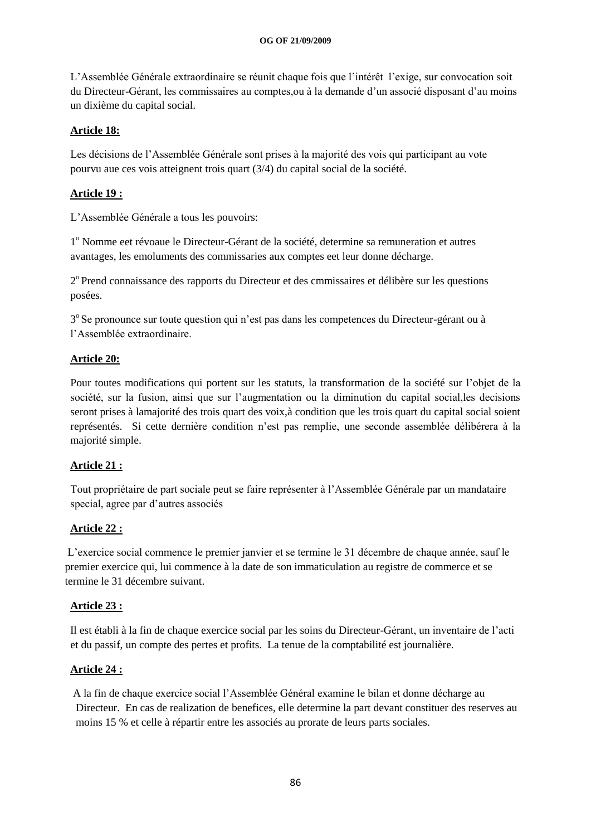L"Assemblée Générale extraordinaire se réunit chaque fois que l"intérêt l"exige, sur convocation soit du Directeur-Gérant, les commissaires au comptes,ou à la demande d"un associé disposant d"au moins un dixième du capital social.

# **Article 18:**

Les décisions de l"Assemblée Générale sont prises à la majorité des vois qui participant au vote pourvu aue ces vois atteignent trois quart (3/4) du capital social de la société.

# **Article 19 :**

L"Assemblée Générale a tous les pouvoirs:

1<sup>°</sup> Nomme eet révoaue le Directeur-Gérant de la société, determine sa remuneration et autres avantages, les emoluments des commissaries aux comptes eet leur donne décharge.

2<sup>°</sup> Prend connaissance des rapports du Directeur et des cmmissaires et délibère sur les questions posées.

3° Se pronounce sur toute question qui n'est pas dans les competences du Directeur-gérant ou à l"Assemblée extraordinaire.

# **Article 20:**

Pour toutes modifications qui portent sur les statuts, la transformation de la société sur l"objet de la société, sur la fusion, ainsi que sur l"augmentation ou la diminution du capital social,les decisions seront prises à lamajorité des trois quart des voix,à condition que les trois quart du capital social soient représentés. Si cette dernière condition n"est pas remplie, une seconde assemblée délibérera à la majorité simple.

# **Article 21 :**

Tout propriétaire de part sociale peut se faire représenter à l"Assemblée Générale par un mandataire special, agree par d"autres associés

# **Article 22 :**

 L"exercice social commence le premier janvier et se termine le 31 décembre de chaque année, sauf le premier exercice qui, lui commence à la date de son immaticulation au registre de commerce et se termine le 31 décembre suivant.

# **Article 23 :**

 Il est établi à la fin de chaque exercice social par les soins du Directeur-Gérant, un inventaire de l"acti et du passif, un compte des pertes et profits. La tenue de la comptabilité est journalière.

# **Article 24 :**

 A la fin de chaque exercice social l"Assemblée Général examine le bilan et donne décharge au Directeur. En cas de realization de benefices, elle determine la part devant constituer des reserves au moins 15 % et celle à répartir entre les associés au prorate de leurs parts sociales.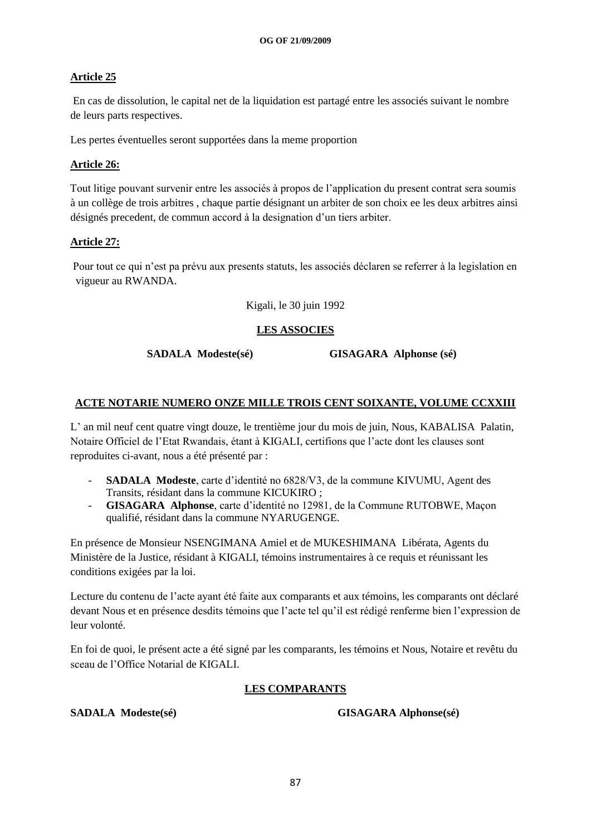# **Article 25**

 En cas de dissolution, le capital net de la liquidation est partagé entre les associés suivant le nombre de leurs parts respectives.

Les pertes éventuelles seront supportées dans la meme proportion

# **Article 26:**

 Tout litige pouvant survenir entre les associés à propos de l"application du present contrat sera soumis à un collège de trois arbitres , chaque partie désignant un arbiter de son choix ee les deux arbitres ainsi désignés precedent, de commun accord à la designation d"un tiers arbiter.

# **Article 27:**

 Pour tout ce qui n"est pa prévu aux presents statuts, les associés déclaren se referrer à la legislation en vigueur au RWANDA.

Kigali, le 30 juin 1992

# **LES ASSOCIES**

 **SADALA Modeste(sé) GISAGARA Alphonse (sé)**

# **ACTE NOTARIE NUMERO ONZE MILLE TROIS CENT SOIXANTE, VOLUME CCXXIII**

L" an mil neuf cent quatre vingt douze, le trentième jour du mois de juin, Nous, KABALISA Palatin, Notaire Officiel de l"Etat Rwandais, étant à KIGALI, certifions que l"acte dont les clauses sont reproduites ci-avant, nous a été présenté par :

- **SADALA Modeste**, carte d"identité no 6828/V3, de la commune KIVUMU, Agent des Transits, résidant dans la commune KICUKIRO ;
- **GISAGARA Alphonse**, carte d"identité no 12981, de la Commune RUTOBWE, Maçon qualifié, résidant dans la commune NYARUGENGE.

En présence de Monsieur NSENGIMANA Amiel et de MUKESHIMANA Libérata, Agents du Ministère de la Justice, résidant à KIGALI, témoins instrumentaires à ce requis et réunissant les conditions exigées par la loi.

Lecture du contenu de l"acte ayant été faite aux comparants et aux témoins, les comparants ont déclaré devant Nous et en présence desdits témoins que l"acte tel qu"il est rédigé renferme bien l"expression de leur volonté.

En foi de quoi, le présent acte a été signé par les comparants, les témoins et Nous, Notaire et revêtu du sceau de l"Office Notarial de KIGALI.

# **LES COMPARANTS**

**SADALA Modeste(sé) GISAGARA Alphonse(sé)**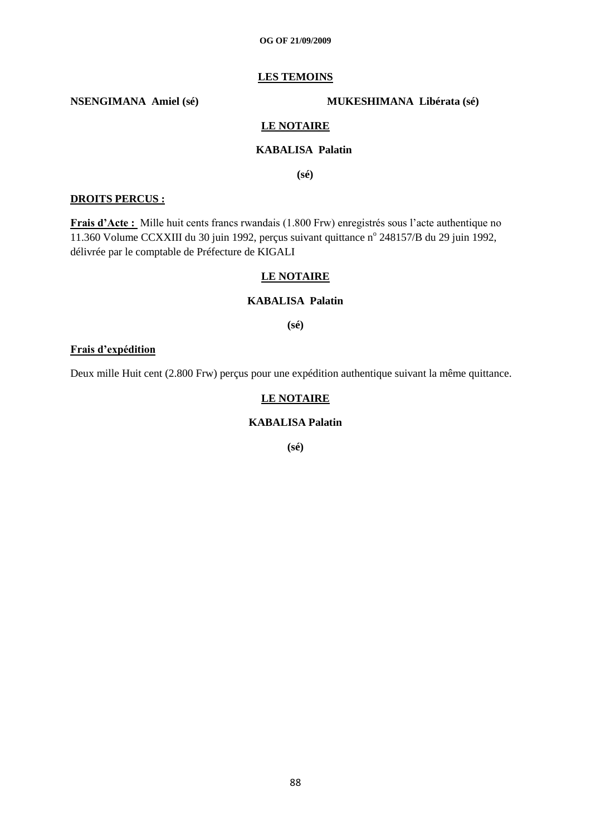#### **LES TEMOINS**

**NSENGIMANA Amiel (sé) MUKESHIMANA Libérata (sé)**

#### **LE NOTAIRE**

# **KABALISA Palatin**

 **(sé)**

#### **DROITS PERCUS :**

**Frais d'Acte :** Mille huit cents francs rwandais (1.800 Frw) enregistrés sous l"acte authentique no 11.360 Volume CCXXIII du 30 juin 1992, perçus suivant quittance nº 248157/B du 29 juin 1992, délivrée par le comptable de Préfecture de KIGALI

#### **LE NOTAIRE**

#### **KABALISA Palatin**

**(sé)**

#### **Frais d'expédition**

Deux mille Huit cent (2.800 Frw) perçus pour une expédition authentique suivant la même quittance.

#### **LE NOTAIRE**

#### **KABALISA Palatin**

**(sé)**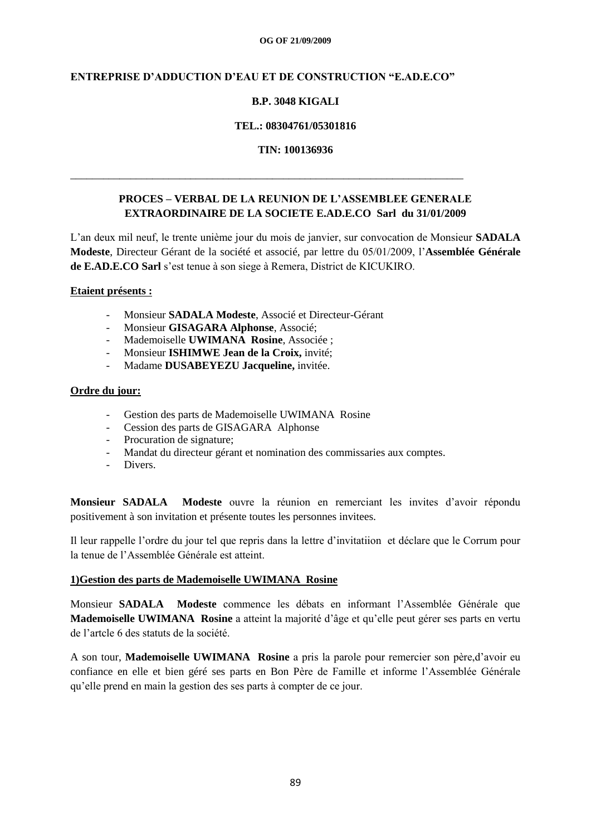# **ENTREPRISE D'ADDUCTION D'EAU ET DE CONSTRUCTION "E.AD.E.CO"**

\_\_\_\_\_\_\_\_\_\_\_\_\_\_\_\_\_\_\_\_\_\_\_\_\_\_\_\_\_\_\_\_\_\_\_\_\_\_\_\_\_\_\_\_\_\_\_\_\_\_\_\_\_\_\_\_\_\_\_\_\_\_\_\_\_\_\_\_\_\_\_\_

# **B.P. 3048 KIGALI**

#### **TEL.: 08304761/05301816**

#### **TIN: 100136936**

# **PROCES – VERBAL DE LA REUNION DE L'ASSEMBLEE GENERALE EXTRAORDINAIRE DE LA SOCIETE E.AD.E.CO Sarl du 31/01/2009**

L"an deux mil neuf, le trente unième jour du mois de janvier, sur convocation de Monsieur **SADALA Modeste**, Directeur Gérant de la société et associé, par lettre du 05/01/2009, l"**Assemblée Générale de E.AD.E.CO Sarl** s"est tenue à son siege à Remera, District de KICUKIRO.

#### **Etaient présents :**

- Monsieur **SADALA Modeste**, Associé et Directeur-Gérant
- Monsieur **GISAGARA Alphonse**, Associé;
- Mademoiselle **UWIMANA Rosine**, Associée ;
- Monsieur **ISHIMWE Jean de la Croix,** invité;
- Madame **DUSABEYEZU Jacqueline,** invitée.

# **Ordre du jour:**

- Gestion des parts de Mademoiselle UWIMANA Rosine
- Cession des parts de GISAGARA Alphonse
- Procuration de signature;
- Mandat du directeur gérant et nomination des commissaries aux comptes.
- Divers.

**Monsieur SADALA Modeste** ouvre la réunion en remerciant les invites d"avoir répondu positivement à son invitation et présente toutes les personnes invitees.

Il leur rappelle l"ordre du jour tel que repris dans la lettre d"invitatiion et déclare que le Corrum pour la tenue de l"Assemblée Générale est atteint.

#### **1)Gestion des parts de Mademoiselle UWIMANA Rosine**

Monsieur **SADALA Modeste** commence les débats en informant l"Assemblée Générale que **Mademoiselle UWIMANA Rosine** a atteint la majorité d"âge et qu"elle peut gérer ses parts en vertu de l"artcle 6 des statuts de la société.

A son tour, **Mademoiselle UWIMANA Rosine** a pris la parole pour remercier son père,d"avoir eu confiance en elle et bien géré ses parts en Bon Père de Famille et informe l"Assemblée Générale qu"elle prend en main la gestion des ses parts à compter de ce jour.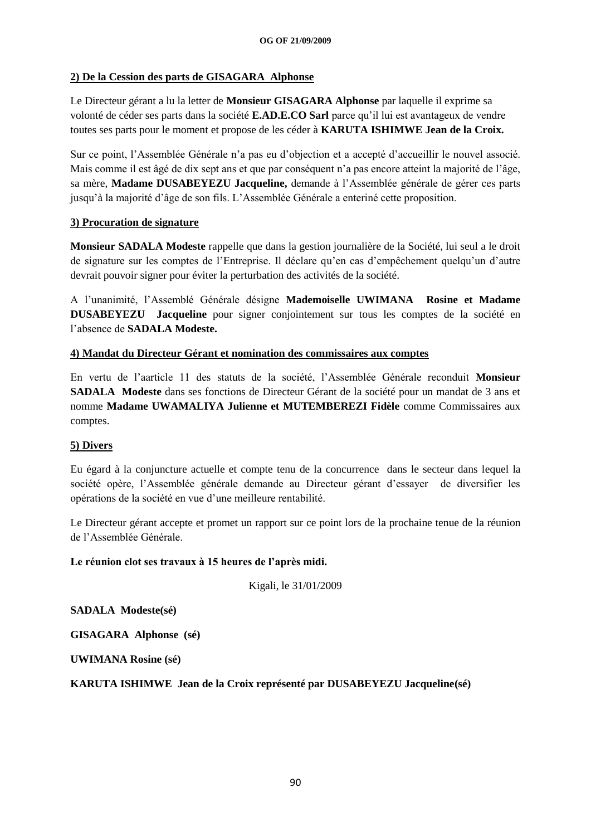# **2) De la Cession des parts de GISAGARA Alphonse**

Le Directeur gérant a lu la letter de **Monsieur GISAGARA Alphonse** par laquelle il exprime sa volonté de céder ses parts dans la société **E.AD.E.CO Sarl** parce qu"il lui est avantageux de vendre toutes ses parts pour le moment et propose de les céder à **KARUTA ISHIMWE Jean de la Croix.**

Sur ce point, l"Assemblée Générale n"a pas eu d"objection et a accepté d"accueillir le nouvel associé. Mais comme il est âgé de dix sept ans et que par conséquent n"a pas encore atteint la majorité de l"âge, sa mère, **Madame DUSABEYEZU Jacqueline,** demande à l"Assemblée générale de gérer ces parts jusqu"à la majorité d"âge de son fils. L"Assemblée Générale a enteriné cette proposition.

# **3) Procuration de signature**

**Monsieur SADALA Modeste** rappelle que dans la gestion journalière de la Société, lui seul a le droit de signature sur les comptes de l"Entreprise. Il déclare qu"en cas d"empêchement quelqu"un d"autre devrait pouvoir signer pour éviter la perturbation des activités de la société.

A l"unanimité, l"Assemblé Générale désigne **Mademoiselle UWIMANA Rosine et Madame DUSABEYEZU Jacqueline** pour signer conjointement sur tous les comptes de la société en l"absence de **SADALA Modeste.**

# **4) Mandat du Directeur Gérant et nomination des commissaires aux comptes**

En vertu de l"aarticle 11 des statuts de la société, l"Assemblée Générale reconduit **Monsieur SADALA Modeste** dans ses fonctions de Directeur Gérant de la société pour un mandat de 3 ans et nomme **Madame UWAMALIYA Julienne et MUTEMBEREZI Fidèle** comme Commissaires aux comptes.

# **5) Divers**

Eu égard à la conjuncture actuelle et compte tenu de la concurrence dans le secteur dans lequel la société opère, l"Assemblée générale demande au Directeur gérant d"essayer de diversifier les opérations de la société en vue d"une meilleure rentabilité.

Le Directeur gérant accepte et promet un rapport sur ce point lors de la prochaine tenue de la réunion de l"Assemblée Générale.

# **Le réunion clot ses travaux à 15 heures de l'après midi.**

Kigali, le 31/01/2009

**SADALA Modeste(sé)**

**GISAGARA Alphonse (sé)**

**UWIMANA Rosine (sé)**

# **KARUTA ISHIMWE Jean de la Croix représenté par DUSABEYEZU Jacqueline(sé)**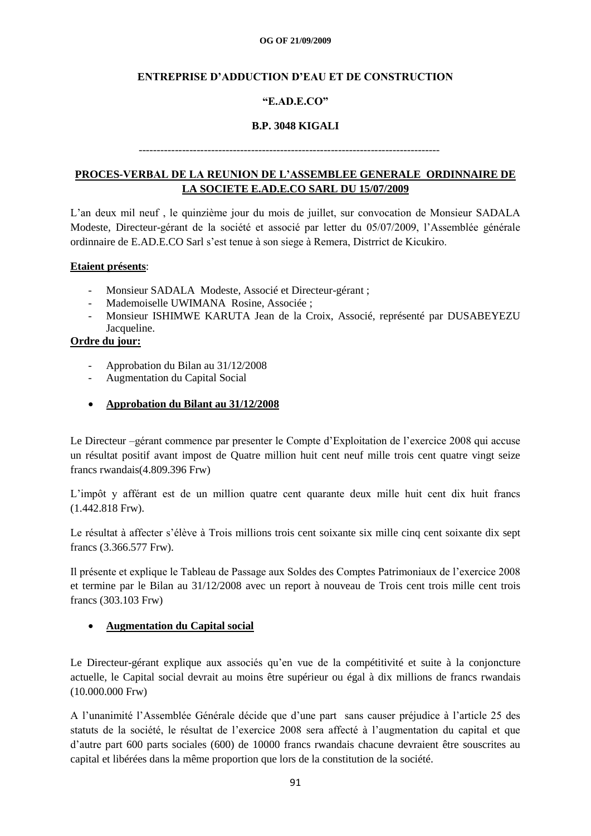# **ENTREPRISE D'ADDUCTION D'EAU ET DE CONSTRUCTION**

# **"E.AD.E.CO"**

# **B.P. 3048 KIGALI**

# -----------------------------------------------------------------------------------

# **PROCES-VERBAL DE LA REUNION DE L'ASSEMBLEE GENERALE ORDINNAIRE DE LA SOCIETE E.AD.E.CO SARL DU 15/07/2009**

L"an deux mil neuf , le quinzième jour du mois de juillet, sur convocation de Monsieur SADALA Modeste, Directeur-gérant de la société et associé par letter du 05/07/2009, l"Assemblée générale ordinnaire de E.AD.E.CO Sarl s"est tenue à son siege à Remera, Distrrict de Kicukiro.

#### **Etaient présents**:

- Monsieur SADALA Modeste, Associé et Directeur-gérant ;
- Mademoiselle UWIMANA Rosine, Associée ;
- Monsieur ISHIMWE KARUTA Jean de la Croix, Associé, représenté par DUSABEYEZU Jacqueline.

# **Ordre du jour:**

- Approbation du Bilan au 31/12/2008
- Augmentation du Capital Social
- **Approbation du Bilant au 31/12/2008**

Le Directeur –gérant commence par presenter le Compte d"Exploitation de l"exercice 2008 qui accuse un résultat positif avant impost de Quatre million huit cent neuf mille trois cent quatre vingt seize francs rwandais(4.809.396 Frw)

L"impôt y afférant est de un million quatre cent quarante deux mille huit cent dix huit francs (1.442.818 Frw).

Le résultat à affecter s"élève à Trois millions trois cent soixante six mille cinq cent soixante dix sept francs (3.366.577 Frw).

Il présente et explique le Tableau de Passage aux Soldes des Comptes Patrimoniaux de l"exercice 2008 et termine par le Bilan au 31/12/2008 avec un report à nouveau de Trois cent trois mille cent trois francs (303.103 Frw)

# **Augmentation du Capital social**

Le Directeur-gérant explique aux associés qu"en vue de la compétitivité et suite à la conjoncture actuelle, le Capital social devrait au moins être supérieur ou égal à dix millions de francs rwandais (10.000.000 Frw)

A l"unanimité l"Assemblée Générale décide que d"une part sans causer préjudice à l"article 25 des statuts de la société, le résultat de l"exercice 2008 sera affecté à l"augmentation du capital et que d"autre part 600 parts sociales (600) de 10000 francs rwandais chacune devraient être souscrites au capital et libérées dans la même proportion que lors de la constitution de la société.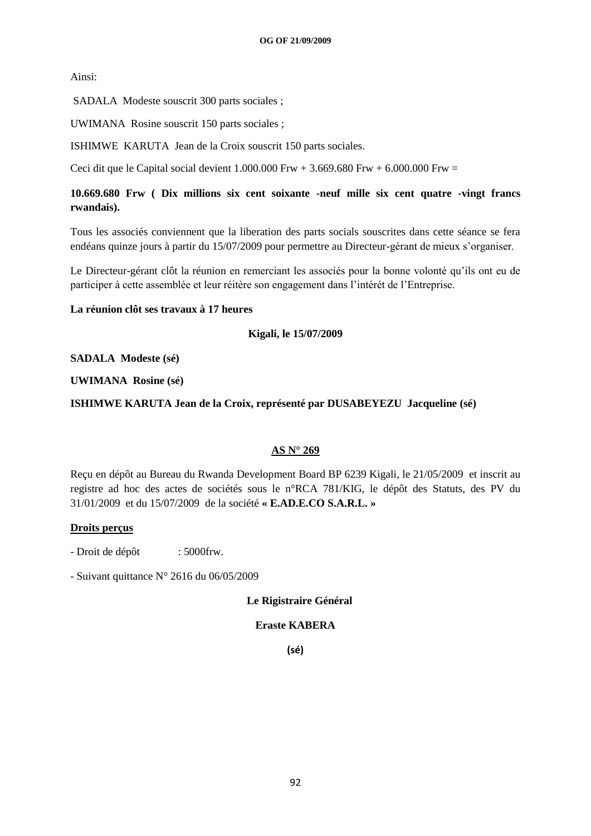Ainsi:

SADALA Modeste souscrit 300 parts sociales ;

UWIMANA Rosine souscrit 150 parts sociales ;

ISHIMWE KARUTA Jean de la Croix souscrit 150 parts sociales.

Ceci dit que le Capital social devient  $1.000.000$  Frw  $+ 3.669.680$  Frw  $+ 6.000.000$  Frw  $=$ 

**10.669.680 Frw ( Dix millions six cent soixante -neuf mille six cent quatre -vingt francs rwandais).**

Tous les associés conviennent que la liberation des parts socials souscrites dans cette séance se fera endéans quinze jours à partir du 15/07/2009 pour permettre au Directeur-gérant de mieux s'organiser.

Le Directeur-gérant clôt la réunion en remerciant les associés pour la bonne volonté qu'ils ont eu de participer à cette assemblée et leur réitère son engagement dans l"intérét de l"Entreprise.

# **La réunion clôt ses travaux à 17 heures**

**Kigali, le 15/07/2009**

#### **SADALA Modeste (sé)**

#### **UWIMANA Rosine (sé)**

**ISHIMWE KARUTA Jean de la Croix, représenté par DUSABEYEZU Jacqueline (sé)**

# **AS N° 269**

Reçu en dépôt au Bureau du Rwanda Development Board BP 6239 Kigali, le 21/05/2009 et inscrit au registre ad hoc des actes de sociétés sous le n°RCA 781/KIG, le dépôt des Statuts, des PV du 31/01/2009 et du 15/07/2009 de la société **« E.AD.E.CO S.A.R.L. »**

#### **Droits perçus**

- Droit de dépôt : 5000 frw.

- Suivant quittance N° 2616 du 06/05/2009

 **Le Rigistraire Général**

# **Eraste KABERA**

**(sé)**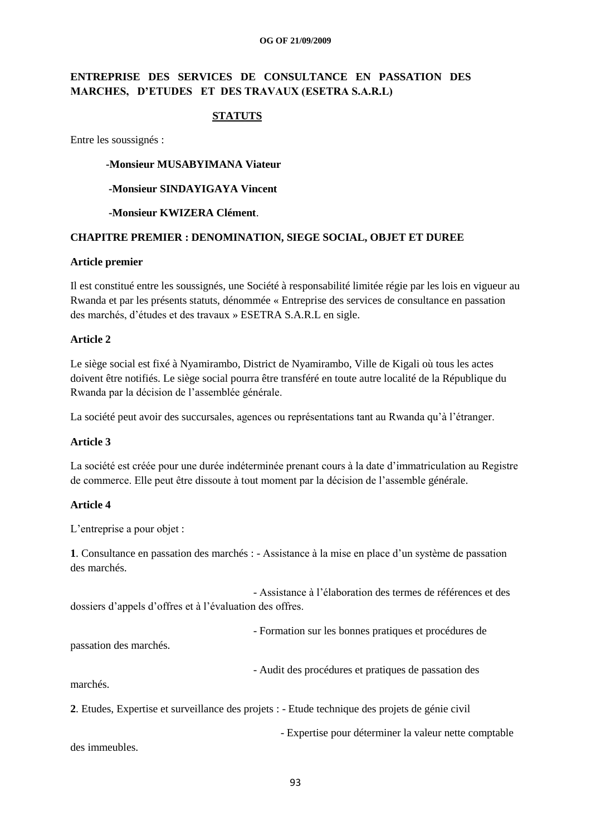# **ENTREPRISE DES SERVICES DE CONSULTANCE EN PASSATION DES MARCHES, D'ETUDES ET DES TRAVAUX (ESETRA S.A.R.L)**

# **STATUTS**

Entre les soussignés :

#### **-Monsieur MUSABYIMANA Viateur**

#### **-Monsieur SINDAYIGAYA Vincent**

#### **-Monsieur KWIZERA Clément**.

#### **CHAPITRE PREMIER : DENOMINATION, SIEGE SOCIAL, OBJET ET DUREE**

#### **Article premier**

Il est constitué entre les soussignés, une Société à responsabilité limitée régie par les lois en vigueur au Rwanda et par les présents statuts, dénommée « Entreprise des services de consultance en passation des marchés, d"études et des travaux » ESETRA S.A.R.L en sigle.

#### **Article 2**

Le siège social est fixé à Nyamirambo, District de Nyamirambo, Ville de Kigali où tous les actes doivent être notifiés. Le siège social pourra être transféré en toute autre localité de la République du Rwanda par la décision de l"assemblée générale.

La société peut avoir des succursales, agences ou représentations tant au Rwanda qu'à l'étranger.

#### **Article 3**

La société est créée pour une durée indéterminée prenant cours à la date d"immatriculation au Registre de commerce. Elle peut être dissoute à tout moment par la décision de l"assemble générale.

#### **Article 4**

L'entreprise a pour objet :

**1**. Consultance en passation des marchés : - Assistance à la mise en place d"un système de passation des marchés.

 - Assistance à l"élaboration des termes de références et des dossiers d"appels d"offres et à l"évaluation des offres.

- Formation sur les bonnes pratiques et procédures de

passation des marchés.

- Audit des procédures et pratiques de passation des

marchés.

**2**. Etudes, Expertise et surveillance des projets : - Etude technique des projets de génie civil

- Expertise pour déterminer la valeur nette comptable

des immeubles.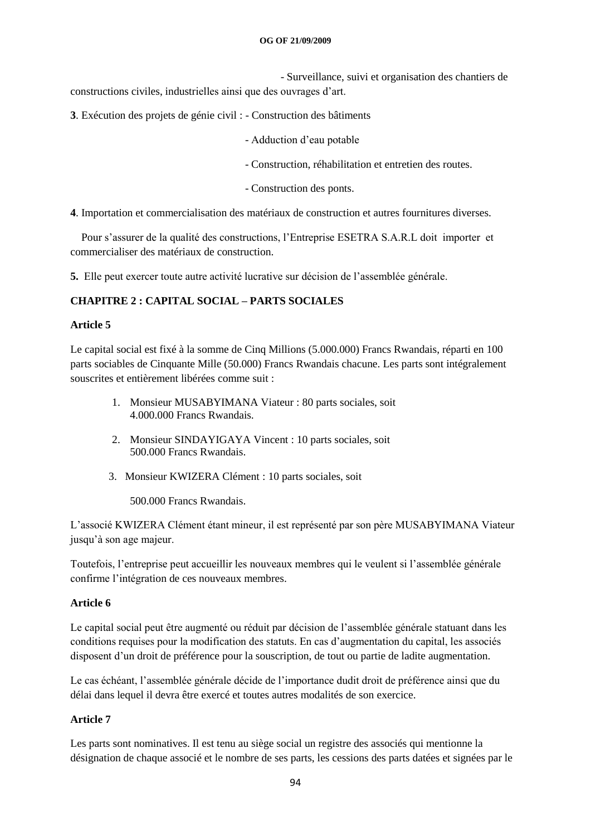- Surveillance, suivi et organisation des chantiers de constructions civiles, industrielles ainsi que des ouvrages d"art.

- **3**. Exécution des projets de génie civil : Construction des bâtiments
	- Adduction d"eau potable
	- Construction, réhabilitation et entretien des routes.
	- Construction des ponts.

**4**. Importation et commercialisation des matériaux de construction et autres fournitures diverses.

 Pour s"assurer de la qualité des constructions, l"Entreprise ESETRA S.A.R.L doit importer et commercialiser des matériaux de construction.

**5.** Elle peut exercer toute autre activité lucrative sur décision de l"assemblée générale.

# **CHAPITRE 2 : CAPITAL SOCIAL – PARTS SOCIALES**

#### **Article 5**

Le capital social est fixé à la somme de Cinq Millions (5.000.000) Francs Rwandais, réparti en 100 parts sociables de Cinquante Mille (50.000) Francs Rwandais chacune. Les parts sont intégralement souscrites et entièrement libérées comme suit :

- 1. Monsieur MUSABYIMANA Viateur : 80 parts sociales, soit 4.000.000 Francs Rwandais.
- 2. Monsieur SINDAYIGAYA Vincent : 10 parts sociales, soit 500.000 Francs Rwandais.
- 3. Monsieur KWIZERA Clément : 10 parts sociales, soit

500.000 Francs Rwandais.

L"associé KWIZERA Clément étant mineur, il est représenté par son père MUSABYIMANA Viateur jusqu"à son age majeur.

Toutefois, l"entreprise peut accueillir les nouveaux membres qui le veulent si l"assemblée générale confirme l"intégration de ces nouveaux membres.

# **Article 6**

Le capital social peut être augmenté ou réduit par décision de l"assemblée générale statuant dans les conditions requises pour la modification des statuts. En cas d"augmentation du capital, les associés disposent d"un droit de préférence pour la souscription, de tout ou partie de ladite augmentation.

Le cas échéant, l"assemblée générale décide de l"importance dudit droit de préférence ainsi que du délai dans lequel il devra être exercé et toutes autres modalités de son exercice.

# **Article 7**

Les parts sont nominatives. Il est tenu au siège social un registre des associés qui mentionne la désignation de chaque associé et le nombre de ses parts, les cessions des parts datées et signées par le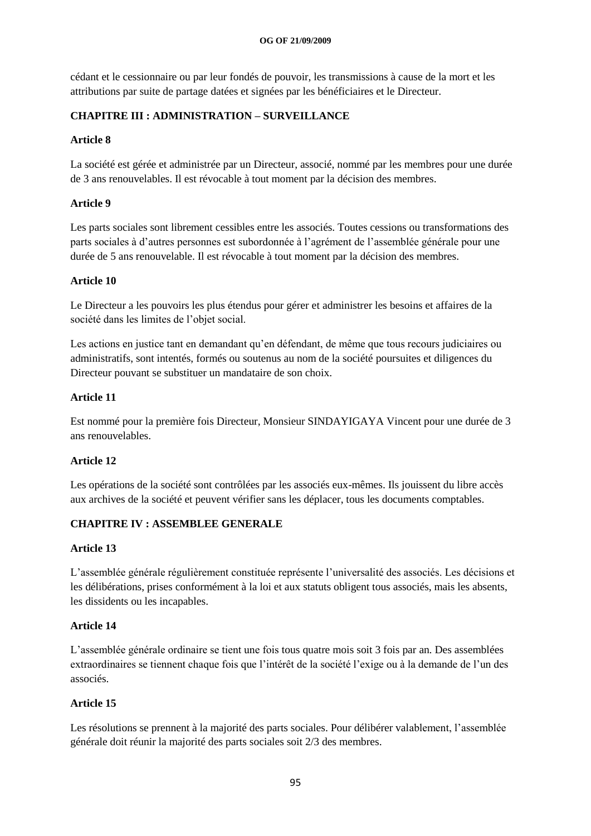cédant et le cessionnaire ou par leur fondés de pouvoir, les transmissions à cause de la mort et les attributions par suite de partage datées et signées par les bénéficiaires et le Directeur.

# **CHAPITRE III : ADMINISTRATION – SURVEILLANCE**

# **Article 8**

La société est gérée et administrée par un Directeur, associé, nommé par les membres pour une durée de 3 ans renouvelables. Il est révocable à tout moment par la décision des membres.

# **Article 9**

Les parts sociales sont librement cessibles entre les associés. Toutes cessions ou transformations des parts sociales à d"autres personnes est subordonnée à l"agrément de l"assemblée générale pour une durée de 5 ans renouvelable. Il est révocable à tout moment par la décision des membres.

# **Article 10**

Le Directeur a les pouvoirs les plus étendus pour gérer et administrer les besoins et affaires de la société dans les limites de l"objet social.

Les actions en justice tant en demandant qu"en défendant, de même que tous recours judiciaires ou administratifs, sont intentés, formés ou soutenus au nom de la société poursuites et diligences du Directeur pouvant se substituer un mandataire de son choix.

# **Article 11**

Est nommé pour la première fois Directeur, Monsieur SINDAYIGAYA Vincent pour une durée de 3 ans renouvelables.

# **Article 12**

Les opérations de la société sont contrôlées par les associés eux-mêmes. Ils jouissent du libre accès aux archives de la société et peuvent vérifier sans les déplacer, tous les documents comptables.

# **CHAPITRE IV : ASSEMBLEE GENERALE**

#### **Article 13**

L"assemblée générale régulièrement constituée représente l"universalité des associés. Les décisions et les délibérations, prises conformément à la loi et aux statuts obligent tous associés, mais les absents, les dissidents ou les incapables.

#### **Article 14**

L"assemblée générale ordinaire se tient une fois tous quatre mois soit 3 fois par an. Des assemblées extraordinaires se tiennent chaque fois que l"intérêt de la société l"exige ou à la demande de l"un des associés.

# **Article 15**

Les résolutions se prennent à la majorité des parts sociales. Pour délibérer valablement, l"assemblée générale doit réunir la majorité des parts sociales soit 2/3 des membres.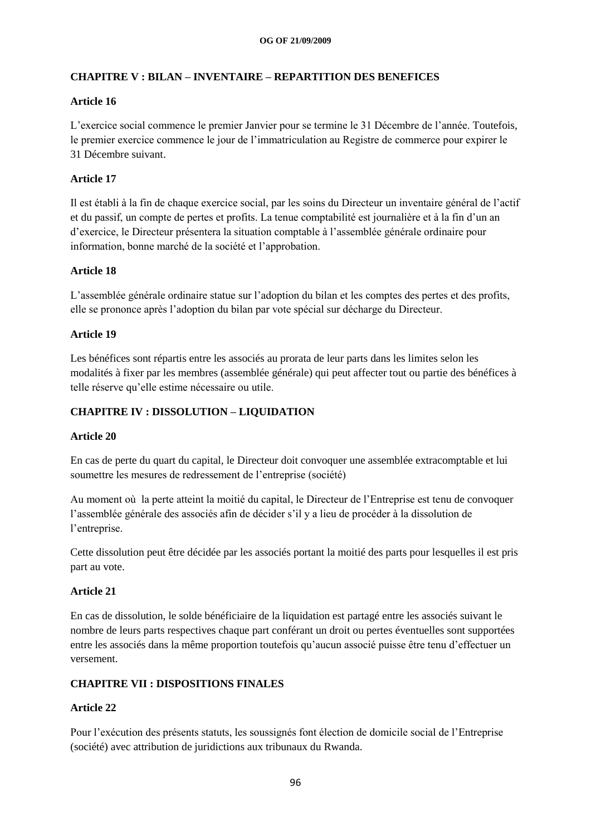# **CHAPITRE V : BILAN – INVENTAIRE – REPARTITION DES BENEFICES**

# **Article 16**

L"exercice social commence le premier Janvier pour se termine le 31 Décembre de l"année. Toutefois, le premier exercice commence le jour de l"immatriculation au Registre de commerce pour expirer le 31 Décembre suivant.

# **Article 17**

Il est établi à la fin de chaque exercice social, par les soins du Directeur un inventaire général de l"actif et du passif, un compte de pertes et profits. La tenue comptabilité est journalière et à la fin d"un an d"exercice, le Directeur présentera la situation comptable à l"assemblée générale ordinaire pour information, bonne marché de la société et l"approbation.

# **Article 18**

L"assemblée générale ordinaire statue sur l"adoption du bilan et les comptes des pertes et des profits, elle se prononce après l"adoption du bilan par vote spécial sur décharge du Directeur.

# **Article 19**

Les bénéfices sont répartis entre les associés au prorata de leur parts dans les limites selon les modalités à fixer par les membres (assemblée générale) qui peut affecter tout ou partie des bénéfices à telle réserve qu"elle estime nécessaire ou utile.

# **CHAPITRE IV : DISSOLUTION – LIQUIDATION**

#### **Article 20**

En cas de perte du quart du capital, le Directeur doit convoquer une assemblée extracomptable et lui soumettre les mesures de redressement de l"entreprise (société)

Au moment où la perte atteint la moitié du capital, le Directeur de l"Entreprise est tenu de convoquer l"assemblée générale des associés afin de décider s"il y a lieu de procéder à la dissolution de l"entreprise.

Cette dissolution peut être décidée par les associés portant la moitié des parts pour lesquelles il est pris part au vote.

#### **Article 21**

En cas de dissolution, le solde bénéficiaire de la liquidation est partagé entre les associés suivant le nombre de leurs parts respectives chaque part conférant un droit ou pertes éventuelles sont supportées entre les associés dans la même proportion toutefois qu"aucun associé puisse être tenu d"effectuer un versement.

# **CHAPITRE VII : DISPOSITIONS FINALES**

# **Article 22**

Pour l"exécution des présents statuts, les soussignés font élection de domicile social de l"Entreprise (société) avec attribution de juridictions aux tribunaux du Rwanda.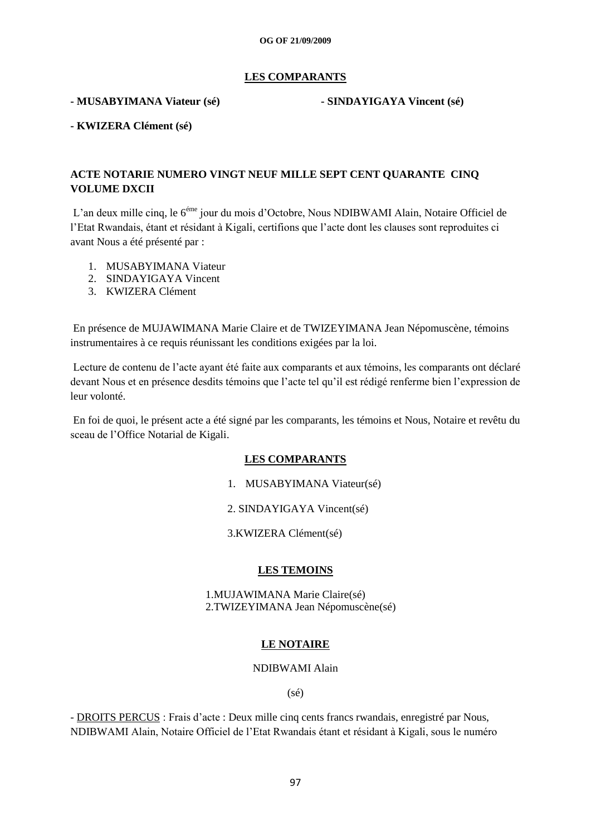### **LES COMPARANTS**

#### **- MUSABYIMANA Viateur (sé) - SINDAYIGAYA Vincent (sé)**

**- KWIZERA Clément (sé)**

# **ACTE NOTARIE NUMERO VINGT NEUF MILLE SEPT CENT QUARANTE CINQ VOLUME DXCII**

L"an deux mille cinq, le 6éme jour du mois d"Octobre, Nous NDIBWAMI Alain, Notaire Officiel de l"Etat Rwandais, étant et résidant à Kigali, certifions que l"acte dont les clauses sont reproduites ci avant Nous a été présenté par :

- 1. MUSABYIMANA Viateur
- 2. SINDAYIGAYA Vincent
- 3. KWIZERA Clément

En présence de MUJAWIMANA Marie Claire et de TWIZEYIMANA Jean Népomuscène, témoins instrumentaires à ce requis réunissant les conditions exigées par la loi.

Lecture de contenu de l"acte ayant été faite aux comparants et aux témoins, les comparants ont déclaré devant Nous et en présence desdits témoins que l"acte tel qu"il est rédigé renferme bien l"expression de leur volonté.

En foi de quoi, le présent acte a été signé par les comparants, les témoins et Nous, Notaire et revêtu du sceau de l"Office Notarial de Kigali.

#### **LES COMPARANTS**

1. MUSABYIMANA Viateur(sé)

2. SINDAYIGAYA Vincent(sé)

3.KWIZERA Clément(sé)

#### **LES TEMOINS**

 1.MUJAWIMANA Marie Claire(sé) 2.TWIZEYIMANA Jean Népomuscène(sé)

#### **LE NOTAIRE**

NDIBWAMI Alain

(sé)

- DROITS PERCUS : Frais d"acte : Deux mille cinq cents francs rwandais, enregistré par Nous, NDIBWAMI Alain, Notaire Officiel de l"Etat Rwandais étant et résidant à Kigali, sous le numéro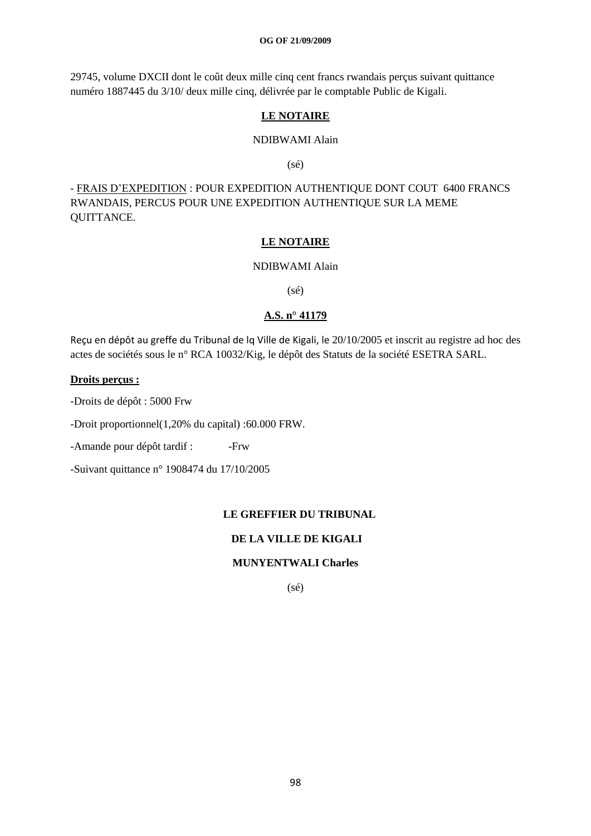29745, volume DXCII dont le coût deux mille cinq cent francs rwandais perçus suivant quittance numéro 1887445 du 3/10/ deux mille cinq, délivrée par le comptable Public de Kigali.

# **LE NOTAIRE**

#### NDIBWAMI Alain

(sé)

- FRAIS D"EXPEDITION : POUR EXPEDITION AUTHENTIQUE DONT COUT 6400 FRANCS RWANDAIS, PERCUS POUR UNE EXPEDITION AUTHENTIQUE SUR LA MEME QUITTANCE.

#### **LE NOTAIRE**

#### NDIBWAMI Alain

(sé)

# **A.S. n° 41179**

Reçu en dépôt au greffe du Tribunal de lq Ville de Kigali, le 20/10/2005 et inscrit au registre ad hoc des actes de sociétés sous le n° RCA 10032/Kig, le dépôt des Statuts de la société ESETRA SARL.

#### **Droits perçus :**

-Droits de dépôt : 5000 Frw

-Droit proportionnel(1,20% du capital) :60.000 FRW.

-Amande pour dépôt tardif : -Frw

-Suivant quittance n° 1908474 du 17/10/2005

#### **LE GREFFIER DU TRIBUNAL**

# **DE LA VILLE DE KIGALI**

#### **MUNYENTWALI Charles**

(sé)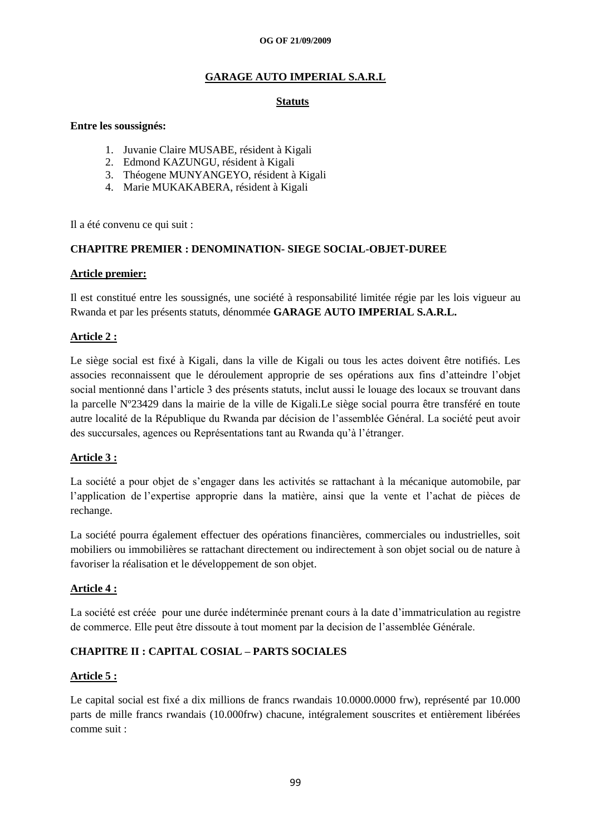# **GARAGE AUTO IMPERIAL S.A.R.L**

# **Statuts**

#### **Entre les soussignés:**

- 1. Juvanie Claire MUSABE, résident à Kigali
- 2. Edmond KAZUNGU, résident à Kigali
- 3. Théogene MUNYANGEYO, résident à Kigali
- 4. Marie MUKAKABERA, résident à Kigali

Il a été convenu ce qui suit :

# **CHAPITRE PREMIER : DENOMINATION- SIEGE SOCIAL-OBJET-DUREE**

#### **Article premier:**

Il est constitué entre les soussignés, une société à responsabilité limitée régie par les lois vigueur au Rwanda et par les présents statuts, dénommée **GARAGE AUTO IMPERIAL S.A.R.L.**

# **Article 2 :**

Le siège social est fixé à Kigali, dans la ville de Kigali ou tous les actes doivent être notifiés. Les associes reconnaissent que le déroulement approprie de ses opérations aux fins d"atteindre l"objet social mentionné dans l"article 3 des présents statuts, inclut aussi le louage des locaux se trouvant dans la parcelle Nº23429 dans la mairie de la ville de Kigali.Le siège social pourra être transféré en toute autre localité de la République du Rwanda par décision de l"assemblée Général. La société peut avoir des succursales, agences ou Représentations tant au Rwanda qu"à l"étranger.

# **Article 3 :**

La société a pour objet de s"engager dans les activités se rattachant à la mécanique automobile, par l"application de l"expertise approprie dans la matière, ainsi que la vente et l"achat de pièces de rechange.

La société pourra également effectuer des opérations financières, commerciales ou industrielles, soit mobiliers ou immobilières se rattachant directement ou indirectement à son objet social ou de nature à favoriser la réalisation et le développement de son objet.

# **Article 4 :**

La société est créée pour une durée indéterminée prenant cours à la date d"immatriculation au registre de commerce. Elle peut être dissoute à tout moment par la decision de l"assemblée Générale.

# **CHAPITRE II : CAPITAL COSIAL – PARTS SOCIALES**

#### **Article 5 :**

Le capital social est fixé a dix millions de francs rwandais 10.0000.0000 frw), représenté par 10.000 parts de mille francs rwandais (10.000frw) chacune, intégralement souscrites et entièrement libérées comme suit :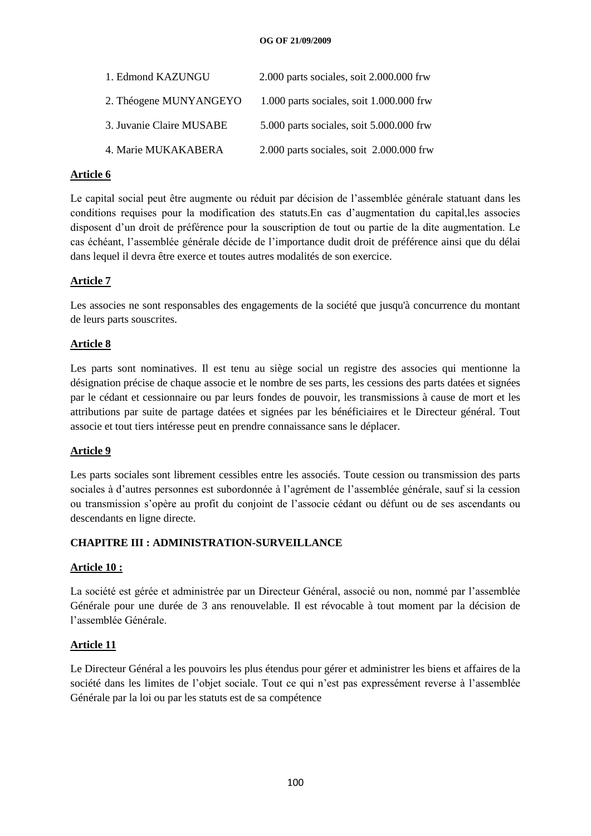| 1. Edmond KAZUNGU        | 2.000 parts sociales, soit 2.000.000 frw     |
|--------------------------|----------------------------------------------|
| 2. Théogene MUNYANGEYO   | $1.000$ parts sociales, soit $1.000.000$ frw |
| 3. Juvanie Claire MUSABE | 5.000 parts sociales, soit 5.000.000 frw     |
| 4. Marie MUKAKABERA      | 2.000 parts sociales, soit 2.000.000 frw     |

# **Article 6**

Le capital social peut être augmente ou réduit par décision de l"assemblée générale statuant dans les conditions requises pour la modification des statuts.En cas d"augmentation du capital,les associes disposent d'un droit de préférence pour la souscription de tout ou partie de la dite augmentation. Le cas échéant, l"assemblée générale décide de l"importance dudit droit de préférence ainsi que du délai dans lequel il devra être exerce et toutes autres modalités de son exercice.

# **Article 7**

Les associes ne sont responsables des engagements de la société que jusqu'à concurrence du montant de leurs parts souscrites.

# **Article 8**

Les parts sont nominatives. Il est tenu au siège social un registre des associes qui mentionne la désignation précise de chaque associe et le nombre de ses parts, les cessions des parts datées et signées par le cédant et cessionnaire ou par leurs fondes de pouvoir, les transmissions à cause de mort et les attributions par suite de partage datées et signées par les bénéficiaires et le Directeur général. Tout associe et tout tiers intéresse peut en prendre connaissance sans le déplacer.

# **Article 9**

Les parts sociales sont librement cessibles entre les associés. Toute cession ou transmission des parts sociales à d"autres personnes est subordonnée à l"agrément de l"assemblée générale, sauf si la cession ou transmission s"opère au profit du conjoint de l"associe cédant ou défunt ou de ses ascendants ou descendants en ligne directe.

# **CHAPITRE III : ADMINISTRATION-SURVEILLANCE**

# **Article 10 :**

La société est gérée et administrée par un Directeur Général, associé ou non, nommé par l"assemblée Générale pour une durée de 3 ans renouvelable. Il est révocable à tout moment par la décision de l"assemblée Générale.

# **Article 11**

Le Directeur Général a les pouvoirs les plus étendus pour gérer et administrer les biens et affaires de la société dans les limites de l"objet sociale. Tout ce qui n"est pas expressément reverse à l"assemblée Générale par la loi ou par les statuts est de sa compétence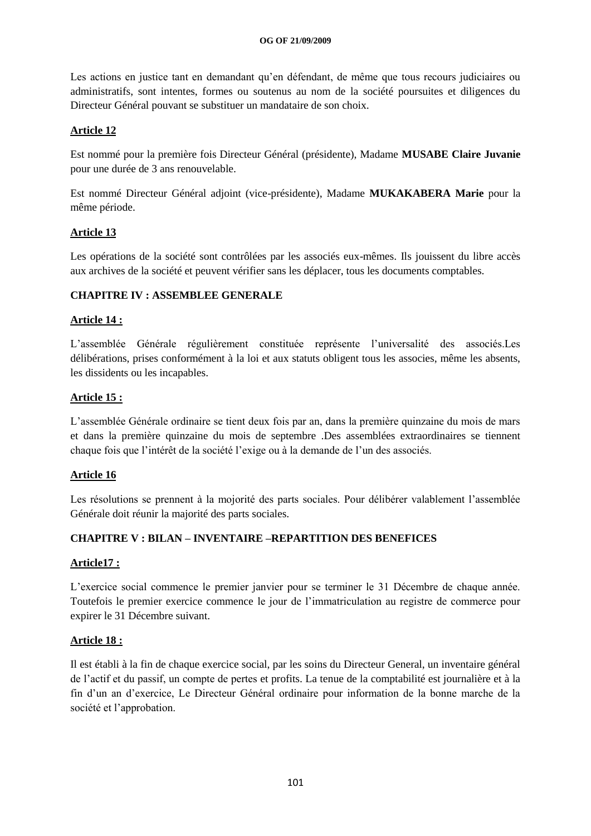Les actions en justice tant en demandant qu'en défendant, de même que tous recours judiciaires ou administratifs, sont intentes, formes ou soutenus au nom de la société poursuites et diligences du Directeur Général pouvant se substituer un mandataire de son choix.

# **Article 12**

Est nommé pour la première fois Directeur Général (présidente), Madame **MUSABE Claire Juvanie** pour une durée de 3 ans renouvelable.

Est nommé Directeur Général adjoint (vice-présidente), Madame **MUKAKABERA Marie** pour la même période.

# **Article 13**

Les opérations de la société sont contrôlées par les associés eux-mêmes. Ils jouissent du libre accès aux archives de la société et peuvent vérifier sans les déplacer, tous les documents comptables.

# **CHAPITRE IV : ASSEMBLEE GENERALE**

# **Article 14 :**

L"assemblée Générale régulièrement constituée représente l"universalité des associés.Les délibérations, prises conformément à la loi et aux statuts obligent tous les associes, même les absents, les dissidents ou les incapables.

# **Article 15 :**

L"assemblée Générale ordinaire se tient deux fois par an, dans la première quinzaine du mois de mars et dans la première quinzaine du mois de septembre .Des assemblées extraordinaires se tiennent chaque fois que l"intérêt de la société l"exige ou à la demande de l"un des associés.

# **Article 16**

Les résolutions se prennent à la mojorité des parts sociales. Pour délibérer valablement l'assemblée Générale doit réunir la majorité des parts sociales.

# **CHAPITRE V : BILAN – INVENTAIRE –REPARTITION DES BENEFICES**

# **Article17 :**

L"exercice social commence le premier janvier pour se terminer le 31 Décembre de chaque année. Toutefois le premier exercice commence le jour de l"immatriculation au registre de commerce pour expirer le 31 Décembre suivant.

# **Article 18 :**

Il est établi à la fin de chaque exercice social, par les soins du Directeur General, un inventaire général de l"actif et du passif, un compte de pertes et profits. La tenue de la comptabilité est journalière et à la fin d"un an d"exercice, Le Directeur Général ordinaire pour information de la bonne marche de la société et l'approbation.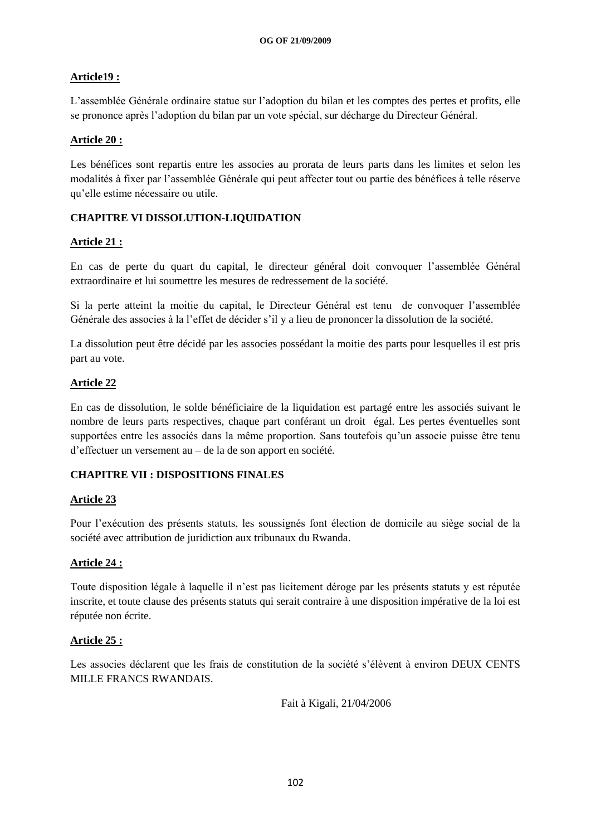# **Article19 :**

L"assemblée Générale ordinaire statue sur l"adoption du bilan et les comptes des pertes et profits, elle se prononce après l"adoption du bilan par un vote spécial, sur décharge du Directeur Général.

# **Article 20 :**

Les bénéfices sont repartis entre les associes au prorata de leurs parts dans les limites et selon les modalités à fixer par l"assemblée Générale qui peut affecter tout ou partie des bénéfices à telle réserve qu"elle estime nécessaire ou utile.

# **CHAPITRE VI DISSOLUTION-LIQUIDATION**

# **Article 21 :**

En cas de perte du quart du capital, le directeur général doit convoquer l"assemblée Général extraordinaire et lui soumettre les mesures de redressement de la société.

Si la perte atteint la moitie du capital, le Directeur Général est tenu de convoquer l"assemblée Générale des associes à la l"effet de décider s"il y a lieu de prononcer la dissolution de la société.

La dissolution peut être décidé par les associes possédant la moitie des parts pour lesquelles il est pris part au vote.

# **Article 22**

En cas de dissolution, le solde bénéficiaire de la liquidation est partagé entre les associés suivant le nombre de leurs parts respectives, chaque part conférant un droit égal. Les pertes éventuelles sont supportées entre les associés dans la même proportion. Sans toutefois qu"un associe puisse être tenu d"effectuer un versement au – de la de son apport en société.

# **CHAPITRE VII : DISPOSITIONS FINALES**

# **Article 23**

Pour l"exécution des présents statuts, les soussignés font élection de domicile au siège social de la société avec attribution de juridiction aux tribunaux du Rwanda.

# **Article 24 :**

Toute disposition légale à laquelle il n"est pas licitement déroge par les présents statuts y est réputée inscrite, et toute clause des présents statuts qui serait contraire à une disposition impérative de la loi est réputée non écrite.

# **Article 25 :**

Les associes déclarent que les frais de constitution de la société s'élèvent à environ DEUX CENTS MILLE FRANCS RWANDAIS.

Fait à Kigali, 21/04/2006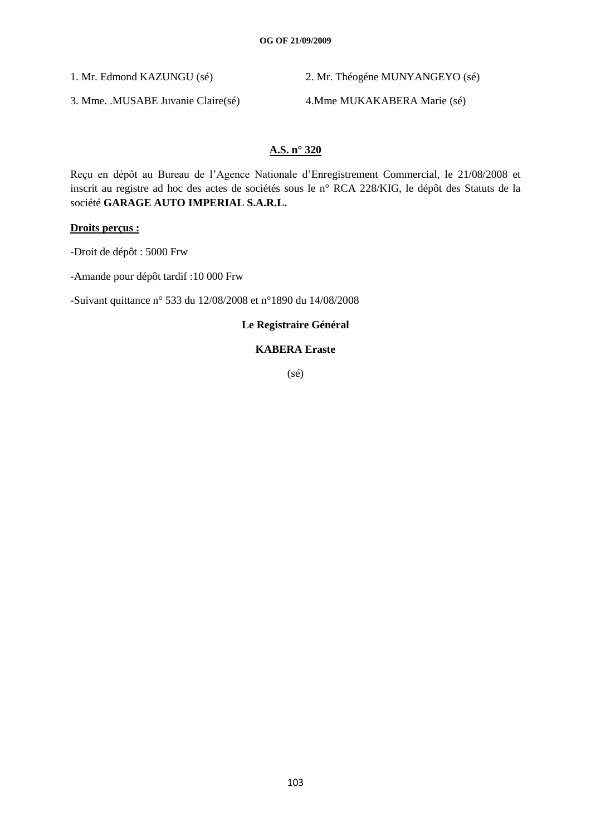1. Mr. Edmond KAZUNGU (sé) 2. Mr. Théogéne MUNYANGEYO (sé)

3. Mme. .MUSABE Juvanie Claire(sé) 4.Mme MUKAKABERA Marie (sé)

# **A.S. n° 320**

Reçu en dépôt au Bureau de l"Agence Nationale d"Enregistrement Commercial, le 21/08/2008 et inscrit au registre ad hoc des actes de sociétés sous le n° RCA 228/KIG, le dépôt des Statuts de la société **GARAGE AUTO IMPERIAL S.A.R.L.**

# **Droits perçus :**

-Droit de dépôt : 5000 Frw

-Amande pour dépôt tardif :10 000 Frw

-Suivant quittance n° 533 du 12/08/2008 et n°1890 du 14/08/2008

# **Le Registraire Général**

# **KABERA Eraste**

(sé)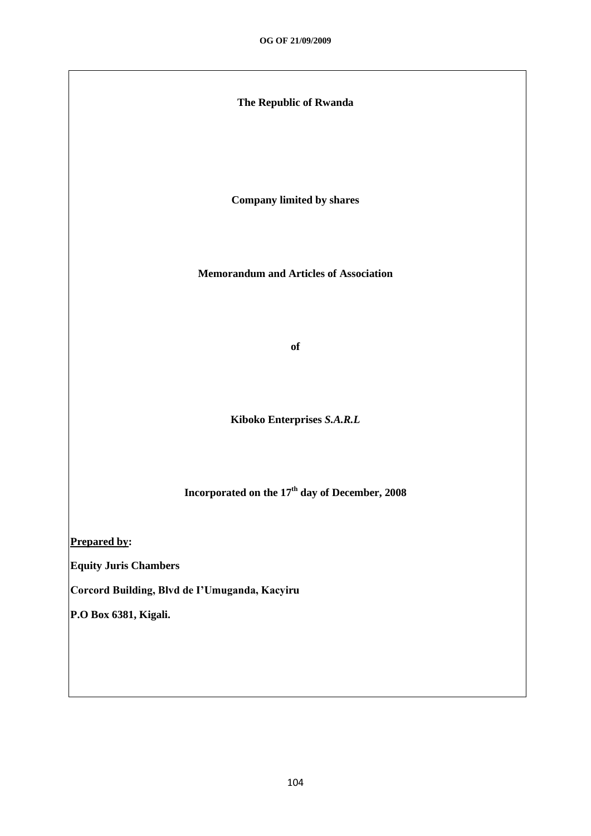# **The Republic of Rwanda**

**Company limited by shares**

**Memorandum and Articles of Association**

**of**

**Kiboko Enterprises** *S.A.R.L*

**Incorporated on the 17th day of December, 2008**

**Prepared by:**

**Equity Juris Chambers**

**Corcord Building, Blvd de I'Umuganda, Kacyiru**

**P.O Box 6381, Kigali.**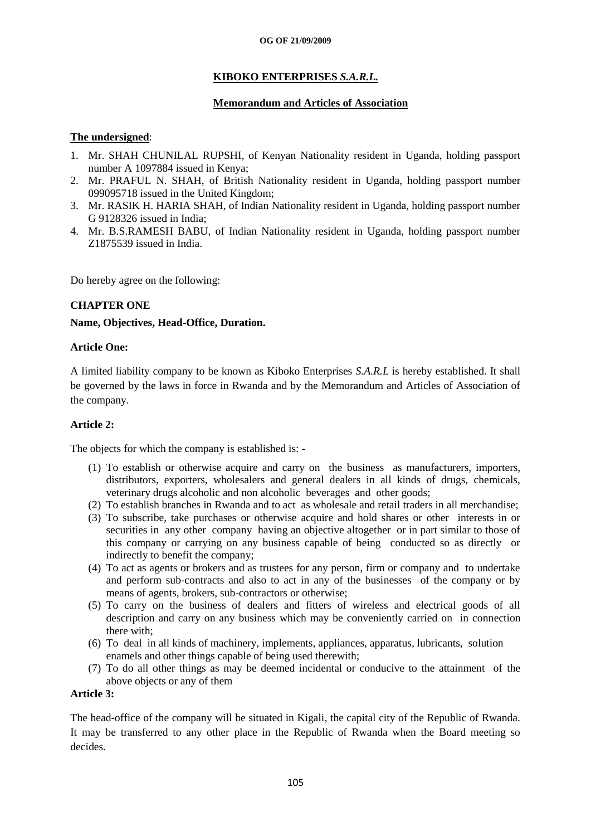# **KIBOKO ENTERPRISES** *S.A.R.L.*

# **Memorandum and Articles of Association**

# **The undersigned**:

- 1. Mr. SHAH CHUNILAL RUPSHI, of Kenyan Nationality resident in Uganda, holding passport number A 1097884 issued in Kenya;
- 2. Mr. PRAFUL N. SHAH, of British Nationality resident in Uganda, holding passport number 099095718 issued in the United Kingdom;
- 3. Mr. RASIK H. HARIA SHAH, of Indian Nationality resident in Uganda, holding passport number G 9128326 issued in India;
- 4. Mr. B.S.RAMESH BABU, of Indian Nationality resident in Uganda, holding passport number Z1875539 issued in India.

Do hereby agree on the following:

# **CHAPTER ONE**

# **Name, Objectives, Head-Office, Duration.**

#### **Article One:**

A limited liability company to be known as Kiboko Enterprises *S.A.R.L* is hereby established. It shall be governed by the laws in force in Rwanda and by the Memorandum and Articles of Association of the company.

#### **Article 2:**

The objects for which the company is established is: -

- (1) To establish or otherwise acquire and carry on the business as manufacturers, importers, distributors, exporters, wholesalers and general dealers in all kinds of drugs, chemicals, veterinary drugs alcoholic and non alcoholic beverages and other goods;
- (2) To establish branches in Rwanda and to act as wholesale and retail traders in all merchandise;
- (3) To subscribe, take purchases or otherwise acquire and hold shares or other interests in or securities in any other company having an objective altogether or in part similar to those of this company or carrying on any business capable of being conducted so as directly or indirectly to benefit the company;
- (4) To act as agents or brokers and as trustees for any person, firm or company and to undertake and perform sub-contracts and also to act in any of the businesses of the company or by means of agents, brokers, sub-contractors or otherwise;
- (5) To carry on the business of dealers and fitters of wireless and electrical goods of all description and carry on any business which may be conveniently carried on in connection there with;
- (6) To deal in all kinds of machinery, implements, appliances, apparatus, lubricants, solution enamels and other things capable of being used therewith;
- (7) To do all other things as may be deemed incidental or conducive to the attainment of the above objects or any of them

# **Article 3:**

The head-office of the company will be situated in Kigali, the capital city of the Republic of Rwanda. It may be transferred to any other place in the Republic of Rwanda when the Board meeting so decides.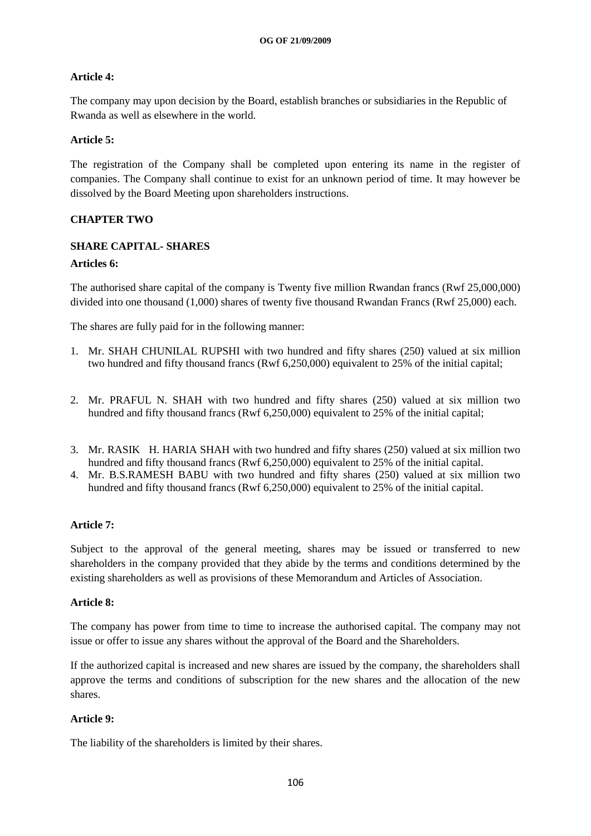# **Article 4:**

The company may upon decision by the Board, establish branches or subsidiaries in the Republic of Rwanda as well as elsewhere in the world.

# **Article 5:**

The registration of the Company shall be completed upon entering its name in the register of companies. The Company shall continue to exist for an unknown period of time. It may however be dissolved by the Board Meeting upon shareholders instructions.

# **CHAPTER TWO**

# **SHARE CAPITAL- SHARES**

# **Articles 6:**

The authorised share capital of the company is Twenty five million Rwandan francs (Rwf 25,000,000) divided into one thousand (1,000) shares of twenty five thousand Rwandan Francs (Rwf 25,000) each.

The shares are fully paid for in the following manner:

- 1. Mr. SHAH CHUNILAL RUPSHI with two hundred and fifty shares (250) valued at six million two hundred and fifty thousand francs (Rwf 6,250,000) equivalent to 25% of the initial capital;
- 2. Mr. PRAFUL N. SHAH with two hundred and fifty shares (250) valued at six million two hundred and fifty thousand francs (Rwf 6,250,000) equivalent to 25% of the initial capital;
- 3. Mr. RASIK H. HARIA SHAH with two hundred and fifty shares (250) valued at six million two hundred and fifty thousand francs (Rwf 6,250,000) equivalent to 25% of the initial capital.
- 4. Mr. B.S.RAMESH BABU with two hundred and fifty shares (250) valued at six million two hundred and fifty thousand francs (Rwf 6,250,000) equivalent to 25% of the initial capital.

# **Article 7:**

Subject to the approval of the general meeting, shares may be issued or transferred to new shareholders in the company provided that they abide by the terms and conditions determined by the existing shareholders as well as provisions of these Memorandum and Articles of Association.

# **Article 8:**

The company has power from time to time to increase the authorised capital. The company may not issue or offer to issue any shares without the approval of the Board and the Shareholders.

If the authorized capital is increased and new shares are issued by the company, the shareholders shall approve the terms and conditions of subscription for the new shares and the allocation of the new shares.

# **Article 9:**

The liability of the shareholders is limited by their shares.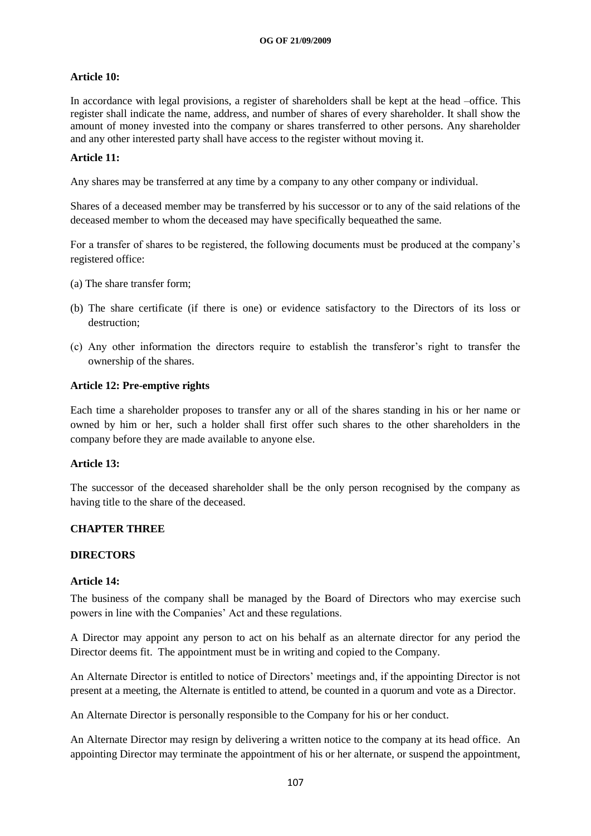# **Article 10:**

In accordance with legal provisions, a register of shareholders shall be kept at the head –office. This register shall indicate the name, address, and number of shares of every shareholder. It shall show the amount of money invested into the company or shares transferred to other persons. Any shareholder and any other interested party shall have access to the register without moving it.

# **Article 11:**

Any shares may be transferred at any time by a company to any other company or individual.

Shares of a deceased member may be transferred by his successor or to any of the said relations of the deceased member to whom the deceased may have specifically bequeathed the same.

For a transfer of shares to be registered, the following documents must be produced at the company"s registered office:

- (a) The share transfer form;
- (b) The share certificate (if there is one) or evidence satisfactory to the Directors of its loss or destruction;
- (c) Any other information the directors require to establish the transferor"s right to transfer the ownership of the shares.

# **Article 12: Pre-emptive rights**

Each time a shareholder proposes to transfer any or all of the shares standing in his or her name or owned by him or her, such a holder shall first offer such shares to the other shareholders in the company before they are made available to anyone else.

# **Article 13:**

The successor of the deceased shareholder shall be the only person recognised by the company as having title to the share of the deceased.

# **CHAPTER THREE**

#### **DIRECTORS**

# **Article 14:**

The business of the company shall be managed by the Board of Directors who may exercise such powers in line with the Companies" Act and these regulations.

A Director may appoint any person to act on his behalf as an alternate director for any period the Director deems fit. The appointment must be in writing and copied to the Company.

An Alternate Director is entitled to notice of Directors" meetings and, if the appointing Director is not present at a meeting, the Alternate is entitled to attend, be counted in a quorum and vote as a Director.

An Alternate Director is personally responsible to the Company for his or her conduct.

An Alternate Director may resign by delivering a written notice to the company at its head office. An appointing Director may terminate the appointment of his or her alternate, or suspend the appointment,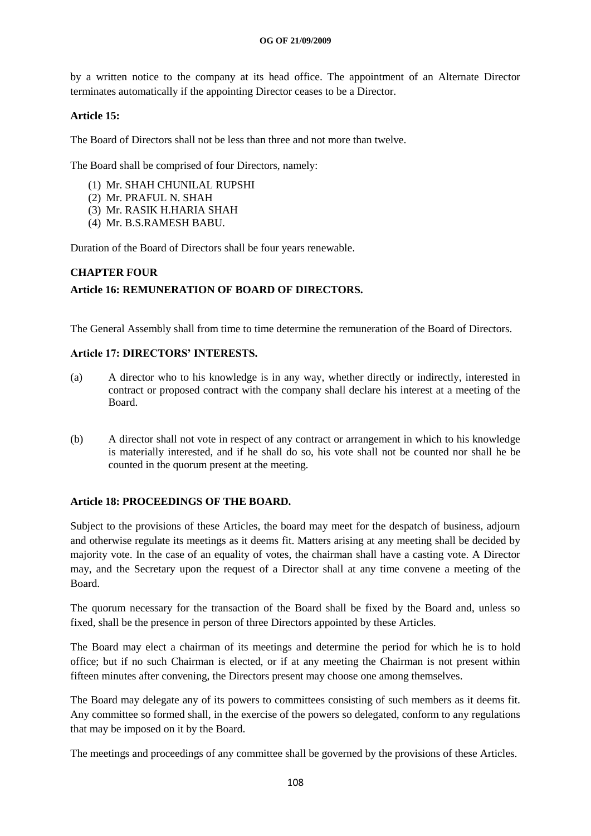by a written notice to the company at its head office. The appointment of an Alternate Director terminates automatically if the appointing Director ceases to be a Director.

# **Article 15:**

The Board of Directors shall not be less than three and not more than twelve.

The Board shall be comprised of four Directors, namely:

- (1) Mr. SHAH CHUNILAL RUPSHI
- (2) Mr. PRAFUL N. SHAH
- (3) Mr. RASIK H.HARIA SHAH
- (4) Mr. B.S.RAMESH BABU.

Duration of the Board of Directors shall be four years renewable.

# **CHAPTER FOUR**

# **Article 16: REMUNERATION OF BOARD OF DIRECTORS.**

The General Assembly shall from time to time determine the remuneration of the Board of Directors.

# **Article 17: DIRECTORS' INTERESTS.**

- (a) A director who to his knowledge is in any way, whether directly or indirectly, interested in contract or proposed contract with the company shall declare his interest at a meeting of the Board.
- (b) A director shall not vote in respect of any contract or arrangement in which to his knowledge is materially interested, and if he shall do so, his vote shall not be counted nor shall he be counted in the quorum present at the meeting.

# **Article 18: PROCEEDINGS OF THE BOARD.**

Subject to the provisions of these Articles, the board may meet for the despatch of business, adjourn and otherwise regulate its meetings as it deems fit. Matters arising at any meeting shall be decided by majority vote. In the case of an equality of votes, the chairman shall have a casting vote. A Director may, and the Secretary upon the request of a Director shall at any time convene a meeting of the Board.

The quorum necessary for the transaction of the Board shall be fixed by the Board and, unless so fixed, shall be the presence in person of three Directors appointed by these Articles.

The Board may elect a chairman of its meetings and determine the period for which he is to hold office; but if no such Chairman is elected, or if at any meeting the Chairman is not present within fifteen minutes after convening, the Directors present may choose one among themselves.

The Board may delegate any of its powers to committees consisting of such members as it deems fit. Any committee so formed shall, in the exercise of the powers so delegated, conform to any regulations that may be imposed on it by the Board.

The meetings and proceedings of any committee shall be governed by the provisions of these Articles.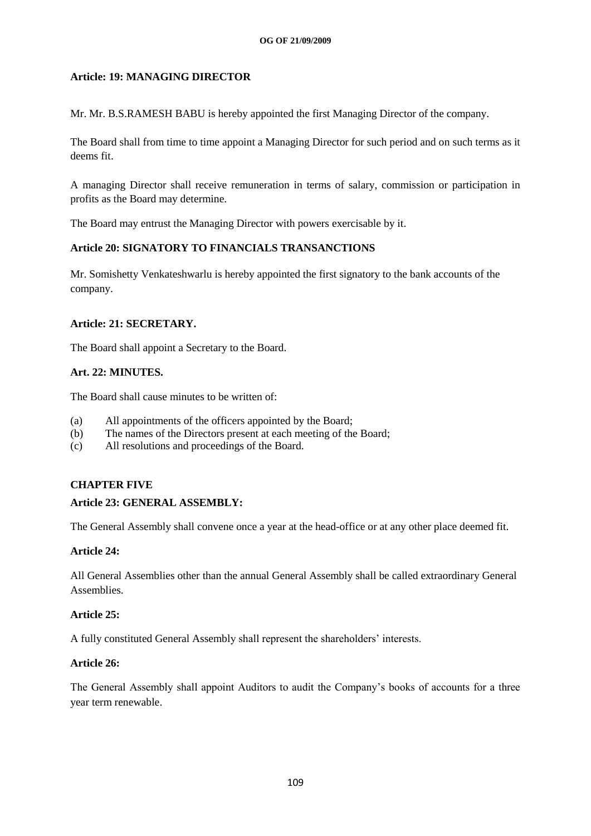# **Article: 19: MANAGING DIRECTOR**

Mr. Mr. B.S.RAMESH BABU is hereby appointed the first Managing Director of the company.

The Board shall from time to time appoint a Managing Director for such period and on such terms as it deems fit.

A managing Director shall receive remuneration in terms of salary, commission or participation in profits as the Board may determine.

The Board may entrust the Managing Director with powers exercisable by it.

#### **Article 20: SIGNATORY TO FINANCIALS TRANSANCTIONS**

Mr. Somishetty Venkateshwarlu is hereby appointed the first signatory to the bank accounts of the company.

#### **Article: 21: SECRETARY.**

The Board shall appoint a Secretary to the Board.

#### **Art. 22: MINUTES.**

The Board shall cause minutes to be written of:

- (a) All appointments of the officers appointed by the Board;
- (b) The names of the Directors present at each meeting of the Board;
- (c) All resolutions and proceedings of the Board.

# **CHAPTER FIVE**

#### **Article 23: GENERAL ASSEMBLY:**

The General Assembly shall convene once a year at the head-office or at any other place deemed fit.

#### **Article 24:**

All General Assemblies other than the annual General Assembly shall be called extraordinary General Assemblies.

#### **Article 25:**

A fully constituted General Assembly shall represent the shareholders" interests.

#### **Article 26:**

The General Assembly shall appoint Auditors to audit the Company"s books of accounts for a three year term renewable.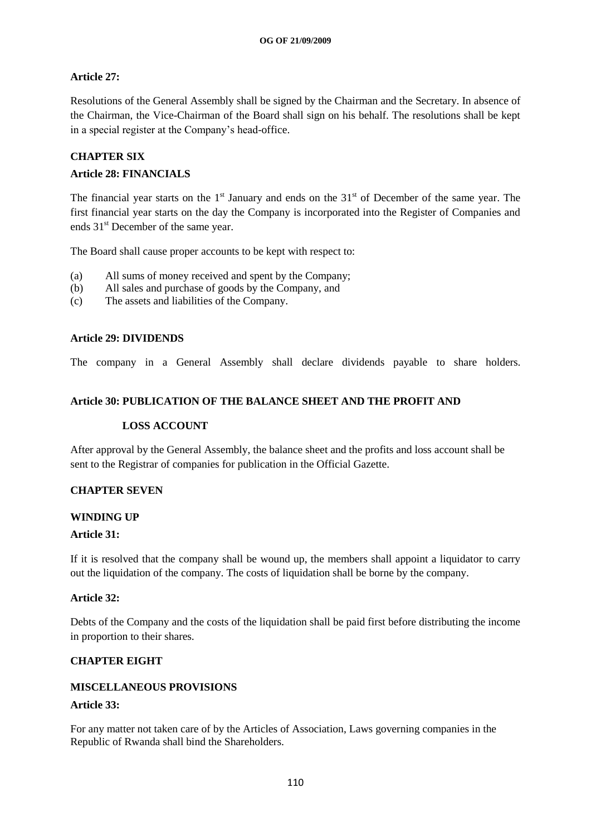# **Article 27:**

Resolutions of the General Assembly shall be signed by the Chairman and the Secretary. In absence of the Chairman, the Vice-Chairman of the Board shall sign on his behalf. The resolutions shall be kept in a special register at the Company"s head-office.

# **CHAPTER SIX**

#### **Article 28: FINANCIALS**

The financial year starts on the  $1<sup>st</sup>$  January and ends on the  $31<sup>st</sup>$  of December of the same year. The first financial year starts on the day the Company is incorporated into the Register of Companies and ends 31<sup>st</sup> December of the same year.

The Board shall cause proper accounts to be kept with respect to:

- (a) All sums of money received and spent by the Company;
- (b) All sales and purchase of goods by the Company, and
- (c) The assets and liabilities of the Company.

#### **Article 29: DIVIDENDS**

The company in a General Assembly shall declare dividends payable to share holders.

# **Article 30: PUBLICATION OF THE BALANCE SHEET AND THE PROFIT AND**

#### **LOSS ACCOUNT**

After approval by the General Assembly, the balance sheet and the profits and loss account shall be sent to the Registrar of companies for publication in the Official Gazette.

# **CHAPTER SEVEN**

#### **WINDING UP**

#### **Article 31:**

If it is resolved that the company shall be wound up, the members shall appoint a liquidator to carry out the liquidation of the company. The costs of liquidation shall be borne by the company.

#### **Article 32:**

Debts of the Company and the costs of the liquidation shall be paid first before distributing the income in proportion to their shares.

# **CHAPTER EIGHT**

#### **MISCELLANEOUS PROVISIONS**

#### **Article 33:**

For any matter not taken care of by the Articles of Association, Laws governing companies in the Republic of Rwanda shall bind the Shareholders.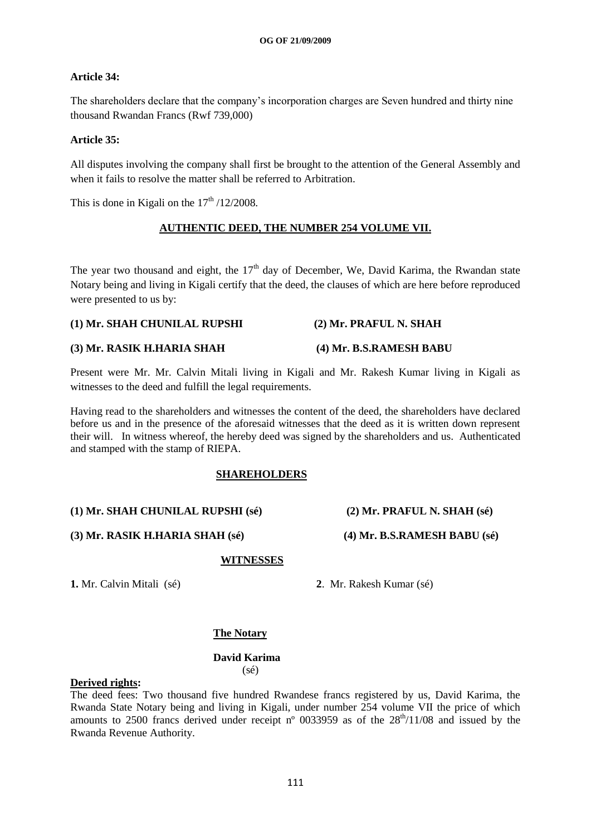# **Article 34:**

The shareholders declare that the company"s incorporation charges are Seven hundred and thirty nine thousand Rwandan Francs (Rwf 739,000)

#### **Article 35:**

All disputes involving the company shall first be brought to the attention of the General Assembly and when it fails to resolve the matter shall be referred to Arbitration.

This is done in Kigali on the  $17<sup>th</sup> / 12/2008$ .

#### **AUTHENTIC DEED, THE NUMBER 254 VOLUME VII.**

The year two thousand and eight, the 17<sup>th</sup> day of December, We, David Karima, the Rwandan state Notary being and living in Kigali certify that the deed, the clauses of which are here before reproduced were presented to us by:

#### **(1) Mr. SHAH CHUNILAL RUPSHI (2) Mr. PRAFUL N. SHAH**

#### **(3) Mr. RASIK H.HARIA SHAH (4) Mr. B.S.RAMESH BABU**

Present were Mr. Mr. Calvin Mitali living in Kigali and Mr. Rakesh Kumar living in Kigali as witnesses to the deed and fulfill the legal requirements.

Having read to the shareholders and witnesses the content of the deed, the shareholders have declared before us and in the presence of the aforesaid witnesses that the deed as it is written down represent their will. In witness whereof, the hereby deed was signed by the shareholders and us. Authenticated and stamped with the stamp of RIEPA.

#### **SHAREHOLDERS**

# **(1) Mr. SHAH CHUNILAL RUPSHI (sé) (2) Mr. PRAFUL N. SHAH (sé)**

**(3) Mr. RASIK H.HARIA SHAH (sé) (4) Mr. B.S.RAMESH BABU (sé)**

#### **WITNESSES**

**1.** Mr. Calvin Mitali (sé) **2**. Mr. Rakesh Kumar (sé)

# **The Notary**

#### **David Karima** (sé)

#### **Derived rights:**

The deed fees: Two thousand five hundred Rwandese francs registered by us, David Karima, the Rwanda State Notary being and living in Kigali, under number 254 volume VII the price of which amounts to 2500 francs derived under receipt  $n^{\circ}$  0033959 as of the  $28<sup>th</sup>/11/08$  and issued by the Rwanda Revenue Authority.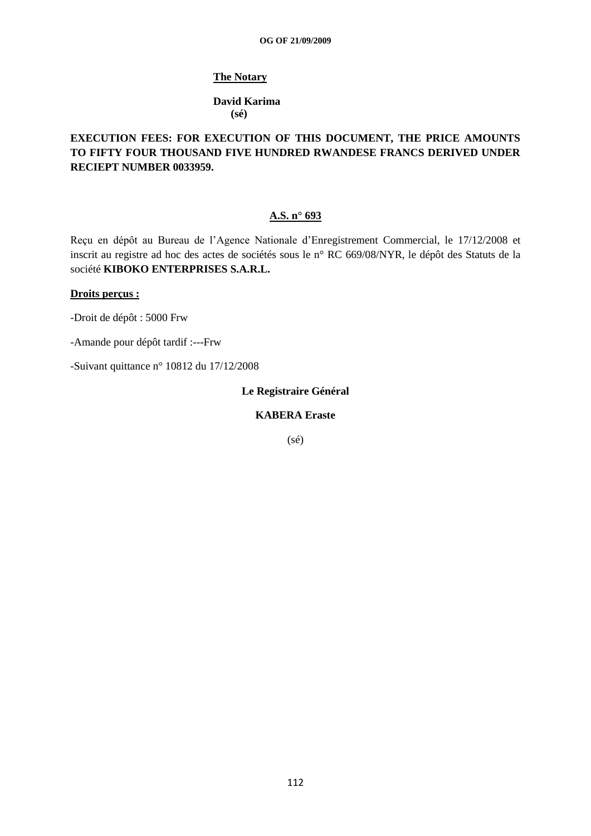#### **The Notary**

#### **David Karima (sé)**

# **EXECUTION FEES: FOR EXECUTION OF THIS DOCUMENT, THE PRICE AMOUNTS TO FIFTY FOUR THOUSAND FIVE HUNDRED RWANDESE FRANCS DERIVED UNDER RECIEPT NUMBER 0033959.**

### **A.S. n° 693**

Reçu en dépôt au Bureau de l"Agence Nationale d"Enregistrement Commercial, le 17/12/2008 et inscrit au registre ad hoc des actes de sociétés sous le n° RC 669/08/NYR, le dépôt des Statuts de la société **KIBOKO ENTERPRISES S.A.R.L.**

#### **Droits perçus :**

-Droit de dépôt : 5000 Frw

-Amande pour dépôt tardif :---Frw

-Suivant quittance n° 10812 du 17/12/2008

**Le Registraire Général**

**KABERA Eraste**

(sé)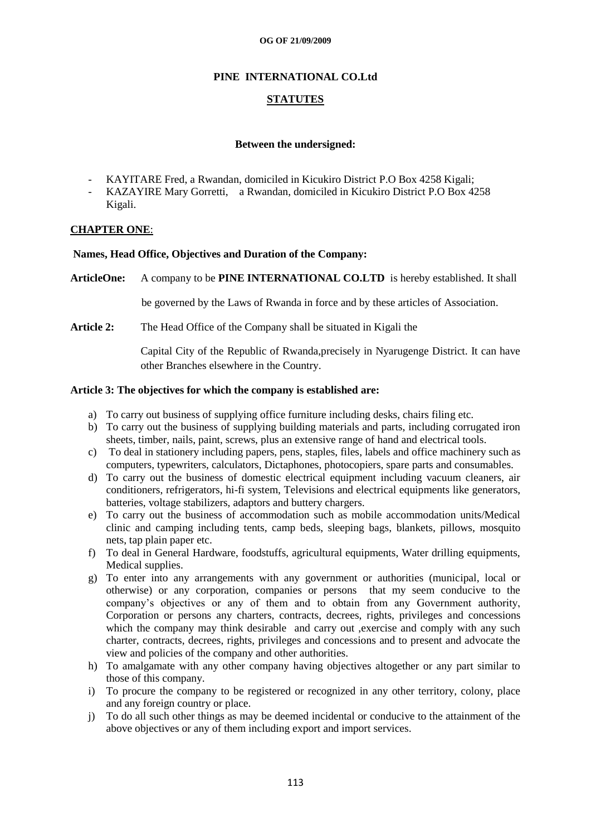# **PINE INTERNATIONAL CO.Ltd**

## **STATUTES**

#### **Between the undersigned:**

- KAYITARE Fred, a Rwandan, domiciled in Kicukiro District P.O Box 4258 Kigali;
- KAZAYIRE Mary Gorretti, a Rwandan, domiciled in Kicukiro District P.O Box 4258 Kigali.

#### **CHAPTER ONE**:

#### **Names, Head Office, Objectives and Duration of the Company:**

**ArticleOne:** A company to be **PINE INTERNATIONAL CO.LTD** is hereby established. It shall

be governed by the Laws of Rwanda in force and by these articles of Association.

**Article 2:** The Head Office of the Company shall be situated in Kigali the

Capital City of the Republic of Rwanda,precisely in Nyarugenge District. It can have other Branches elsewhere in the Country.

#### **Article 3: The objectives for which the company is established are:**

- a) To carry out business of supplying office furniture including desks, chairs filing etc.
- b) To carry out the business of supplying building materials and parts, including corrugated iron sheets, timber, nails, paint, screws, plus an extensive range of hand and electrical tools.
- c) To deal in stationery including papers, pens, staples, files, labels and office machinery such as computers, typewriters, calculators, Dictaphones, photocopiers, spare parts and consumables.
- d) To carry out the business of domestic electrical equipment including vacuum cleaners, air conditioners, refrigerators, hi-fi system, Televisions and electrical equipments like generators, batteries, voltage stabilizers, adaptors and buttery chargers.
- e) To carry out the business of accommodation such as mobile accommodation units/Medical clinic and camping including tents, camp beds, sleeping bags, blankets, pillows, mosquito nets, tap plain paper etc.
- f) To deal in General Hardware, foodstuffs, agricultural equipments, Water drilling equipments, Medical supplies.
- g) To enter into any arrangements with any government or authorities (municipal, local or otherwise) or any corporation, companies or persons that my seem conducive to the company"s objectives or any of them and to obtain from any Government authority, Corporation or persons any charters, contracts, decrees, rights, privileges and concessions which the company may think desirable and carry out , exercise and comply with any such charter, contracts, decrees, rights, privileges and concessions and to present and advocate the view and policies of the company and other authorities.
- h) To amalgamate with any other company having objectives altogether or any part similar to those of this company.
- i) To procure the company to be registered or recognized in any other territory, colony, place and any foreign country or place.
- j) To do all such other things as may be deemed incidental or conducive to the attainment of the above objectives or any of them including export and import services.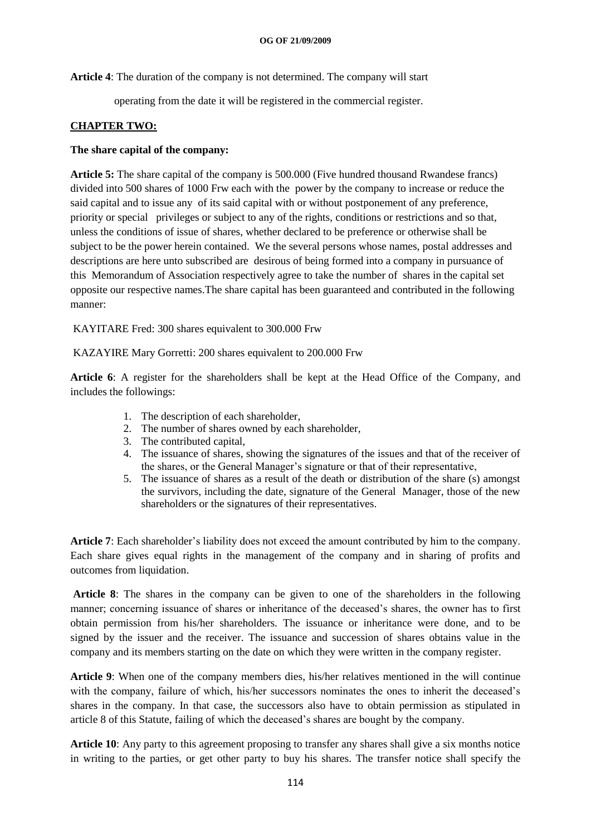**Article 4**: The duration of the company is not determined. The company will start

operating from the date it will be registered in the commercial register.

# **CHAPTER TWO:**

#### **The share capital of the company:**

**Article 5:** The share capital of the company is 500.000 (Five hundred thousand Rwandese francs) divided into 500 shares of 1000 Frw each with the power by the company to increase or reduce the said capital and to issue any of its said capital with or without postponement of any preference, priority or special privileges or subject to any of the rights, conditions or restrictions and so that, unless the conditions of issue of shares, whether declared to be preference or otherwise shall be subject to be the power herein contained. We the several persons whose names, postal addresses and descriptions are here unto subscribed are desirous of being formed into a company in pursuance of this Memorandum of Association respectively agree to take the number of shares in the capital set opposite our respective names.The share capital has been guaranteed and contributed in the following manner:

KAYITARE Fred: 300 shares equivalent to 300.000 Frw

KAZAYIRE Mary Gorretti: 200 shares equivalent to 200.000 Frw

**Article 6**: A register for the shareholders shall be kept at the Head Office of the Company, and includes the followings:

- 1. The description of each shareholder,
- 2. The number of shares owned by each shareholder,
- 3. The contributed capital,
- 4. The issuance of shares, showing the signatures of the issues and that of the receiver of the shares, or the General Manager"s signature or that of their representative,
- 5. The issuance of shares as a result of the death or distribution of the share (s) amongst the survivors, including the date, signature of the General Manager, those of the new shareholders or the signatures of their representatives.

**Article 7**: Each shareholder"s liability does not exceed the amount contributed by him to the company. Each share gives equal rights in the management of the company and in sharing of profits and outcomes from liquidation.

**Article 8**: The shares in the company can be given to one of the shareholders in the following manner; concerning issuance of shares or inheritance of the deceased"s shares, the owner has to first obtain permission from his/her shareholders. The issuance or inheritance were done, and to be signed by the issuer and the receiver. The issuance and succession of shares obtains value in the company and its members starting on the date on which they were written in the company register.

**Article 9**: When one of the company members dies, his/her relatives mentioned in the will continue with the company, failure of which, his/her successors nominates the ones to inherit the deceased's shares in the company. In that case, the successors also have to obtain permission as stipulated in article 8 of this Statute, failing of which the deceased"s shares are bought by the company.

**Article 10**: Any party to this agreement proposing to transfer any shares shall give a six months notice in writing to the parties, or get other party to buy his shares. The transfer notice shall specify the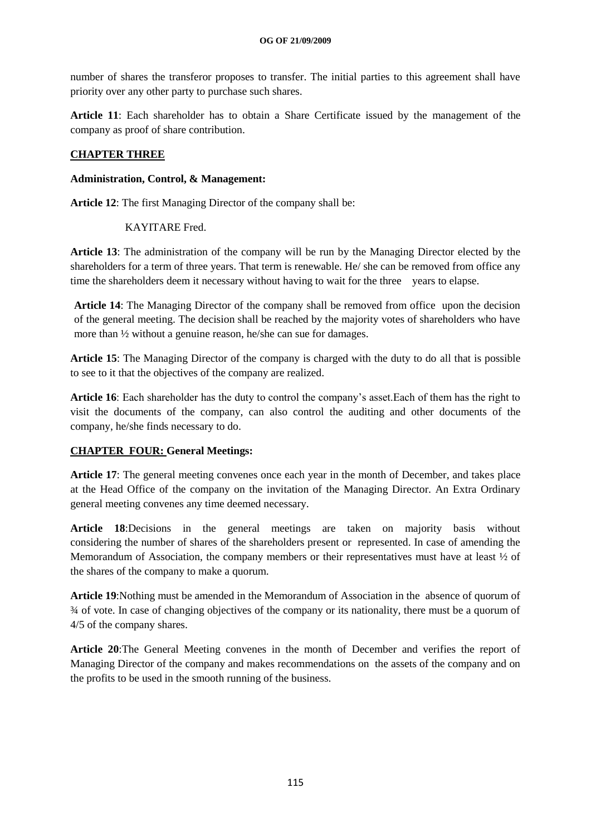number of shares the transferor proposes to transfer. The initial parties to this agreement shall have priority over any other party to purchase such shares.

**Article 11**: Each shareholder has to obtain a Share Certificate issued by the management of the company as proof of share contribution.

# **CHAPTER THREE**

#### **Administration, Control, & Management:**

**Article 12**: The first Managing Director of the company shall be:

#### KAYITARE Fred.

**Article 13**: The administration of the company will be run by the Managing Director elected by the shareholders for a term of three years. That term is renewable. He/ she can be removed from office any time the shareholders deem it necessary without having to wait for the three years to elapse.

**Article 14**: The Managing Director of the company shall be removed from office upon the decision of the general meeting. The decision shall be reached by the majority votes of shareholders who have more than ½ without a genuine reason, he/she can sue for damages.

**Article 15**: The Managing Director of the company is charged with the duty to do all that is possible to see to it that the objectives of the company are realized.

**Article 16**: Each shareholder has the duty to control the company"s asset.Each of them has the right to visit the documents of the company, can also control the auditing and other documents of the company, he/she finds necessary to do.

# **CHAPTER FOUR: General Meetings:**

**Article 17**: The general meeting convenes once each year in the month of December, and takes place at the Head Office of the company on the invitation of the Managing Director. An Extra Ordinary general meeting convenes any time deemed necessary.

**Article 18**:Decisions in the general meetings are taken on majority basis without considering the number of shares of the shareholders present or represented. In case of amending the Memorandum of Association, the company members or their representatives must have at least  $\frac{1}{2}$  of the shares of the company to make a quorum.

**Article 19**:Nothing must be amended in the Memorandum of Association in the absence of quorum of ¾ of vote. In case of changing objectives of the company or its nationality, there must be a quorum of 4/5 of the company shares.

**Article 20**:The General Meeting convenes in the month of December and verifies the report of Managing Director of the company and makes recommendations on the assets of the company and on the profits to be used in the smooth running of the business.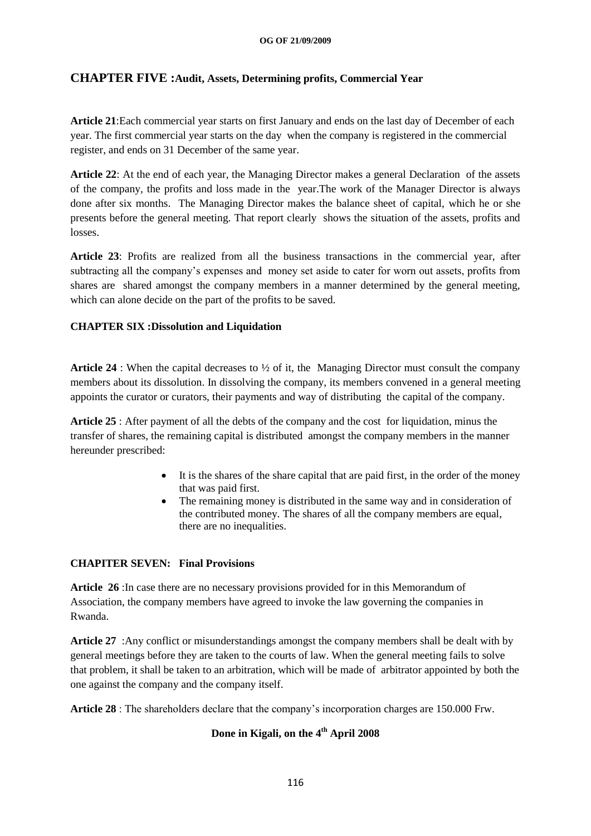# **CHAPTER FIVE :Audit, Assets, Determining profits, Commercial Year**

**Article 21**:Each commercial year starts on first January and ends on the last day of December of each year. The first commercial year starts on the day when the company is registered in the commercial register, and ends on 31 December of the same year.

**Article 22**: At the end of each year, the Managing Director makes a general Declaration of the assets of the company, the profits and loss made in the year.The work of the Manager Director is always done after six months. The Managing Director makes the balance sheet of capital, which he or she presents before the general meeting. That report clearly shows the situation of the assets, profits and losses.

**Article 23**: Profits are realized from all the business transactions in the commercial year, after subtracting all the company"s expenses and money set aside to cater for worn out assets, profits from shares are shared amongst the company members in a manner determined by the general meeting, which can alone decide on the part of the profits to be saved.

# **CHAPTER SIX :Dissolution and Liquidation**

**Article 24** : When the capital decreases to  $\frac{1}{2}$  of it, the Managing Director must consult the company members about its dissolution. In dissolving the company, its members convened in a general meeting appoints the curator or curators, their payments and way of distributing the capital of the company.

**Article 25** : After payment of all the debts of the company and the cost for liquidation, minus the transfer of shares, the remaining capital is distributed amongst the company members in the manner hereunder prescribed:

- It is the shares of the share capital that are paid first, in the order of the money that was paid first.
- The remaining money is distributed in the same way and in consideration of the contributed money. The shares of all the company members are equal, there are no inequalities.

#### **CHAPITER SEVEN: Final Provisions**

**Article 26** :In case there are no necessary provisions provided for in this Memorandum of Association, the company members have agreed to invoke the law governing the companies in Rwanda.

**Article 27** :Any conflict or misunderstandings amongst the company members shall be dealt with by general meetings before they are taken to the courts of law. When the general meeting fails to solve that problem, it shall be taken to an arbitration, which will be made of arbitrator appointed by both the one against the company and the company itself.

**Article 28** : The shareholders declare that the company"s incorporation charges are 150.000 Frw.

# **Done in Kigali, on the 4th April 2008**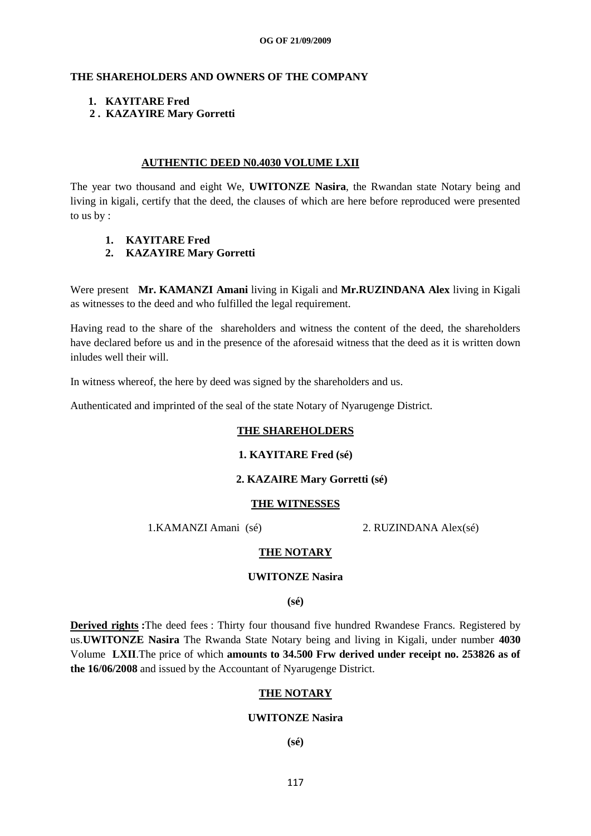#### **THE SHAREHOLDERS AND OWNERS OF THE COMPANY**

#### **1. KAYITARE Fred**

#### **2 . KAZAYIRE Mary Gorretti**

#### **AUTHENTIC DEED N0.4030 VOLUME LXII**

The year two thousand and eight We, **UWITONZE Nasira**, the Rwandan state Notary being and living in kigali, certify that the deed, the clauses of which are here before reproduced were presented to us by :

**1. KAYITARE Fred**

# **2. KAZAYIRE Mary Gorretti**

Were present **Mr. KAMANZI Amani** living in Kigali and **Mr.RUZINDANA Alex** living in Kigali as witnesses to the deed and who fulfilled the legal requirement.

Having read to the share of the shareholders and witness the content of the deed, the shareholders have declared before us and in the presence of the aforesaid witness that the deed as it is written down inludes well their will.

In witness whereof, the here by deed was signed by the shareholders and us.

Authenticated and imprinted of the seal of the state Notary of Nyarugenge District.

#### **THE SHAREHOLDERS**

#### **1. KAYITARE Fred (sé)**

#### **2. KAZAIRE Mary Gorretti (sé)**

#### **THE WITNESSES**

1.KAMANZI Amani (sé) 2. RUZINDANA Alex(sé)

#### **THE NOTARY**

#### **UWITONZE Nasira**

**(sé)**

**Derived rights :**The deed fees : Thirty four thousand five hundred Rwandese Francs. Registered by us.**UWITONZE Nasira** The Rwanda State Notary being and living in Kigali, under number **4030** Volume **LXII**.The price of which **amounts to 34.500 Frw derived under receipt no. 253826 as of the 16/06/2008** and issued by the Accountant of Nyarugenge District.

#### **THE NOTARY**

# **UWITONZE Nasira**

**(sé)**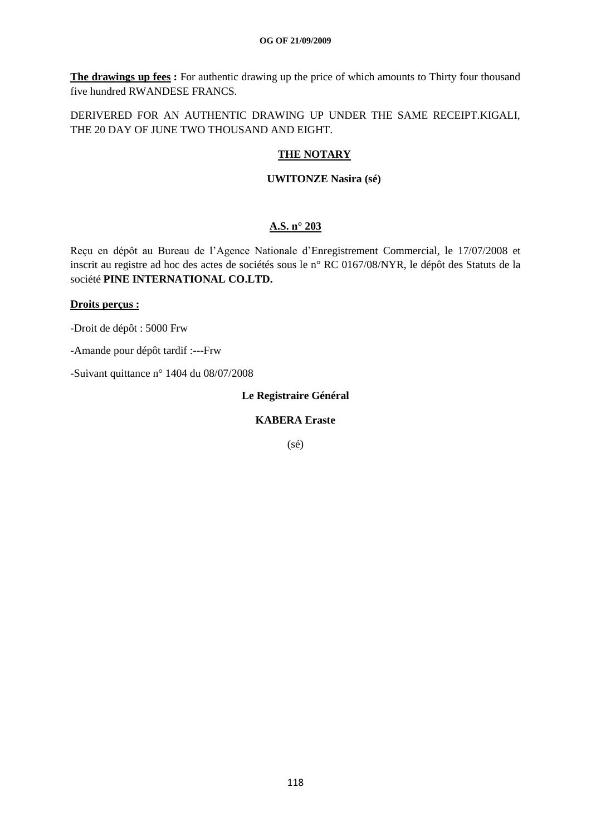**The drawings up fees :** For authentic drawing up the price of which amounts to Thirty four thousand five hundred RWANDESE FRANCS.

DERIVERED FOR AN AUTHENTIC DRAWING UP UNDER THE SAME RECEIPT.KIGALI, THE 20 DAY OF JUNE TWO THOUSAND AND EIGHT.

#### **THE NOTARY**

#### **UWITONZE Nasira (sé)**

# **A.S. n° 203**

Reçu en dépôt au Bureau de l"Agence Nationale d"Enregistrement Commercial, le 17/07/2008 et inscrit au registre ad hoc des actes de sociétés sous le n° RC 0167/08/NYR, le dépôt des Statuts de la société **PINE INTERNATIONAL CO.LTD.**

#### **Droits perçus :**

-Droit de dépôt : 5000 Frw

-Amande pour dépôt tardif :---Frw

-Suivant quittance n° 1404 du 08/07/2008

**Le Registraire Général**

## **KABERA Eraste**

(sé)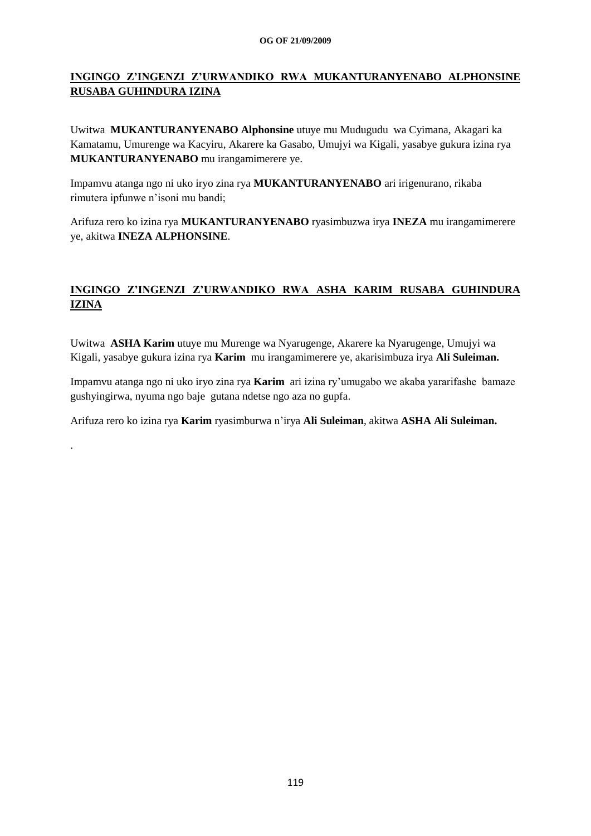# **INGINGO Z'INGENZI Z'URWANDIKO RWA MUKANTURANYENABO ALPHONSINE RUSABA GUHINDURA IZINA**

Uwitwa **MUKANTURANYENABO Alphonsine** utuye mu Mudugudu wa Cyimana, Akagari ka Kamatamu, Umurenge wa Kacyiru, Akarere ka Gasabo, Umujyi wa Kigali, yasabye gukura izina rya **MUKANTURANYENABO** mu irangamimerere ye.

Impamvu atanga ngo ni uko iryo zina rya **MUKANTURANYENABO** ari irigenurano, rikaba rimutera ipfunwe n"isoni mu bandi;

Arifuza rero ko izina rya **MUKANTURANYENABO** ryasimbuzwa irya **INEZA** mu irangamimerere ye, akitwa **INEZA ALPHONSINE**.

# **INGINGO Z'INGENZI Z'URWANDIKO RWA ASHA KARIM RUSABA GUHINDURA IZINA**

Uwitwa **ASHA Karim** utuye mu Murenge wa Nyarugenge, Akarere ka Nyarugenge, Umujyi wa Kigali, yasabye gukura izina rya **Karim** mu irangamimerere ye, akarisimbuza irya **Ali Suleiman.**

Impamvu atanga ngo ni uko iryo zina rya **Karim** ari izina ry"umugabo we akaba yararifashe bamaze gushyingirwa, nyuma ngo baje gutana ndetse ngo aza no gupfa.

Arifuza rero ko izina rya **Karim** ryasimburwa n"irya **Ali Suleiman**, akitwa **ASHA Ali Suleiman.**

.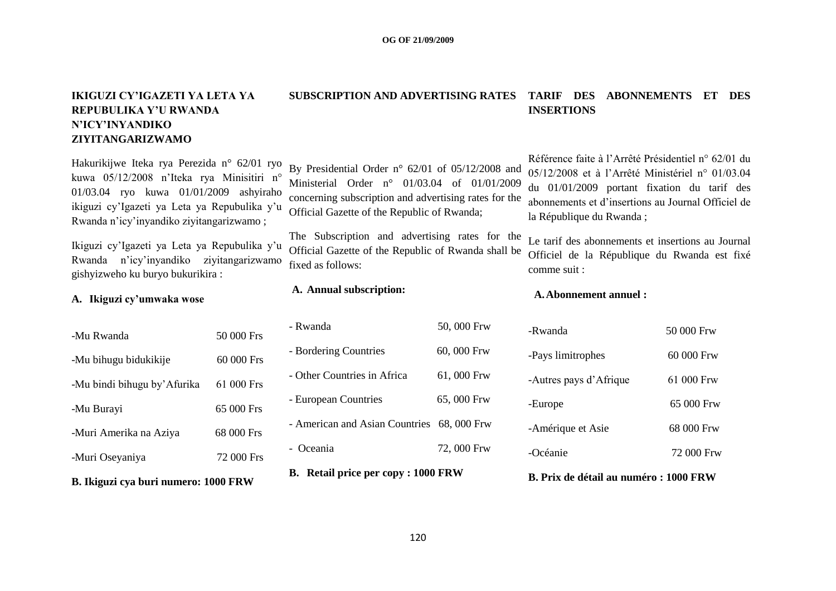# **IKIGUZI CY'IGAZETI YA LETA YA REPUBULIKA Y'U RWANDA N'ICY'INYANDIKO ZIYITANGARIZWAMO**

Hakurikijwe Iteka rya Perezida n° 62/01 ryo kuwa 05/12/2008 n"Iteka rya Minisitiri n° 01/03.04 ryo kuwa 01/01/2009 ashyiraho ikiguzi cy"Igazeti ya Leta ya Repubulika y"u Rwanda n"icy"inyandiko ziyitangarizwamo ;

Ikiguzi cy"Igazeti ya Leta ya Repubulika y"u Rwanda n"icy"inyandiko ziyitangarizwamo gishyizweho ku buryo bukurikira :

**A. Ikiguzi cy'umwaka wose**

| B. Ikiguzi cya buri numero: 1000 FRW |            |  |
|--------------------------------------|------------|--|
| -Muri Oseyaniya                      | 72 000 Frs |  |
| -Muri Amerika na Aziya               | 68 000 Frs |  |
| -Mu Burayi                           | 65 000 Frs |  |
| -Mu bindi bihugu by'Afurika          | 61 000 Frs |  |
| -Mu bihugu bidukikije                | 60 000 Frs |  |
| -Mu Rwanda                           | 50 000 Frs |  |

# **SUBSCRIPTION AND ADVERTISING RATES TARIF DES ABONNEMENTS ET DES INSERTIONS**

By Presidential Order n° 62/01 of 05/12/2008 and Ministerial Order n° 01/03.04 of 01/01/2009 concerning subscription and advertising rates for the Official Gazette of the Republic of Rwanda;

The Subscription and advertising rates for the Official Gazette of the Republic of Rwanda shall be fixed as follows:

**A. Annual subscription:**

- Rwanda 50, 000 Frw - Bordering Countries 60, 000 Frw - Other Countries in Africa 61, 000 Frw - European Countries 65, 000 Frw - American and Asian Countries 68, 000 Frw - Oceania 72, 000 Frw **B. Retail price per copy : 1000 FRW**

# Référence faite à l"Arrêté Présidentiel n° 62/01 du 05/12/2008 et à l"Arrêté Ministériel n° 01/03.04 du 01/01/2009 portant fixation du tarif des abonnements et d"insertions au Journal Officiel de la République du Rwanda ;

Le tarif des abonnements et insertions au Journal Officiel de la République du Rwanda est fixé comme suit :

#### **A.Abonnement annuel :**

| -Rwanda                | 50 000 Frw |
|------------------------|------------|
| -Pays limitrophes      | 60 000 Frw |
| -Autres pays d'Afrique | 61 000 Frw |
| -Europe                | 65 000 Frw |
| -Amérique et Asie      | 68 000 Frw |
| -Océanie               | 72 000 Frw |
|                        |            |

#### **B. Prix de détail au numéro : 1000 FRW**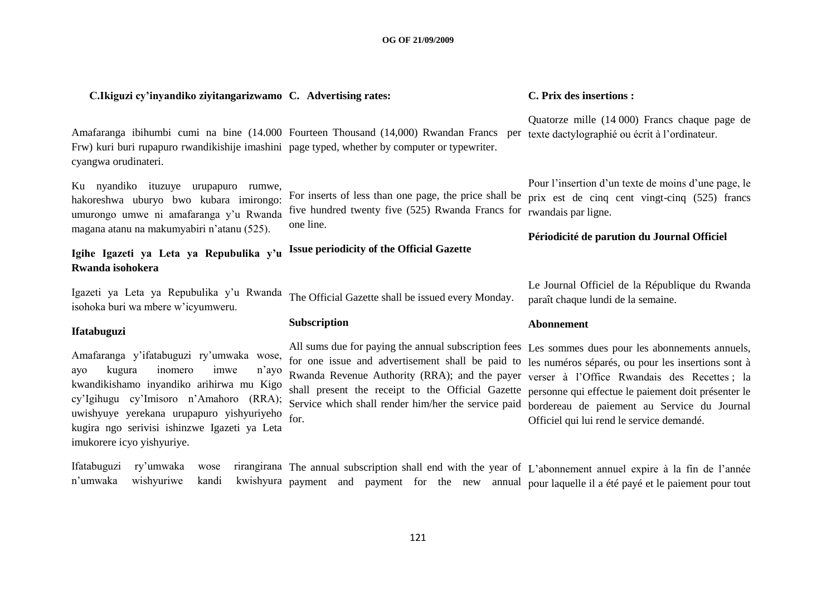#### **C.Ikiguzi cy'inyandiko ziyitangarizwamo C. Advertising rates:**

Amafaranga ibihumbi cumi na bine (14.000 Fourteen Thousand (14,000) Rwandan Francs per texte dactylographié ou écrit à l'ordinateur. Frw) kuri buri rupapuro rwandikishije imashini page typed, whether by computer or typewriter. cyangwa orudinateri.

Ku nyandiko ituzuye urupapuro rumwe, hakoreshwa uburyo bwo kubara imirongo: umurongo umwe ni amafaranga y'u Rwanda magana atanu na makumyabiri n"atanu (525). one line.

#### **Igihe Igazeti ya Leta ya Repubulika y'u Rwanda isohokera Issue periodicity of the Official Gazette**

Igazeti ya Leta ya Repubulika y"u Rwanda isohoka buri wa mbere w"icyumweru. The Official Gazette shall be issued every Monday.

#### **Ifatabuguzi**

Amafaranga y"ifatabuguzi ry"umwaka wose, ayo kugura inomero imwe n"ayo kwandikishamo inyandiko arihirwa mu Kigo cy"Igihugu cy"Imisoro n"Amahoro (RRA); uwishyuye yerekana urupapuro yishyuriyeho kugira ngo serivisi ishinzwe Igazeti ya Leta imukorere icyo yishyuriye.

#### **Subscription**

All sums due for paying the annual subscription fees Les sommes dues pour les abonnements annuels, for one issue and advertisement shall be paid to les numéros séparés, ou pour les insertions sont à Rwanda Revenue Authority (RRA); and the payer verser à l"Office Rwandais des Recettes ; la shall present the receipt to the Official Gazette personne qui effectue le paiement doit présenter le Service which shall render him/her the service paid bordereau de paiement au Service du Journal for.

#### **C. Prix des insertions :**

Quatorze mille (14 000) Francs chaque page de

For inserts of less than one page, the price shall be prix est de cinq cent vingt-cinq (525) francs five hundred twenty five (525) Rwanda Francs for rwandais par ligne. Pour l"insertion d"un texte de moins d"une page, le

#### **Périodicité de parution du Journal Officiel**

Le Journal Officiel de la République du Rwanda paraît chaque lundi de la semaine.

#### **Abonnement**

Officiel qui lui rend le service demandé.

Ifatabuguzi ry'umwaka wose n'umwaka wishyuriwe kandi The annual subscription shall end with the year of L'abonnement annuel expire à la fin de l'année payment and payment for the new annual pour laquelle il a été payé et le paiement pour tout